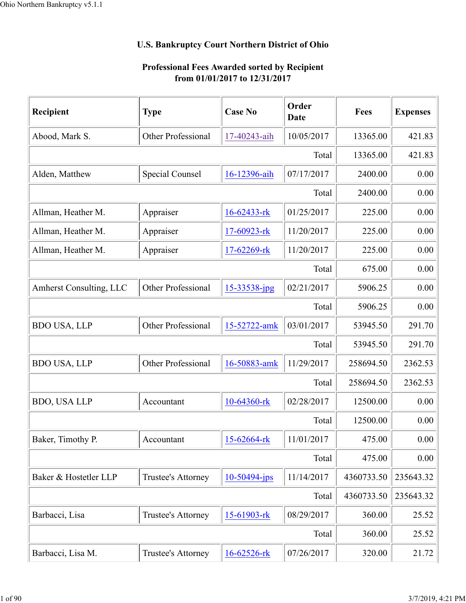## **U.S. Bankruptcy Court Northern District of Ohio**

## **Professional Fees Awarded sorted by Recipient from 01/01/2017 to 12/31/2017**

| Recipient               | <b>Type</b>            | <b>Case No</b>     | Order<br><b>Date</b> | Fees       | <b>Expenses</b> |
|-------------------------|------------------------|--------------------|----------------------|------------|-----------------|
| Abood, Mark S.          | Other Professional     | 17-40243-aih       | 10/05/2017           | 13365.00   | 421.83          |
|                         |                        |                    | Total                | 13365.00   | 421.83          |
| Alden, Matthew          | <b>Special Counsel</b> | 16-12396-aih       | 07/17/2017           | 2400.00    | 0.00            |
|                         |                        |                    | Total                | 2400.00    | 0.00            |
| Allman, Heather M.      | Appraiser              | 16-62433-rk        | 01/25/2017           | 225.00     | 0.00            |
| Allman, Heather M.      | Appraiser              | 17-60923-rk        | 11/20/2017           | 225.00     | 0.00            |
| Allman, Heather M.      | Appraiser              | 17-62269-rk        | 11/20/2017           | 225.00     | 0.00            |
|                         |                        |                    | Total                | 675.00     | 0.00            |
| Amherst Consulting, LLC | Other Professional     | 15-33538-jpg       | 02/21/2017           | 5906.25    | 0.00            |
|                         |                        |                    | Total                | 5906.25    | 0.00            |
| <b>BDO USA, LLP</b>     | Other Professional     | 15-52722-amk       | 03/01/2017           | 53945.50   | 291.70          |
|                         |                        |                    | Total                | 53945.50   | 291.70          |
| <b>BDO USA, LLP</b>     | Other Professional     | 16-50883-amk       | 11/29/2017           | 258694.50  | 2362.53         |
|                         |                        |                    | Total                | 258694.50  | 2362.53         |
| <b>BDO, USA LLP</b>     | Accountant             | 10-64360-rk        | 02/28/2017           | 12500.00   | 0.00            |
|                         |                        |                    | Total                | 12500.00   | 0.00            |
| Baker, Timothy P.       | Accountant             | 15-62664-rk        | 11/01/2017           | 475.00     | 0.00            |
|                         |                        |                    | Total                | 475.00     | 0.00            |
| Baker & Hostetler LLP   | Trustee's Attorney     | $10 - 50494 - ips$ | 11/14/2017           | 4360733.50 | 235643.32       |
|                         |                        |                    | Total                | 4360733.50 | 235643.32       |
| Barbacci, Lisa          | Trustee's Attorney     | $15-61903$ -rk     | 08/29/2017           | 360.00     | 25.52           |
|                         |                        |                    | Total                | 360.00     | 25.52           |
| Barbacci, Lisa M.       | Trustee's Attorney     | 16-62526-rk        | 07/26/2017           | 320.00     | 21.72           |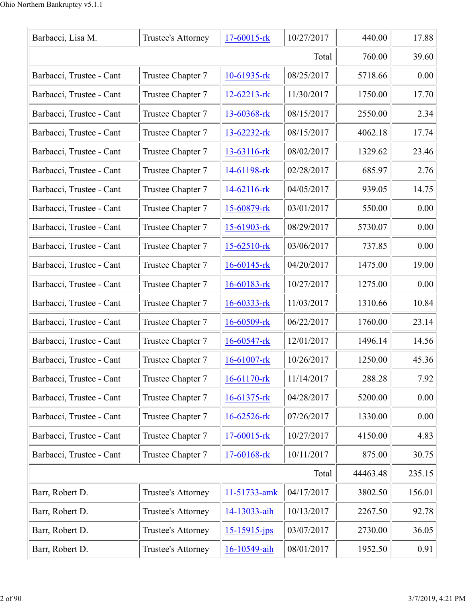| Barbacci, Lisa M.        | Trustee's Attorney | 17-60015-rk       | 10/27/2017 | 440.00   | 17.88  |
|--------------------------|--------------------|-------------------|------------|----------|--------|
|                          |                    |                   | Total      | 760.00   | 39.60  |
| Barbacci, Trustee - Cant | Trustee Chapter 7  | $10-61935$ -rk    | 08/25/2017 | 5718.66  | 0.00   |
| Barbacci, Trustee - Cant | Trustee Chapter 7  | $12 - 62213 - rk$ | 11/30/2017 | 1750.00  | 17.70  |
| Barbacci, Trustee - Cant | Trustee Chapter 7  | 13-60368-rk       | 08/15/2017 | 2550.00  | 2.34   |
| Barbacci, Trustee - Cant | Trustee Chapter 7  | $13 - 62232 - rk$ | 08/15/2017 | 4062.18  | 17.74  |
| Barbacci, Trustee - Cant | Trustee Chapter 7  | 13-63116-rk       | 08/02/2017 | 1329.62  | 23.46  |
| Barbacci, Trustee - Cant | Trustee Chapter 7  | 14-61198-rk       | 02/28/2017 | 685.97   | 2.76   |
| Barbacci, Trustee - Cant | Trustee Chapter 7  | 14-62116-rk       | 04/05/2017 | 939.05   | 14.75  |
| Barbacci, Trustee - Cant | Trustee Chapter 7  | 15-60879-rk       | 03/01/2017 | 550.00   | 0.00   |
| Barbacci, Trustee - Cant | Trustee Chapter 7  | 15-61903-rk       | 08/29/2017 | 5730.07  | 0.00   |
| Barbacci, Trustee - Cant | Trustee Chapter 7  | 15-62510-rk       | 03/06/2017 | 737.85   | 0.00   |
| Barbacci, Trustee - Cant | Trustee Chapter 7  | $16 - 60145$ -rk  | 04/20/2017 | 1475.00  | 19.00  |
| Barbacci, Trustee - Cant | Trustee Chapter 7  | $16 - 60183 - rk$ | 10/27/2017 | 1275.00  | 0.00   |
| Barbacci, Trustee - Cant | Trustee Chapter 7  | $16 - 60333 - rk$ | 11/03/2017 | 1310.66  | 10.84  |
| Barbacci, Trustee - Cant | Trustee Chapter 7  | $16 - 60509$ -rk  | 06/22/2017 | 1760.00  | 23.14  |
| Barbacci, Trustee - Cant | Trustee Chapter 7  | $16 - 60547 - rk$ | 12/01/2017 | 1496.14  | 14.56  |
| Barbacci, Trustee - Cant | Trustee Chapter 7  | $16 - 61007 -$ rk | 10/26/2017 | 1250.00  | 45.36  |
| Barbacci, Trustee - Cant | Trustee Chapter 7  | 16-61170-rk       | 11/14/2017 | 288.28   | 7.92   |
| Barbacci, Trustee - Cant | Trustee Chapter 7  | 16-61375-rk       | 04/28/2017 | 5200.00  | 0.00   |
| Barbacci, Trustee - Cant | Trustee Chapter 7  | 16-62526-rk       | 07/26/2017 | 1330.00  | 0.00   |
| Barbacci, Trustee - Cant | Trustee Chapter 7  | 17-60015-rk       | 10/27/2017 | 4150.00  | 4.83   |
| Barbacci, Trustee - Cant | Trustee Chapter 7  | 17-60168-rk       | 10/11/2017 | 875.00   | 30.75  |
|                          |                    |                   | Total      | 44463.48 | 235.15 |
| Barr, Robert D.          | Trustee's Attorney | 11-51733-amk      | 04/17/2017 | 3802.50  | 156.01 |
| Barr, Robert D.          | Trustee's Attorney | 14-13033-aih      | 10/13/2017 | 2267.50  | 92.78  |
| Barr, Robert D.          | Trustee's Attorney | $15 - 15915$ -jps | 03/07/2017 | 2730.00  | 36.05  |
| Barr, Robert D.          | Trustee's Attorney | 16-10549-aih      | 08/01/2017 | 1952.50  | 0.91   |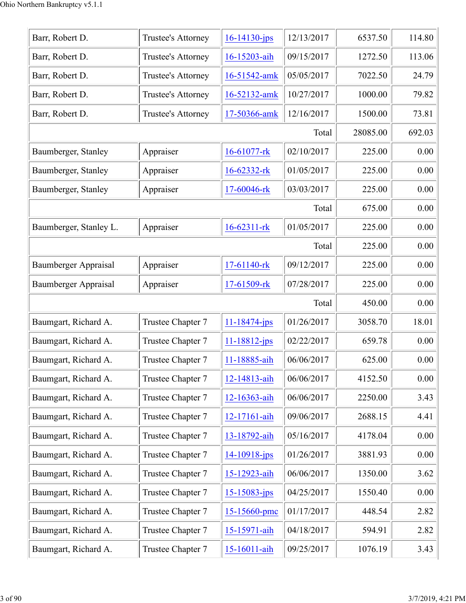| Barr, Robert D.        | Trustee's Attorney | $16 - 14130 - ips$ | 12/13/2017 | 6537.50  | 114.80 |
|------------------------|--------------------|--------------------|------------|----------|--------|
| Barr, Robert D.        | Trustee's Attorney | 16-15203-aih       | 09/15/2017 | 1272.50  | 113.06 |
| Barr, Robert D.        | Trustee's Attorney | 16-51542-amk       | 05/05/2017 | 7022.50  | 24.79  |
| Barr, Robert D.        | Trustee's Attorney | 16-52132-amk       | 10/27/2017 | 1000.00  | 79.82  |
| Barr, Robert D.        | Trustee's Attorney | 17-50366-amk       | 12/16/2017 | 1500.00  | 73.81  |
|                        |                    |                    | Total      | 28085.00 | 692.03 |
| Baumberger, Stanley    | Appraiser          | 16-61077-rk        | 02/10/2017 | 225.00   | 0.00   |
| Baumberger, Stanley    | Appraiser          | 16-62332-rk        | 01/05/2017 | 225.00   | 0.00   |
| Baumberger, Stanley    | Appraiser          | 17-60046-rk        | 03/03/2017 | 225.00   | 0.00   |
|                        |                    |                    | Total      | 675.00   | 0.00   |
| Baumberger, Stanley L. | Appraiser          | $16 - 62311 - rk$  | 01/05/2017 | 225.00   | 0.00   |
|                        |                    |                    | Total      | 225.00   | 0.00   |
| Baumberger Appraisal   | Appraiser          | 17-61140-rk        | 09/12/2017 | 225.00   | 0.00   |
| Baumberger Appraisal   | Appraiser          | 17-61509-rk        | 07/28/2017 | 225.00   | 0.00   |
|                        |                    |                    | Total      | 450.00   | 0.00   |
| Baumgart, Richard A.   | Trustee Chapter 7  | $11 - 18474 - jps$ | 01/26/2017 | 3058.70  | 18.01  |
| Baumgart, Richard A.   | Trustee Chapter 7  | $11 - 18812 - ips$ | 02/22/2017 | 659.78   | 0.00   |
| Baumgart, Richard A.   | Trustee Chapter 7  | 11-18885-aih       | 06/06/2017 | 625.00   | 0.00   |
| Baumgart, Richard A.   | Trustee Chapter 7  | 12-14813-aih       | 06/06/2017 | 4152.50  | 0.00   |
| Baumgart, Richard A.   | Trustee Chapter 7  | 12-16363-aih       | 06/06/2017 | 2250.00  | 3.43   |
| Baumgart, Richard A.   | Trustee Chapter 7  | 12-17161-aih       | 09/06/2017 | 2688.15  | 4.41   |
| Baumgart, Richard A.   | Trustee Chapter 7  | 13-18792-aih       | 05/16/2017 | 4178.04  | 0.00   |
| Baumgart, Richard A.   | Trustee Chapter 7  | $14 - 10918$ -jps  | 01/26/2017 | 3881.93  | 0.00   |
| Baumgart, Richard A.   | Trustee Chapter 7  | 15-12923-aih       | 06/06/2017 | 1350.00  | 3.62   |
| Baumgart, Richard A.   | Trustee Chapter 7  | $15 - 15083 - ips$ | 04/25/2017 | 1550.40  | 0.00   |
| Baumgart, Richard A.   | Trustee Chapter 7  | 15-15660-pmc       | 01/17/2017 | 448.54   | 2.82   |
| Baumgart, Richard A.   | Trustee Chapter 7  | 15-15971-aih       | 04/18/2017 | 594.91   | 2.82   |
| Baumgart, Richard A.   | Trustee Chapter 7  | 15-16011-aih       | 09/25/2017 | 1076.19  | 3.43   |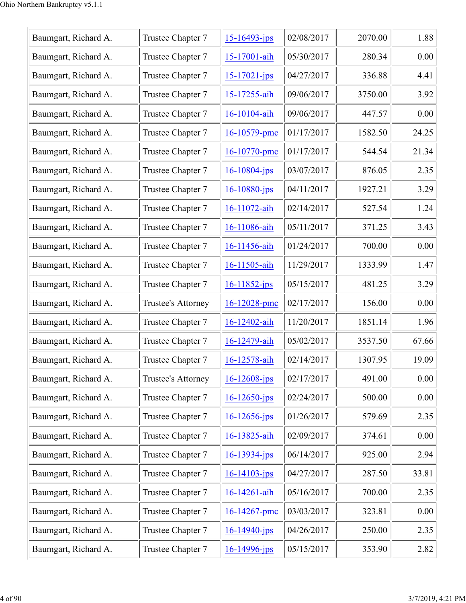| Baumgart, Richard A. | Trustee Chapter 7  | $15 - 16493 - ips$ | 02/08/2017 | 2070.00 | 1.88  |
|----------------------|--------------------|--------------------|------------|---------|-------|
| Baumgart, Richard A. | Trustee Chapter 7  | 15-17001-aih       | 05/30/2017 | 280.34  | 0.00  |
| Baumgart, Richard A. | Trustee Chapter 7  | $15 - 17021 - ips$ | 04/27/2017 | 336.88  | 4.41  |
| Baumgart, Richard A. | Trustee Chapter 7  | 15-17255-aih       | 09/06/2017 | 3750.00 | 3.92  |
| Baumgart, Richard A. | Trustee Chapter 7  | 16-10104-aih       | 09/06/2017 | 447.57  | 0.00  |
| Baumgart, Richard A. | Trustee Chapter 7  | $16 - 10579$ -pmc  | 01/17/2017 | 1582.50 | 24.25 |
| Baumgart, Richard A. | Trustee Chapter 7  | 16-10770-pmc       | 01/17/2017 | 544.54  | 21.34 |
| Baumgart, Richard A. | Trustee Chapter 7  | $16 - 10804$ -jps  | 03/07/2017 | 876.05  | 2.35  |
| Baumgart, Richard A. | Trustee Chapter 7  | $16 - 10880 - ips$ | 04/11/2017 | 1927.21 | 3.29  |
| Baumgart, Richard A. | Trustee Chapter 7  | 16-11072-aih       | 02/14/2017 | 527.54  | 1.24  |
| Baumgart, Richard A. | Trustee Chapter 7  | 16-11086-aih       | 05/11/2017 | 371.25  | 3.43  |
| Baumgart, Richard A. | Trustee Chapter 7  | 16-11456-aih       | 01/24/2017 | 700.00  | 0.00  |
| Baumgart, Richard A. | Trustee Chapter 7  | 16-11505-aih       | 11/29/2017 | 1333.99 | 1.47  |
| Baumgart, Richard A. | Trustee Chapter 7  | $16 - 11852$ -jps  | 05/15/2017 | 481.25  | 3.29  |
| Baumgart, Richard A. | Trustee's Attorney | $16 - 12028$ -pmc  | 02/17/2017 | 156.00  | 0.00  |
| Baumgart, Richard A. | Trustee Chapter 7  | 16-12402-aih       | 11/20/2017 | 1851.14 | 1.96  |
| Baumgart, Richard A. | Trustee Chapter 7  | 16-12479-aih       | 05/02/2017 | 3537.50 | 67.66 |
| Baumgart, Richard A. | Trustee Chapter 7  | 16-12578-aih       | 02/14/2017 | 1307.95 | 19.09 |
| Baumgart, Richard A. | Trustee's Attorney | $16 - 12608$ -jps  | 02/17/2017 | 491.00  | 0.00  |
| Baumgart, Richard A. | Trustee Chapter 7  | $16 - 12650$ -jps  | 02/24/2017 | 500.00  | 0.00  |
| Baumgart, Richard A. | Trustee Chapter 7  | $16 - 12656$ -jps  | 01/26/2017 | 579.69  | 2.35  |
| Baumgart, Richard A. | Trustee Chapter 7  | 16-13825-aih       | 02/09/2017 | 374.61  | 0.00  |
| Baumgart, Richard A. | Trustee Chapter 7  | $16 - 13934 - jps$ | 06/14/2017 | 925.00  | 2.94  |
| Baumgart, Richard A. | Trustee Chapter 7  | $16 - 14103 - ips$ | 04/27/2017 | 287.50  | 33.81 |
| Baumgart, Richard A. | Trustee Chapter 7  | 16-14261-aih       | 05/16/2017 | 700.00  | 2.35  |
| Baumgart, Richard A. | Trustee Chapter 7  | 16-14267-pmc       | 03/03/2017 | 323.81  | 0.00  |
| Baumgart, Richard A. | Trustee Chapter 7  | $16 - 14940 - ips$ | 04/26/2017 | 250.00  | 2.35  |
| Baumgart, Richard A. | Trustee Chapter 7  | $16 - 14996$ -jps  | 05/15/2017 | 353.90  | 2.82  |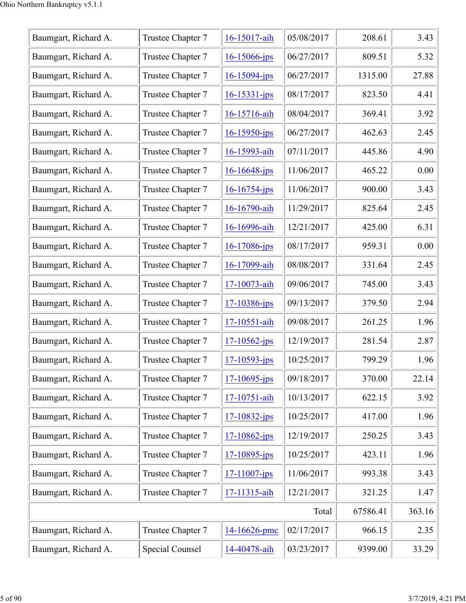| Baumgart, Richard A. | Trustee Chapter 7 | 16-15017-aih       | 05/08/2017 | 208.61   | 3.43   |
|----------------------|-------------------|--------------------|------------|----------|--------|
| Baumgart, Richard A. | Trustee Chapter 7 | $16 - 15066$ -jps  | 06/27/2017 | 809.51   | 5.32   |
| Baumgart, Richard A. | Trustee Chapter 7 | 16-15094-jps       | 06/27/2017 | 1315.00  | 27.88  |
| Baumgart, Richard A. | Trustee Chapter 7 | $16 - 15331 - ips$ | 08/17/2017 | 823.50   | 4.41   |
| Baumgart, Richard A. | Trustee Chapter 7 | 16-15716-aih       | 08/04/2017 | 369.41   | 3.92   |
| Baumgart, Richard A. | Trustee Chapter 7 | $16 - 15950 - ips$ | 06/27/2017 | 462.63   | 2.45   |
| Baumgart, Richard A. | Trustee Chapter 7 | 16-15993-aih       | 07/11/2017 | 445.86   | 4.90   |
| Baumgart, Richard A. | Trustee Chapter 7 | $16 - 16648$ -jps  | 11/06/2017 | 465.22   | 0.00   |
| Baumgart, Richard A. | Trustee Chapter 7 | $16 - 16754 - ips$ | 11/06/2017 | 900.00   | 3.43   |
| Baumgart, Richard A. | Trustee Chapter 7 | 16-16790-aih       | 11/29/2017 | 825.64   | 2.45   |
| Baumgart, Richard A. | Trustee Chapter 7 | 16-16996-aih       | 12/21/2017 | 425.00   | 6.31   |
| Baumgart, Richard A. | Trustee Chapter 7 | $16 - 17086$ -jps  | 08/17/2017 | 959.31   | 0.00   |
| Baumgart, Richard A. | Trustee Chapter 7 | 16-17099-aih       | 08/08/2017 | 331.64   | 2.45   |
| Baumgart, Richard A. | Trustee Chapter 7 | 17-10073-aih       | 09/06/2017 | 745.00   | 3.43   |
| Baumgart, Richard A. | Trustee Chapter 7 | $17 - 10386 - ips$ | 09/13/2017 | 379.50   | 2.94   |
| Baumgart, Richard A. | Trustee Chapter 7 | 17-10551-aih       | 09/08/2017 | 261.25   | 1.96   |
| Baumgart, Richard A. | Trustee Chapter 7 | $17 - 10562$ -jps  | 12/19/2017 | 281.54   | 2.87   |
| Baumgart, Richard A. | Trustee Chapter 7 | $17 - 10593 - ips$ | 10/25/2017 | 799.29   | 1.96   |
| Baumgart, Richard A. | Trustee Chapter 7 | $17 - 10695$ -jps  | 09/18/2017 | 370.00   | 22.14  |
| Baumgart, Richard A. | Trustee Chapter 7 | 17-10751-aih       | 10/13/2017 | 622.15   | 3.92   |
| Baumgart, Richard A. | Trustee Chapter 7 | $17 - 10832 - ips$ | 10/25/2017 | 417.00   | 1.96   |
| Baumgart, Richard A. | Trustee Chapter 7 | $17 - 10862$ -jps  | 12/19/2017 | 250.25   | 3.43   |
| Baumgart, Richard A. | Trustee Chapter 7 | $17 - 10895$ -jps  | 10/25/2017 | 423.11   | 1.96   |
| Baumgart, Richard A. | Trustee Chapter 7 | $17 - 11007 - ips$ | 11/06/2017 | 993.38   | 3.43   |
| Baumgart, Richard A. | Trustee Chapter 7 | 17-11315-aih       | 12/21/2017 | 321.25   | 1.47   |
|                      |                   |                    | Total      | 67586.41 | 363.16 |
| Baumgart, Richard A. | Trustee Chapter 7 | 14-16626-pmc       | 02/17/2017 | 966.15   | 2.35   |
| Baumgart, Richard A. | Special Counsel   | 14-40478-aih       | 03/23/2017 | 9399.00  | 33.29  |
|                      |                   |                    |            |          |        |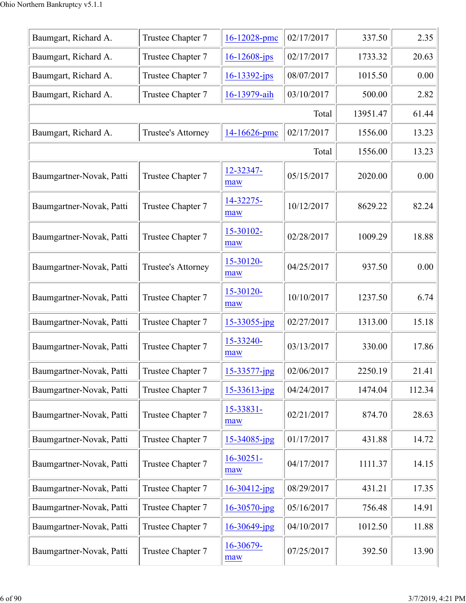| Baumgart, Richard A.     | Trustee Chapter 7  | 16-12028-pmc          | 02/17/2017 | 337.50   | 2.35   |
|--------------------------|--------------------|-----------------------|------------|----------|--------|
| Baumgart, Richard A.     | Trustee Chapter 7  | $16 - 12608 - ips$    | 02/17/2017 | 1733.32  | 20.63  |
| Baumgart, Richard A.     | Trustee Chapter 7  | $16 - 13392 - ips$    | 08/07/2017 | 1015.50  | 0.00   |
| Baumgart, Richard A.     | Trustee Chapter 7  | 16-13979-aih          | 03/10/2017 | 500.00   | 2.82   |
|                          |                    |                       | Total      | 13951.47 | 61.44  |
| Baumgart, Richard A.     | Trustee's Attorney | 14-16626-pmc          | 02/17/2017 | 1556.00  | 13.23  |
|                          |                    |                       | Total      | 1556.00  | 13.23  |
| Baumgartner-Novak, Patti | Trustee Chapter 7  | 12-32347-<br>maw      | 05/15/2017 | 2020.00  | 0.00   |
| Baumgartner-Novak, Patti | Trustee Chapter 7  | 14-32275-<br>maw      | 10/12/2017 | 8629.22  | 82.24  |
| Baumgartner-Novak, Patti | Trustee Chapter 7  | 15-30102-<br>maw      | 02/28/2017 | 1009.29  | 18.88  |
| Baumgartner-Novak, Patti | Trustee's Attorney | 15-30120-<br>maw      | 04/25/2017 | 937.50   | 0.00   |
| Baumgartner-Novak, Patti | Trustee Chapter 7  | 15-30120-<br>maw      | 10/10/2017 | 1237.50  | 6.74   |
| Baumgartner-Novak, Patti | Trustee Chapter 7  | $15 - 33055$ -jpg     | 02/27/2017 | 1313.00  | 15.18  |
| Baumgartner-Novak, Patti | Trustee Chapter 7  | 15-33240-<br>maw      | 03/13/2017 | 330.00   | 17.86  |
| Baumgartner-Novak, Patti | Trustee Chapter 7  | 15-33577-jpg          | 02/06/2017 | 2250.19  | 21.41  |
| Baumgartner-Novak, Patti | Trustee Chapter 7  | $15 - 33613$ -jpg     | 04/24/2017 | 1474.04  | 112.34 |
| Baumgartner-Novak, Patti | Trustee Chapter 7  | 15-33831-<br>maw      | 02/21/2017 | 874.70   | 28.63  |
| Baumgartner-Novak, Patti | Trustee Chapter 7  | 15-34085-jpg          | 01/17/2017 | 431.88   | 14.72  |
| Baumgartner-Novak, Patti | Trustee Chapter 7  | $16 - 30251 -$<br>maw | 04/17/2017 | 1111.37  | 14.15  |
| Baumgartner-Novak, Patti | Trustee Chapter 7  | $16 - 30412$ -jpg     | 08/29/2017 | 431.21   | 17.35  |
| Baumgartner-Novak, Patti | Trustee Chapter 7  | $16 - 30570$ -jpg     | 05/16/2017 | 756.48   | 14.91  |
| Baumgartner-Novak, Patti | Trustee Chapter 7  | $16 - 30649$ -jpg     | 04/10/2017 | 1012.50  | 11.88  |
| Baumgartner-Novak, Patti | Trustee Chapter 7  | 16-30679-<br>maw      | 07/25/2017 | 392.50   | 13.90  |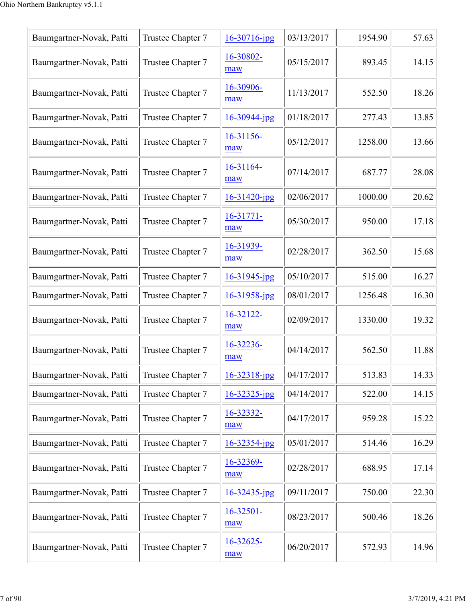| Baumgartner-Novak, Patti | Trustee Chapter 7 | $16 - 30716$ -jpg     | 03/13/2017 | 1954.90 | 57.63 |
|--------------------------|-------------------|-----------------------|------------|---------|-------|
| Baumgartner-Novak, Patti | Trustee Chapter 7 | 16-30802-<br>maw      | 05/15/2017 | 893.45  | 14.15 |
| Baumgartner-Novak, Patti | Trustee Chapter 7 | 16-30906-<br>maw      | 11/13/2017 | 552.50  | 18.26 |
| Baumgartner-Novak, Patti | Trustee Chapter 7 | $16 - 30944$ -jpg     | 01/18/2017 | 277.43  | 13.85 |
| Baumgartner-Novak, Patti | Trustee Chapter 7 | 16-31156-<br>maw      | 05/12/2017 | 1258.00 | 13.66 |
| Baumgartner-Novak, Patti | Trustee Chapter 7 | 16-31164-<br>maw      | 07/14/2017 | 687.77  | 28.08 |
| Baumgartner-Novak, Patti | Trustee Chapter 7 | $16 - 31420$ -jpg     | 02/06/2017 | 1000.00 | 20.62 |
| Baumgartner-Novak, Patti | Trustee Chapter 7 | 16-31771-<br>maw      | 05/30/2017 | 950.00  | 17.18 |
| Baumgartner-Novak, Patti | Trustee Chapter 7 | 16-31939-<br>maw      | 02/28/2017 | 362.50  | 15.68 |
| Baumgartner-Novak, Patti | Trustee Chapter 7 | $16 - 31945$ -jpg     | 05/10/2017 | 515.00  | 16.27 |
| Baumgartner-Novak, Patti | Trustee Chapter 7 | $16 - 31958$ -jpg     | 08/01/2017 | 1256.48 | 16.30 |
| Baumgartner-Novak, Patti | Trustee Chapter 7 | 16-32122-<br>maw      | 02/09/2017 | 1330.00 | 19.32 |
| Baumgartner-Novak, Patti | Trustee Chapter 7 | 16-32236-<br>maw      | 04/14/2017 | 562.50  | 11.88 |
| Baumgartner-Novak, Patti | Trustee Chapter 7 | $16 - 32318$ -jpg     | 04/17/2017 | 513.83  | 14.33 |
| Baumgartner-Novak, Patti | Trustee Chapter 7 | $16 - 32325$ -jpg     | 04/14/2017 | 522.00  | 14.15 |
| Baumgartner-Novak, Patti | Trustee Chapter 7 | 16-32332-<br>maw      | 04/17/2017 | 959.28  | 15.22 |
| Baumgartner-Novak, Patti | Trustee Chapter 7 | $16 - 32354$ -jpg     | 05/01/2017 | 514.46  | 16.29 |
| Baumgartner-Novak, Patti | Trustee Chapter 7 | 16-32369-<br>maw      | 02/28/2017 | 688.95  | 17.14 |
| Baumgartner-Novak, Patti | Trustee Chapter 7 | $16 - 32435$ -jpg     | 09/11/2017 | 750.00  | 22.30 |
| Baumgartner-Novak, Patti | Trustee Chapter 7 | $16 - 32501 -$<br>maw | 08/23/2017 | 500.46  | 18.26 |
| Baumgartner-Novak, Patti | Trustee Chapter 7 | 16-32625-<br>maw      | 06/20/2017 | 572.93  | 14.96 |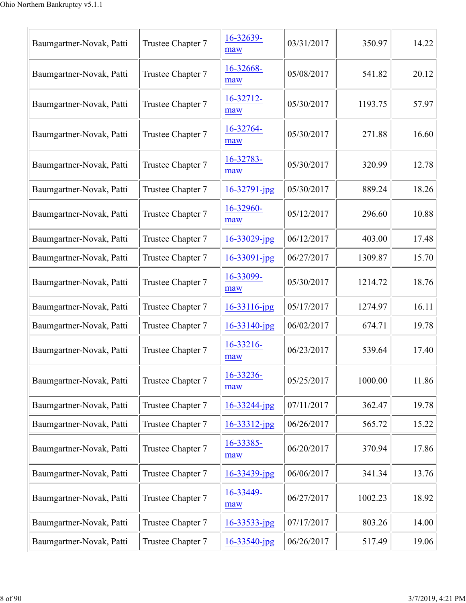| Baumgartner-Novak, Patti | Trustee Chapter 7 | 16-32639-<br>maw   | 03/31/2017 | 350.97  | 14.22 |
|--------------------------|-------------------|--------------------|------------|---------|-------|
| Baumgartner-Novak, Patti | Trustee Chapter 7 | 16-32668-<br>maw   | 05/08/2017 | 541.82  | 20.12 |
| Baumgartner-Novak, Patti | Trustee Chapter 7 | 16-32712-<br>maw   | 05/30/2017 | 1193.75 | 57.97 |
| Baumgartner-Novak, Patti | Trustee Chapter 7 | 16-32764-<br>maw   | 05/30/2017 | 271.88  | 16.60 |
| Baumgartner-Novak, Patti | Trustee Chapter 7 | 16-32783-<br>maw   | 05/30/2017 | 320.99  | 12.78 |
| Baumgartner-Novak, Patti | Trustee Chapter 7 | $16 - 32791 - jpg$ | 05/30/2017 | 889.24  | 18.26 |
| Baumgartner-Novak, Patti | Trustee Chapter 7 | 16-32960-<br>maw   | 05/12/2017 | 296.60  | 10.88 |
| Baumgartner-Novak, Patti | Trustee Chapter 7 | $16 - 33029$ -jpg  | 06/12/2017 | 403.00  | 17.48 |
| Baumgartner-Novak, Patti | Trustee Chapter 7 | 16-33091-jpg       | 06/27/2017 | 1309.87 | 15.70 |
| Baumgartner-Novak, Patti | Trustee Chapter 7 | 16-33099-<br>maw   | 05/30/2017 | 1214.72 | 18.76 |
| Baumgartner-Novak, Patti | Trustee Chapter 7 | $16 - 33116$ -jpg  | 05/17/2017 | 1274.97 | 16.11 |
| Baumgartner-Novak, Patti | Trustee Chapter 7 | $16 - 33140$ -jpg  | 06/02/2017 | 674.71  | 19.78 |
| Baumgartner-Novak, Patti | Trustee Chapter 7 | 16-33216-<br>maw   | 06/23/2017 | 539.64  | 17.40 |
| Baumgartner-Novak, Patti | Trustee Chapter 7 | 16-33236-<br>maw   | 05/25/2017 | 1000.00 | 11.86 |
| Baumgartner-Novak, Patti | Trustee Chapter 7 | $16 - 33244 - jpg$ | 07/11/2017 | 362.47  | 19.78 |
| Baumgartner-Novak, Patti | Trustee Chapter 7 | $16 - 33312$ -jpg  | 06/26/2017 | 565.72  | 15.22 |
| Baumgartner-Novak, Patti | Trustee Chapter 7 | 16-33385-<br>maw   | 06/20/2017 | 370.94  | 17.86 |
| Baumgartner-Novak, Patti | Trustee Chapter 7 | $16 - 33439$ -jpg  | 06/06/2017 | 341.34  | 13.76 |
| Baumgartner-Novak, Patti | Trustee Chapter 7 | 16-33449-<br>maw   | 06/27/2017 | 1002.23 | 18.92 |
| Baumgartner-Novak, Patti | Trustee Chapter 7 | $16 - 33533 - ipg$ | 07/17/2017 | 803.26  | 14.00 |
| Baumgartner-Novak, Patti | Trustee Chapter 7 | $16 - 33540$ -jpg  | 06/26/2017 | 517.49  | 19.06 |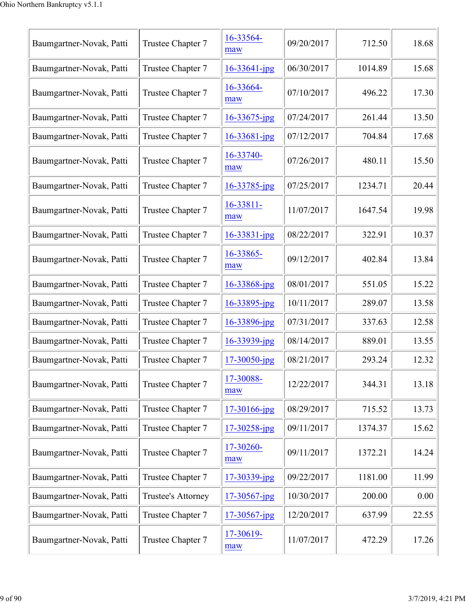| Baumgartner-Novak, Patti | Trustee Chapter 7  | 16-33564-<br>maw  | 09/20/2017 | 712.50  | 18.68 |
|--------------------------|--------------------|-------------------|------------|---------|-------|
| Baumgartner-Novak, Patti | Trustee Chapter 7  | $16 - 33641$ -jpg | 06/30/2017 | 1014.89 | 15.68 |
| Baumgartner-Novak, Patti | Trustee Chapter 7  | 16-33664-<br>maw  | 07/10/2017 | 496.22  | 17.30 |
| Baumgartner-Novak, Patti | Trustee Chapter 7  | $16 - 33675$ -jpg | 07/24/2017 | 261.44  | 13.50 |
| Baumgartner-Novak, Patti | Trustee Chapter 7  | 16-33681-jpg      | 07/12/2017 | 704.84  | 17.68 |
| Baumgartner-Novak, Patti | Trustee Chapter 7  | 16-33740-<br>maw  | 07/26/2017 | 480.11  | 15.50 |
| Baumgartner-Novak, Patti | Trustee Chapter 7  | 16-33785-jpg      | 07/25/2017 | 1234.71 | 20.44 |
| Baumgartner-Novak, Patti | Trustee Chapter 7  | 16-33811-<br>maw  | 11/07/2017 | 1647.54 | 19.98 |
| Baumgartner-Novak, Patti | Trustee Chapter 7  | 16-33831-jpg      | 08/22/2017 | 322.91  | 10.37 |
| Baumgartner-Novak, Patti | Trustee Chapter 7  | 16-33865-<br>maw  | 09/12/2017 | 402.84  | 13.84 |
| Baumgartner-Novak, Patti | Trustee Chapter 7  | 16-33868-jpg      | 08/01/2017 | 551.05  | 15.22 |
| Baumgartner-Novak, Patti | Trustee Chapter 7  | 16-33895-jpg      | 10/11/2017 | 289.07  | 13.58 |
| Baumgartner-Novak, Patti | Trustee Chapter 7  | 16-33896-jpg      | 07/31/2017 | 337.63  | 12.58 |
| Baumgartner-Novak, Patti | Trustee Chapter 7  | 16-33939-jpg      | 08/14/2017 | 889.01  | 13.55 |
| Baumgartner-Novak, Patti | Trustee Chapter 7  | $17 - 30050$ -jpg | 08/21/2017 | 293.24  | 12.32 |
| Baumgartner-Novak, Patti | Trustee Chapter 7  | 17-30088-<br>maw  | 12/22/2017 | 344.31  | 13.18 |
| Baumgartner-Novak, Patti | Trustee Chapter 7  | 17-30166-jpg      | 08/29/2017 | 715.52  | 13.73 |
| Baumgartner-Novak, Patti | Trustee Chapter 7  | 17-30258-jpg      | 09/11/2017 | 1374.37 | 15.62 |
| Baumgartner-Novak, Patti | Trustee Chapter 7  | 17-30260-<br>maw  | 09/11/2017 | 1372.21 | 14.24 |
| Baumgartner-Novak, Patti | Trustee Chapter 7  | $17 - 30339$ -jpg | 09/22/2017 | 1181.00 | 11.99 |
| Baumgartner-Novak, Patti | Trustee's Attorney | 17-30567-jpg      | 10/30/2017 | 200.00  | 0.00  |
| Baumgartner-Novak, Patti | Trustee Chapter 7  | 17-30567-jpg      | 12/20/2017 | 637.99  | 22.55 |
| Baumgartner-Novak, Patti | Trustee Chapter 7  | 17-30619-<br>maw  | 11/07/2017 | 472.29  | 17.26 |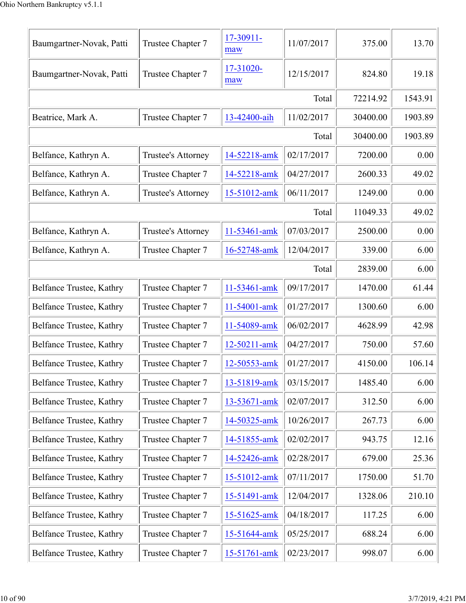| Baumgartner-Novak, Patti | Trustee Chapter 7  | 17-30911-<br>maw | 11/07/2017 | 375.00   | 13.70   |
|--------------------------|--------------------|------------------|------------|----------|---------|
| Baumgartner-Novak, Patti | Trustee Chapter 7  | 17-31020-<br>maw | 12/15/2017 | 824.80   | 19.18   |
|                          |                    |                  | Total      | 72214.92 | 1543.91 |
| Beatrice, Mark A.        | Trustee Chapter 7  | 13-42400-aih     | 11/02/2017 | 30400.00 | 1903.89 |
|                          |                    |                  | Total      | 30400.00 | 1903.89 |
| Belfance, Kathryn A.     | Trustee's Attorney | 14-52218-amk     | 02/17/2017 | 7200.00  | 0.00    |
| Belfance, Kathryn A.     | Trustee Chapter 7  | 14-52218-amk     | 04/27/2017 | 2600.33  | 49.02   |
| Belfance, Kathryn A.     | Trustee's Attorney | 15-51012-amk     | 06/11/2017 | 1249.00  | 0.00    |
|                          |                    |                  | Total      | 11049.33 | 49.02   |
| Belfance, Kathryn A.     | Trustee's Attorney | 11-53461-amk     | 07/03/2017 | 2500.00  | 0.00    |
| Belfance, Kathryn A.     | Trustee Chapter 7  | 16-52748-amk     | 12/04/2017 | 339.00   | 6.00    |
|                          |                    |                  | Total      | 2839.00  | 6.00    |
| Belfance Trustee, Kathry | Trustee Chapter 7  | 11-53461-amk     | 09/17/2017 | 1470.00  | 61.44   |
| Belfance Trustee, Kathry | Trustee Chapter 7  | 11-54001-amk     | 01/27/2017 | 1300.60  | 6.00    |
| Belfance Trustee, Kathry | Trustee Chapter 7  | 11-54089-amk     | 06/02/2017 | 4628.99  | 42.98   |
| Belfance Trustee, Kathry | Trustee Chapter 7  | 12-50211-amk     | 04/27/2017 | 750.00   | 57.60   |
| Belfance Trustee, Kathry | Trustee Chapter 7  | 12-50553-amk     | 01/27/2017 | 4150.00  | 106.14  |
| Belfance Trustee, Kathry | Trustee Chapter 7  | 13-51819-amk     | 03/15/2017 | 1485.40  | 6.00    |
| Belfance Trustee, Kathry | Trustee Chapter 7  | 13-53671-amk     | 02/07/2017 | 312.50   | 6.00    |
| Belfance Trustee, Kathry | Trustee Chapter 7  | 14-50325-amk     | 10/26/2017 | 267.73   | 6.00    |
| Belfance Trustee, Kathry | Trustee Chapter 7  | 14-51855-amk     | 02/02/2017 | 943.75   | 12.16   |
| Belfance Trustee, Kathry | Trustee Chapter 7  | 14-52426-amk     | 02/28/2017 | 679.00   | 25.36   |
| Belfance Trustee, Kathry | Trustee Chapter 7  | 15-51012-amk     | 07/11/2017 | 1750.00  | 51.70   |
| Belfance Trustee, Kathry | Trustee Chapter 7  | 15-51491-amk     | 12/04/2017 | 1328.06  | 210.10  |
| Belfance Trustee, Kathry | Trustee Chapter 7  | 15-51625-amk     | 04/18/2017 | 117.25   | 6.00    |
| Belfance Trustee, Kathry | Trustee Chapter 7  | 15-51644-amk     | 05/25/2017 | 688.24   | 6.00    |
| Belfance Trustee, Kathry | Trustee Chapter 7  | 15-51761-amk     | 02/23/2017 | 998.07   | 6.00    |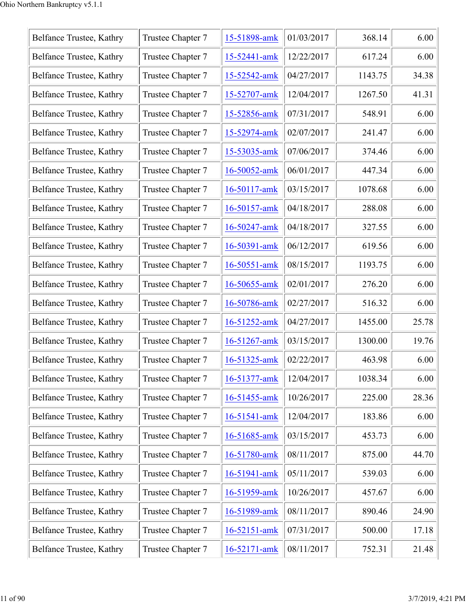| Belfance Trustee, Kathry | Trustee Chapter 7 | 15-51898-amk       | 01/03/2017 | 368.14  | 6.00  |
|--------------------------|-------------------|--------------------|------------|---------|-------|
| Belfance Trustee, Kathry | Trustee Chapter 7 | 15-52441-amk       | 12/22/2017 | 617.24  | 6.00  |
| Belfance Trustee, Kathry | Trustee Chapter 7 | 15-52542-amk       | 04/27/2017 | 1143.75 | 34.38 |
| Belfance Trustee, Kathry | Trustee Chapter 7 | 15-52707-amk       | 12/04/2017 | 1267.50 | 41.31 |
| Belfance Trustee, Kathry | Trustee Chapter 7 | 15-52856-amk       | 07/31/2017 | 548.91  | 6.00  |
| Belfance Trustee, Kathry | Trustee Chapter 7 | 15-52974-amk       | 02/07/2017 | 241.47  | 6.00  |
| Belfance Trustee, Kathry | Trustee Chapter 7 | 15-53035-amk       | 07/06/2017 | 374.46  | 6.00  |
| Belfance Trustee, Kathry | Trustee Chapter 7 | 16-50052-amk       | 06/01/2017 | 447.34  | 6.00  |
| Belfance Trustee, Kathry | Trustee Chapter 7 | 16-50117-amk       | 03/15/2017 | 1078.68 | 6.00  |
| Belfance Trustee, Kathry | Trustee Chapter 7 | 16-50157-amk       | 04/18/2017 | 288.08  | 6.00  |
| Belfance Trustee, Kathry | Trustee Chapter 7 | $16 - 50247$ -amk  | 04/18/2017 | 327.55  | 6.00  |
| Belfance Trustee, Kathry | Trustee Chapter 7 | 16-50391-amk       | 06/12/2017 | 619.56  | 6.00  |
| Belfance Trustee, Kathry | Trustee Chapter 7 | 16-50551-amk       | 08/15/2017 | 1193.75 | 6.00  |
| Belfance Trustee, Kathry | Trustee Chapter 7 | 16-50655-amk       | 02/01/2017 | 276.20  | 6.00  |
| Belfance Trustee, Kathry | Trustee Chapter 7 | 16-50786-amk       | 02/27/2017 | 516.32  | 6.00  |
| Belfance Trustee, Kathry | Trustee Chapter 7 | 16-51252-amk       | 04/27/2017 | 1455.00 | 25.78 |
| Belfance Trustee, Kathry | Trustee Chapter 7 | 16-51267-amk       | 03/15/2017 | 1300.00 | 19.76 |
| Belfance Trustee, Kathry | Trustee Chapter 7 | 16-51325-amk       | 02/22/2017 | 463.98  | 6.00  |
| Belfance Trustee, Kathry | Trustee Chapter 7 | 16-51377-amk       | 12/04/2017 | 1038.34 | 6.00  |
| Belfance Trustee, Kathry | Trustee Chapter 7 | 16-51455-amk       | 10/26/2017 | 225.00  | 28.36 |
| Belfance Trustee, Kathry | Trustee Chapter 7 | 16-51541-amk       | 12/04/2017 | 183.86  | 6.00  |
| Belfance Trustee, Kathry | Trustee Chapter 7 | 16-51685-amk       | 03/15/2017 | 453.73  | 6.00  |
| Belfance Trustee, Kathry | Trustee Chapter 7 | 16-51780-amk       | 08/11/2017 | 875.00  | 44.70 |
| Belfance Trustee, Kathry | Trustee Chapter 7 | 16-51941-amk       | 05/11/2017 | 539.03  | 6.00  |
| Belfance Trustee, Kathry | Trustee Chapter 7 | 16-51959-amk       | 10/26/2017 | 457.67  | 6.00  |
| Belfance Trustee, Kathry | Trustee Chapter 7 | 16-51989-amk       | 08/11/2017 | 890.46  | 24.90 |
| Belfance Trustee, Kathry | Trustee Chapter 7 | 16-52151-amk       | 07/31/2017 | 500.00  | 17.18 |
| Belfance Trustee, Kathry | Trustee Chapter 7 | $16 - 52171 - ank$ | 08/11/2017 | 752.31  | 21.48 |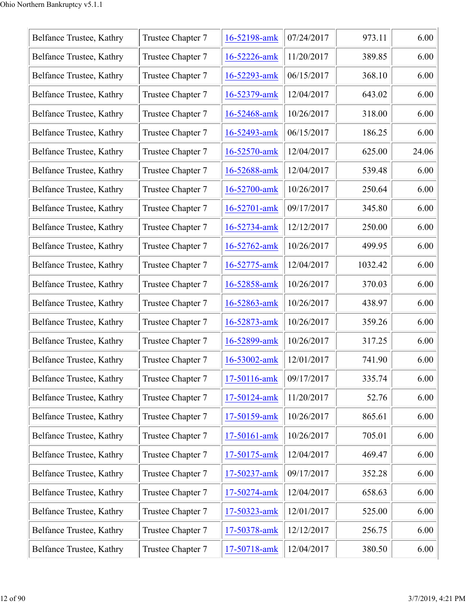| Belfance Trustee, Kathry | Trustee Chapter 7 | 16-52198-amk       | 07/24/2017 | 973.11  | 6.00  |
|--------------------------|-------------------|--------------------|------------|---------|-------|
| Belfance Trustee, Kathry | Trustee Chapter 7 | 16-52226-amk       | 11/20/2017 | 389.85  | 6.00  |
| Belfance Trustee, Kathry | Trustee Chapter 7 | 16-52293-amk       | 06/15/2017 | 368.10  | 6.00  |
| Belfance Trustee, Kathry | Trustee Chapter 7 | 16-52379-amk       | 12/04/2017 | 643.02  | 6.00  |
| Belfance Trustee, Kathry | Trustee Chapter 7 | 16-52468-amk       | 10/26/2017 | 318.00  | 6.00  |
| Belfance Trustee, Kathry | Trustee Chapter 7 | 16-52493-amk       | 06/15/2017 | 186.25  | 6.00  |
| Belfance Trustee, Kathry | Trustee Chapter 7 | 16-52570-amk       | 12/04/2017 | 625.00  | 24.06 |
| Belfance Trustee, Kathry | Trustee Chapter 7 | 16-52688-amk       | 12/04/2017 | 539.48  | 6.00  |
| Belfance Trustee, Kathry | Trustee Chapter 7 | 16-52700-amk       | 10/26/2017 | 250.64  | 6.00  |
| Belfance Trustee, Kathry | Trustee Chapter 7 | $16 - 52701 -$ amk | 09/17/2017 | 345.80  | 6.00  |
| Belfance Trustee, Kathry | Trustee Chapter 7 | 16-52734-amk       | 12/12/2017 | 250.00  | 6.00  |
| Belfance Trustee, Kathry | Trustee Chapter 7 | 16-52762-amk       | 10/26/2017 | 499.95  | 6.00  |
| Belfance Trustee, Kathry | Trustee Chapter 7 | 16-52775-amk       | 12/04/2017 | 1032.42 | 6.00  |
| Belfance Trustee, Kathry | Trustee Chapter 7 | 16-52858-amk       | 10/26/2017 | 370.03  | 6.00  |
| Belfance Trustee, Kathry | Trustee Chapter 7 | 16-52863-amk       | 10/26/2017 | 438.97  | 6.00  |
| Belfance Trustee, Kathry | Trustee Chapter 7 | 16-52873-amk       | 10/26/2017 | 359.26  | 6.00  |
| Belfance Trustee, Kathry | Trustee Chapter 7 | 16-52899-amk       | 10/26/2017 | 317.25  | 6.00  |
| Belfance Trustee, Kathry | Trustee Chapter 7 | 16-53002-amk       | 12/01/2017 | 741.90  | 6.00  |
| Belfance Trustee, Kathry | Trustee Chapter 7 | 17-50116-amk       | 09/17/2017 | 335.74  | 6.00  |
| Belfance Trustee, Kathry | Trustee Chapter 7 | 17-50124-amk       | 11/20/2017 | 52.76   | 6.00  |
| Belfance Trustee, Kathry | Trustee Chapter 7 | 17-50159-amk       | 10/26/2017 | 865.61  | 6.00  |
| Belfance Trustee, Kathry | Trustee Chapter 7 | 17-50161-amk       | 10/26/2017 | 705.01  | 6.00  |
| Belfance Trustee, Kathry | Trustee Chapter 7 | 17-50175-amk       | 12/04/2017 | 469.47  | 6.00  |
| Belfance Trustee, Kathry | Trustee Chapter 7 | 17-50237-amk       | 09/17/2017 | 352.28  | 6.00  |
| Belfance Trustee, Kathry | Trustee Chapter 7 | 17-50274-amk       | 12/04/2017 | 658.63  | 6.00  |
| Belfance Trustee, Kathry | Trustee Chapter 7 | 17-50323-amk       | 12/01/2017 | 525.00  | 6.00  |
| Belfance Trustee, Kathry | Trustee Chapter 7 | 17-50378-amk       | 12/12/2017 | 256.75  | 6.00  |
| Belfance Trustee, Kathry | Trustee Chapter 7 | 17-50718-amk       | 12/04/2017 | 380.50  | 6.00  |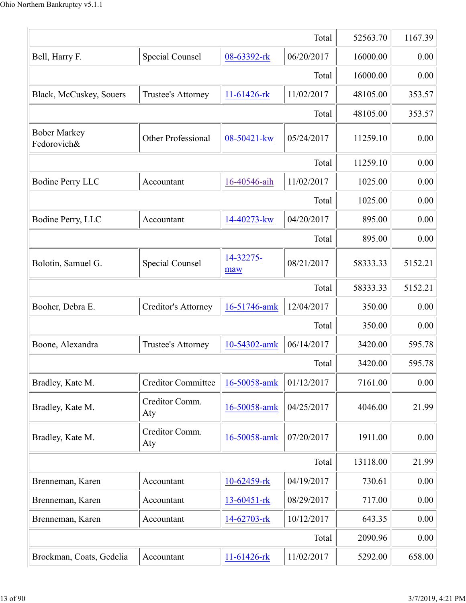|                                    | Total                     | 52563.70          | 1167.39    |          |         |
|------------------------------------|---------------------------|-------------------|------------|----------|---------|
| Bell, Harry F.                     | Special Counsel           | 08-63392-rk       | 06/20/2017 | 16000.00 | 0.00    |
|                                    |                           |                   | Total      | 16000.00 | 0.00    |
| Black, McCuskey, Souers            | Trustee's Attorney        | $11-61426$ -rk    | 11/02/2017 | 48105.00 | 353.57  |
|                                    |                           |                   | Total      | 48105.00 | 353.57  |
| <b>Bober Markey</b><br>Fedorovich& | Other Professional        | 08-50421-kw       | 05/24/2017 | 11259.10 | 0.00    |
|                                    | 11259.10                  | 0.00              |            |          |         |
| <b>Bodine Perry LLC</b>            | Accountant                | 16-40546-aih      | 11/02/2017 | 1025.00  | 0.00    |
|                                    |                           |                   | Total      | 1025.00  | 0.00    |
| Bodine Perry, LLC                  | Accountant                | 14-40273-kw       | 04/20/2017 | 895.00   | 0.00    |
|                                    |                           |                   | Total      | 895.00   | 0.00    |
| Bolotin, Samuel G.                 | Special Counsel           | 14-32275-<br>maw  | 08/21/2017 | 58333.33 | 5152.21 |
|                                    |                           |                   | Total      | 58333.33 | 5152.21 |
| Booher, Debra E.                   | Creditor's Attorney       | 16-51746-amk      | 12/04/2017 | 350.00   | 0.00    |
|                                    |                           |                   | Total      | 350.00   | 0.00    |
| Boone, Alexandra                   | Trustee's Attorney        | 10-54302-amk      | 06/14/2017 | 3420.00  | 595.78  |
|                                    |                           |                   | Total      | 3420.00  | 595.78  |
| Bradley, Kate M.                   | <b>Creditor Committee</b> | 16-50058-amk      | 01/12/2017 | 7161.00  | 0.00    |
| Bradley, Kate M.                   | Creditor Comm.<br>Aty     | 16-50058-amk      | 04/25/2017 | 4046.00  | 21.99   |
| Bradley, Kate M.                   | Creditor Comm.<br>Aty     | 16-50058-amk      | 07/20/2017 | 1911.00  | 0.00    |
|                                    |                           |                   | Total      | 13118.00 | 21.99   |
| Brenneman, Karen                   | Accountant                | 10-62459-rk       | 04/19/2017 | 730.61   | 0.00    |
| Brenneman, Karen                   | Accountant                | $13 - 60451 -$ rk | 08/29/2017 | 717.00   | 0.00    |
| Brenneman, Karen                   | Accountant                | 14-62703-rk       | 10/12/2017 | 643.35   | 0.00    |
|                                    |                           |                   | Total      | 2090.96  | 0.00    |
| Brockman, Coats, Gedelia           | Accountant                | 11-61426-rk       | 11/02/2017 | 5292.00  | 658.00  |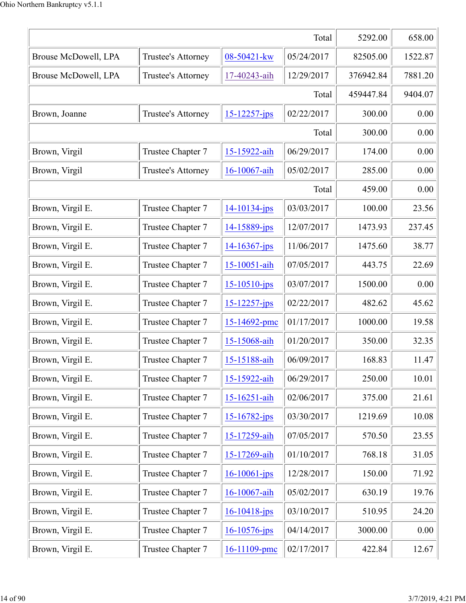|                      | Total              | 5292.00            | 658.00     |           |         |
|----------------------|--------------------|--------------------|------------|-----------|---------|
| Brouse McDowell, LPA | Trustee's Attorney | 08-50421-kw        | 05/24/2017 | 82505.00  | 1522.87 |
| Brouse McDowell, LPA | Trustee's Attorney | 17-40243-aih       | 12/29/2017 | 376942.84 | 7881.20 |
|                      |                    |                    | Total      | 459447.84 | 9404.07 |
| Brown, Joanne        | Trustee's Attorney | $15 - 12257 - ips$ | 02/22/2017 | 300.00    | 0.00    |
|                      |                    |                    | Total      | 300.00    | 0.00    |
| Brown, Virgil        | Trustee Chapter 7  | 15-15922-aih       | 06/29/2017 | 174.00    | 0.00    |
| Brown, Virgil        | Trustee's Attorney | 16-10067-aih       | 05/02/2017 | 285.00    | 0.00    |
|                      |                    |                    | Total      | 459.00    | 0.00    |
| Brown, Virgil E.     | Trustee Chapter 7  | $14 - 10134 - ips$ | 03/03/2017 | 100.00    | 23.56   |
| Brown, Virgil E.     | Trustee Chapter 7  | 14-15889-jps       | 12/07/2017 | 1473.93   | 237.45  |
| Brown, Virgil E.     | Trustee Chapter 7  | $14 - 16367 - ips$ | 11/06/2017 | 1475.60   | 38.77   |
| Brown, Virgil E.     | Trustee Chapter 7  | 15-10051-aih       | 07/05/2017 | 443.75    | 22.69   |
| Brown, Virgil E.     | Trustee Chapter 7  | $15 - 10510$ -jps  | 03/07/2017 | 1500.00   | 0.00    |
| Brown, Virgil E.     | Trustee Chapter 7  | $15 - 12257 - ips$ | 02/22/2017 | 482.62    | 45.62   |
| Brown, Virgil E.     | Trustee Chapter 7  | 15-14692-pmc       | 01/17/2017 | 1000.00   | 19.58   |
| Brown, Virgil E.     | Trustee Chapter 7  | 15-15068-aih       | 01/20/2017 | 350.00    | 32.35   |
| Brown, Virgil E.     | Trustee Chapter 7  | 15-15188-aih       | 06/09/2017 | 168.83    | 11.47   |
| Brown, Virgil E.     | Trustee Chapter 7  | 15-15922-aih       | 06/29/2017 | 250.00    | 10.01   |
| Brown, Virgil E.     | Trustee Chapter 7  | 15-16251-aih       | 02/06/2017 | 375.00    | 21.61   |
| Brown, Virgil E.     | Trustee Chapter 7  | $15 - 16782 - ips$ | 03/30/2017 | 1219.69   | 10.08   |
| Brown, Virgil E.     | Trustee Chapter 7  | 15-17259-aih       | 07/05/2017 | 570.50    | 23.55   |
| Brown, Virgil E.     | Trustee Chapter 7  | 15-17269-aih       | 01/10/2017 | 768.18    | 31.05   |
| Brown, Virgil E.     | Trustee Chapter 7  | $16 - 10061 - ips$ | 12/28/2017 | 150.00    | 71.92   |
| Brown, Virgil E.     | Trustee Chapter 7  | 16-10067-aih       | 05/02/2017 | 630.19    | 19.76   |
| Brown, Virgil E.     | Trustee Chapter 7  | 16-10418-jps       | 03/10/2017 | 510.95    | 24.20   |
| Brown, Virgil E.     | Trustee Chapter 7  | $16 - 10576$ -jps  | 04/14/2017 | 3000.00   | 0.00    |
| Brown, Virgil E.     | Trustee Chapter 7  | 16-11109-pmc       | 02/17/2017 | 422.84    | 12.67   |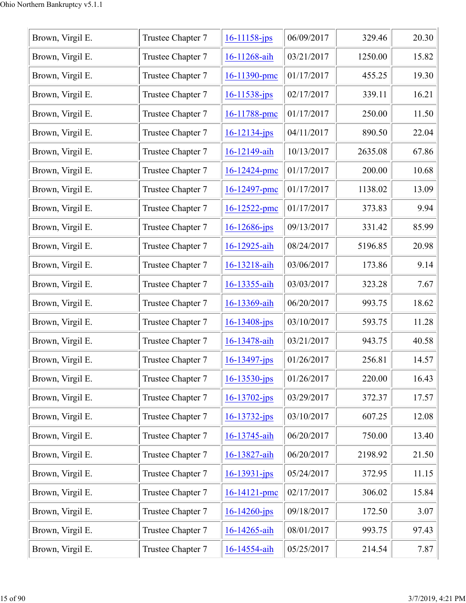| Brown, Virgil E. | Trustee Chapter 7 | $16 - 11158 - ips$ | 06/09/2017 | 329.46  | 20.30 |
|------------------|-------------------|--------------------|------------|---------|-------|
| Brown, Virgil E. | Trustee Chapter 7 | 16-11268-aih       | 03/21/2017 | 1250.00 | 15.82 |
| Brown, Virgil E. | Trustee Chapter 7 | 16-11390-pmc       | 01/17/2017 | 455.25  | 19.30 |
| Brown, Virgil E. | Trustee Chapter 7 | $16 - 11538 - ips$ | 02/17/2017 | 339.11  | 16.21 |
| Brown, Virgil E. | Trustee Chapter 7 | 16-11788-pmc       | 01/17/2017 | 250.00  | 11.50 |
| Brown, Virgil E. | Trustee Chapter 7 | $16 - 12134 - ips$ | 04/11/2017 | 890.50  | 22.04 |
| Brown, Virgil E. | Trustee Chapter 7 | 16-12149-aih       | 10/13/2017 | 2635.08 | 67.86 |
| Brown, Virgil E. | Trustee Chapter 7 | 16-12424-pmc       | 01/17/2017 | 200.00  | 10.68 |
| Brown, Virgil E. | Trustee Chapter 7 | 16-12497-pmc       | 01/17/2017 | 1138.02 | 13.09 |
| Brown, Virgil E. | Trustee Chapter 7 | 16-12522-pmc       | 01/17/2017 | 373.83  | 9.94  |
| Brown, Virgil E. | Trustee Chapter 7 | $16 - 12686$ -jps  | 09/13/2017 | 331.42  | 85.99 |
| Brown, Virgil E. | Trustee Chapter 7 | 16-12925-aih       | 08/24/2017 | 5196.85 | 20.98 |
| Brown, Virgil E. | Trustee Chapter 7 | 16-13218-aih       | 03/06/2017 | 173.86  | 9.14  |
| Brown, Virgil E. | Trustee Chapter 7 | 16-13355-aih       | 03/03/2017 | 323.28  | 7.67  |
| Brown, Virgil E. | Trustee Chapter 7 | 16-13369-aih       | 06/20/2017 | 993.75  | 18.62 |
| Brown, Virgil E. | Trustee Chapter 7 | $16 - 13408$ -jps  | 03/10/2017 | 593.75  | 11.28 |
| Brown, Virgil E. | Trustee Chapter 7 | 16-13478-aih       | 03/21/2017 | 943.75  | 40.58 |
| Brown, Virgil E. | Trustee Chapter 7 | $16 - 13497 - ips$ | 01/26/2017 | 256.81  | 14.57 |
| Brown, Virgil E. | Trustee Chapter 7 | $16 - 13530 - ips$ | 01/26/2017 | 220.00  | 16.43 |
| Brown, Virgil E. | Trustee Chapter 7 | $16 - 13702 - jps$ | 03/29/2017 | 372.37  | 17.57 |
| Brown, Virgil E. | Trustee Chapter 7 | $16 - 13732 - ips$ | 03/10/2017 | 607.25  | 12.08 |
| Brown, Virgil E. | Trustee Chapter 7 | 16-13745-aih       | 06/20/2017 | 750.00  | 13.40 |
| Brown, Virgil E. | Trustee Chapter 7 | 16-13827-aih       | 06/20/2017 | 2198.92 | 21.50 |
| Brown, Virgil E. | Trustee Chapter 7 | $16 - 13931 - ips$ | 05/24/2017 | 372.95  | 11.15 |
| Brown, Virgil E. | Trustee Chapter 7 | 16-14121-pmc       | 02/17/2017 | 306.02  | 15.84 |
| Brown, Virgil E. | Trustee Chapter 7 | $16 - 14260$ -jps  | 09/18/2017 | 172.50  | 3.07  |
| Brown, Virgil E. | Trustee Chapter 7 | 16-14265-aih       | 08/01/2017 | 993.75  | 97.43 |
| Brown, Virgil E. | Trustee Chapter 7 | 16-14554-aih       | 05/25/2017 | 214.54  | 7.87  |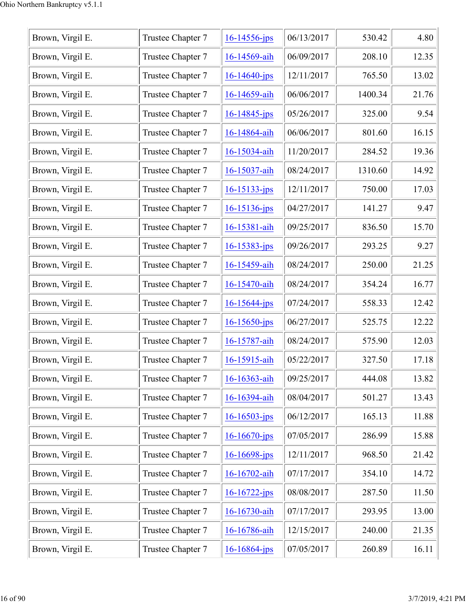| Brown, Virgil E. | Trustee Chapter 7 | $16 - 14556$ -jps  | 06/13/2017 | 530.42  | 4.80  |
|------------------|-------------------|--------------------|------------|---------|-------|
| Brown, Virgil E. | Trustee Chapter 7 | 16-14569-aih       | 06/09/2017 | 208.10  | 12.35 |
| Brown, Virgil E. | Trustee Chapter 7 | $16 - 14640 - ips$ | 12/11/2017 | 765.50  | 13.02 |
| Brown, Virgil E. | Trustee Chapter 7 | 16-14659-aih       | 06/06/2017 | 1400.34 | 21.76 |
| Brown, Virgil E. | Trustee Chapter 7 | $16 - 14845$ -jps  | 05/26/2017 | 325.00  | 9.54  |
| Brown, Virgil E. | Trustee Chapter 7 | 16-14864-aih       | 06/06/2017 | 801.60  | 16.15 |
| Brown, Virgil E. | Trustee Chapter 7 | 16-15034-aih       | 11/20/2017 | 284.52  | 19.36 |
| Brown, Virgil E. | Trustee Chapter 7 | 16-15037-aih       | 08/24/2017 | 1310.60 | 14.92 |
| Brown, Virgil E. | Trustee Chapter 7 | 16-15133-jps       | 12/11/2017 | 750.00  | 17.03 |
| Brown, Virgil E. | Trustee Chapter 7 | $16 - 15136$ -jps  | 04/27/2017 | 141.27  | 9.47  |
| Brown, Virgil E. | Trustee Chapter 7 | 16-15381-aih       | 09/25/2017 | 836.50  | 15.70 |
| Brown, Virgil E. | Trustee Chapter 7 | $16 - 15383 - ips$ | 09/26/2017 | 293.25  | 9.27  |
| Brown, Virgil E. | Trustee Chapter 7 | 16-15459-aih       | 08/24/2017 | 250.00  | 21.25 |
| Brown, Virgil E. | Trustee Chapter 7 | 16-15470-aih       | 08/24/2017 | 354.24  | 16.77 |
| Brown, Virgil E. | Trustee Chapter 7 | $16 - 15644 - ips$ | 07/24/2017 | 558.33  | 12.42 |
| Brown, Virgil E. | Trustee Chapter 7 | $16 - 15650$ -jps  | 06/27/2017 | 525.75  | 12.22 |
| Brown, Virgil E. | Trustee Chapter 7 | 16-15787-aih       | 08/24/2017 | 575.90  | 12.03 |
| Brown, Virgil E. | Trustee Chapter 7 | 16-15915-aih       | 05/22/2017 | 327.50  | 17.18 |
| Brown, Virgil E. | Trustee Chapter 7 | 16-16363-aih       | 09/25/2017 | 444.08  | 13.82 |
| Brown, Virgil E. | Trustee Chapter 7 | 16-16394-aih       | 08/04/2017 | 501.27  | 13.43 |
| Brown, Virgil E. | Trustee Chapter 7 | $16 - 16503 - ips$ | 06/12/2017 | 165.13  | 11.88 |
| Brown, Virgil E. | Trustee Chapter 7 | $16 - 16670$ -jps  | 07/05/2017 | 286.99  | 15.88 |
| Brown, Virgil E. | Trustee Chapter 7 | $16 - 16698$ -jps  | 12/11/2017 | 968.50  | 21.42 |
| Brown, Virgil E. | Trustee Chapter 7 | 16-16702-aih       | 07/17/2017 | 354.10  | 14.72 |
| Brown, Virgil E. | Trustee Chapter 7 | $16 - 16722 - ips$ | 08/08/2017 | 287.50  | 11.50 |
| Brown, Virgil E. | Trustee Chapter 7 | 16-16730-aih       | 07/17/2017 | 293.95  | 13.00 |
| Brown, Virgil E. | Trustee Chapter 7 | 16-16786-aih       | 12/15/2017 | 240.00  | 21.35 |
| Brown, Virgil E. | Trustee Chapter 7 | 16-16864-jps       | 07/05/2017 | 260.89  | 16.11 |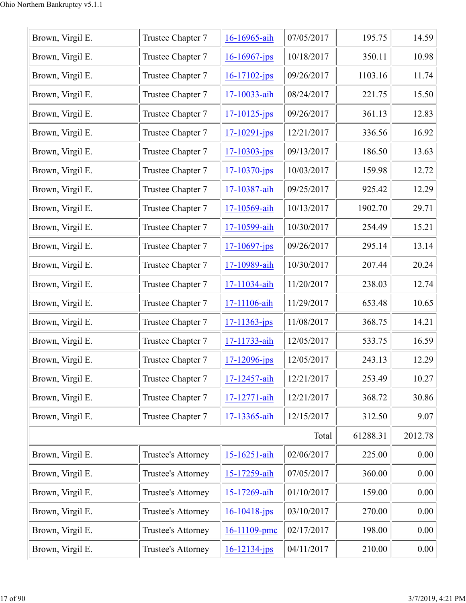| Brown, Virgil E. | Trustee Chapter 7  | 16-16965-aih       | 07/05/2017 | 195.75   | 14.59   |
|------------------|--------------------|--------------------|------------|----------|---------|
| Brown, Virgil E. | Trustee Chapter 7  | $16 - 16967$ -jps  | 10/18/2017 | 350.11   | 10.98   |
| Brown, Virgil E. | Trustee Chapter 7  | $16 - 17102 - ips$ | 09/26/2017 | 1103.16  | 11.74   |
| Brown, Virgil E. | Trustee Chapter 7  | 17-10033-aih       | 08/24/2017 | 221.75   | 15.50   |
| Brown, Virgil E. | Trustee Chapter 7  | $17 - 10125$ -jps  | 09/26/2017 | 361.13   | 12.83   |
| Brown, Virgil E. | Trustee Chapter 7  | $17 - 10291 - ips$ | 12/21/2017 | 336.56   | 16.92   |
| Brown, Virgil E. | Trustee Chapter 7  | $17 - 10303 - ips$ | 09/13/2017 | 186.50   | 13.63   |
| Brown, Virgil E. | Trustee Chapter 7  | $17 - 10370$ -jps  | 10/03/2017 | 159.98   | 12.72   |
| Brown, Virgil E. | Trustee Chapter 7  | 17-10387-aih       | 09/25/2017 | 925.42   | 12.29   |
| Brown, Virgil E. | Trustee Chapter 7  | 17-10569-aih       | 10/13/2017 | 1902.70  | 29.71   |
| Brown, Virgil E. | Trustee Chapter 7  | 17-10599-aih       | 10/30/2017 | 254.49   | 15.21   |
| Brown, Virgil E. | Trustee Chapter 7  | $17 - 10697$ -jps  | 09/26/2017 | 295.14   | 13.14   |
| Brown, Virgil E. | Trustee Chapter 7  | 17-10989-aih       | 10/30/2017 | 207.44   | 20.24   |
| Brown, Virgil E. | Trustee Chapter 7  | 17-11034-aih       | 11/20/2017 | 238.03   | 12.74   |
| Brown, Virgil E. | Trustee Chapter 7  | 17-11106-aih       | 11/29/2017 | 653.48   | 10.65   |
| Brown, Virgil E. | Trustee Chapter 7  | $17 - 11363$ -jps  | 11/08/2017 | 368.75   | 14.21   |
| Brown, Virgil E. | Trustee Chapter 7  | 17-11733-aih       | 12/05/2017 | 533.75   | 16.59   |
| Brown, Virgil E. | Trustee Chapter 7  | $17 - 12096$ -jps  | 12/05/2017 | 243.13   | 12.29   |
| Brown, Virgil E. | Trustee Chapter 7  | 17-12457-aih       | 12/21/2017 | 253.49   | 10.27   |
| Brown, Virgil E. | Trustee Chapter 7  | 17-12771-aih       | 12/21/2017 | 368.72   | 30.86   |
| Brown, Virgil E. | Trustee Chapter 7  | 17-13365-aih       | 12/15/2017 | 312.50   | 9.07    |
|                  |                    |                    | Total      | 61288.31 | 2012.78 |
| Brown, Virgil E. | Trustee's Attorney | 15-16251-aih       | 02/06/2017 | 225.00   | 0.00    |
| Brown, Virgil E. | Trustee's Attorney | 15-17259-aih       | 07/05/2017 | 360.00   | 0.00    |
| Brown, Virgil E. | Trustee's Attorney | 15-17269-aih       | 01/10/2017 | 159.00   | 0.00    |
| Brown, Virgil E. | Trustee's Attorney | $16 - 10418$ -jps  | 03/10/2017 | 270.00   | 0.00    |
| Brown, Virgil E. | Trustee's Attorney | 16-11109-pmc       | 02/17/2017 | 198.00   | 0.00    |
| Brown, Virgil E. | Trustee's Attorney | $16 - 12134 - ips$ | 04/11/2017 | 210.00   | 0.00    |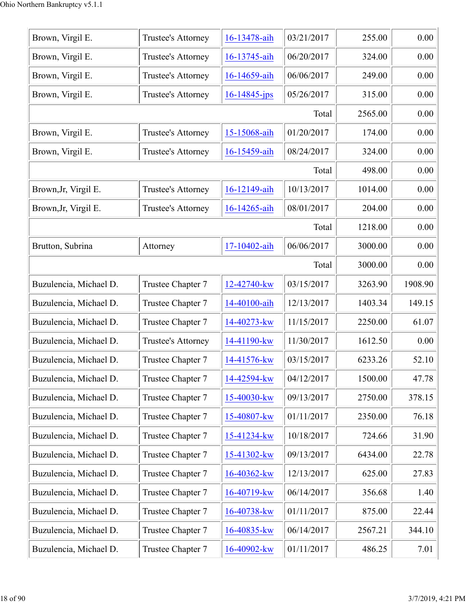| Brown, Virgil E.       | Trustee's Attorney | 16-13478-aih      | 03/21/2017 | 255.00  | 0.00    |
|------------------------|--------------------|-------------------|------------|---------|---------|
| Brown, Virgil E.       | Trustee's Attorney | 16-13745-aih      | 06/20/2017 | 324.00  | 0.00    |
| Brown, Virgil E.       | Trustee's Attorney | 16-14659-aih      | 06/06/2017 | 249.00  | 0.00    |
| Brown, Virgil E.       | Trustee's Attorney | $16 - 14845$ -jps | 05/26/2017 | 315.00  | 0.00    |
|                        |                    |                   | Total      | 2565.00 | 0.00    |
| Brown, Virgil E.       | Trustee's Attorney | 15-15068-aih      | 01/20/2017 | 174.00  | 0.00    |
| Brown, Virgil E.       | Trustee's Attorney | 16-15459-aih      | 08/24/2017 | 324.00  | 0.00    |
|                        |                    |                   | Total      | 498.00  | 0.00    |
| Brown, Jr, Virgil E.   | Trustee's Attorney | 16-12149-aih      | 10/13/2017 | 1014.00 | 0.00    |
| Brown, Jr, Virgil E.   | Trustee's Attorney | 16-14265-aih      | 08/01/2017 | 204.00  | 0.00    |
|                        |                    |                   | Total      | 1218.00 | 0.00    |
| Brutton, Subrina       | Attorney           | 17-10402-aih      | 06/06/2017 | 3000.00 | 0.00    |
|                        |                    |                   | Total      | 3000.00 | 0.00    |
| Buzulencia, Michael D. | Trustee Chapter 7  | 12-42740-kw       | 03/15/2017 | 3263.90 | 1908.90 |
| Buzulencia, Michael D. | Trustee Chapter 7  | 14-40100-aih      | 12/13/2017 | 1403.34 | 149.15  |
| Buzulencia, Michael D. | Trustee Chapter 7  | 14-40273-kw       | 11/15/2017 | 2250.00 | 61.07   |
| Buzulencia, Michael D. | Trustee's Attorney | 14-41190-kw       | 11/30/2017 | 1612.50 | 0.00    |
| Buzulencia, Michael D. | Trustee Chapter 7  | 14-41576-kw       | 03/15/2017 | 6233.26 | 52.10   |
| Buzulencia, Michael D. | Trustee Chapter 7  | 14-42594-kw       | 04/12/2017 | 1500.00 | 47.78   |
| Buzulencia, Michael D. | Trustee Chapter 7  | 15-40030-kw       | 09/13/2017 | 2750.00 | 378.15  |
| Buzulencia, Michael D. | Trustee Chapter 7  | 15-40807-kw       | 01/11/2017 | 2350.00 | 76.18   |
| Buzulencia, Michael D. | Trustee Chapter 7  | 15-41234-kw       | 10/18/2017 | 724.66  | 31.90   |
| Buzulencia, Michael D. | Trustee Chapter 7  | 15-41302-kw       | 09/13/2017 | 6434.00 | 22.78   |
| Buzulencia, Michael D. | Trustee Chapter 7  | 16-40362-kw       | 12/13/2017 | 625.00  | 27.83   |
| Buzulencia, Michael D. | Trustee Chapter 7  | 16-40719-kw       | 06/14/2017 | 356.68  | 1.40    |
| Buzulencia, Michael D. | Trustee Chapter 7  | 16-40738-kw       | 01/11/2017 | 875.00  | 22.44   |
| Buzulencia, Michael D. | Trustee Chapter 7  | 16-40835-kw       | 06/14/2017 | 2567.21 | 344.10  |
| Buzulencia, Michael D. | Trustee Chapter 7  | 16-40902-kw       | 01/11/2017 | 486.25  | 7.01    |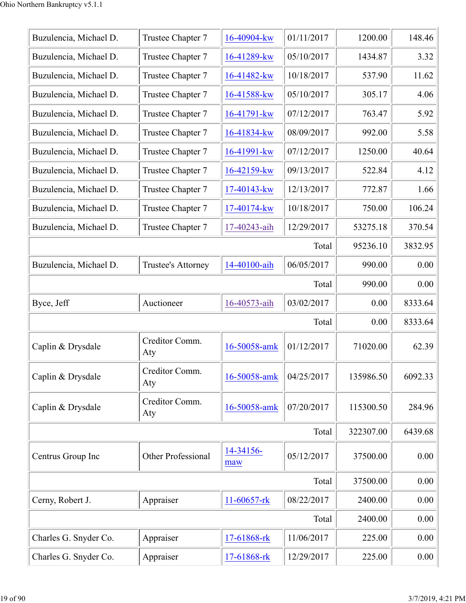| Buzulencia, Michael D. | Trustee Chapter 7     | 16-40904-kw      | 01/11/2017 | 1200.00   | 148.46  |
|------------------------|-----------------------|------------------|------------|-----------|---------|
| Buzulencia, Michael D. | Trustee Chapter 7     | 16-41289-kw      | 05/10/2017 | 1434.87   | 3.32    |
| Buzulencia, Michael D. | Trustee Chapter 7     | 16-41482-kw      | 10/18/2017 | 537.90    | 11.62   |
| Buzulencia, Michael D. | Trustee Chapter 7     | 16-41588-kw      | 05/10/2017 | 305.17    | 4.06    |
| Buzulencia, Michael D. | Trustee Chapter 7     | 16-41791-kw      | 07/12/2017 | 763.47    | 5.92    |
| Buzulencia, Michael D. | Trustee Chapter 7     | 16-41834-kw      | 08/09/2017 | 992.00    | 5.58    |
| Buzulencia, Michael D. | Trustee Chapter 7     | 16-41991-kw      | 07/12/2017 | 1250.00   | 40.64   |
| Buzulencia, Michael D. | Trustee Chapter 7     | $16 - 42159$ -kw | 09/13/2017 | 522.84    | 4.12    |
| Buzulencia, Michael D. | Trustee Chapter 7     | 17-40143-kw      | 12/13/2017 | 772.87    | 1.66    |
| Buzulencia, Michael D. | Trustee Chapter 7     | 17-40174-kw      | 10/18/2017 | 750.00    | 106.24  |
| Buzulencia, Michael D. | Trustee Chapter 7     | 17-40243-aih     | 12/29/2017 | 53275.18  | 370.54  |
|                        |                       |                  | Total      | 95236.10  | 3832.95 |
| Buzulencia, Michael D. | Trustee's Attorney    | 14-40100-aih     | 06/05/2017 | 990.00    | 0.00    |
|                        |                       |                  | Total      | 990.00    | 0.00    |
| Byce, Jeff             | Auctioneer            | 16-40573-aih     | 03/02/2017 | 0.00      | 8333.64 |
|                        |                       |                  | Total      | 0.00      | 8333.64 |
| Caplin & Drysdale      | Creditor Comm.<br>Aty | 16-50058-amk     | 01/12/2017 | 71020.00  | 62.39   |
| Caplin & Drysdale      | Creditor Comm.<br>Aty | 16-50058-amk     | 04/25/2017 | 135986.50 | 6092.33 |
| Caplin & Drysdale      | Creditor Comm.<br>Aty | 16-50058-amk     | 07/20/2017 | 115300.50 | 284.96  |
|                        |                       |                  | Total      | 322307.00 | 6439.68 |
| Centrus Group Inc      | Other Professional    | 14-34156-<br>maw | 05/12/2017 | 37500.00  | 0.00    |
|                        |                       |                  | Total      | 37500.00  | 0.00    |
| Cerny, Robert J.       | Appraiser             | 11-60657-rk      | 08/22/2017 | 2400.00   | 0.00    |
|                        |                       |                  |            |           |         |
|                        |                       |                  | Total      | 2400.00   | 0.00    |
| Charles G. Snyder Co.  | Appraiser             | 17-61868-rk      | 11/06/2017 | 225.00    | 0.00    |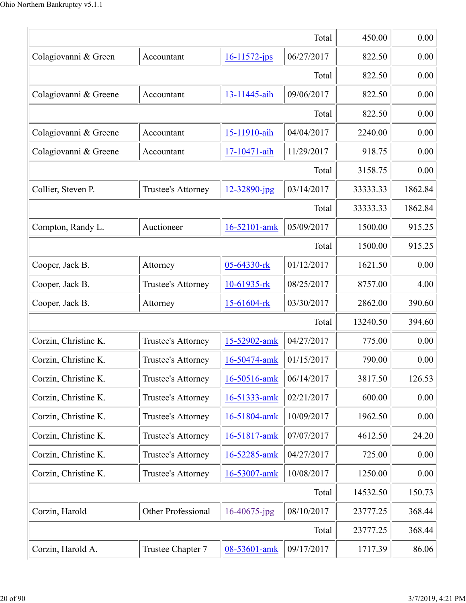|                       |                    |                   | Total      | 450.00   | 0.00    |
|-----------------------|--------------------|-------------------|------------|----------|---------|
| Colagiovanni & Green  | Accountant         | $16 - 11572$ -jps | 06/27/2017 | 822.50   | 0.00    |
|                       | 822.50             | 0.00              |            |          |         |
| Colagiovanni & Greene | Accountant         | 13-11445-aih      | 09/06/2017 | 822.50   | 0.00    |
|                       |                    |                   | Total      | 822.50   | 0.00    |
| Colagiovanni & Greene | Accountant         | 15-11910-aih      | 04/04/2017 | 2240.00  | 0.00    |
| Colagiovanni & Greene | Accountant         | 17-10471-aih      | 11/29/2017 | 918.75   | 0.00    |
|                       |                    |                   | Total      | 3158.75  | 0.00    |
| Collier, Steven P.    | Trustee's Attorney | 12-32890-jpg      | 03/14/2017 | 33333.33 | 1862.84 |
|                       |                    |                   | Total      | 33333.33 | 1862.84 |
| Compton, Randy L.     | Auctioneer         | 16-52101-amk      | 05/09/2017 | 1500.00  | 915.25  |
|                       |                    |                   | Total      | 1500.00  | 915.25  |
| Cooper, Jack B.       | Attorney           | 05-64330-rk       | 01/12/2017 | 1621.50  | 0.00    |
| Cooper, Jack B.       | Trustee's Attorney | 10-61935-rk       | 08/25/2017 | 8757.00  | 4.00    |
| Cooper, Jack B.       | Attorney           | 15-61604-rk       | 03/30/2017 | 2862.00  | 390.60  |
|                       |                    |                   | Total      | 13240.50 | 394.60  |
| Corzin, Christine K.  | Trustee's Attorney | 15-52902-amk      | 04/27/2017 | 775.00   | 0.00    |
| Corzin, Christine K.  | Trustee's Attorney | 16-50474-amk      | 01/15/2017 | 790.00   | 0.00    |
| Corzin, Christine K.  | Trustee's Attorney | 16-50516-amk      | 06/14/2017 | 3817.50  | 126.53  |
| Corzin, Christine K.  | Trustee's Attorney | 16-51333-amk      | 02/21/2017 | 600.00   | 0.00    |
| Corzin, Christine K.  | Trustee's Attorney | 16-51804-amk      | 10/09/2017 | 1962.50  | 0.00    |
| Corzin, Christine K.  | Trustee's Attorney | 16-51817-amk      | 07/07/2017 | 4612.50  | 24.20   |
| Corzin, Christine K.  | Trustee's Attorney | 16-52285-amk      | 04/27/2017 | 725.00   | 0.00    |
| Corzin, Christine K.  | Trustee's Attorney | 16-53007-amk      | 10/08/2017 | 1250.00  | 0.00    |
|                       |                    |                   | Total      | 14532.50 | 150.73  |
| Corzin, Harold        | Other Professional | 16-40675-jpg      | 08/10/2017 | 23777.25 | 368.44  |
|                       |                    |                   | Total      | 23777.25 | 368.44  |
| Corzin, Harold A.     | Trustee Chapter 7  | 08-53601-amk      | 09/17/2017 | 1717.39  | 86.06   |
|                       |                    |                   |            |          |         |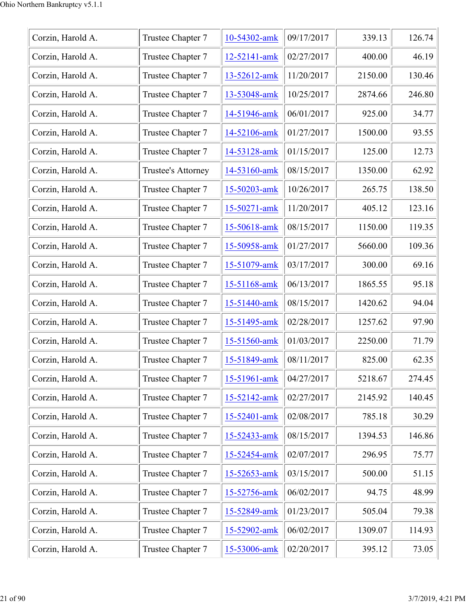| Corzin, Harold A. | Trustee Chapter 7  | 10-54302-amk | 09/17/2017 | 339.13  | 126.74 |
|-------------------|--------------------|--------------|------------|---------|--------|
| Corzin, Harold A. | Trustee Chapter 7  | 12-52141-amk | 02/27/2017 | 400.00  | 46.19  |
| Corzin, Harold A. | Trustee Chapter 7  | 13-52612-amk | 11/20/2017 | 2150.00 | 130.46 |
| Corzin, Harold A. | Trustee Chapter 7  | 13-53048-amk | 10/25/2017 | 2874.66 | 246.80 |
| Corzin, Harold A. | Trustee Chapter 7  | 14-51946-amk | 06/01/2017 | 925.00  | 34.77  |
| Corzin, Harold A. | Trustee Chapter 7  | 14-52106-amk | 01/27/2017 | 1500.00 | 93.55  |
| Corzin, Harold A. | Trustee Chapter 7  | 14-53128-amk | 01/15/2017 | 125.00  | 12.73  |
| Corzin, Harold A. | Trustee's Attorney | 14-53160-amk | 08/15/2017 | 1350.00 | 62.92  |
| Corzin, Harold A. | Trustee Chapter 7  | 15-50203-amk | 10/26/2017 | 265.75  | 138.50 |
| Corzin, Harold A. | Trustee Chapter 7  | 15-50271-amk | 11/20/2017 | 405.12  | 123.16 |
| Corzin, Harold A. | Trustee Chapter 7  | 15-50618-amk | 08/15/2017 | 1150.00 | 119.35 |
| Corzin, Harold A. | Trustee Chapter 7  | 15-50958-amk | 01/27/2017 | 5660.00 | 109.36 |
| Corzin, Harold A. | Trustee Chapter 7  | 15-51079-amk | 03/17/2017 | 300.00  | 69.16  |
| Corzin, Harold A. | Trustee Chapter 7  | 15-51168-amk | 06/13/2017 | 1865.55 | 95.18  |
| Corzin, Harold A. | Trustee Chapter 7  | 15-51440-amk | 08/15/2017 | 1420.62 | 94.04  |
| Corzin, Harold A. | Trustee Chapter 7  | 15-51495-amk | 02/28/2017 | 1257.62 | 97.90  |
| Corzin, Harold A. | Trustee Chapter 7  | 15-51560-amk | 01/03/2017 | 2250.00 | 71.79  |
| Corzin, Harold A. | Trustee Chapter 7  | 15-51849-amk | 08/11/2017 | 825.00  | 62.35  |
| Corzin, Harold A. | Trustee Chapter 7  | 15-51961-amk | 04/27/2017 | 5218.67 | 274.45 |
| Corzin, Harold A. | Trustee Chapter 7  | 15-52142-amk | 02/27/2017 | 2145.92 | 140.45 |
| Corzin, Harold A. | Trustee Chapter 7  | 15-52401-amk | 02/08/2017 | 785.18  | 30.29  |
| Corzin, Harold A. | Trustee Chapter 7  | 15-52433-amk | 08/15/2017 | 1394.53 | 146.86 |
| Corzin, Harold A. | Trustee Chapter 7  | 15-52454-amk | 02/07/2017 | 296.95  | 75.77  |
| Corzin, Harold A. | Trustee Chapter 7  | 15-52653-amk | 03/15/2017 | 500.00  | 51.15  |
| Corzin, Harold A. | Trustee Chapter 7  | 15-52756-amk | 06/02/2017 | 94.75   | 48.99  |
| Corzin, Harold A. | Trustee Chapter 7  | 15-52849-amk | 01/23/2017 | 505.04  | 79.38  |
| Corzin, Harold A. | Trustee Chapter 7  | 15-52902-amk | 06/02/2017 | 1309.07 | 114.93 |
| Corzin, Harold A. | Trustee Chapter 7  | 15-53006-amk | 02/20/2017 | 395.12  | 73.05  |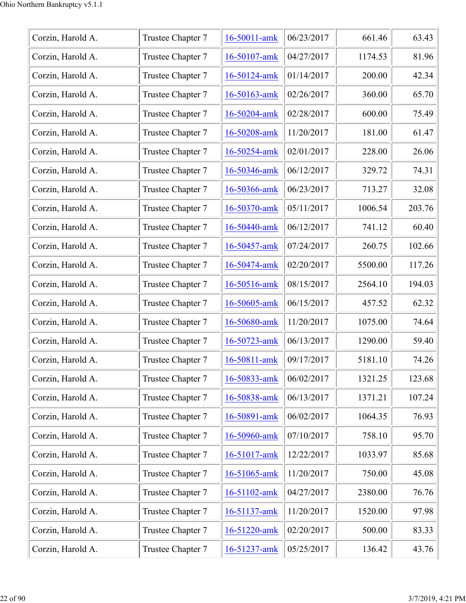| Corzin, Harold A. | Trustee Chapter 7 | 16-50011-amk | 06/23/2017 | 661.46  | 63.43  |
|-------------------|-------------------|--------------|------------|---------|--------|
| Corzin, Harold A. | Trustee Chapter 7 | 16-50107-amk | 04/27/2017 | 1174.53 | 81.96  |
| Corzin, Harold A. | Trustee Chapter 7 | 16-50124-amk | 01/14/2017 | 200.00  | 42.34  |
| Corzin, Harold A. | Trustee Chapter 7 | 16-50163-amk | 02/26/2017 | 360.00  | 65.70  |
| Corzin, Harold A. | Trustee Chapter 7 | 16-50204-amk | 02/28/2017 | 600.00  | 75.49  |
| Corzin, Harold A. | Trustee Chapter 7 | 16-50208-amk | 11/20/2017 | 181.00  | 61.47  |
| Corzin, Harold A. | Trustee Chapter 7 | 16-50254-amk | 02/01/2017 | 228.00  | 26.06  |
| Corzin, Harold A. | Trustee Chapter 7 | 16-50346-amk | 06/12/2017 | 329.72  | 74.31  |
| Corzin, Harold A. | Trustee Chapter 7 | 16-50366-amk | 06/23/2017 | 713.27  | 32.08  |
| Corzin, Harold A. | Trustee Chapter 7 | 16-50370-amk | 05/11/2017 | 1006.54 | 203.76 |
| Corzin, Harold A. | Trustee Chapter 7 | 16-50440-amk | 06/12/2017 | 741.12  | 60.40  |
| Corzin, Harold A. | Trustee Chapter 7 | 16-50457-amk | 07/24/2017 | 260.75  | 102.66 |
| Corzin, Harold A. | Trustee Chapter 7 | 16-50474-amk | 02/20/2017 | 5500.00 | 117.26 |
| Corzin, Harold A. | Trustee Chapter 7 | 16-50516-amk | 08/15/2017 | 2564.10 | 194.03 |
| Corzin, Harold A. | Trustee Chapter 7 | 16-50605-amk | 06/15/2017 | 457.52  | 62.32  |
| Corzin, Harold A. | Trustee Chapter 7 | 16-50680-amk | 11/20/2017 | 1075.00 | 74.64  |
| Corzin, Harold A. | Trustee Chapter 7 | 16-50723-amk | 06/13/2017 | 1290.00 | 59.40  |
| Corzin, Harold A. | Trustee Chapter 7 | 16-50811-amk | 09/17/2017 | 5181.10 | 74.26  |
| Corzin, Harold A. | Trustee Chapter 7 | 16-50833-amk | 06/02/2017 | 1321.25 | 123.68 |
| Corzin, Harold A. | Trustee Chapter 7 | 16-50838-amk | 06/13/2017 | 1371.21 | 107.24 |
| Corzin, Harold A. | Trustee Chapter 7 | 16-50891-amk | 06/02/2017 | 1064.35 | 76.93  |
| Corzin, Harold A. | Trustee Chapter 7 | 16-50960-amk | 07/10/2017 | 758.10  | 95.70  |
| Corzin, Harold A. | Trustee Chapter 7 | 16-51017-amk | 12/22/2017 | 1033.97 | 85.68  |
| Corzin, Harold A. | Trustee Chapter 7 | 16-51065-amk | 11/20/2017 | 750.00  | 45.08  |
| Corzin, Harold A. | Trustee Chapter 7 | 16-51102-amk | 04/27/2017 | 2380.00 | 76.76  |
| Corzin, Harold A. | Trustee Chapter 7 | 16-51137-amk | 11/20/2017 | 1520.00 | 97.98  |
| Corzin, Harold A. | Trustee Chapter 7 | 16-51220-amk | 02/20/2017 | 500.00  | 83.33  |
| Corzin, Harold A. | Trustee Chapter 7 | 16-51237-amk | 05/25/2017 | 136.42  | 43.76  |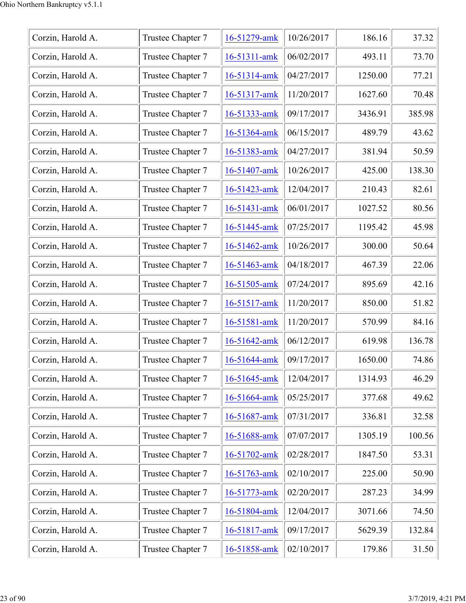| Corzin, Harold A. | Trustee Chapter 7 | 16-51279-amk | 10/26/2017 | 186.16  | 37.32  |
|-------------------|-------------------|--------------|------------|---------|--------|
| Corzin, Harold A. | Trustee Chapter 7 | 16-51311-amk | 06/02/2017 | 493.11  | 73.70  |
| Corzin, Harold A. | Trustee Chapter 7 | 16-51314-amk | 04/27/2017 | 1250.00 | 77.21  |
| Corzin, Harold A. | Trustee Chapter 7 | 16-51317-amk | 11/20/2017 | 1627.60 | 70.48  |
| Corzin, Harold A. | Trustee Chapter 7 | 16-51333-amk | 09/17/2017 | 3436.91 | 385.98 |
| Corzin, Harold A. | Trustee Chapter 7 | 16-51364-amk | 06/15/2017 | 489.79  | 43.62  |
| Corzin, Harold A. | Trustee Chapter 7 | 16-51383-amk | 04/27/2017 | 381.94  | 50.59  |
| Corzin, Harold A. | Trustee Chapter 7 | 16-51407-amk | 10/26/2017 | 425.00  | 138.30 |
| Corzin, Harold A. | Trustee Chapter 7 | 16-51423-amk | 12/04/2017 | 210.43  | 82.61  |
| Corzin, Harold A. | Trustee Chapter 7 | 16-51431-amk | 06/01/2017 | 1027.52 | 80.56  |
| Corzin, Harold A. | Trustee Chapter 7 | 16-51445-amk | 07/25/2017 | 1195.42 | 45.98  |
| Corzin, Harold A. | Trustee Chapter 7 | 16-51462-amk | 10/26/2017 | 300.00  | 50.64  |
| Corzin, Harold A. | Trustee Chapter 7 | 16-51463-amk | 04/18/2017 | 467.39  | 22.06  |
| Corzin, Harold A. | Trustee Chapter 7 | 16-51505-amk | 07/24/2017 | 895.69  | 42.16  |
| Corzin, Harold A. | Trustee Chapter 7 | 16-51517-amk | 11/20/2017 | 850.00  | 51.82  |
| Corzin, Harold A. | Trustee Chapter 7 | 16-51581-amk | 11/20/2017 | 570.99  | 84.16  |
| Corzin, Harold A. | Trustee Chapter 7 | 16-51642-amk | 06/12/2017 | 619.98  | 136.78 |
| Corzin, Harold A. | Trustee Chapter 7 | 16-51644-amk | 09/17/2017 | 1650.00 | 74.86  |
| Corzin, Harold A. | Trustee Chapter 7 | 16-51645-amk | 12/04/2017 | 1314.93 | 46.29  |
| Corzin, Harold A. | Trustee Chapter 7 | 16-51664-amk | 05/25/2017 | 377.68  | 49.62  |
| Corzin, Harold A. | Trustee Chapter 7 | 16-51687-amk | 07/31/2017 | 336.81  | 32.58  |
| Corzin, Harold A. | Trustee Chapter 7 | 16-51688-amk | 07/07/2017 | 1305.19 | 100.56 |
| Corzin, Harold A. | Trustee Chapter 7 | 16-51702-amk | 02/28/2017 | 1847.50 | 53.31  |
| Corzin, Harold A. | Trustee Chapter 7 | 16-51763-amk | 02/10/2017 | 225.00  | 50.90  |
| Corzin, Harold A. | Trustee Chapter 7 | 16-51773-amk | 02/20/2017 | 287.23  | 34.99  |
| Corzin, Harold A. | Trustee Chapter 7 | 16-51804-amk | 12/04/2017 | 3071.66 | 74.50  |
| Corzin, Harold A. | Trustee Chapter 7 | 16-51817-amk | 09/17/2017 | 5629.39 | 132.84 |
| Corzin, Harold A. | Trustee Chapter 7 | 16-51858-amk | 02/10/2017 | 179.86  | 31.50  |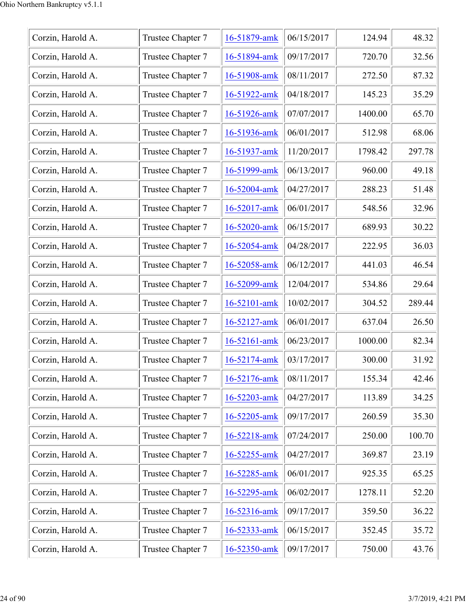| Corzin, Harold A. | Trustee Chapter 7 | 16-51879-amk | 06/15/2017 | 124.94  | 48.32  |
|-------------------|-------------------|--------------|------------|---------|--------|
| Corzin, Harold A. | Trustee Chapter 7 | 16-51894-amk | 09/17/2017 | 720.70  | 32.56  |
| Corzin, Harold A. | Trustee Chapter 7 | 16-51908-amk | 08/11/2017 | 272.50  | 87.32  |
| Corzin, Harold A. | Trustee Chapter 7 | 16-51922-amk | 04/18/2017 | 145.23  | 35.29  |
| Corzin, Harold A. | Trustee Chapter 7 | 16-51926-amk | 07/07/2017 | 1400.00 | 65.70  |
| Corzin, Harold A. | Trustee Chapter 7 | 16-51936-amk | 06/01/2017 | 512.98  | 68.06  |
| Corzin, Harold A. | Trustee Chapter 7 | 16-51937-amk | 11/20/2017 | 1798.42 | 297.78 |
| Corzin, Harold A. | Trustee Chapter 7 | 16-51999-amk | 06/13/2017 | 960.00  | 49.18  |
| Corzin, Harold A. | Trustee Chapter 7 | 16-52004-amk | 04/27/2017 | 288.23  | 51.48  |
| Corzin, Harold A. | Trustee Chapter 7 | 16-52017-amk | 06/01/2017 | 548.56  | 32.96  |
| Corzin, Harold A. | Trustee Chapter 7 | 16-52020-amk | 06/15/2017 | 689.93  | 30.22  |
| Corzin, Harold A. | Trustee Chapter 7 | 16-52054-amk | 04/28/2017 | 222.95  | 36.03  |
| Corzin, Harold A. | Trustee Chapter 7 | 16-52058-amk | 06/12/2017 | 441.03  | 46.54  |
| Corzin, Harold A. | Trustee Chapter 7 | 16-52099-amk | 12/04/2017 | 534.86  | 29.64  |
| Corzin, Harold A. | Trustee Chapter 7 | 16-52101-amk | 10/02/2017 | 304.52  | 289.44 |
| Corzin, Harold A. | Trustee Chapter 7 | 16-52127-amk | 06/01/2017 | 637.04  | 26.50  |
| Corzin, Harold A. | Trustee Chapter 7 | 16-52161-amk | 06/23/2017 | 1000.00 | 82.34  |
| Corzin, Harold A. | Trustee Chapter 7 | 16-52174-amk | 03/17/2017 | 300.00  | 31.92  |
| Corzin, Harold A. | Trustee Chapter 7 | 16-52176-amk | 08/11/2017 | 155.34  | 42.46  |
| Corzin, Harold A. | Trustee Chapter 7 | 16-52203-amk | 04/27/2017 | 113.89  | 34.25  |
| Corzin, Harold A. | Trustee Chapter 7 | 16-52205-amk | 09/17/2017 | 260.59  | 35.30  |
| Corzin, Harold A. | Trustee Chapter 7 | 16-52218-amk | 07/24/2017 | 250.00  | 100.70 |
| Corzin, Harold A. | Trustee Chapter 7 | 16-52255-amk | 04/27/2017 | 369.87  | 23.19  |
| Corzin, Harold A. | Trustee Chapter 7 | 16-52285-amk | 06/01/2017 | 925.35  | 65.25  |
| Corzin, Harold A. | Trustee Chapter 7 | 16-52295-amk | 06/02/2017 | 1278.11 | 52.20  |
| Corzin, Harold A. | Trustee Chapter 7 | 16-52316-amk | 09/17/2017 | 359.50  | 36.22  |
| Corzin, Harold A. | Trustee Chapter 7 | 16-52333-amk | 06/15/2017 | 352.45  | 35.72  |
| Corzin, Harold A. | Trustee Chapter 7 | 16-52350-amk | 09/17/2017 | 750.00  | 43.76  |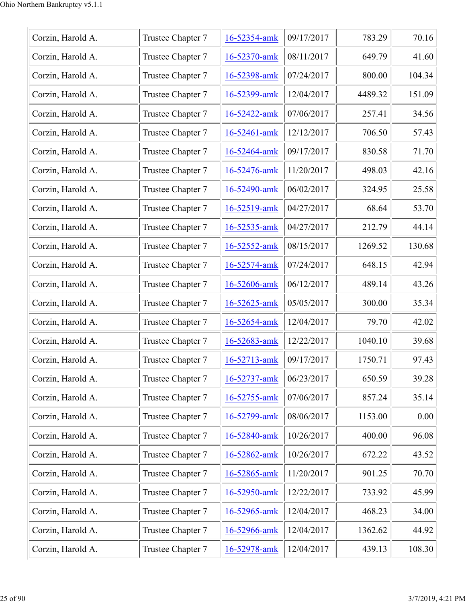| Corzin, Harold A. | Trustee Chapter 7 | 16-52354-amk | 09/17/2017 | 783.29  | 70.16  |
|-------------------|-------------------|--------------|------------|---------|--------|
| Corzin, Harold A. | Trustee Chapter 7 | 16-52370-amk | 08/11/2017 | 649.79  | 41.60  |
| Corzin, Harold A. | Trustee Chapter 7 | 16-52398-amk | 07/24/2017 | 800.00  | 104.34 |
| Corzin, Harold A. | Trustee Chapter 7 | 16-52399-amk | 12/04/2017 | 4489.32 | 151.09 |
| Corzin, Harold A. | Trustee Chapter 7 | 16-52422-amk | 07/06/2017 | 257.41  | 34.56  |
| Corzin, Harold A. | Trustee Chapter 7 | 16-52461-amk | 12/12/2017 | 706.50  | 57.43  |
| Corzin, Harold A. | Trustee Chapter 7 | 16-52464-amk | 09/17/2017 | 830.58  | 71.70  |
| Corzin, Harold A. | Trustee Chapter 7 | 16-52476-amk | 11/20/2017 | 498.03  | 42.16  |
| Corzin, Harold A. | Trustee Chapter 7 | 16-52490-amk | 06/02/2017 | 324.95  | 25.58  |
| Corzin, Harold A. | Trustee Chapter 7 | 16-52519-amk | 04/27/2017 | 68.64   | 53.70  |
| Corzin, Harold A. | Trustee Chapter 7 | 16-52535-amk | 04/27/2017 | 212.79  | 44.14  |
| Corzin, Harold A. | Trustee Chapter 7 | 16-52552-amk | 08/15/2017 | 1269.52 | 130.68 |
| Corzin, Harold A. | Trustee Chapter 7 | 16-52574-amk | 07/24/2017 | 648.15  | 42.94  |
| Corzin, Harold A. | Trustee Chapter 7 | 16-52606-amk | 06/12/2017 | 489.14  | 43.26  |
| Corzin, Harold A. | Trustee Chapter 7 | 16-52625-amk | 05/05/2017 | 300.00  | 35.34  |
| Corzin, Harold A. | Trustee Chapter 7 | 16-52654-amk | 12/04/2017 | 79.70   | 42.02  |
| Corzin, Harold A. | Trustee Chapter 7 | 16-52683-amk | 12/22/2017 | 1040.10 | 39.68  |
| Corzin, Harold A. | Trustee Chapter 7 | 16-52713-amk | 09/17/2017 | 1750.71 | 97.43  |
| Corzin, Harold A. | Trustee Chapter 7 | 16-52737-amk | 06/23/2017 | 650.59  | 39.28  |
| Corzin, Harold A. | Trustee Chapter 7 | 16-52755-amk | 07/06/2017 | 857.24  | 35.14  |
| Corzin, Harold A. | Trustee Chapter 7 | 16-52799-amk | 08/06/2017 | 1153.00 | 0.00   |
| Corzin, Harold A. | Trustee Chapter 7 | 16-52840-amk | 10/26/2017 | 400.00  | 96.08  |
| Corzin, Harold A. | Trustee Chapter 7 | 16-52862-amk | 10/26/2017 | 672.22  | 43.52  |
| Corzin, Harold A. | Trustee Chapter 7 | 16-52865-amk | 11/20/2017 | 901.25  | 70.70  |
| Corzin, Harold A. | Trustee Chapter 7 | 16-52950-amk | 12/22/2017 | 733.92  | 45.99  |
| Corzin, Harold A. | Trustee Chapter 7 | 16-52965-amk | 12/04/2017 | 468.23  | 34.00  |
| Corzin, Harold A. | Trustee Chapter 7 | 16-52966-amk | 12/04/2017 | 1362.62 | 44.92  |
| Corzin, Harold A. | Trustee Chapter 7 | 16-52978-amk | 12/04/2017 | 439.13  | 108.30 |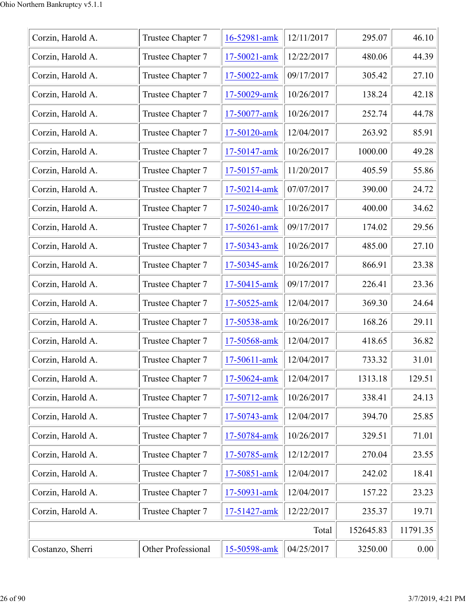| Corzin, Harold A. | Trustee Chapter 7  | 16-52981-amk | 12/11/2017 | 295.07    | 46.10    |
|-------------------|--------------------|--------------|------------|-----------|----------|
| Corzin, Harold A. | Trustee Chapter 7  | 17-50021-amk | 12/22/2017 | 480.06    | 44.39    |
| Corzin, Harold A. | Trustee Chapter 7  | 17-50022-amk | 09/17/2017 | 305.42    | 27.10    |
| Corzin, Harold A. | Trustee Chapter 7  | 17-50029-amk | 10/26/2017 | 138.24    | 42.18    |
| Corzin, Harold A. | Trustee Chapter 7  | 17-50077-amk | 10/26/2017 | 252.74    | 44.78    |
| Corzin, Harold A. | Trustee Chapter 7  | 17-50120-amk | 12/04/2017 | 263.92    | 85.91    |
| Corzin, Harold A. | Trustee Chapter 7  | 17-50147-amk | 10/26/2017 | 1000.00   | 49.28    |
| Corzin, Harold A. | Trustee Chapter 7  | 17-50157-amk | 11/20/2017 | 405.59    | 55.86    |
| Corzin, Harold A. | Trustee Chapter 7  | 17-50214-amk | 07/07/2017 | 390.00    | 24.72    |
| Corzin, Harold A. | Trustee Chapter 7  | 17-50240-amk | 10/26/2017 | 400.00    | 34.62    |
| Corzin, Harold A. | Trustee Chapter 7  | 17-50261-amk | 09/17/2017 | 174.02    | 29.56    |
| Corzin, Harold A. | Trustee Chapter 7  | 17-50343-amk | 10/26/2017 | 485.00    | 27.10    |
| Corzin, Harold A. | Trustee Chapter 7  | 17-50345-amk | 10/26/2017 | 866.91    | 23.38    |
| Corzin, Harold A. | Trustee Chapter 7  | 17-50415-amk | 09/17/2017 | 226.41    | 23.36    |
| Corzin, Harold A. | Trustee Chapter 7  | 17-50525-amk | 12/04/2017 | 369.30    | 24.64    |
| Corzin, Harold A. | Trustee Chapter 7  | 17-50538-amk | 10/26/2017 | 168.26    | 29.11    |
| Corzin, Harold A. | Trustee Chapter 7  | 17-50568-amk | 12/04/2017 | 418.65    | 36.82    |
| Corzin, Harold A. | Trustee Chapter 7  | 17-50611-amk | 12/04/2017 | 733.32    | 31.01    |
| Corzin, Harold A. | Trustee Chapter 7  | 17-50624-amk | 12/04/2017 | 1313.18   | 129.51   |
| Corzin, Harold A. | Trustee Chapter 7  | 17-50712-amk | 10/26/2017 | 338.41    | 24.13    |
| Corzin, Harold A. | Trustee Chapter 7  | 17-50743-amk | 12/04/2017 | 394.70    | 25.85    |
| Corzin, Harold A. | Trustee Chapter 7  | 17-50784-amk | 10/26/2017 | 329.51    | 71.01    |
| Corzin, Harold A. | Trustee Chapter 7  | 17-50785-amk | 12/12/2017 | 270.04    | 23.55    |
| Corzin, Harold A. | Trustee Chapter 7  | 17-50851-amk | 12/04/2017 | 242.02    | 18.41    |
| Corzin, Harold A. | Trustee Chapter 7  | 17-50931-amk | 12/04/2017 | 157.22    | 23.23    |
| Corzin, Harold A. | Trustee Chapter 7  | 17-51427-amk | 12/22/2017 | 235.37    | 19.71    |
|                   |                    |              | Total      | 152645.83 | 11791.35 |
| Costanzo, Sherri  | Other Professional | 15-50598-amk | 04/25/2017 | 3250.00   | 0.00     |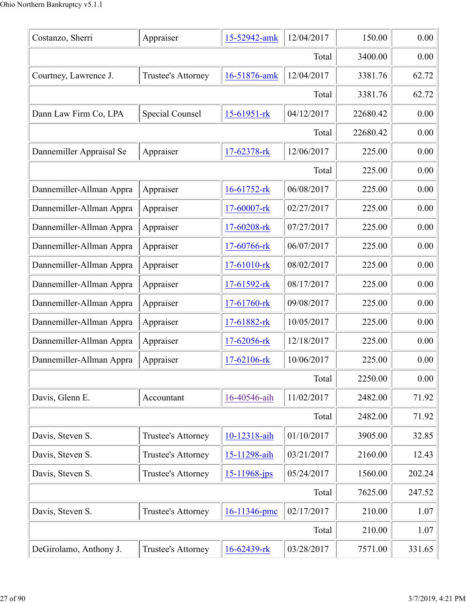| Costanzo, Sherri         | Appraiser          | 15-52942-amk      | 12/04/2017 | 150.00   | 0.00   |
|--------------------------|--------------------|-------------------|------------|----------|--------|
|                          | 3400.00            | 0.00              |            |          |        |
| Courtney, Lawrence J.    | Trustee's Attorney | 16-51876-amk      | 12/04/2017 | 3381.76  | 62.72  |
|                          |                    |                   | Total      | 3381.76  | 62.72  |
| Dann Law Firm Co, LPA    | Special Counsel    | $15-61951$ -rk    | 04/12/2017 | 22680.42 | 0.00   |
|                          |                    |                   | Total      | 22680.42 | 0.00   |
| Dannemiller Appraisal Se | Appraiser          | 17-62378-rk       | 12/06/2017 | 225.00   | 0.00   |
|                          |                    |                   | Total      | 225.00   | 0.00   |
| Dannemiller-Allman Appra | Appraiser          | 16-61752-rk       | 06/08/2017 | 225.00   | 0.00   |
| Dannemiller-Allman Appra | Appraiser          | 17-60007-rk       | 02/27/2017 | 225.00   | 0.00   |
| Dannemiller-Allman Appra | Appraiser          | 17-60208-rk       | 07/27/2017 | 225.00   | 0.00   |
| Dannemiller-Allman Appra | Appraiser          | 17-60766-rk       | 06/07/2017 | 225.00   | 0.00   |
| Dannemiller-Allman Appra | Appraiser          | 17-61010-rk       | 08/02/2017 | 225.00   | 0.00   |
| Dannemiller-Allman Appra | Appraiser          | 17-61592-rk       | 08/17/2017 | 225.00   | 0.00   |
| Dannemiller-Allman Appra | Appraiser          | 17-61760-rk       | 09/08/2017 | 225.00   | 0.00   |
| Dannemiller-Allman Appra | Appraiser          | 17-61882-rk       | 10/05/2017 | 225.00   | 0.00   |
| Dannemiller-Allman Appra | Appraiser          | 17-62056-rk       | 12/18/2017 | 225.00   | 0.00   |
| Dannemiller-Allman Appra | Appraiser          | 17-62106-rk       | 10/06/2017 | 225.00   | 0.00   |
|                          |                    |                   | Total      | 2250.00  | 0.00   |
| Davis, Glenn E.          | Accountant         | 16-40546-aih      | 11/02/2017 | 2482.00  | 71.92  |
|                          |                    |                   | Total      | 2482.00  | 71.92  |
| Davis, Steven S.         | Trustee's Attorney | 10-12318-aih      | 01/10/2017 | 3905.00  | 32.85  |
| Davis, Steven S.         | Trustee's Attorney | 15-11298-aih      | 03/21/2017 | 2160.00  | 12.43  |
| Davis, Steven S.         | Trustee's Attorney | $15 - 11968$ -jps | 05/24/2017 | 1560.00  | 202.24 |
|                          |                    |                   | Total      | 7625.00  | 247.52 |
| Davis, Steven S.         | Trustee's Attorney | 16-11346-pmc      | 02/17/2017 | 210.00   | 1.07   |
|                          |                    |                   | Total      | 210.00   | 1.07   |
| DeGirolamo, Anthony J.   | Trustee's Attorney | 16-62439-rk       | 03/28/2017 | 7571.00  | 331.65 |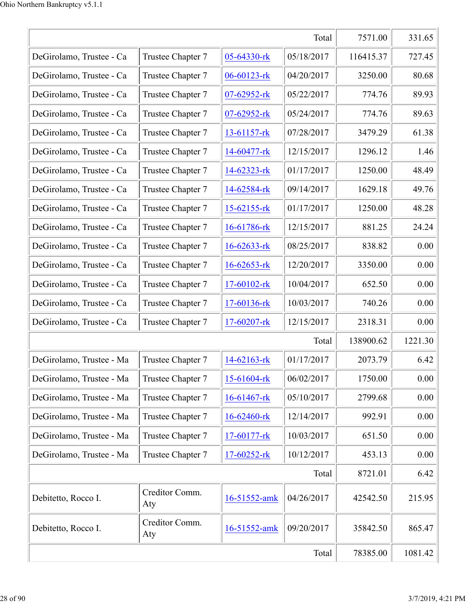|                          |                       |                   | Total      | 7571.00   | 331.65  |
|--------------------------|-----------------------|-------------------|------------|-----------|---------|
| DeGirolamo, Trustee - Ca | Trustee Chapter 7     | 05-64330-rk       | 05/18/2017 | 116415.37 | 727.45  |
| DeGirolamo, Trustee - Ca | Trustee Chapter 7     | 06-60123-rk       | 04/20/2017 | 3250.00   | 80.68   |
| DeGirolamo, Trustee - Ca | Trustee Chapter 7     | $07 - 62952 - rk$ | 05/22/2017 | 774.76    | 89.93   |
| DeGirolamo, Trustee - Ca | Trustee Chapter 7     | $07 - 62952 - rk$ | 05/24/2017 | 774.76    | 89.63   |
| DeGirolamo, Trustee - Ca | Trustee Chapter 7     | $13-61157$ -rk    | 07/28/2017 | 3479.29   | 61.38   |
| DeGirolamo, Trustee - Ca | Trustee Chapter 7     | $14-60477$ -rk    | 12/15/2017 | 1296.12   | 1.46    |
| DeGirolamo, Trustee - Ca | Trustee Chapter 7     | $14 - 62323 - rk$ | 01/17/2017 | 1250.00   | 48.49   |
| DeGirolamo, Trustee - Ca | Trustee Chapter 7     | 14-62584-rk       | 09/14/2017 | 1629.18   | 49.76   |
| DeGirolamo, Trustee - Ca | Trustee Chapter 7     | 15-62155-rk       | 01/17/2017 | 1250.00   | 48.28   |
| DeGirolamo, Trustee - Ca | Trustee Chapter 7     | 16-61786-rk       | 12/15/2017 | 881.25    | 24.24   |
| DeGirolamo, Trustee - Ca | Trustee Chapter 7     | $16 - 62633 - rk$ | 08/25/2017 | 838.82    | 0.00    |
| DeGirolamo, Trustee - Ca | Trustee Chapter 7     | $16 - 62653 - rk$ | 12/20/2017 | 3350.00   | 0.00    |
| DeGirolamo, Trustee - Ca | Trustee Chapter 7     | 17-60102-rk       | 10/04/2017 | 652.50    | 0.00    |
| DeGirolamo, Trustee - Ca | Trustee Chapter 7     | 17-60136-rk       | 10/03/2017 | 740.26    | 0.00    |
| DeGirolamo, Trustee - Ca | Trustee Chapter 7     | 17-60207-rk       | 12/15/2017 | 2318.31   | 0.00    |
|                          |                       |                   | Total      | 138900.62 | 1221.30 |
| DeGirolamo, Trustee - Ma | Trustee Chapter 7     | 14-62163-rk       | 01/17/2017 | 2073.79   | 6.42    |
| DeGirolamo, Trustee - Ma | Trustee Chapter 7     | 15-61604-rk       | 06/02/2017 | 1750.00   | 0.00    |
| DeGirolamo, Trustee - Ma | Trustee Chapter 7     | $16 - 61467$ -rk  | 05/10/2017 | 2799.68   | 0.00    |
| DeGirolamo, Trustee - Ma | Trustee Chapter 7     | 16-62460-rk       | 12/14/2017 | 992.91    | 0.00    |
| DeGirolamo, Trustee - Ma | Trustee Chapter 7     | $17-60177$ -rk    | 10/03/2017 | 651.50    | 0.00    |
| DeGirolamo, Trustee - Ma | Trustee Chapter 7     | 17-60252-rk       | 10/12/2017 | 453.13    | 0.00    |
|                          |                       |                   | Total      | 8721.01   | 6.42    |
| Debitetto, Rocco I.      | Creditor Comm.<br>Aty | 16-51552-amk      | 04/26/2017 | 42542.50  | 215.95  |
| Debitetto, Rocco I.      | Creditor Comm.<br>Aty | 16-51552-amk      | 09/20/2017 | 35842.50  | 865.47  |
|                          |                       |                   | Total      | 78385.00  | 1081.42 |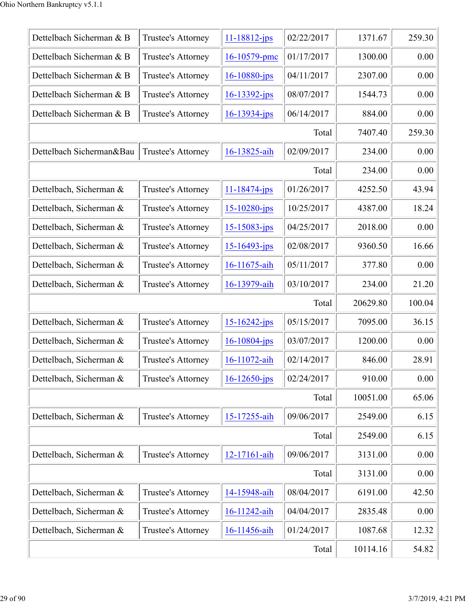| Dettelbach Sicherman & B | Trustee's Attorney | $11 - 18812 - ips$ | 02/22/2017 | 1371.67  | 259.30 |
|--------------------------|--------------------|--------------------|------------|----------|--------|
| Dettelbach Sicherman & B | Trustee's Attorney | 16-10579-pmc       | 01/17/2017 | 1300.00  | 0.00   |
| Dettelbach Sicherman & B | Trustee's Attorney | $16 - 10880 - ips$ | 04/11/2017 | 2307.00  | 0.00   |
| Dettelbach Sicherman & B | Trustee's Attorney | $16 - 13392 - ips$ | 08/07/2017 | 1544.73  | 0.00   |
| Dettelbach Sicherman & B | Trustee's Attorney | $16 - 13934 - ips$ | 06/14/2017 | 884.00   | 0.00   |
|                          |                    |                    | Total      | 7407.40  | 259.30 |
| Dettelbach Sicherman&Bau | Trustee's Attorney | 16-13825-aih       | 02/09/2017 | 234.00   | 0.00   |
|                          |                    |                    | Total      | 234.00   | 0.00   |
| Dettelbach, Sicherman &  | Trustee's Attorney | $11 - 18474 - jps$ | 01/26/2017 | 4252.50  | 43.94  |
| Dettelbach, Sicherman &  | Trustee's Attorney | $15 - 10280 - ips$ | 10/25/2017 | 4387.00  | 18.24  |
| Dettelbach, Sicherman &  | Trustee's Attorney | $15 - 15083 - jps$ | 04/25/2017 | 2018.00  | 0.00   |
| Dettelbach, Sicherman &  | Trustee's Attorney | $15 - 16493 - ips$ | 02/08/2017 | 9360.50  | 16.66  |
| Dettelbach, Sicherman &  | Trustee's Attorney | 16-11675-aih       | 05/11/2017 | 377.80   | 0.00   |
| Dettelbach, Sicherman &  | Trustee's Attorney | 16-13979-aih       | 03/10/2017 | 234.00   | 21.20  |
|                          |                    |                    | Total      | 20629.80 | 100.04 |
| Dettelbach, Sicherman &  | Trustee's Attorney | $15 - 16242 - ips$ | 05/15/2017 | 7095.00  | 36.15  |
| Dettelbach, Sicherman &  | Trustee's Attorney | $16 - 10804$ -jps  | 03/07/2017 | 1200.00  | 0.00   |
| Dettelbach, Sicherman &  | Trustee's Attorney | 16-11072-aih       | 02/14/2017 | 846.00   | 28.91  |
| Dettelbach, Sicherman &  | Trustee's Attorney | $16 - 12650 - ips$ | 02/24/2017 | 910.00   | 0.00   |
|                          |                    |                    | Total      | 10051.00 | 65.06  |
| Dettelbach, Sicherman &  | Trustee's Attorney | 15-17255-aih       | 09/06/2017 | 2549.00  | 6.15   |
|                          |                    |                    | Total      | 2549.00  | 6.15   |
| Dettelbach, Sicherman &  | Trustee's Attorney | 12-17161-aih       | 09/06/2017 | 3131.00  | 0.00   |
|                          |                    |                    | Total      | 3131.00  | 0.00   |
| Dettelbach, Sicherman &  | Trustee's Attorney | 14-15948-aih       | 08/04/2017 | 6191.00  | 42.50  |
| Dettelbach, Sicherman &  | Trustee's Attorney | 16-11242-aih       | 04/04/2017 | 2835.48  | 0.00   |
| Dettelbach, Sicherman &  | Trustee's Attorney | 16-11456-aih       | 01/24/2017 | 1087.68  | 12.32  |
|                          |                    |                    | Total      | 10114.16 | 54.82  |
|                          |                    |                    |            |          |        |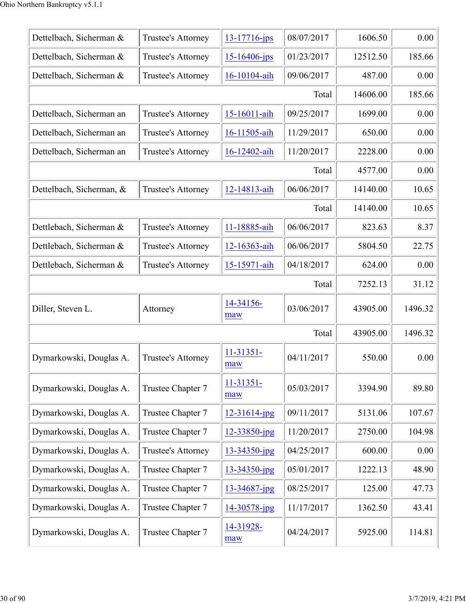| Dettelbach, Sicherman &  | Trustee's Attorney | $13 - 17716$ -jps  | 08/07/2017 | 1606.50  | 0.00    |
|--------------------------|--------------------|--------------------|------------|----------|---------|
| Dettelbach, Sicherman &  | Trustee's Attorney | $15 - 16406$ -jps  | 01/23/2017 | 12512.50 | 185.66  |
| Dettelbach, Sicherman &  | Trustee's Attorney | 16-10104-aih       | 09/06/2017 | 487.00   | 0.00    |
|                          |                    |                    | Total      | 14606.00 | 185.66  |
| Dettelbach, Sicherman an | Trustee's Attorney | 15-16011-aih       | 09/25/2017 | 1699.00  | 0.00    |
| Dettelbach, Sicherman an | Trustee's Attorney | 16-11505-aih       | 11/29/2017 | 650.00   | 0.00    |
| Dettelbach, Sicherman an | Trustee's Attorney | 16-12402-aih       | 11/20/2017 | 2228.00  | 0.00    |
|                          |                    |                    | Total      | 4577.00  | 0.00    |
| Dettelbach, Sicherman, & | Trustee's Attorney | 12-14813-aih       | 06/06/2017 | 14140.00 | 10.65   |
|                          |                    |                    | Total      | 14140.00 | 10.65   |
| Dettlebach, Sicherman &  | Trustee's Attorney | 11-18885-aih       | 06/06/2017 | 823.63   | 8.37    |
| Dettlebach, Sicherman &  | Trustee's Attorney | 12-16363-aih       | 06/06/2017 | 5804.50  | 22.75   |
| Dettlebach, Sicherman &  | Trustee's Attorney | 15-15971-aih       | 04/18/2017 | 624.00   | 0.00    |
|                          |                    |                    | Total      | 7252.13  | 31.12   |
| Diller, Steven L.        | Attorney           | 14-34156-<br>maw   | 03/06/2017 | 43905.00 | 1496.32 |
|                          |                    |                    | Total      | 43905.00 | 1496.32 |
| Dymarkowski, Douglas A.  | Trustee's Attorney | 11-31351-<br>maw   | 04/11/2017 | 550.00   | 0.00    |
| Dymarkowski, Douglas A.  | Trustee Chapter 7  | $11-31351-$<br>maw | 05/03/2017 | 3394.90  | 89.80   |
| Dymarkowski, Douglas A.  | Trustee Chapter 7  | $12 - 31614$ -jpg  | 09/11/2017 | 5131.06  | 107.67  |
| Dymarkowski, Douglas A.  | Trustee Chapter 7  | $12 - 33850$ -jpg  | 11/20/2017 | 2750.00  | 104.98  |
| Dymarkowski, Douglas A.  | Trustee's Attorney | $13 - 34350$ -jpg  | 04/25/2017 | 600.00   | 0.00    |
| Dymarkowski, Douglas A.  | Trustee Chapter 7  | 13-34350-jpg       | 05/01/2017 | 1222.13  | 48.90   |
| Dymarkowski, Douglas A.  | Trustee Chapter 7  | $13 - 34687$ -jpg  | 08/25/2017 | 125.00   | 47.73   |
| Dymarkowski, Douglas A.  | Trustee Chapter 7  | 14-30578-jpg       | 11/17/2017 | 1362.50  | 43.41   |
| Dymarkowski, Douglas A.  | Trustee Chapter 7  | 14-31928-<br>maw   | 04/24/2017 | 5925.00  | 114.81  |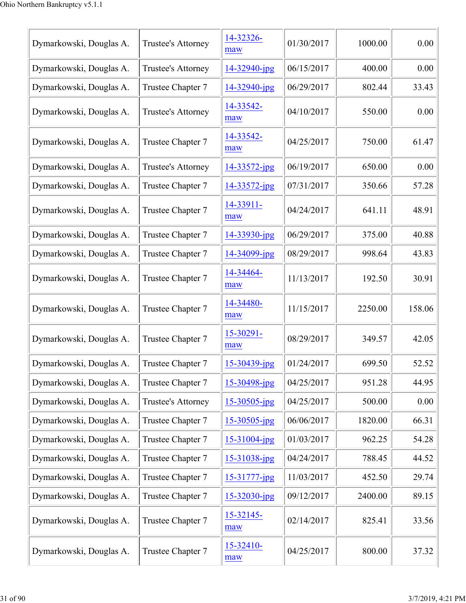| Dymarkowski, Douglas A. | Trustee's Attorney | 14-32326-<br>maw   | 01/30/2017 | 1000.00 | 0.00   |
|-------------------------|--------------------|--------------------|------------|---------|--------|
| Dymarkowski, Douglas A. | Trustee's Attorney | 14-32940-jpg       | 06/15/2017 | 400.00  | 0.00   |
| Dymarkowski, Douglas A. | Trustee Chapter 7  | 14-32940-jpg       | 06/29/2017 | 802.44  | 33.43  |
| Dymarkowski, Douglas A. | Trustee's Attorney | 14-33542-<br>maw   | 04/10/2017 | 550.00  | 0.00   |
| Dymarkowski, Douglas A. | Trustee Chapter 7  | 14-33542-<br>maw   | 04/25/2017 | 750.00  | 61.47  |
| Dymarkowski, Douglas A. | Trustee's Attorney | $14 - 33572 - jpg$ | 06/19/2017 | 650.00  | 0.00   |
| Dymarkowski, Douglas A. | Trustee Chapter 7  | 14-33572-jpg       | 07/31/2017 | 350.66  | 57.28  |
| Dymarkowski, Douglas A. | Trustee Chapter 7  | 14-33911-<br>maw   | 04/24/2017 | 641.11  | 48.91  |
| Dymarkowski, Douglas A. | Trustee Chapter 7  | 14-33930-jpg       | 06/29/2017 | 375.00  | 40.88  |
| Dymarkowski, Douglas A. | Trustee Chapter 7  | 14-34099-jpg       | 08/29/2017 | 998.64  | 43.83  |
| Dymarkowski, Douglas A. | Trustee Chapter 7  | 14-34464-<br>maw   | 11/13/2017 | 192.50  | 30.91  |
| Dymarkowski, Douglas A. | Trustee Chapter 7  | 14-34480-<br>maw   | 11/15/2017 | 2250.00 | 158.06 |
| Dymarkowski, Douglas A. | Trustee Chapter 7  | 15-30291-<br>maw   | 08/29/2017 | 349.57  | 42.05  |
| Dymarkowski, Douglas A. | Trustee Chapter 7  | 15-30439-jpg       | 01/24/2017 | 699.50  | 52.52  |
| Dymarkowski, Douglas A. | Trustee Chapter 7  | 15-30498-jpg       | 04/25/2017 | 951.28  | 44.95  |
| Dymarkowski, Douglas A. | Trustee's Attorney | $15 - 30505$ -jpg  | 04/25/2017 | 500.00  | 0.00   |
| Dymarkowski, Douglas A. | Trustee Chapter 7  | $15 - 30505$ -jpg  | 06/06/2017 | 1820.00 | 66.31  |
| Dymarkowski, Douglas A. | Trustee Chapter 7  | $15 - 31004$ -jpg  | 01/03/2017 | 962.25  | 54.28  |
| Dymarkowski, Douglas A. | Trustee Chapter 7  | 15-31038-jpg       | 04/24/2017 | 788.45  | 44.52  |
| Dymarkowski, Douglas A. | Trustee Chapter 7  | $15 - 31777 - ipg$ | 11/03/2017 | 452.50  | 29.74  |
| Dymarkowski, Douglas A. | Trustee Chapter 7  | $15 - 32030$ -jpg  | 09/12/2017 | 2400.00 | 89.15  |
| Dymarkowski, Douglas A. | Trustee Chapter 7  | 15-32145-<br>maw   | 02/14/2017 | 825.41  | 33.56  |
| Dymarkowski, Douglas A. | Trustee Chapter 7  | 15-32410-<br>maw   | 04/25/2017 | 800.00  | 37.32  |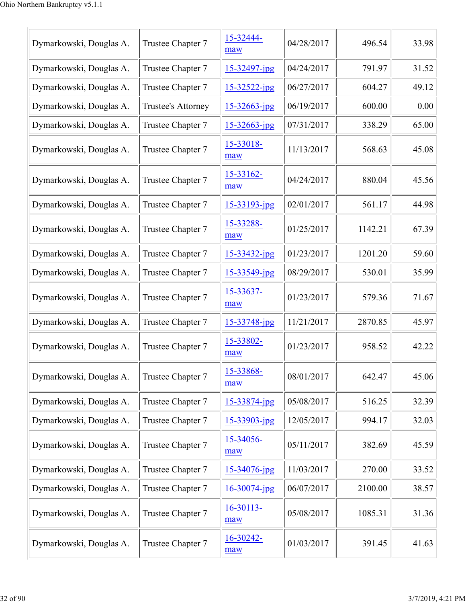| Dymarkowski, Douglas A. | Trustee Chapter 7  | 15-32444-<br>maw   | 04/28/2017 | 496.54  | 33.98 |
|-------------------------|--------------------|--------------------|------------|---------|-------|
| Dymarkowski, Douglas A. | Trustee Chapter 7  | $15 - 32497$ -jpg  | 04/24/2017 | 791.97  | 31.52 |
| Dymarkowski, Douglas A. | Trustee Chapter 7  | $15 - 32522 - ipg$ | 06/27/2017 | 604.27  | 49.12 |
| Dymarkowski, Douglas A. | Trustee's Attorney | $15 - 32663$ -jpg  | 06/19/2017 | 600.00  | 0.00  |
| Dymarkowski, Douglas A. | Trustee Chapter 7  | $15 - 32663$ -jpg  | 07/31/2017 | 338.29  | 65.00 |
| Dymarkowski, Douglas A. | Trustee Chapter 7  | 15-33018-<br>maw   | 11/13/2017 | 568.63  | 45.08 |
| Dymarkowski, Douglas A. | Trustee Chapter 7  | 15-33162-<br>maw   | 04/24/2017 | 880.04  | 45.56 |
| Dymarkowski, Douglas A. | Trustee Chapter 7  | $15 - 33193 - ipg$ | 02/01/2017 | 561.17  | 44.98 |
| Dymarkowski, Douglas A. | Trustee Chapter 7  | 15-33288-<br>maw   | 01/25/2017 | 1142.21 | 67.39 |
| Dymarkowski, Douglas A. | Trustee Chapter 7  | $15 - 33432$ -jpg  | 01/23/2017 | 1201.20 | 59.60 |
| Dymarkowski, Douglas A. | Trustee Chapter 7  | $15 - 33549$ -jpg  | 08/29/2017 | 530.01  | 35.99 |
| Dymarkowski, Douglas A. | Trustee Chapter 7  | 15-33637-<br>maw   | 01/23/2017 | 579.36  | 71.67 |
| Dymarkowski, Douglas A. | Trustee Chapter 7  | $15 - 33748$ -jpg  | 11/21/2017 | 2870.85 | 45.97 |
| Dymarkowski, Douglas A. | Trustee Chapter 7  | 15-33802-<br>maw   | 01/23/2017 | 958.52  | 42.22 |
| Dymarkowski, Douglas A. | Trustee Chapter 7  | 15-33868-<br>maw   | 08/01/2017 | 642.47  | 45.06 |
| Dymarkowski, Douglas A. | Trustee Chapter 7  | 15-33874-jpg       | 05/08/2017 | 516.25  | 32.39 |
| Dymarkowski, Douglas A. | Trustee Chapter 7  | 15-33903-jpg       | 12/05/2017 | 994.17  | 32.03 |
| Dymarkowski, Douglas A. | Trustee Chapter 7  | 15-34056-<br>maw   | 05/11/2017 | 382.69  | 45.59 |
| Dymarkowski, Douglas A. | Trustee Chapter 7  | 15-34076-jpg       | 11/03/2017 | 270.00  | 33.52 |
| Dymarkowski, Douglas A. | Trustee Chapter 7  | $16 - 30074$ -jpg  | 06/07/2017 | 2100.00 | 38.57 |
| Dymarkowski, Douglas A. | Trustee Chapter 7  | 16-30113-<br>maw   | 05/08/2017 | 1085.31 | 31.36 |
| Dymarkowski, Douglas A. | Trustee Chapter 7  | 16-30242-<br>maw   | 01/03/2017 | 391.45  | 41.63 |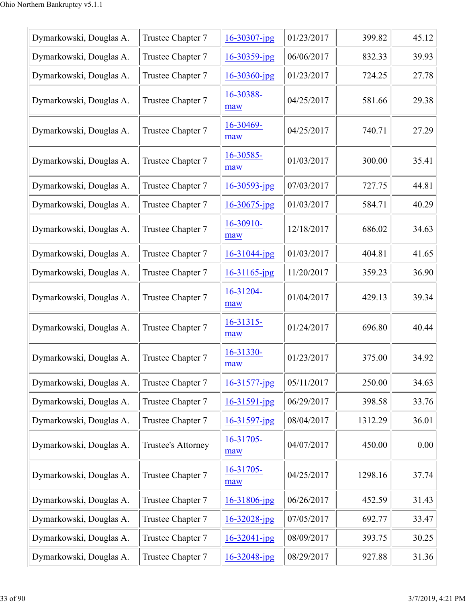| Dymarkowski, Douglas A. | Trustee Chapter 7  | 16-30307-jpg       | 01/23/2017 | 399.82  | 45.12 |
|-------------------------|--------------------|--------------------|------------|---------|-------|
| Dymarkowski, Douglas A. | Trustee Chapter 7  | 16-30359-jpg       | 06/06/2017 | 832.33  | 39.93 |
| Dymarkowski, Douglas A. | Trustee Chapter 7  | $16 - 30360$ -jpg  | 01/23/2017 | 724.25  | 27.78 |
| Dymarkowski, Douglas A. | Trustee Chapter 7  | 16-30388-<br>maw   | 04/25/2017 | 581.66  | 29.38 |
| Dymarkowski, Douglas A. | Trustee Chapter 7  | 16-30469-<br>maw   | 04/25/2017 | 740.71  | 27.29 |
| Dymarkowski, Douglas A. | Trustee Chapter 7  | 16-30585-<br>maw   | 01/03/2017 | 300.00  | 35.41 |
| Dymarkowski, Douglas A. | Trustee Chapter 7  | $16 - 30593$ -jpg  | 07/03/2017 | 727.75  | 44.81 |
| Dymarkowski, Douglas A. | Trustee Chapter 7  | $16 - 30675$ -jpg  | 01/03/2017 | 584.71  | 40.29 |
| Dymarkowski, Douglas A. | Trustee Chapter 7  | 16-30910-<br>maw   | 12/18/2017 | 686.02  | 34.63 |
| Dymarkowski, Douglas A. | Trustee Chapter 7  | $16 - 31044$ -jpg  | 01/03/2017 | 404.81  | 41.65 |
| Dymarkowski, Douglas A. | Trustee Chapter 7  | 16-31165-jpg       | 11/20/2017 | 359.23  | 36.90 |
| Dymarkowski, Douglas A. | Trustee Chapter 7  | 16-31204-<br>maw   | 01/04/2017 | 429.13  | 39.34 |
| Dymarkowski, Douglas A. | Trustee Chapter 7  | 16-31315-<br>maw   | 01/24/2017 | 696.80  | 40.44 |
| Dymarkowski, Douglas A. | Trustee Chapter 7  | 16-31330-<br>maw   | 01/23/2017 | 375.00  | 34.92 |
| Dymarkowski, Douglas A. | Trustee Chapter 7  | $16 - 31577$ -jpg  | 05/11/2017 | 250.00  | 34.63 |
| Dymarkowski, Douglas A. | Trustee Chapter 7  | $16 - 31591 - ipg$ | 06/29/2017 | 398.58  | 33.76 |
| Dymarkowski, Douglas A. | Trustee Chapter 7  | $16 - 31597$ -jpg  | 08/04/2017 | 1312.29 | 36.01 |
| Dymarkowski, Douglas A. | Trustee's Attorney | 16-31705-<br>maw   | 04/07/2017 | 450.00  | 0.00  |
| Dymarkowski, Douglas A. | Trustee Chapter 7  | 16-31705-<br>maw   | 04/25/2017 | 1298.16 | 37.74 |
| Dymarkowski, Douglas A. | Trustee Chapter 7  | $16 - 31806$ -jpg  | 06/26/2017 | 452.59  | 31.43 |
| Dymarkowski, Douglas A. | Trustee Chapter 7  | $16 - 32028$ -jpg  | 07/05/2017 | 692.77  | 33.47 |
| Dymarkowski, Douglas A. | Trustee Chapter 7  | $16 - 32041$ -jpg  | 08/09/2017 | 393.75  | 30.25 |
| Dymarkowski, Douglas A. | Trustee Chapter 7  | $16 - 32048$ -jpg  | 08/29/2017 | 927.88  | 31.36 |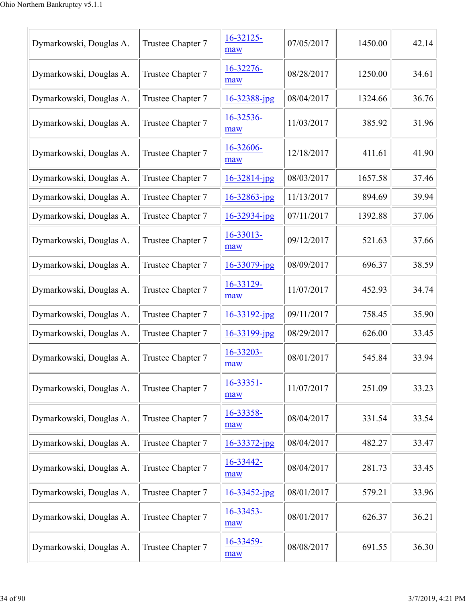| Dymarkowski, Douglas A. | Trustee Chapter 7 | $16 - 32125 -$<br>maw | 07/05/2017 | 1450.00 | 42.14 |
|-------------------------|-------------------|-----------------------|------------|---------|-------|
| Dymarkowski, Douglas A. | Trustee Chapter 7 | 16-32276-<br>maw      | 08/28/2017 | 1250.00 | 34.61 |
| Dymarkowski, Douglas A. | Trustee Chapter 7 | 16-32388-jpg          | 08/04/2017 | 1324.66 | 36.76 |
| Dymarkowski, Douglas A. | Trustee Chapter 7 | 16-32536-<br>maw      | 11/03/2017 | 385.92  | 31.96 |
| Dymarkowski, Douglas A. | Trustee Chapter 7 | 16-32606-<br>maw      | 12/18/2017 | 411.61  | 41.90 |
| Dymarkowski, Douglas A. | Trustee Chapter 7 | $16 - 32814$ -jpg     | 08/03/2017 | 1657.58 | 37.46 |
| Dymarkowski, Douglas A. | Trustee Chapter 7 | $16 - 32863$ -jpg     | 11/13/2017 | 894.69  | 39.94 |
| Dymarkowski, Douglas A. | Trustee Chapter 7 | $16 - 32934 - ipg$    | 07/11/2017 | 1392.88 | 37.06 |
| Dymarkowski, Douglas A. | Trustee Chapter 7 | 16-33013-<br>maw      | 09/12/2017 | 521.63  | 37.66 |
| Dymarkowski, Douglas A. | Trustee Chapter 7 | $16 - 33079$ -jpg     | 08/09/2017 | 696.37  | 38.59 |
| Dymarkowski, Douglas A. | Trustee Chapter 7 | 16-33129-<br>maw      | 11/07/2017 | 452.93  | 34.74 |
| Dymarkowski, Douglas A. | Trustee Chapter 7 | $16 - 33192$ -jpg     | 09/11/2017 | 758.45  | 35.90 |
| Dymarkowski, Douglas A. | Trustee Chapter 7 | $16 - 33199$ -jpg     | 08/29/2017 | 626.00  | 33.45 |
| Dymarkowski, Douglas A. | Trustee Chapter 7 | 16-33203-<br>maw      | 08/01/2017 | 545.84  | 33.94 |
| Dymarkowski, Douglas A. | Trustee Chapter 7 | $16 - 33351 -$<br>maw | 11/07/2017 | 251.09  | 33.23 |
| Dymarkowski, Douglas A. | Trustee Chapter 7 | 16-33358-<br>maw      | 08/04/2017 | 331.54  | 33.54 |
| Dymarkowski, Douglas A. | Trustee Chapter 7 | $16 - 33372 - ipg$    | 08/04/2017 | 482.27  | 33.47 |
| Dymarkowski, Douglas A. | Trustee Chapter 7 | 16-33442-<br>maw      | 08/04/2017 | 281.73  | 33.45 |
| Dymarkowski, Douglas A. | Trustee Chapter 7 | $16 - 33452$ -jpg     | 08/01/2017 | 579.21  | 33.96 |
| Dymarkowski, Douglas A. | Trustee Chapter 7 | 16-33453-<br>maw      | 08/01/2017 | 626.37  | 36.21 |
| Dymarkowski, Douglas A. | Trustee Chapter 7 | 16-33459-<br>maw      | 08/08/2017 | 691.55  | 36.30 |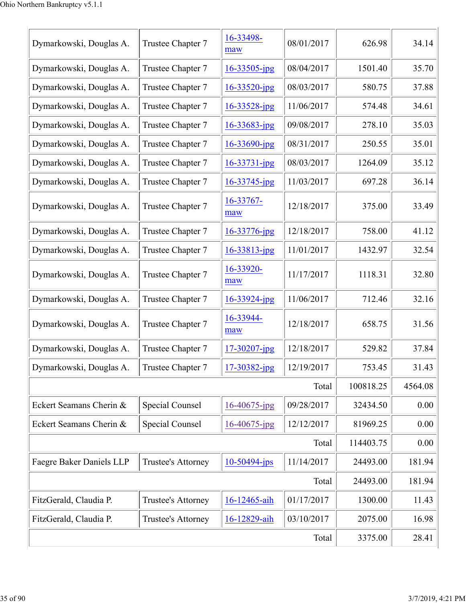| Dymarkowski, Douglas A.  | Trustee Chapter 7  | 16-33498-<br>maw  | 08/01/2017 | 626.98    | 34.14   |
|--------------------------|--------------------|-------------------|------------|-----------|---------|
| Dymarkowski, Douglas A.  | Trustee Chapter 7  | $16 - 33505$ -jpg | 08/04/2017 | 1501.40   | 35.70   |
| Dymarkowski, Douglas A.  | Trustee Chapter 7  | $16 - 33520$ -jpg | 08/03/2017 | 580.75    | 37.88   |
| Dymarkowski, Douglas A.  | Trustee Chapter 7  | $16 - 33528$ -jpg | 11/06/2017 | 574.48    | 34.61   |
| Dymarkowski, Douglas A.  | Trustee Chapter 7  | $16 - 33683$ -jpg | 09/08/2017 | 278.10    | 35.03   |
| Dymarkowski, Douglas A.  | Trustee Chapter 7  | $16 - 33690$ -jpg | 08/31/2017 | 250.55    | 35.01   |
| Dymarkowski, Douglas A.  | Trustee Chapter 7  | 16-33731-jpg      | 08/03/2017 | 1264.09   | 35.12   |
| Dymarkowski, Douglas A.  | Trustee Chapter 7  | 16-33745-jpg      | 11/03/2017 | 697.28    | 36.14   |
| Dymarkowski, Douglas A.  | Trustee Chapter 7  | 16-33767-<br>maw  | 12/18/2017 | 375.00    | 33.49   |
| Dymarkowski, Douglas A.  | Trustee Chapter 7  | 16-33776-jpg      | 12/18/2017 | 758.00    | 41.12   |
| Dymarkowski, Douglas A.  | Trustee Chapter 7  | 16-33813-jpg      | 11/01/2017 | 1432.97   | 32.54   |
| Dymarkowski, Douglas A.  | Trustee Chapter 7  | 16-33920-<br>maw  | 11/17/2017 | 1118.31   | 32.80   |
| Dymarkowski, Douglas A.  | Trustee Chapter 7  | 16-33924-jpg      | 11/06/2017 | 712.46    | 32.16   |
| Dymarkowski, Douglas A.  | Trustee Chapter 7  | 16-33944-<br>maw  | 12/18/2017 | 658.75    | 31.56   |
| Dymarkowski, Douglas A.  | Trustee Chapter 7  | 17-30207-jpg      | 12/18/2017 | 529.82    | 37.84   |
| Dymarkowski, Douglas A.  | Trustee Chapter 7  | 17-30382-jpg      | 12/19/2017 | 753.45    | 31.43   |
|                          |                    |                   | Total      | 100818.25 | 4564.08 |
| Eckert Seamans Cherin &  | Special Counsel    | $16 - 40675$ -jpg | 09/28/2017 | 32434.50  | 0.00    |
| Eckert Seamans Cherin &  | Special Counsel    | $16 - 40675$ -jpg | 12/12/2017 | 81969.25  | 0.00    |
|                          |                    |                   | Total      | 114403.75 | 0.00    |
| Faegre Baker Daniels LLP | Trustee's Attorney | $10-50494$ -jps   | 11/14/2017 | 24493.00  | 181.94  |
|                          |                    |                   | Total      | 24493.00  | 181.94  |
| FitzGerald, Claudia P.   | Trustee's Attorney | 16-12465-aih      | 01/17/2017 | 1300.00   | 11.43   |
| FitzGerald, Claudia P.   | Trustee's Attorney | 16-12829-aih      | 03/10/2017 | 2075.00   | 16.98   |
|                          | 3375.00            | 28.41             |            |           |         |
|                          |                    |                   |            |           |         |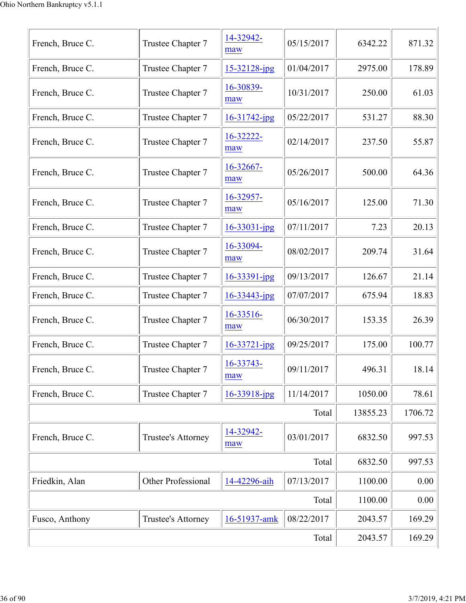| French, Bruce C. | Trustee Chapter 7  | 14-32942-<br>maw      | 05/15/2017 | 6342.22  | 871.32  |
|------------------|--------------------|-----------------------|------------|----------|---------|
| French, Bruce C. | Trustee Chapter 7  | 15-32128-jpg          | 01/04/2017 | 2975.00  | 178.89  |
| French, Bruce C. | Trustee Chapter 7  | 16-30839-<br>maw      | 10/31/2017 | 250.00   | 61.03   |
| French, Bruce C. | Trustee Chapter 7  | 16-31742-jpg          | 05/22/2017 | 531.27   | 88.30   |
| French, Bruce C. | Trustee Chapter 7  | 16-32222-<br>maw      | 02/14/2017 | 237.50   | 55.87   |
| French, Bruce C. | Trustee Chapter 7  | $16 - 32667 -$<br>maw | 05/26/2017 | 500.00   | 64.36   |
| French, Bruce C. | Trustee Chapter 7  | 16-32957-<br>maw      | 05/16/2017 | 125.00   | 71.30   |
| French, Bruce C. | Trustee Chapter 7  | 16-33031-jpg          | 07/11/2017 | 7.23     | 20.13   |
| French, Bruce C. | Trustee Chapter 7  | 16-33094-<br>maw      | 08/02/2017 | 209.74   | 31.64   |
| French, Bruce C. | Trustee Chapter 7  | 16-33391-jpg          | 09/13/2017 | 126.67   | 21.14   |
| French, Bruce C. | Trustee Chapter 7  | 16-33443-jpg          | 07/07/2017 | 675.94   | 18.83   |
| French, Bruce C. | Trustee Chapter 7  | 16-33516-<br>maw      | 06/30/2017 | 153.35   | 26.39   |
| French, Bruce C. | Trustee Chapter 7  | $16 - 33721 - ipg$    | 09/25/2017 | 175.00   | 100.77  |
| French, Bruce C. | Trustee Chapter 7  | 16-33743-<br>maw      | 09/11/2017 | 496.31   | 18.14   |
| French, Bruce C. | Trustee Chapter 7  | $16 - 33918$ -jpg     | 11/14/2017 | 1050.00  | 78.61   |
|                  |                    |                       | Total      | 13855.23 | 1706.72 |
| French, Bruce C. | Trustee's Attorney | 14-32942-<br>maw      | 03/01/2017 | 6832.50  | 997.53  |
|                  |                    |                       | Total      | 6832.50  | 997.53  |
| Friedkin, Alan   | Other Professional | 14-42296-aih          | 07/13/2017 | 1100.00  | 0.00    |
|                  |                    |                       | Total      | 1100.00  | 0.00    |
| Fusco, Anthony   | Trustee's Attorney | 16-51937-amk          | 08/22/2017 | 2043.57  | 169.29  |
|                  | 2043.57            | 169.29                |            |          |         |
|                  |                    |                       |            |          |         |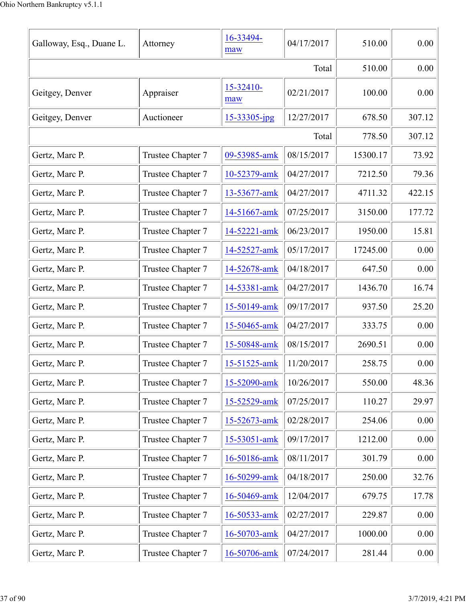| Galloway, Esq., Duane L. | Attorney          | 16-33494-<br>maw | 04/17/2017 | 510.00   | 0.00   |
|--------------------------|-------------------|------------------|------------|----------|--------|
|                          |                   |                  | Total      | 510.00   | 0.00   |
| Geitgey, Denver          | Appraiser         | 15-32410-<br>maw | 02/21/2017 | 100.00   | 0.00   |
| Geitgey, Denver          | Auctioneer        | 15-33305-jpg     | 12/27/2017 | 678.50   | 307.12 |
|                          |                   |                  | Total      | 778.50   | 307.12 |
| Gertz, Marc P.           | Trustee Chapter 7 | 09-53985-amk     | 08/15/2017 | 15300.17 | 73.92  |
| Gertz, Marc P.           | Trustee Chapter 7 | 10-52379-amk     | 04/27/2017 | 7212.50  | 79.36  |
| Gertz, Marc P.           | Trustee Chapter 7 | 13-53677-amk     | 04/27/2017 | 4711.32  | 422.15 |
| Gertz, Marc P.           | Trustee Chapter 7 | 14-51667-amk     | 07/25/2017 | 3150.00  | 177.72 |
| Gertz, Marc P.           | Trustee Chapter 7 | 14-52221-amk     | 06/23/2017 | 1950.00  | 15.81  |
| Gertz, Marc P.           | Trustee Chapter 7 | 14-52527-amk     | 05/17/2017 | 17245.00 | 0.00   |
| Gertz, Marc P.           | Trustee Chapter 7 | 14-52678-amk     | 04/18/2017 | 647.50   | 0.00   |
| Gertz, Marc P.           | Trustee Chapter 7 | 14-53381-amk     | 04/27/2017 | 1436.70  | 16.74  |
| Gertz, Marc P.           | Trustee Chapter 7 | 15-50149-amk     | 09/17/2017 | 937.50   | 25.20  |
| Gertz, Marc P.           | Trustee Chapter 7 | 15-50465-amk     | 04/27/2017 | 333.75   | 0.00   |
| Gertz, Marc P.           | Trustee Chapter 7 | 15-50848-amk     | 08/15/2017 | 2690.51  | 0.00   |
| Gertz, Marc P.           | Trustee Chapter 7 | 15-51525-amk     | 11/20/2017 | 258.75   | 0.00   |
| Gertz, Marc P.           | Trustee Chapter 7 | 15-52090-amk     | 10/26/2017 | 550.00   | 48.36  |
| Gertz, Marc P.           | Trustee Chapter 7 | 15-52529-amk     | 07/25/2017 | 110.27   | 29.97  |
| Gertz, Marc P.           | Trustee Chapter 7 | 15-52673-amk     | 02/28/2017 | 254.06   | 0.00   |
| Gertz, Marc P.           | Trustee Chapter 7 | 15-53051-amk     | 09/17/2017 | 1212.00  | 0.00   |
| Gertz, Marc P.           | Trustee Chapter 7 | 16-50186-amk     | 08/11/2017 | 301.79   | 0.00   |
| Gertz, Marc P.           | Trustee Chapter 7 | 16-50299-amk     | 04/18/2017 | 250.00   | 32.76  |
| Gertz, Marc P.           | Trustee Chapter 7 | 16-50469-amk     | 12/04/2017 | 679.75   | 17.78  |
| Gertz, Marc P.           | Trustee Chapter 7 | 16-50533-amk     | 02/27/2017 | 229.87   | 0.00   |
| Gertz, Marc P.           | Trustee Chapter 7 | 16-50703-amk     | 04/27/2017 | 1000.00  | 0.00   |
| Gertz, Marc P.           | Trustee Chapter 7 | 16-50706-amk     | 07/24/2017 | 281.44   | 0.00   |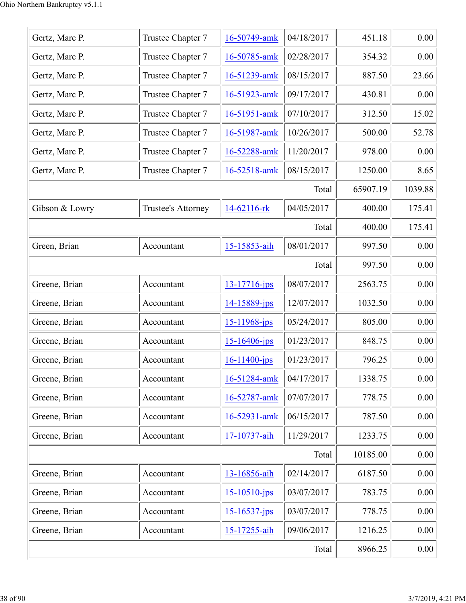| Gertz, Marc P. | Trustee Chapter 7  | 16-50749-amk       | 04/18/2017 | 451.18   | 0.00    |
|----------------|--------------------|--------------------|------------|----------|---------|
| Gertz, Marc P. | Trustee Chapter 7  | 16-50785-amk       | 02/28/2017 | 354.32   | 0.00    |
| Gertz, Marc P. | Trustee Chapter 7  | 16-51239-amk       | 08/15/2017 | 887.50   | 23.66   |
| Gertz, Marc P. | Trustee Chapter 7  | 16-51923-amk       | 09/17/2017 | 430.81   | 0.00    |
| Gertz, Marc P. | Trustee Chapter 7  | 16-51951-amk       | 07/10/2017 | 312.50   | 15.02   |
| Gertz, Marc P. | Trustee Chapter 7  | 16-51987-amk       | 10/26/2017 | 500.00   | 52.78   |
| Gertz, Marc P. | Trustee Chapter 7  | 16-52288-amk       | 11/20/2017 | 978.00   | 0.00    |
| Gertz, Marc P. | Trustee Chapter 7  | 16-52518-amk       | 08/15/2017 | 1250.00  | 8.65    |
|                |                    |                    | Total      | 65907.19 | 1039.88 |
| Gibson & Lowry | Trustee's Attorney | 14-62116-rk        | 04/05/2017 | 400.00   | 175.41  |
|                |                    |                    | Total      | 400.00   | 175.41  |
| Green, Brian   | Accountant         | 15-15853-aih       | 08/01/2017 | 997.50   | 0.00    |
|                |                    |                    | Total      | 997.50   | 0.00    |
| Greene, Brian  | Accountant         | 13-17716-jps       | 08/07/2017 | 2563.75  | 0.00    |
| Greene, Brian  | Accountant         | 14-15889-jps       | 12/07/2017 | 1032.50  | 0.00    |
| Greene, Brian  | Accountant         | $15 - 11968$ -jps  | 05/24/2017 | 805.00   | 0.00    |
| Greene, Brian  | Accountant         | $15 - 16406$ -jps  | 01/23/2017 | 848.75   | 0.00    |
| Greene, Brian  | Accountant         | $16 - 11400 - ips$ | 01/23/2017 | 796.25   | 0.00    |
| Greene, Brian  | Accountant         | 16-51284-amk       | 04/17/2017 | 1338.75  | 0.00    |
| Greene, Brian  | Accountant         | 16-52787-amk       | 07/07/2017 | 778.75   | 0.00    |
| Greene, Brian  | Accountant         | 16-52931-amk       | 06/15/2017 | 787.50   | 0.00    |
| Greene, Brian  | Accountant         | 17-10737-aih       | 11/29/2017 | 1233.75  | 0.00    |
|                |                    |                    | Total      | 10185.00 | 0.00    |
| Greene, Brian  | Accountant         | 13-16856-aih       | 02/14/2017 | 6187.50  | 0.00    |
| Greene, Brian  | Accountant         | $15 - 10510 - ips$ | 03/07/2017 | 783.75   | 0.00    |
| Greene, Brian  | Accountant         | $15 - 16537 - jps$ | 03/07/2017 | 778.75   | 0.00    |
| Greene, Brian  | Accountant         | 15-17255-aih       | 09/06/2017 | 1216.25  | 0.00    |
|                | 8966.25            | 0.00               |            |          |         |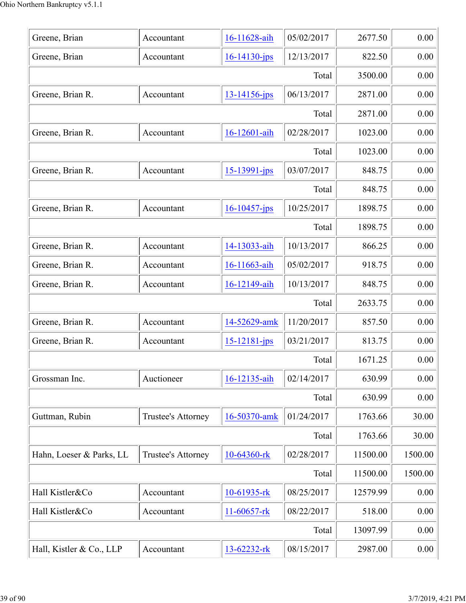| Greene, Brian            | Accountant         | 16-11628-aih       | 05/02/2017 | 2677.50  | 0.00    |
|--------------------------|--------------------|--------------------|------------|----------|---------|
| Greene, Brian            | Accountant         | $16 - 14130$ -jps  | 12/13/2017 | 822.50   | 0.00    |
|                          | Total              |                    |            |          |         |
| Greene, Brian R.         | Accountant         | $13 - 14156$ -jps  | 06/13/2017 | 2871.00  | 0.00    |
|                          |                    |                    | Total      | 2871.00  | 0.00    |
| Greene, Brian R.         | Accountant         | 16-12601-aih       | 02/28/2017 | 1023.00  | 0.00    |
|                          |                    |                    | Total      | 1023.00  | 0.00    |
| Greene, Brian R.         | Accountant         | $15 - 13991 - jps$ | 03/07/2017 | 848.75   | 0.00    |
|                          |                    |                    | Total      | 848.75   | 0.00    |
| Greene, Brian R.         | Accountant         | $16 - 10457$ -jps  | 10/25/2017 | 1898.75  | 0.00    |
|                          |                    |                    | Total      | 1898.75  | 0.00    |
| Greene, Brian R.         | Accountant         | 14-13033-aih       | 10/13/2017 | 866.25   | 0.00    |
| Greene, Brian R.         | Accountant         | 16-11663-aih       | 05/02/2017 | 918.75   | 0.00    |
| Greene, Brian R.         | Accountant         | 16-12149-aih       | 10/13/2017 | 848.75   | 0.00    |
|                          |                    |                    | Total      | 2633.75  | 0.00    |
| Greene, Brian R.         | Accountant         | 14-52629-amk       | 11/20/2017 | 857.50   | 0.00    |
| Greene, Brian R.         | Accountant         | $15 - 12181 - ips$ | 03/21/2017 | 813.75   | 0.00    |
|                          |                    |                    | Total      | 1671.25  | 0.00    |
| Grossman Inc.            | Auctioneer         | 16-12135-aih       | 02/14/2017 | 630.99   | 0.00    |
|                          |                    |                    | Total      | 630.99   | 0.00    |
| Guttman, Rubin           | Trustee's Attorney | 16-50370-amk       | 01/24/2017 | 1763.66  | 30.00   |
|                          |                    |                    | Total      | 1763.66  | 30.00   |
| Hahn, Loeser & Parks, LL | Trustee's Attorney | 10-64360-rk        | 02/28/2017 | 11500.00 | 1500.00 |
|                          |                    |                    | Total      | 11500.00 | 1500.00 |
| Hall Kistler&Co          | Accountant         | 10-61935-rk        | 08/25/2017 | 12579.99 | 0.00    |
| Hall Kistler&Co          | Accountant         | 11-60657-rk        | 08/22/2017 | 518.00   | 0.00    |
|                          |                    |                    | Total      | 13097.99 | 0.00    |
| Hall, Kistler & Co., LLP | Accountant         | 13-62232-rk        | 08/15/2017 | 2987.00  | 0.00    |
|                          |                    |                    |            |          |         |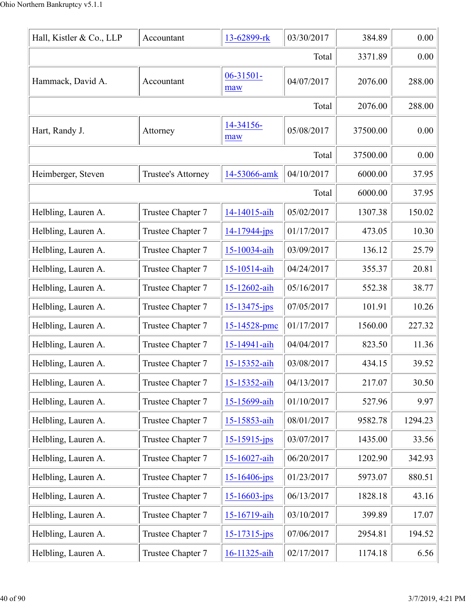| Hall, Kistler & Co., LLP | Accountant         | 13-62899-rk        | 03/30/2017 | 384.89   | 0.00    |
|--------------------------|--------------------|--------------------|------------|----------|---------|
|                          |                    |                    | Total      | 3371.89  | 0.00    |
| Hammack, David A.        | Accountant         | 06-31501-<br>maw   | 04/07/2017 | 2076.00  | 288.00  |
|                          |                    |                    | Total      | 2076.00  | 288.00  |
| Hart, Randy J.           | Attorney           | 14-34156-<br>maw   | 05/08/2017 | 37500.00 | 0.00    |
|                          |                    |                    | Total      | 37500.00 | 0.00    |
| Heimberger, Steven       | Trustee's Attorney | 14-53066-amk       | 04/10/2017 | 6000.00  | 37.95   |
|                          |                    |                    | Total      | 6000.00  | 37.95   |
| Helbling, Lauren A.      | Trustee Chapter 7  | 14-14015-aih       | 05/02/2017 | 1307.38  | 150.02  |
| Helbling, Lauren A.      | Trustee Chapter 7  | 14-17944-jps       | 01/17/2017 | 473.05   | 10.30   |
| Helbling, Lauren A.      | Trustee Chapter 7  | 15-10034-aih       | 03/09/2017 | 136.12   | 25.79   |
| Helbling, Lauren A.      | Trustee Chapter 7  | 15-10514-aih       | 04/24/2017 | 355.37   | 20.81   |
| Helbling, Lauren A.      | Trustee Chapter 7  | 15-12602-aih       | 05/16/2017 | 552.38   | 38.77   |
| Helbling, Lauren A.      | Trustee Chapter 7  | 15-13475-jps       | 07/05/2017 | 101.91   | 10.26   |
| Helbling, Lauren A.      | Trustee Chapter 7  | 15-14528-pmc       | 01/17/2017 | 1560.00  | 227.32  |
| Helbling, Lauren A.      | Trustee Chapter 7  | 15-14941-aih       | 04/04/2017 | 823.50   | 11.36   |
| Helbling, Lauren A.      | Trustee Chapter 7  | 15-15352-aih       | 03/08/2017 | 434.15   | 39.52   |
| Helbling, Lauren A.      | Trustee Chapter 7  | 15-15352-aih       | 04/13/2017 | 217.07   | 30.50   |
| Helbling, Lauren A.      | Trustee Chapter 7  | 15-15699-aih       | 01/10/2017 | 527.96   | 9.97    |
| Helbling, Lauren A.      | Trustee Chapter 7  | 15-15853-aih       | 08/01/2017 | 9582.78  | 1294.23 |
| Helbling, Lauren A.      | Trustee Chapter 7  | $15 - 15915$ -jps  | 03/07/2017 | 1435.00  | 33.56   |
| Helbling, Lauren A.      | Trustee Chapter 7  | 15-16027-aih       | 06/20/2017 | 1202.90  | 342.93  |
| Helbling, Lauren A.      | Trustee Chapter 7  | 15-16406-jps       | 01/23/2017 | 5973.07  | 880.51  |
| Helbling, Lauren A.      | Trustee Chapter 7  | $15 - 16603 - ips$ | 06/13/2017 | 1828.18  | 43.16   |
| Helbling, Lauren A.      | Trustee Chapter 7  | 15-16719-aih       | 03/10/2017 | 399.89   | 17.07   |
| Helbling, Lauren A.      | Trustee Chapter 7  | 15-17315-jps       | 07/06/2017 | 2954.81  | 194.52  |
| Helbling, Lauren A.      | Trustee Chapter 7  | 16-11325-aih       | 02/17/2017 | 1174.18  | 6.56    |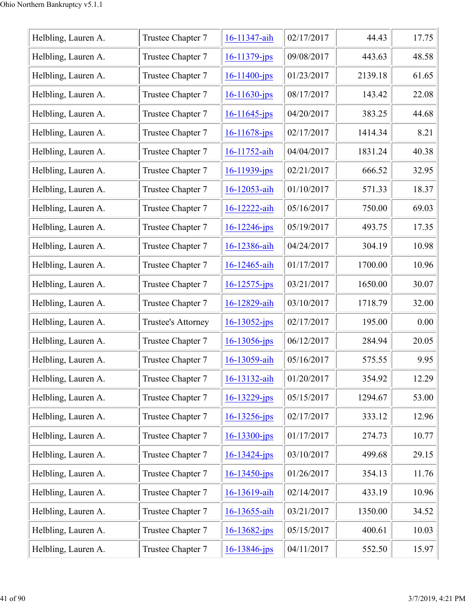| Helbling, Lauren A. | Trustee Chapter 7  | 16-11347-aih       | 02/17/2017 | 44.43   | 17.75 |
|---------------------|--------------------|--------------------|------------|---------|-------|
| Helbling, Lauren A. | Trustee Chapter 7  | $16 - 11379$ -jps  | 09/08/2017 | 443.63  | 48.58 |
| Helbling, Lauren A. | Trustee Chapter 7  | $16 - 11400 - ips$ | 01/23/2017 | 2139.18 | 61.65 |
| Helbling, Lauren A. | Trustee Chapter 7  | $16 - 11630$ -jps  | 08/17/2017 | 143.42  | 22.08 |
| Helbling, Lauren A. | Trustee Chapter 7  | $16 - 11645$ -jps  | 04/20/2017 | 383.25  | 44.68 |
| Helbling, Lauren A. | Trustee Chapter 7  | $16 - 11678$ -jps  | 02/17/2017 | 1414.34 | 8.21  |
| Helbling, Lauren A. | Trustee Chapter 7  | 16-11752-aih       | 04/04/2017 | 1831.24 | 40.38 |
| Helbling, Lauren A. | Trustee Chapter 7  | 16-11939-jps       | 02/21/2017 | 666.52  | 32.95 |
| Helbling, Lauren A. | Trustee Chapter 7  | 16-12053-aih       | 01/10/2017 | 571.33  | 18.37 |
| Helbling, Lauren A. | Trustee Chapter 7  | 16-12222-aih       | 05/16/2017 | 750.00  | 69.03 |
| Helbling, Lauren A. | Trustee Chapter 7  | $16 - 12246$ -jps  | 05/19/2017 | 493.75  | 17.35 |
| Helbling, Lauren A. | Trustee Chapter 7  | 16-12386-aih       | 04/24/2017 | 304.19  | 10.98 |
| Helbling, Lauren A. | Trustee Chapter 7  | 16-12465-aih       | 01/17/2017 | 1700.00 | 10.96 |
| Helbling, Lauren A. | Trustee Chapter 7  | 16-12575-jps       | 03/21/2017 | 1650.00 | 30.07 |
| Helbling, Lauren A. | Trustee Chapter 7  | 16-12829-aih       | 03/10/2017 | 1718.79 | 32.00 |
| Helbling, Lauren A. | Trustee's Attorney | $16 - 13052$ -jps  | 02/17/2017 | 195.00  | 0.00  |
| Helbling, Lauren A. | Trustee Chapter 7  | $16 - 13056$ -jps  | 06/12/2017 | 284.94  | 20.05 |
| Helbling, Lauren A. | Trustee Chapter 7  | 16-13059-aih       | 05/16/2017 | 575.55  | 9.95  |
| Helbling, Lauren A. | Trustee Chapter 7  | 16-13132-aih       | 01/20/2017 | 354.92  | 12.29 |
| Helbling, Lauren A. | Trustee Chapter 7  | $16 - 13229$ -jps  | 05/15/2017 | 1294.67 | 53.00 |
| Helbling, Lauren A. | Trustee Chapter 7  | $16 - 13256 - ips$ | 02/17/2017 | 333.12  | 12.96 |
| Helbling, Lauren A. | Trustee Chapter 7  | $16 - 13300 - ips$ | 01/17/2017 | 274.73  | 10.77 |
| Helbling, Lauren A. | Trustee Chapter 7  | $16 - 13424 - ips$ | 03/10/2017 | 499.68  | 29.15 |
| Helbling, Lauren A. | Trustee Chapter 7  | $16 - 13450 - ips$ | 01/26/2017 | 354.13  | 11.76 |
| Helbling, Lauren A. | Trustee Chapter 7  | 16-13619-aih       | 02/14/2017 | 433.19  | 10.96 |
| Helbling, Lauren A. | Trustee Chapter 7  | 16-13655-aih       | 03/21/2017 | 1350.00 | 34.52 |
| Helbling, Lauren A. | Trustee Chapter 7  | $16 - 13682 - ips$ | 05/15/2017 | 400.61  | 10.03 |
| Helbling, Lauren A. | Trustee Chapter 7  | 16-13846-jps       | 04/11/2017 | 552.50  | 15.97 |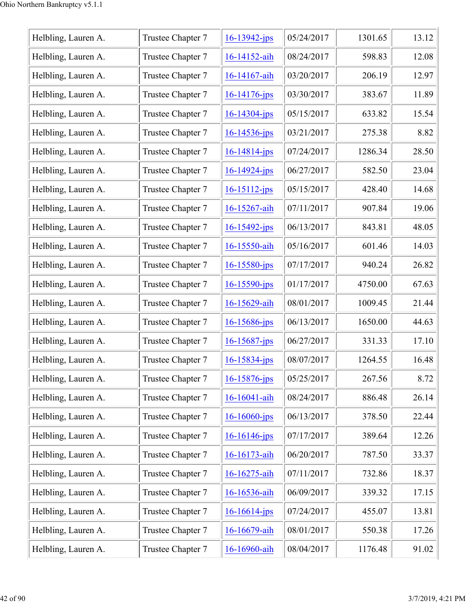| Helbling, Lauren A. | Trustee Chapter 7 | $16 - 13942$ -jps  | 05/24/2017 | 1301.65 | 13.12 |
|---------------------|-------------------|--------------------|------------|---------|-------|
| Helbling, Lauren A. | Trustee Chapter 7 | 16-14152-aih       | 08/24/2017 | 598.83  | 12.08 |
| Helbling, Lauren A. | Trustee Chapter 7 | 16-14167-aih       | 03/20/2017 | 206.19  | 12.97 |
| Helbling, Lauren A. | Trustee Chapter 7 | $16 - 14176$ -jps  | 03/30/2017 | 383.67  | 11.89 |
| Helbling, Lauren A. | Trustee Chapter 7 | $16 - 14304$ -jps  | 05/15/2017 | 633.82  | 15.54 |
| Helbling, Lauren A. | Trustee Chapter 7 | 16-14536-jps       | 03/21/2017 | 275.38  | 8.82  |
| Helbling, Lauren A. | Trustee Chapter 7 | $16 - 14814$ -jps  | 07/24/2017 | 1286.34 | 28.50 |
| Helbling, Lauren A. | Trustee Chapter 7 | $16 - 14924$ -jps  | 06/27/2017 | 582.50  | 23.04 |
| Helbling, Lauren A. | Trustee Chapter 7 | $16 - 15112 - ips$ | 05/15/2017 | 428.40  | 14.68 |
| Helbling, Lauren A. | Trustee Chapter 7 | 16-15267-aih       | 07/11/2017 | 907.84  | 19.06 |
| Helbling, Lauren A. | Trustee Chapter 7 | $16 - 15492$ -jps  | 06/13/2017 | 843.81  | 48.05 |
| Helbling, Lauren A. | Trustee Chapter 7 | 16-15550-aih       | 05/16/2017 | 601.46  | 14.03 |
| Helbling, Lauren A. | Trustee Chapter 7 | $16 - 15580 - ips$ | 07/17/2017 | 940.24  | 26.82 |
| Helbling, Lauren A. | Trustee Chapter 7 | 16-15590-jps       | 01/17/2017 | 4750.00 | 67.63 |
| Helbling, Lauren A. | Trustee Chapter 7 | 16-15629-aih       | 08/01/2017 | 1009.45 | 21.44 |
| Helbling, Lauren A. | Trustee Chapter 7 | $16 - 15686$ -jps  | 06/13/2017 | 1650.00 | 44.63 |
| Helbling, Lauren A. | Trustee Chapter 7 | $16 - 15687$ -jps  | 06/27/2017 | 331.33  | 17.10 |
| Helbling, Lauren A. | Trustee Chapter 7 | $16 - 15834 - ips$ | 08/07/2017 | 1264.55 | 16.48 |
| Helbling, Lauren A. | Trustee Chapter 7 | $16 - 15876$ -jps  | 05/25/2017 | 267.56  | 8.72  |
| Helbling, Lauren A. | Trustee Chapter 7 | 16-16041-aih       | 08/24/2017 | 886.48  | 26.14 |
| Helbling, Lauren A. | Trustee Chapter 7 | $16 - 16060 - ips$ | 06/13/2017 | 378.50  | 22.44 |
| Helbling, Lauren A. | Trustee Chapter 7 | $16 - 16146$ -jps  | 07/17/2017 | 389.64  | 12.26 |
| Helbling, Lauren A. | Trustee Chapter 7 | 16-16173-aih       | 06/20/2017 | 787.50  | 33.37 |
| Helbling, Lauren A. | Trustee Chapter 7 | 16-16275-aih       | 07/11/2017 | 732.86  | 18.37 |
| Helbling, Lauren A. | Trustee Chapter 7 | 16-16536-aih       | 06/09/2017 | 339.32  | 17.15 |
| Helbling, Lauren A. | Trustee Chapter 7 | $16 - 16614$ -jps  | 07/24/2017 | 455.07  | 13.81 |
| Helbling, Lauren A. | Trustee Chapter 7 | 16-16679-aih       | 08/01/2017 | 550.38  | 17.26 |
| Helbling, Lauren A. | Trustee Chapter 7 | 16-16960-aih       | 08/04/2017 | 1176.48 | 91.02 |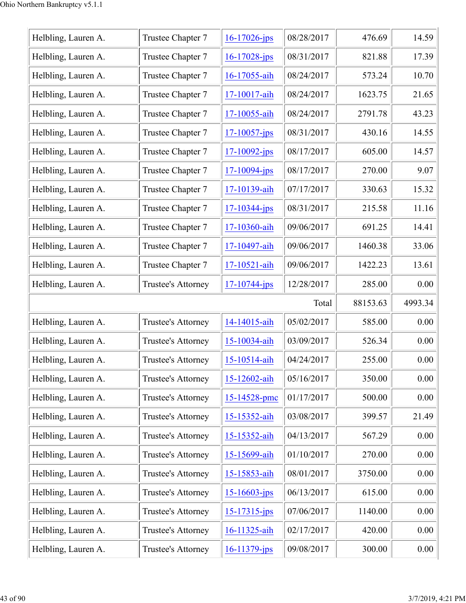| Helbling, Lauren A. | Trustee Chapter 7  | $16 - 17026$ -jps  | 08/28/2017 | 476.69   | 14.59   |
|---------------------|--------------------|--------------------|------------|----------|---------|
| Helbling, Lauren A. | Trustee Chapter 7  | 16-17028-jps       | 08/31/2017 | 821.88   | 17.39   |
| Helbling, Lauren A. | Trustee Chapter 7  | 16-17055-aih       | 08/24/2017 | 573.24   | 10.70   |
| Helbling, Lauren A. | Trustee Chapter 7  | 17-10017-aih       | 08/24/2017 | 1623.75  | 21.65   |
| Helbling, Lauren A. | Trustee Chapter 7  | 17-10055-aih       | 08/24/2017 | 2791.78  | 43.23   |
| Helbling, Lauren A. | Trustee Chapter 7  | $17 - 10057 - ips$ | 08/31/2017 | 430.16   | 14.55   |
| Helbling, Lauren A. | Trustee Chapter 7  | $17 - 10092 - ips$ | 08/17/2017 | 605.00   | 14.57   |
| Helbling, Lauren A. | Trustee Chapter 7  | $17 - 10094$ -jps  | 08/17/2017 | 270.00   | 9.07    |
| Helbling, Lauren A. | Trustee Chapter 7  | 17-10139-aih       | 07/17/2017 | 330.63   | 15.32   |
| Helbling, Lauren A. | Trustee Chapter 7  | $17 - 10344 - jps$ | 08/31/2017 | 215.58   | 11.16   |
| Helbling, Lauren A. | Trustee Chapter 7  | 17-10360-aih       | 09/06/2017 | 691.25   | 14.41   |
| Helbling, Lauren A. | Trustee Chapter 7  | 17-10497-aih       | 09/06/2017 | 1460.38  | 33.06   |
| Helbling, Lauren A. | Trustee Chapter 7  | 17-10521-aih       | 09/06/2017 | 1422.23  | 13.61   |
|                     | Trustee's Attorney |                    | 12/28/2017 | 285.00   | 0.00    |
| Helbling, Lauren A. |                    | $17 - 10744 - jps$ |            |          |         |
|                     |                    |                    | Total      | 88153.63 | 4993.34 |
| Helbling, Lauren A. | Trustee's Attorney | 14-14015-aih       | 05/02/2017 | 585.00   | 0.00    |
| Helbling, Lauren A. | Trustee's Attorney | 15-10034-aih       | 03/09/2017 | 526.34   | 0.00    |
| Helbling, Lauren A. | Trustee's Attorney | 15-10514-aih       | 04/24/2017 | 255.00   | 0.00    |
| Helbling, Lauren A. | Trustee's Attorney | 15-12602-aih       | 05/16/2017 | 350.00   | 0.00    |
| Helbling, Lauren A. | Trustee's Attorney | 15-14528-pmc       | 01/17/2017 | 500.00   | 0.00    |
| Helbling, Lauren A. | Trustee's Attorney | 15-15352-aih       | 03/08/2017 | 399.57   | 21.49   |
| Helbling, Lauren A. | Trustee's Attorney | 15-15352-aih       | 04/13/2017 | 567.29   | 0.00    |
| Helbling, Lauren A. | Trustee's Attorney | 15-15699-aih       | 01/10/2017 | 270.00   | 0.00    |
| Helbling, Lauren A. | Trustee's Attorney | 15-15853-aih       | 08/01/2017 | 3750.00  | 0.00    |
| Helbling, Lauren A. | Trustee's Attorney | $15 - 16603 - ips$ | 06/13/2017 | 615.00   | 0.00    |
| Helbling, Lauren A. | Trustee's Attorney | $15 - 17315 - jps$ | 07/06/2017 | 1140.00  | 0.00    |
| Helbling, Lauren A. | Trustee's Attorney | 16-11325-aih       | 02/17/2017 | 420.00   | 0.00    |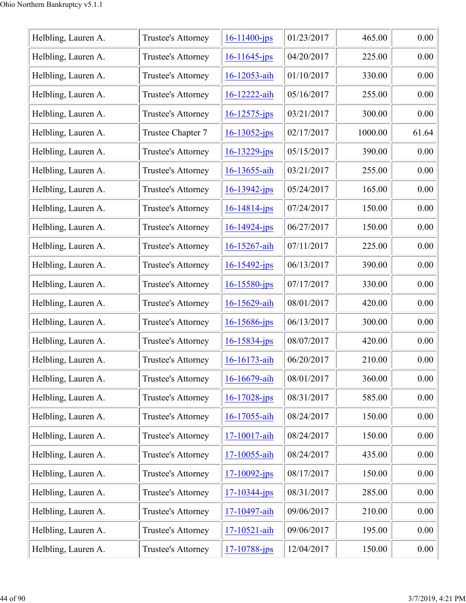| 01/23/2017<br>465.00<br>0.00<br>Helbling, Lauren A.<br>$16 - 11400 - ips$<br>Trustee's Attorney<br>Helbling, Lauren A.<br>04/20/2017<br>0.00<br>Trustee's Attorney<br>225.00<br>$16 - 11645$ -jps<br>01/10/2017<br>0.00<br>Helbling, Lauren A.<br>16-12053-aih<br>330.00<br>Trustee's Attorney<br>Helbling, Lauren A.<br>05/16/2017<br>255.00<br>0.00<br>Trustee's Attorney<br>16-12222-aih<br>Helbling, Lauren A.<br>03/21/2017<br>300.00<br>0.00<br>Trustee's Attorney<br>$16 - 12575 - ips$<br>Helbling, Lauren A.<br>Trustee Chapter 7<br>02/17/2017<br>1000.00<br>$16 - 13052 - ips$<br>61.64<br>05/15/2017<br>0.00<br>Helbling, Lauren A.<br>Trustee's Attorney<br>390.00<br>$16 - 13229 - jps$<br>03/21/2017<br>255.00<br>0.00<br>Helbling, Lauren A.<br>Trustee's Attorney<br>16-13655-aih<br>05/24/2017<br>165.00<br>0.00<br>Helbling, Lauren A.<br>Trustee's Attorney<br>$16 - 13942 - ips$<br>Helbling, Lauren A.<br>07/24/2017<br>150.00<br>0.00<br>Trustee's Attorney<br>$16 - 14814 - ips$<br>06/27/2017<br>Helbling, Lauren A.<br>Trustee's Attorney<br>150.00<br>0.00<br>$16 - 14924 - jps$<br>07/11/2017<br>Helbling, Lauren A.<br>Trustee's Attorney<br>225.00<br>0.00<br>16-15267-aih<br>Helbling, Lauren A.<br>06/13/2017<br>Trustee's Attorney<br>0.00<br>$16 - 15492 - ips$<br>390.00<br>Helbling, Lauren A.<br>Trustee's Attorney<br>$16 - 15580 - jps$<br>07/17/2017<br>0.00<br>330.00<br>Helbling, Lauren A.<br>08/01/2017<br>420.00<br>0.00<br>Trustee's Attorney<br>16-15629-aih<br>Helbling, Lauren A.<br>Trustee's Attorney<br>06/13/2017<br>300.00<br>0.00<br>$16 - 15686$ -jps<br>Helbling, Lauren A.<br>Trustee's Attorney<br>08/07/2017<br>420.00<br>0.00<br>$16 - 15834 - jps$<br>06/20/2017<br>0.00<br>Helbling, Lauren A.<br>210.00<br>Trustee's Attorney<br>16-16173-aih<br>08/01/2017<br>360.00<br>0.00<br>Helbling, Lauren A.<br>16-16679-aih<br>Trustee's Attorney<br>Helbling, Lauren A.<br>08/31/2017<br>0.00<br>Trustee's Attorney<br>$16 - 17028$ -jps<br>585.00<br>Helbling, Lauren A.<br>08/24/2017<br>150.00<br>0.00<br>Trustee's Attorney<br>16-17055-aih<br>Helbling, Lauren A.<br>08/24/2017<br>150.00<br>0.00<br>Trustee's Attorney<br>17-10017-aih<br>Helbling, Lauren A.<br>08/24/2017<br>435.00<br>0.00<br>Trustee's Attorney<br>17-10055-aih<br>08/17/2017<br>0.00<br>Helbling, Lauren A.<br>Trustee's Attorney<br>150.00<br>17-10092-jps<br>Helbling, Lauren A.<br>08/31/2017<br>285.00<br>0.00<br>Trustee's Attorney<br>$17 - 10344 - jps$<br>09/06/2017<br>0.00<br>210.00<br>Helbling, Lauren A.<br>Trustee's Attorney<br>17-10497-aih<br>09/06/2017<br>Helbling, Lauren A.<br>195.00<br>0.00<br>Trustee's Attorney<br>17-10521-aih<br>12/04/2017<br>150.00<br>0.00<br>Helbling, Lauren A.<br>Trustee's Attorney<br>17-10788-jps |  |  |  |
|--------------------------------------------------------------------------------------------------------------------------------------------------------------------------------------------------------------------------------------------------------------------------------------------------------------------------------------------------------------------------------------------------------------------------------------------------------------------------------------------------------------------------------------------------------------------------------------------------------------------------------------------------------------------------------------------------------------------------------------------------------------------------------------------------------------------------------------------------------------------------------------------------------------------------------------------------------------------------------------------------------------------------------------------------------------------------------------------------------------------------------------------------------------------------------------------------------------------------------------------------------------------------------------------------------------------------------------------------------------------------------------------------------------------------------------------------------------------------------------------------------------------------------------------------------------------------------------------------------------------------------------------------------------------------------------------------------------------------------------------------------------------------------------------------------------------------------------------------------------------------------------------------------------------------------------------------------------------------------------------------------------------------------------------------------------------------------------------------------------------------------------------------------------------------------------------------------------------------------------------------------------------------------------------------------------------------------------------------------------------------------------------------------------------------------------------------------------------------------------------------------------------------------------------------------------------------------------------------------------------------------------------------------------------------------------------------------------------------------------------------------------------------------------------|--|--|--|
|                                                                                                                                                                                                                                                                                                                                                                                                                                                                                                                                                                                                                                                                                                                                                                                                                                                                                                                                                                                                                                                                                                                                                                                                                                                                                                                                                                                                                                                                                                                                                                                                                                                                                                                                                                                                                                                                                                                                                                                                                                                                                                                                                                                                                                                                                                                                                                                                                                                                                                                                                                                                                                                                                                                                                                                            |  |  |  |
|                                                                                                                                                                                                                                                                                                                                                                                                                                                                                                                                                                                                                                                                                                                                                                                                                                                                                                                                                                                                                                                                                                                                                                                                                                                                                                                                                                                                                                                                                                                                                                                                                                                                                                                                                                                                                                                                                                                                                                                                                                                                                                                                                                                                                                                                                                                                                                                                                                                                                                                                                                                                                                                                                                                                                                                            |  |  |  |
|                                                                                                                                                                                                                                                                                                                                                                                                                                                                                                                                                                                                                                                                                                                                                                                                                                                                                                                                                                                                                                                                                                                                                                                                                                                                                                                                                                                                                                                                                                                                                                                                                                                                                                                                                                                                                                                                                                                                                                                                                                                                                                                                                                                                                                                                                                                                                                                                                                                                                                                                                                                                                                                                                                                                                                                            |  |  |  |
|                                                                                                                                                                                                                                                                                                                                                                                                                                                                                                                                                                                                                                                                                                                                                                                                                                                                                                                                                                                                                                                                                                                                                                                                                                                                                                                                                                                                                                                                                                                                                                                                                                                                                                                                                                                                                                                                                                                                                                                                                                                                                                                                                                                                                                                                                                                                                                                                                                                                                                                                                                                                                                                                                                                                                                                            |  |  |  |
|                                                                                                                                                                                                                                                                                                                                                                                                                                                                                                                                                                                                                                                                                                                                                                                                                                                                                                                                                                                                                                                                                                                                                                                                                                                                                                                                                                                                                                                                                                                                                                                                                                                                                                                                                                                                                                                                                                                                                                                                                                                                                                                                                                                                                                                                                                                                                                                                                                                                                                                                                                                                                                                                                                                                                                                            |  |  |  |
|                                                                                                                                                                                                                                                                                                                                                                                                                                                                                                                                                                                                                                                                                                                                                                                                                                                                                                                                                                                                                                                                                                                                                                                                                                                                                                                                                                                                                                                                                                                                                                                                                                                                                                                                                                                                                                                                                                                                                                                                                                                                                                                                                                                                                                                                                                                                                                                                                                                                                                                                                                                                                                                                                                                                                                                            |  |  |  |
|                                                                                                                                                                                                                                                                                                                                                                                                                                                                                                                                                                                                                                                                                                                                                                                                                                                                                                                                                                                                                                                                                                                                                                                                                                                                                                                                                                                                                                                                                                                                                                                                                                                                                                                                                                                                                                                                                                                                                                                                                                                                                                                                                                                                                                                                                                                                                                                                                                                                                                                                                                                                                                                                                                                                                                                            |  |  |  |
|                                                                                                                                                                                                                                                                                                                                                                                                                                                                                                                                                                                                                                                                                                                                                                                                                                                                                                                                                                                                                                                                                                                                                                                                                                                                                                                                                                                                                                                                                                                                                                                                                                                                                                                                                                                                                                                                                                                                                                                                                                                                                                                                                                                                                                                                                                                                                                                                                                                                                                                                                                                                                                                                                                                                                                                            |  |  |  |
|                                                                                                                                                                                                                                                                                                                                                                                                                                                                                                                                                                                                                                                                                                                                                                                                                                                                                                                                                                                                                                                                                                                                                                                                                                                                                                                                                                                                                                                                                                                                                                                                                                                                                                                                                                                                                                                                                                                                                                                                                                                                                                                                                                                                                                                                                                                                                                                                                                                                                                                                                                                                                                                                                                                                                                                            |  |  |  |
|                                                                                                                                                                                                                                                                                                                                                                                                                                                                                                                                                                                                                                                                                                                                                                                                                                                                                                                                                                                                                                                                                                                                                                                                                                                                                                                                                                                                                                                                                                                                                                                                                                                                                                                                                                                                                                                                                                                                                                                                                                                                                                                                                                                                                                                                                                                                                                                                                                                                                                                                                                                                                                                                                                                                                                                            |  |  |  |
|                                                                                                                                                                                                                                                                                                                                                                                                                                                                                                                                                                                                                                                                                                                                                                                                                                                                                                                                                                                                                                                                                                                                                                                                                                                                                                                                                                                                                                                                                                                                                                                                                                                                                                                                                                                                                                                                                                                                                                                                                                                                                                                                                                                                                                                                                                                                                                                                                                                                                                                                                                                                                                                                                                                                                                                            |  |  |  |
|                                                                                                                                                                                                                                                                                                                                                                                                                                                                                                                                                                                                                                                                                                                                                                                                                                                                                                                                                                                                                                                                                                                                                                                                                                                                                                                                                                                                                                                                                                                                                                                                                                                                                                                                                                                                                                                                                                                                                                                                                                                                                                                                                                                                                                                                                                                                                                                                                                                                                                                                                                                                                                                                                                                                                                                            |  |  |  |
|                                                                                                                                                                                                                                                                                                                                                                                                                                                                                                                                                                                                                                                                                                                                                                                                                                                                                                                                                                                                                                                                                                                                                                                                                                                                                                                                                                                                                                                                                                                                                                                                                                                                                                                                                                                                                                                                                                                                                                                                                                                                                                                                                                                                                                                                                                                                                                                                                                                                                                                                                                                                                                                                                                                                                                                            |  |  |  |
|                                                                                                                                                                                                                                                                                                                                                                                                                                                                                                                                                                                                                                                                                                                                                                                                                                                                                                                                                                                                                                                                                                                                                                                                                                                                                                                                                                                                                                                                                                                                                                                                                                                                                                                                                                                                                                                                                                                                                                                                                                                                                                                                                                                                                                                                                                                                                                                                                                                                                                                                                                                                                                                                                                                                                                                            |  |  |  |
|                                                                                                                                                                                                                                                                                                                                                                                                                                                                                                                                                                                                                                                                                                                                                                                                                                                                                                                                                                                                                                                                                                                                                                                                                                                                                                                                                                                                                                                                                                                                                                                                                                                                                                                                                                                                                                                                                                                                                                                                                                                                                                                                                                                                                                                                                                                                                                                                                                                                                                                                                                                                                                                                                                                                                                                            |  |  |  |
|                                                                                                                                                                                                                                                                                                                                                                                                                                                                                                                                                                                                                                                                                                                                                                                                                                                                                                                                                                                                                                                                                                                                                                                                                                                                                                                                                                                                                                                                                                                                                                                                                                                                                                                                                                                                                                                                                                                                                                                                                                                                                                                                                                                                                                                                                                                                                                                                                                                                                                                                                                                                                                                                                                                                                                                            |  |  |  |
|                                                                                                                                                                                                                                                                                                                                                                                                                                                                                                                                                                                                                                                                                                                                                                                                                                                                                                                                                                                                                                                                                                                                                                                                                                                                                                                                                                                                                                                                                                                                                                                                                                                                                                                                                                                                                                                                                                                                                                                                                                                                                                                                                                                                                                                                                                                                                                                                                                                                                                                                                                                                                                                                                                                                                                                            |  |  |  |
|                                                                                                                                                                                                                                                                                                                                                                                                                                                                                                                                                                                                                                                                                                                                                                                                                                                                                                                                                                                                                                                                                                                                                                                                                                                                                                                                                                                                                                                                                                                                                                                                                                                                                                                                                                                                                                                                                                                                                                                                                                                                                                                                                                                                                                                                                                                                                                                                                                                                                                                                                                                                                                                                                                                                                                                            |  |  |  |
|                                                                                                                                                                                                                                                                                                                                                                                                                                                                                                                                                                                                                                                                                                                                                                                                                                                                                                                                                                                                                                                                                                                                                                                                                                                                                                                                                                                                                                                                                                                                                                                                                                                                                                                                                                                                                                                                                                                                                                                                                                                                                                                                                                                                                                                                                                                                                                                                                                                                                                                                                                                                                                                                                                                                                                                            |  |  |  |
|                                                                                                                                                                                                                                                                                                                                                                                                                                                                                                                                                                                                                                                                                                                                                                                                                                                                                                                                                                                                                                                                                                                                                                                                                                                                                                                                                                                                                                                                                                                                                                                                                                                                                                                                                                                                                                                                                                                                                                                                                                                                                                                                                                                                                                                                                                                                                                                                                                                                                                                                                                                                                                                                                                                                                                                            |  |  |  |
|                                                                                                                                                                                                                                                                                                                                                                                                                                                                                                                                                                                                                                                                                                                                                                                                                                                                                                                                                                                                                                                                                                                                                                                                                                                                                                                                                                                                                                                                                                                                                                                                                                                                                                                                                                                                                                                                                                                                                                                                                                                                                                                                                                                                                                                                                                                                                                                                                                                                                                                                                                                                                                                                                                                                                                                            |  |  |  |
|                                                                                                                                                                                                                                                                                                                                                                                                                                                                                                                                                                                                                                                                                                                                                                                                                                                                                                                                                                                                                                                                                                                                                                                                                                                                                                                                                                                                                                                                                                                                                                                                                                                                                                                                                                                                                                                                                                                                                                                                                                                                                                                                                                                                                                                                                                                                                                                                                                                                                                                                                                                                                                                                                                                                                                                            |  |  |  |
|                                                                                                                                                                                                                                                                                                                                                                                                                                                                                                                                                                                                                                                                                                                                                                                                                                                                                                                                                                                                                                                                                                                                                                                                                                                                                                                                                                                                                                                                                                                                                                                                                                                                                                                                                                                                                                                                                                                                                                                                                                                                                                                                                                                                                                                                                                                                                                                                                                                                                                                                                                                                                                                                                                                                                                                            |  |  |  |
|                                                                                                                                                                                                                                                                                                                                                                                                                                                                                                                                                                                                                                                                                                                                                                                                                                                                                                                                                                                                                                                                                                                                                                                                                                                                                                                                                                                                                                                                                                                                                                                                                                                                                                                                                                                                                                                                                                                                                                                                                                                                                                                                                                                                                                                                                                                                                                                                                                                                                                                                                                                                                                                                                                                                                                                            |  |  |  |
|                                                                                                                                                                                                                                                                                                                                                                                                                                                                                                                                                                                                                                                                                                                                                                                                                                                                                                                                                                                                                                                                                                                                                                                                                                                                                                                                                                                                                                                                                                                                                                                                                                                                                                                                                                                                                                                                                                                                                                                                                                                                                                                                                                                                                                                                                                                                                                                                                                                                                                                                                                                                                                                                                                                                                                                            |  |  |  |
|                                                                                                                                                                                                                                                                                                                                                                                                                                                                                                                                                                                                                                                                                                                                                                                                                                                                                                                                                                                                                                                                                                                                                                                                                                                                                                                                                                                                                                                                                                                                                                                                                                                                                                                                                                                                                                                                                                                                                                                                                                                                                                                                                                                                                                                                                                                                                                                                                                                                                                                                                                                                                                                                                                                                                                                            |  |  |  |
|                                                                                                                                                                                                                                                                                                                                                                                                                                                                                                                                                                                                                                                                                                                                                                                                                                                                                                                                                                                                                                                                                                                                                                                                                                                                                                                                                                                                                                                                                                                                                                                                                                                                                                                                                                                                                                                                                                                                                                                                                                                                                                                                                                                                                                                                                                                                                                                                                                                                                                                                                                                                                                                                                                                                                                                            |  |  |  |
|                                                                                                                                                                                                                                                                                                                                                                                                                                                                                                                                                                                                                                                                                                                                                                                                                                                                                                                                                                                                                                                                                                                                                                                                                                                                                                                                                                                                                                                                                                                                                                                                                                                                                                                                                                                                                                                                                                                                                                                                                                                                                                                                                                                                                                                                                                                                                                                                                                                                                                                                                                                                                                                                                                                                                                                            |  |  |  |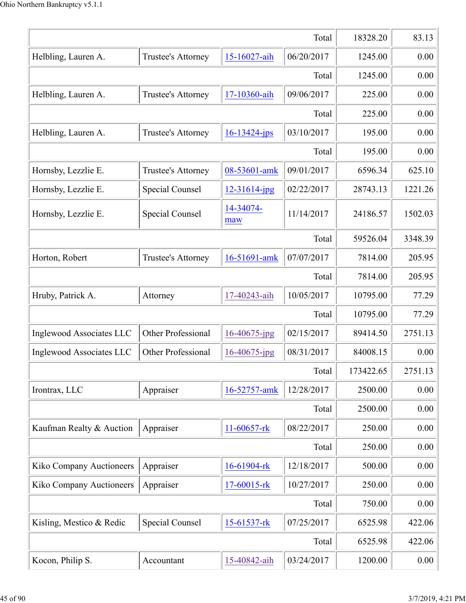|                          | 18328.20               | 83.13              |            |           |         |  |
|--------------------------|------------------------|--------------------|------------|-----------|---------|--|
| Helbling, Lauren A.      | Trustee's Attorney     | 15-16027-aih       | 06/20/2017 | 1245.00   | 0.00    |  |
|                          | Total                  |                    |            |           |         |  |
| Helbling, Lauren A.      | Trustee's Attorney     | 17-10360-aih       | 09/06/2017 | 225.00    | 0.00    |  |
|                          |                        |                    | Total      | 225.00    | 0.00    |  |
| Helbling, Lauren A.      | Trustee's Attorney     | $16 - 13424 - ips$ | 03/10/2017 | 195.00    | 0.00    |  |
|                          |                        |                    | Total      | 195.00    | 0.00    |  |
| Hornsby, Lezzlie E.      | Trustee's Attorney     | 08-53601-amk       | 09/01/2017 | 6596.34   | 625.10  |  |
| Hornsby, Lezzlie E.      | Special Counsel        | 12-31614-jpg       | 02/22/2017 | 28743.13  | 1221.26 |  |
| Hornsby, Lezzlie E.      | Special Counsel        | 14-34074-<br>maw   | 11/14/2017 | 24186.57  | 1502.03 |  |
|                          |                        |                    | Total      | 59526.04  | 3348.39 |  |
| Horton, Robert           | Trustee's Attorney     | 16-51691-amk       | 07/07/2017 | 7814.00   | 205.95  |  |
|                          |                        |                    | Total      | 7814.00   | 205.95  |  |
| Hruby, Patrick A.        | Attorney               | 17-40243-aih       | 10/05/2017 | 10795.00  | 77.29   |  |
|                          |                        |                    | Total      | 10795.00  | 77.29   |  |
| Inglewood Associates LLC | Other Professional     | 16-40675-jpg       | 02/15/2017 | 89414.50  | 2751.13 |  |
| Inglewood Associates LLC | Other Professional     | 16-40675-jpg       | 08/31/2017 | 84008.15  | 0.00    |  |
|                          |                        |                    | Total      | 173422.65 | 2751.13 |  |
| Irontrax, LLC            | Appraiser              | 16-52757-amk       | 12/28/2017 | 2500.00   | 0.00    |  |
|                          |                        |                    | Total      | 2500.00   | 0.00    |  |
| Kaufman Realty & Auction | Appraiser              | $11-60657$ -rk     | 08/22/2017 | 250.00    | 0.00    |  |
|                          |                        |                    | Total      | 250.00    | 0.00    |  |
| Kiko Company Auctioneers | Appraiser              | 16-61904-rk        | 12/18/2017 | 500.00    | 0.00    |  |
| Kiko Company Auctioneers | Appraiser              | 17-60015-rk        | 10/27/2017 | 250.00    | 0.00    |  |
|                          |                        |                    | Total      | 750.00    | 0.00    |  |
| Kisling, Mestico & Redic | <b>Special Counsel</b> | 15-61537-rk        | 07/25/2017 | 6525.98   | 422.06  |  |
|                          |                        |                    | Total      | 6525.98   | 422.06  |  |
| Kocon, Philip S.         | Accountant             | 15-40842-aih       | 03/24/2017 | 1200.00   | 0.00    |  |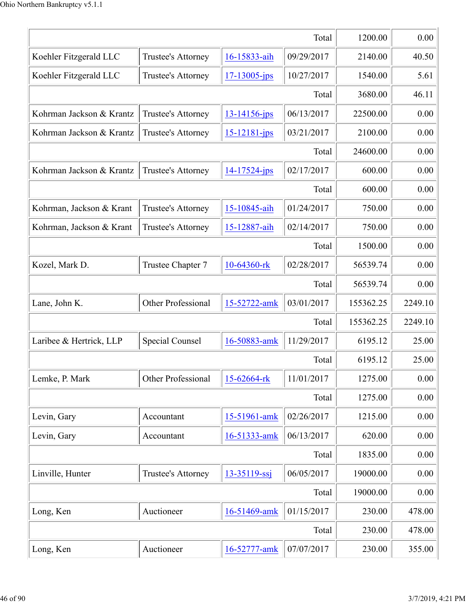|                          |                        |                    | Total      | 1200.00   | 0.00    |
|--------------------------|------------------------|--------------------|------------|-----------|---------|
| Koehler Fitzgerald LLC   | Trustee's Attorney     | 16-15833-aih       | 09/29/2017 | 2140.00   | 40.50   |
| Koehler Fitzgerald LLC   | Trustee's Attorney     | $17 - 13005 - ips$ | 10/27/2017 | 1540.00   | 5.61    |
|                          |                        |                    | Total      | 3680.00   | 46.11   |
| Kohrman Jackson & Krantz | Trustee's Attorney     | 13-14156-jps       | 06/13/2017 | 22500.00  | 0.00    |
| Kohrman Jackson & Krantz | Trustee's Attorney     | $15 - 12181 - ips$ | 03/21/2017 | 2100.00   | 0.00    |
|                          |                        |                    | Total      | 24600.00  | 0.00    |
| Kohrman Jackson & Krantz | Trustee's Attorney     | 14-17524-jps       | 02/17/2017 | 600.00    | 0.00    |
|                          |                        |                    | Total      | 600.00    | 0.00    |
| Kohrman, Jackson & Krant | Trustee's Attorney     | 15-10845-aih       | 01/24/2017 | 750.00    | 0.00    |
| Kohrman, Jackson & Krant | Trustee's Attorney     | 15-12887-aih       | 02/14/2017 | 750.00    | 0.00    |
|                          |                        |                    | Total      | 1500.00   | 0.00    |
| Kozel, Mark D.           | Trustee Chapter 7      | 10-64360-rk        | 02/28/2017 | 56539.74  | 0.00    |
|                          |                        |                    | Total      | 56539.74  | 0.00    |
| Lane, John K.            | Other Professional     | 15-52722-amk       | 03/01/2017 | 155362.25 | 2249.10 |
|                          |                        |                    | Total      | 155362.25 | 2249.10 |
| Laribee & Hertrick, LLP  | <b>Special Counsel</b> | 16-50883-amk       | 11/29/2017 | 6195.12   | 25.00   |
|                          |                        |                    | Total      | 6195.12   | 25.00   |
| Lemke, P. Mark           | Other Professional     | 15-62664-rk        | 11/01/2017 | 1275.00   | 0.00    |
|                          |                        |                    | Total      | 1275.00   | 0.00    |
| Levin, Gary              | Accountant             | 15-51961-amk       | 02/26/2017 | 1215.00   | 0.00    |
| Levin, Gary              | Accountant             | 16-51333-amk       | 06/13/2017 | 620.00    | 0.00    |
|                          |                        |                    | Total      | 1835.00   | 0.00    |
| Linville, Hunter         | Trustee's Attorney     | $13 - 35119 - ssj$ | 06/05/2017 | 19000.00  | 0.00    |
|                          |                        |                    | Total      | 19000.00  | 0.00    |
| Long, Ken                | Auctioneer             | 16-51469-amk       | 01/15/2017 | 230.00    | 478.00  |
|                          |                        |                    | Total      | 230.00    | 478.00  |
| Long, Ken                | Auctioneer             | 16-52777-amk       | 07/07/2017 | 230.00    | 355.00  |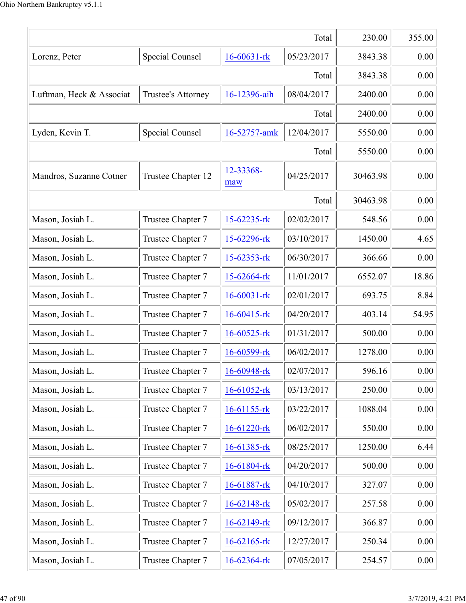|                          |                        |                   | Total      | 230.00   | 355.00 |
|--------------------------|------------------------|-------------------|------------|----------|--------|
| Lorenz, Peter            | Special Counsel        | $16 - 60631 - rk$ | 05/23/2017 | 3843.38  | 0.00   |
|                          |                        |                   | Total      | 3843.38  | 0.00   |
| Luftman, Heck & Associat | Trustee's Attorney     | 16-12396-aih      | 08/04/2017 | 2400.00  | 0.00   |
|                          |                        |                   | Total      | 2400.00  | 0.00   |
| Lyden, Kevin T.          | <b>Special Counsel</b> | 16-52757-amk      | 12/04/2017 | 5550.00  | 0.00   |
|                          |                        |                   | Total      | 5550.00  | 0.00   |
| Mandros, Suzanne Cotner  | Trustee Chapter 12     | 12-33368-<br>maw  | 04/25/2017 | 30463.98 | 0.00   |
|                          |                        |                   | Total      | 30463.98 | 0.00   |
| Mason, Josiah L.         | Trustee Chapter 7      | 15-62235-rk       | 02/02/2017 | 548.56   | 0.00   |
| Mason, Josiah L.         | Trustee Chapter 7      | 15-62296-rk       | 03/10/2017 | 1450.00  | 4.65   |
| Mason, Josiah L.         | Trustee Chapter 7      | 15-62353-rk       | 06/30/2017 | 366.66   | 0.00   |
| Mason, Josiah L.         | Trustee Chapter 7      | $15 - 62664$ -rk  | 11/01/2017 | 6552.07  | 18.86  |
| Mason, Josiah L.         | Trustee Chapter 7      | $16 - 60031 - rk$ | 02/01/2017 | 693.75   | 8.84   |
| Mason, Josiah L.         | Trustee Chapter 7      | $16 - 60415$ -rk  | 04/20/2017 | 403.14   | 54.95  |
| Mason, Josiah L.         | Trustee Chapter 7      | $16 - 60525$ -rk  | 01/31/2017 | 500.00   | 0.00   |
| Mason, Josiah L.         | Trustee Chapter 7      | $16 - 60599$ -rk  | 06/02/2017 | 1278.00  | 0.00   |
| Mason, Josiah L.         | Trustee Chapter 7      | 16-60948-rk       | 02/07/2017 | 596.16   | 0.00   |
| Mason, Josiah L.         | Trustee Chapter 7      | 16-61052-rk       | 03/13/2017 | 250.00   | 0.00   |
| Mason, Josiah L.         | Trustee Chapter 7      | $16-61155$ -rk    | 03/22/2017 | 1088.04  | 0.00   |
| Mason, Josiah L.         | Trustee Chapter 7      | 16-61220-rk       | 06/02/2017 | 550.00   | 0.00   |
| Mason, Josiah L.         | Trustee Chapter 7      | 16-61385-rk       | 08/25/2017 | 1250.00  | 6.44   |
| Mason, Josiah L.         | Trustee Chapter 7      | 16-61804-rk       | 04/20/2017 | 500.00   | 0.00   |
| Mason, Josiah L.         | Trustee Chapter 7      | 16-61887-rk       | 04/10/2017 | 327.07   | 0.00   |
| Mason, Josiah L.         | Trustee Chapter 7      | 16-62148-rk       | 05/02/2017 | 257.58   | 0.00   |
| Mason, Josiah L.         | Trustee Chapter 7      | 16-62149-rk       | 09/12/2017 | 366.87   | 0.00   |
| Mason, Josiah L.         | Trustee Chapter 7      | $16 - 62165$ -rk  | 12/27/2017 | 250.34   | 0.00   |
| Mason, Josiah L.         | Trustee Chapter 7      | 16-62364-rk       | 07/05/2017 | 254.57   | 0.00   |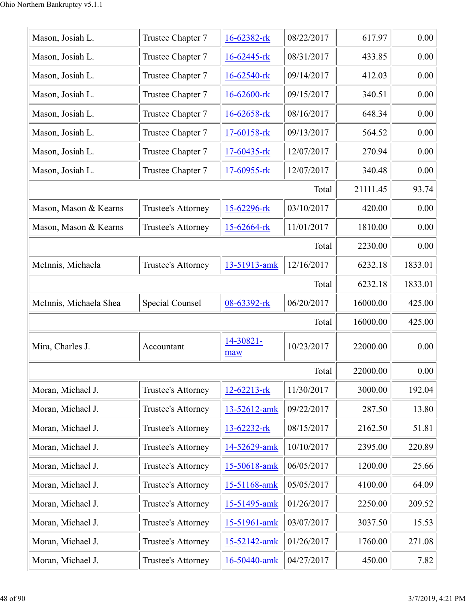| Mason, Josiah L.       | Trustee Chapter 7  | 16-62382-rk       | 08/22/2017 | 617.97   | 0.00    |
|------------------------|--------------------|-------------------|------------|----------|---------|
| Mason, Josiah L.       | Trustee Chapter 7  | 16-62445-rk       | 08/31/2017 | 433.85   | 0.00    |
| Mason, Josiah L.       | Trustee Chapter 7  | 16-62540-rk       | 09/14/2017 | 412.03   | 0.00    |
| Mason, Josiah L.       | Trustee Chapter 7  | 16-62600-rk       | 09/15/2017 | 340.51   | 0.00    |
| Mason, Josiah L.       | Trustee Chapter 7  | 16-62658-rk       | 08/16/2017 | 648.34   | 0.00    |
| Mason, Josiah L.       | Trustee Chapter 7  | 17-60158-rk       | 09/13/2017 | 564.52   | 0.00    |
| Mason, Josiah L.       | Trustee Chapter 7  | $17-60435$ -rk    | 12/07/2017 | 270.94   | 0.00    |
| Mason, Josiah L.       | Trustee Chapter 7  | $17-60955$ -rk    | 12/07/2017 | 340.48   | 0.00    |
|                        |                    |                   | Total      | 21111.45 | 93.74   |
| Mason, Mason & Kearns  | Trustee's Attorney | 15-62296-rk       | 03/10/2017 | 420.00   | 0.00    |
| Mason, Mason & Kearns  | Trustee's Attorney | 15-62664-rk       | 11/01/2017 | 1810.00  | 0.00    |
|                        |                    |                   | Total      | 2230.00  | 0.00    |
| McInnis, Michaela      | Trustee's Attorney | 13-51913-amk      | 12/16/2017 | 6232.18  | 1833.01 |
|                        |                    |                   | Total      | 6232.18  | 1833.01 |
| McInnis, Michaela Shea | Special Counsel    | 08-63392-rk       | 06/20/2017 | 16000.00 | 425.00  |
|                        |                    |                   | Total      | 16000.00 | 425.00  |
| Mira, Charles J.       | Accountant         | 14-30821-<br>maw  | 10/23/2017 | 22000.00 | 0.00    |
|                        |                    |                   | Total      | 22000.00 | 0.00    |
| Moran, Michael J.      | Trustee's Attorney | $12 - 62213 - rk$ | 11/30/2017 | 3000.00  | 192.04  |
| Moran, Michael J.      | Trustee's Attorney | 13-52612-amk      | 09/22/2017 | 287.50   | 13.80   |
| Moran, Michael J.      | Trustee's Attorney | 13-62232-rk       | 08/15/2017 | 2162.50  | 51.81   |
| Moran, Michael J.      | Trustee's Attorney | 14-52629-amk      | 10/10/2017 | 2395.00  | 220.89  |
| Moran, Michael J.      | Trustee's Attorney | 15-50618-amk      | 06/05/2017 | 1200.00  | 25.66   |
| Moran, Michael J.      | Trustee's Attorney | 15-51168-amk      | 05/05/2017 | 4100.00  | 64.09   |
| Moran, Michael J.      | Trustee's Attorney | 15-51495-amk      | 01/26/2017 | 2250.00  | 209.52  |
| Moran, Michael J.      | Trustee's Attorney | 15-51961-amk      | 03/07/2017 | 3037.50  | 15.53   |
| Moran, Michael J.      | Trustee's Attorney | 15-52142-amk      | 01/26/2017 | 1760.00  | 271.08  |
| Moran, Michael J.      | Trustee's Attorney | 16-50440-amk      | 04/27/2017 | 450.00   | 7.82    |
|                        |                    |                   |            |          |         |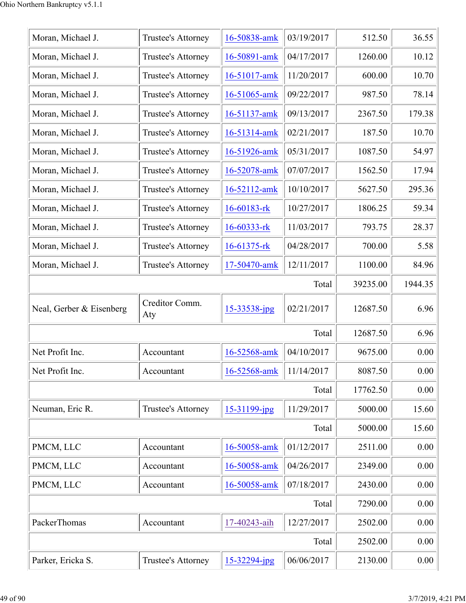| Moran, Michael J.        | Trustee's Attorney    | 16-50838-amk      | 03/19/2017 | 512.50   | 36.55    |
|--------------------------|-----------------------|-------------------|------------|----------|----------|
| Moran, Michael J.        | Trustee's Attorney    | 16-50891-amk      | 04/17/2017 | 1260.00  | 10.12    |
| Moran, Michael J.        | Trustee's Attorney    | 16-51017-amk      | 11/20/2017 | 600.00   | 10.70    |
| Moran, Michael J.        | Trustee's Attorney    | 16-51065-amk      | 09/22/2017 | 987.50   | 78.14    |
| Moran, Michael J.        | Trustee's Attorney    | 16-51137-amk      | 09/13/2017 | 2367.50  | 179.38   |
| Moran, Michael J.        | Trustee's Attorney    | 16-51314-amk      | 02/21/2017 | 187.50   | 10.70    |
| Moran, Michael J.        | Trustee's Attorney    | 16-51926-amk      | 05/31/2017 | 1087.50  | 54.97    |
| Moran, Michael J.        | Trustee's Attorney    | 16-52078-amk      | 07/07/2017 | 1562.50  | 17.94    |
| Moran, Michael J.        | Trustee's Attorney    | 16-52112-amk      | 10/10/2017 | 5627.50  | 295.36   |
| Moran, Michael J.        | Trustee's Attorney    | 16-60183-rk       | 10/27/2017 | 1806.25  | 59.34    |
| Moran, Michael J.        | Trustee's Attorney    | 16-60333-rk       | 11/03/2017 | 793.75   | 28.37    |
| Moran, Michael J.        | Trustee's Attorney    | 16-61375-rk       | 04/28/2017 | 700.00   | 5.58     |
| Moran, Michael J.        | Trustee's Attorney    | 17-50470-amk      | 12/11/2017 | 1100.00  | 84.96    |
|                          |                       |                   | Total      | 39235.00 | 1944.35  |
| Neal, Gerber & Eisenberg | Creditor Comm.<br>Aty | 15-33538-jpg      | 02/21/2017 | 12687.50 | 6.96     |
|                          |                       |                   | Total      | 12687.50 | 6.96     |
| Net Profit Inc.          | Accountant            | 16-52568-amk      | 04/10/2017 | 9675.00  | 0.00     |
| Net Profit Inc.          | Accountant            | 16-52568-amk      | 11/14/2017 | 8087.50  | 0.00     |
|                          |                       |                   | Total      | 17762.50 | 0.00     |
| Neuman, Eric R.          | Trustee's Attorney    | 15-31199-jpg      | 11/29/2017 | 5000.00  | 15.60    |
|                          |                       |                   | Total      | 5000.00  | 15.60    |
| PMCM, LLC                | Accountant            | 16-50058-amk      | 01/12/2017 | 2511.00  | 0.00     |
| PMCM, LLC                | Accountant            | 16-50058-amk      | 04/26/2017 | 2349.00  | 0.00     |
| PMCM, LLC                | Accountant            | 16-50058-amk      | 07/18/2017 | 2430.00  | 0.00     |
|                          |                       |                   | Total      | 7290.00  | 0.00     |
| PackerThomas             | Accountant            | 17-40243-aih      | 12/27/2017 | 2502.00  | 0.00     |
|                          |                       |                   | Total      | 2502.00  | 0.00     |
| Parker, Ericka S.        | Trustee's Attorney    | $15 - 32294$ -jpg | 06/06/2017 | 2130.00  | $0.00\,$ |
|                          |                       |                   |            |          |          |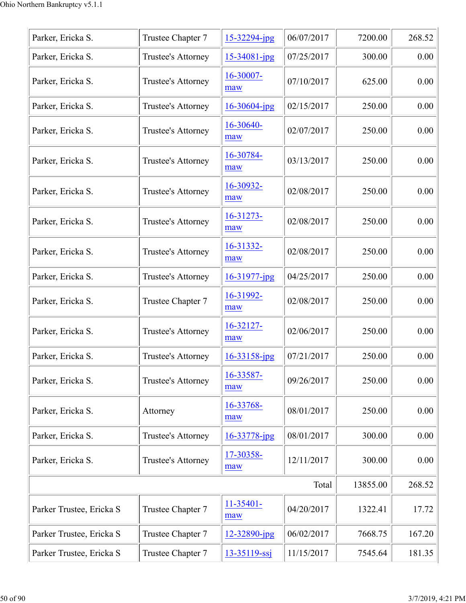| Parker, Ericka S.        | Trustee Chapter 7  | 15-32294-jpg       | 06/07/2017 | 7200.00 | 268.52 |
|--------------------------|--------------------|--------------------|------------|---------|--------|
| Parker, Ericka S.        | Trustee's Attorney | 15-34081-jpg       | 07/25/2017 | 300.00  | 0.00   |
| Parker, Ericka S.        | Trustee's Attorney | 16-30007-<br>maw   | 07/10/2017 | 625.00  | 0.00   |
| Parker, Ericka S.        | Trustee's Attorney | $16 - 30604$ -jpg  | 02/15/2017 | 250.00  | 0.00   |
| Parker, Ericka S.        | Trustee's Attorney | 16-30640-<br>maw   | 02/07/2017 | 250.00  | 0.00   |
| Parker, Ericka S.        | Trustee's Attorney | 16-30784-<br>maw   | 03/13/2017 | 250.00  | 0.00   |
| Parker, Ericka S.        | Trustee's Attorney | 16-30932-<br>maw   | 02/08/2017 | 250.00  | 0.00   |
| Parker, Ericka S.        | Trustee's Attorney | 16-31273-<br>maw   | 02/08/2017 | 250.00  | 0.00   |
| Parker, Ericka S.        | Trustee's Attorney | 16-31332-<br>maw   | 02/08/2017 | 250.00  | 0.00   |
| Parker, Ericka S.        | Trustee's Attorney | 16-31977-jpg       | 04/25/2017 | 250.00  | 0.00   |
| Parker, Ericka S.        | Trustee Chapter 7  | 16-31992-<br>maw   | 02/08/2017 | 250.00  | 0.00   |
| Parker, Ericka S.        | Trustee's Attorney | 16-32127-<br>maw   | 02/06/2017 | 250.00  | 0.00   |
| Parker, Ericka S.        | Trustee's Attorney | 16-33158-jpg       | 07/21/2017 | 250.00  | 0.00   |
| Parker, Ericka S.        | Trustee's Attorney | 16-33587-<br>maw   | 09/26/2017 | 250.00  | 0.00   |
| Parker, Ericka S.        | Attorney           | 16-33768-<br>maw   | 08/01/2017 | 250.00  | 0.00   |
| Parker, Ericka S.        | Trustee's Attorney | $16 - 33778$ -jpg  | 08/01/2017 | 300.00  | 0.00   |
| Parker, Ericka S.        | Trustee's Attorney | 17-30358-<br>maw   | 12/11/2017 | 300.00  | 0.00   |
|                          | Total              | 13855.00           | 268.52     |         |        |
| Parker Trustee, Ericka S | Trustee Chapter 7  | $11-35401-$<br>maw | 04/20/2017 | 1322.41 | 17.72  |
| Parker Trustee, Ericka S | Trustee Chapter 7  | 12-32890-jpg       | 06/02/2017 | 7668.75 | 167.20 |
| Parker Trustee, Ericka S | Trustee Chapter 7  | $13 - 35119 - ssj$ | 11/15/2017 | 7545.64 | 181.35 |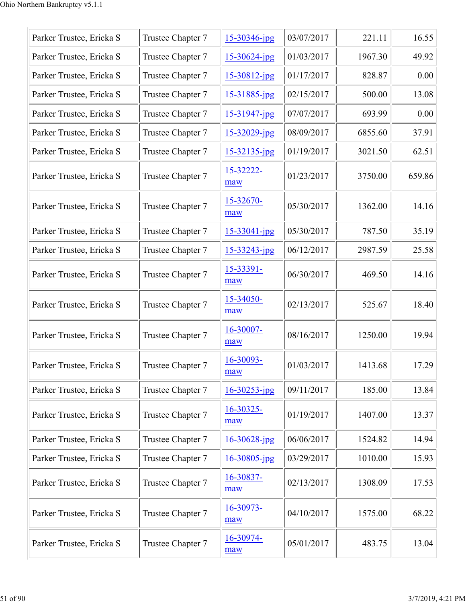| Parker Trustee, Ericka S | Trustee Chapter 7 | $15 - 30346$ -jpg | 03/07/2017 | 221.11  | 16.55  |
|--------------------------|-------------------|-------------------|------------|---------|--------|
| Parker Trustee, Ericka S | Trustee Chapter 7 | 15-30624-jpg      | 01/03/2017 | 1967.30 | 49.92  |
| Parker Trustee, Ericka S | Trustee Chapter 7 | $15 - 30812$ -jpg | 01/17/2017 | 828.87  | 0.00   |
| Parker Trustee, Ericka S | Trustee Chapter 7 | 15-31885-jpg      | 02/15/2017 | 500.00  | 13.08  |
| Parker Trustee, Ericka S | Trustee Chapter 7 | $15 - 31947$ -jpg | 07/07/2017 | 693.99  | 0.00   |
| Parker Trustee, Ericka S | Trustee Chapter 7 | $15 - 32029$ -jpg | 08/09/2017 | 6855.60 | 37.91  |
| Parker Trustee, Ericka S | Trustee Chapter 7 | $15 - 32135$ -jpg | 01/19/2017 | 3021.50 | 62.51  |
| Parker Trustee, Ericka S | Trustee Chapter 7 | 15-32222-<br>maw  | 01/23/2017 | 3750.00 | 659.86 |
| Parker Trustee, Ericka S | Trustee Chapter 7 | 15-32670-<br>maw  | 05/30/2017 | 1362.00 | 14.16  |
| Parker Trustee, Ericka S | Trustee Chapter 7 | 15-33041-jpg      | 05/30/2017 | 787.50  | 35.19  |
| Parker Trustee, Ericka S | Trustee Chapter 7 | 15-33243-jpg      | 06/12/2017 | 2987.59 | 25.58  |
| Parker Trustee, Ericka S | Trustee Chapter 7 | 15-33391-<br>maw  | 06/30/2017 | 469.50  | 14.16  |
| Parker Trustee, Ericka S | Trustee Chapter 7 | 15-34050-<br>maw  | 02/13/2017 | 525.67  | 18.40  |
| Parker Trustee, Ericka S | Trustee Chapter 7 | 16-30007-<br>maw  | 08/16/2017 | 1250.00 | 19.94  |
| Parker Trustee, Ericka S | Trustee Chapter 7 | 16-30093-<br>maw  | 01/03/2017 | 1413.68 | 17.29  |
| Parker Trustee, Ericka S | Trustee Chapter 7 | $16 - 30253$ -jpg | 09/11/2017 | 185.00  | 13.84  |
| Parker Trustee, Ericka S | Trustee Chapter 7 | 16-30325-<br>maw  | 01/19/2017 | 1407.00 | 13.37  |
| Parker Trustee, Ericka S | Trustee Chapter 7 | $16 - 30628$ -jpg | 06/06/2017 | 1524.82 | 14.94  |
| Parker Trustee, Ericka S | Trustee Chapter 7 | $16 - 30805$ -jpg | 03/29/2017 | 1010.00 | 15.93  |
| Parker Trustee, Ericka S | Trustee Chapter 7 | 16-30837-<br>maw  | 02/13/2017 | 1308.09 | 17.53  |
| Parker Trustee, Ericka S | Trustee Chapter 7 | 16-30973-<br>maw  | 04/10/2017 | 1575.00 | 68.22  |
| Parker Trustee, Ericka S | Trustee Chapter 7 | 16-30974-<br>maw  | 05/01/2017 | 483.75  | 13.04  |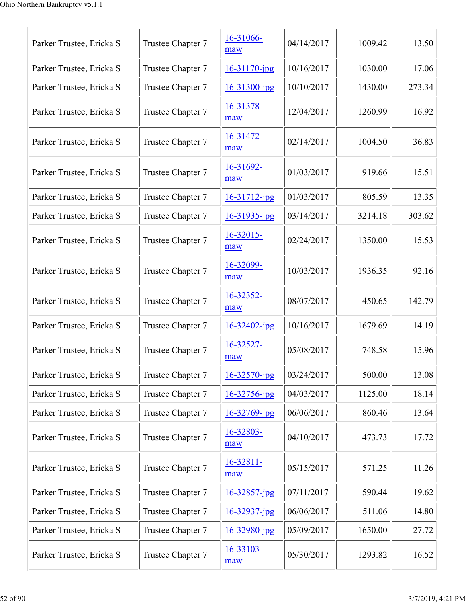| Parker Trustee, Ericka S | Trustee Chapter 7 | 16-31066-<br>maw    | 04/14/2017 | 1009.42 | 13.50  |
|--------------------------|-------------------|---------------------|------------|---------|--------|
| Parker Trustee, Ericka S | Trustee Chapter 7 | $16 - 31170$ -jpg   | 10/16/2017 | 1030.00 | 17.06  |
| Parker Trustee, Ericka S | Trustee Chapter 7 | $16 - 31300 - ipg$  | 10/10/2017 | 1430.00 | 273.34 |
| Parker Trustee, Ericka S | Trustee Chapter 7 | 16-31378-<br>maw    | 12/04/2017 | 1260.99 | 16.92  |
| Parker Trustee, Ericka S | Trustee Chapter 7 | 16-31472-<br>maw    | 02/14/2017 | 1004.50 | 36.83  |
| Parker Trustee, Ericka S | Trustee Chapter 7 | 16-31692-<br>maw    | 01/03/2017 | 919.66  | 15.51  |
| Parker Trustee, Ericka S | Trustee Chapter 7 | $16 - 31712$ -jpg   | 01/03/2017 | 805.59  | 13.35  |
| Parker Trustee, Ericka S | Trustee Chapter 7 | $16 - 31935$ -jpg   | 03/14/2017 | 3214.18 | 303.62 |
| Parker Trustee, Ericka S | Trustee Chapter 7 | $16 - 32015$<br>maw | 02/24/2017 | 1350.00 | 15.53  |
| Parker Trustee, Ericka S | Trustee Chapter 7 | 16-32099-<br>maw    | 10/03/2017 | 1936.35 | 92.16  |
| Parker Trustee, Ericka S | Trustee Chapter 7 | 16-32352-<br>maw    | 08/07/2017 | 450.65  | 142.79 |
| Parker Trustee, Ericka S | Trustee Chapter 7 | $16 - 32402$ -jpg   | 10/16/2017 | 1679.69 | 14.19  |
| Parker Trustee, Ericka S | Trustee Chapter 7 | 16-32527-<br>maw    | 05/08/2017 | 748.58  | 15.96  |
| Parker Trustee, Ericka S | Trustee Chapter 7 | $16 - 32570$ -jpg   | 03/24/2017 | 500.00  | 13.08  |
| Parker Trustee, Ericka S | Trustee Chapter 7 | 16-32756-jpg        | 04/03/2017 | 1125.00 | 18.14  |
| Parker Trustee, Ericka S | Trustee Chapter 7 | 16-32769-jpg        | 06/06/2017 | 860.46  | 13.64  |
| Parker Trustee, Ericka S | Trustee Chapter 7 | 16-32803-<br>maw    | 04/10/2017 | 473.73  | 17.72  |
| Parker Trustee, Ericka S | Trustee Chapter 7 | 16-32811-<br>maw    | 05/15/2017 | 571.25  | 11.26  |
| Parker Trustee, Ericka S | Trustee Chapter 7 | $16 - 32857$ -jpg   | 07/11/2017 | 590.44  | 19.62  |
| Parker Trustee, Ericka S | Trustee Chapter 7 | $16 - 32937$ -jpg   | 06/06/2017 | 511.06  | 14.80  |
| Parker Trustee, Ericka S | Trustee Chapter 7 | $16 - 32980$ -jpg   | 05/09/2017 | 1650.00 | 27.72  |
| Parker Trustee, Ericka S | Trustee Chapter 7 | 16-33103-<br>maw    | 05/30/2017 | 1293.82 | 16.52  |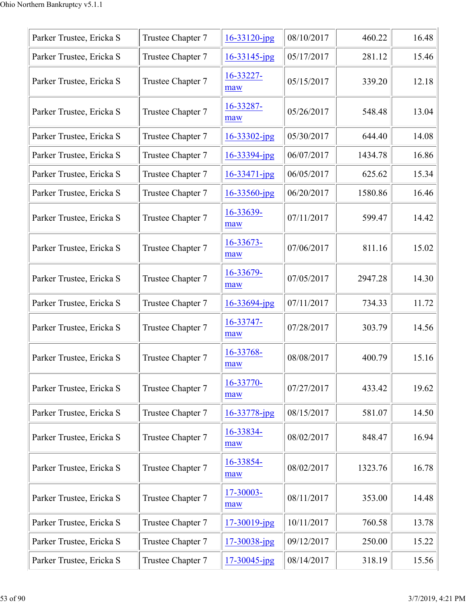| Parker Trustee, Ericka S | Trustee Chapter 7 | $16 - 33120$ -jpg  | 08/10/2017 | 460.22  | 16.48 |
|--------------------------|-------------------|--------------------|------------|---------|-------|
| Parker Trustee, Ericka S | Trustee Chapter 7 | $16 - 33145$ -jpg  | 05/17/2017 | 281.12  | 15.46 |
| Parker Trustee, Ericka S | Trustee Chapter 7 | 16-33227-<br>maw   | 05/15/2017 | 339.20  | 12.18 |
| Parker Trustee, Ericka S | Trustee Chapter 7 | 16-33287-<br>maw   | 05/26/2017 | 548.48  | 13.04 |
| Parker Trustee, Ericka S | Trustee Chapter 7 | $16 - 33302$ -jpg  | 05/30/2017 | 644.40  | 14.08 |
| Parker Trustee, Ericka S | Trustee Chapter 7 | 16-33394-jpg       | 06/07/2017 | 1434.78 | 16.86 |
| Parker Trustee, Ericka S | Trustee Chapter 7 | $16 - 33471 - ipg$ | 06/05/2017 | 625.62  | 15.34 |
| Parker Trustee, Ericka S | Trustee Chapter 7 | $16 - 33560$ -jpg  | 06/20/2017 | 1580.86 | 16.46 |
| Parker Trustee, Ericka S | Trustee Chapter 7 | 16-33639-<br>maw   | 07/11/2017 | 599.47  | 14.42 |
| Parker Trustee, Ericka S | Trustee Chapter 7 | 16-33673-<br>maw   | 07/06/2017 | 811.16  | 15.02 |
| Parker Trustee, Ericka S | Trustee Chapter 7 | 16-33679-<br>maw   | 07/05/2017 | 2947.28 | 14.30 |
| Parker Trustee, Ericka S | Trustee Chapter 7 | 16-33694-jpg       | 07/11/2017 | 734.33  | 11.72 |
| Parker Trustee, Ericka S | Trustee Chapter 7 | 16-33747-<br>maw   | 07/28/2017 | 303.79  | 14.56 |
| Parker Trustee, Ericka S | Trustee Chapter 7 | 16-33768-<br>maw   | 08/08/2017 | 400.79  | 15.16 |
| Parker Trustee, Ericka S | Trustee Chapter 7 | 16-33770-<br>maw   | 07/27/2017 | 433.42  | 19.62 |
| Parker Trustee, Ericka S | Trustee Chapter 7 | $16 - 33778$ -jpg  | 08/15/2017 | 581.07  | 14.50 |
| Parker Trustee, Ericka S | Trustee Chapter 7 | 16-33834-<br>maw   | 08/02/2017 | 848.47  | 16.94 |
| Parker Trustee, Ericka S | Trustee Chapter 7 | 16-33854-<br>maw   | 08/02/2017 | 1323.76 | 16.78 |
| Parker Trustee, Ericka S | Trustee Chapter 7 | 17-30003-<br>maw   | 08/11/2017 | 353.00  | 14.48 |
| Parker Trustee, Ericka S | Trustee Chapter 7 | $17 - 30019$ -jpg  | 10/11/2017 | 760.58  | 13.78 |
| Parker Trustee, Ericka S | Trustee Chapter 7 | 17-30038-jpg       | 09/12/2017 | 250.00  | 15.22 |
| Parker Trustee, Ericka S | Trustee Chapter 7 | $17 - 30045$ -jpg  | 08/14/2017 | 318.19  | 15.56 |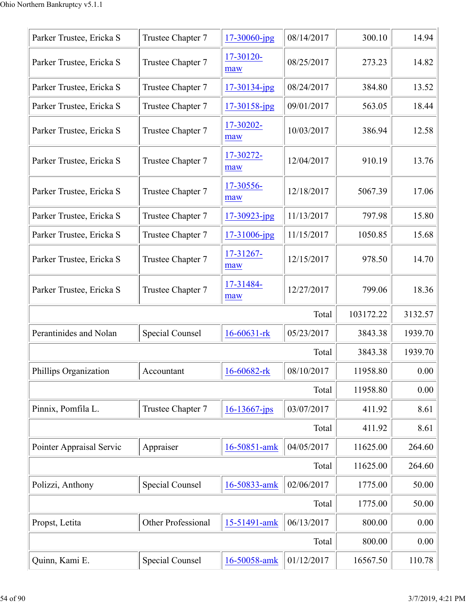| Parker Trustee, Ericka S | Trustee Chapter 7      | 17-30060-jpg       | 08/14/2017 | 300.10    | 14.94   |
|--------------------------|------------------------|--------------------|------------|-----------|---------|
| Parker Trustee, Ericka S | Trustee Chapter 7      | 17-30120-<br>maw   | 08/25/2017 | 273.23    | 14.82   |
| Parker Trustee, Ericka S | Trustee Chapter 7      | $17 - 30134 - ipg$ | 08/24/2017 | 384.80    | 13.52   |
| Parker Trustee, Ericka S | Trustee Chapter 7      | 17-30158-jpg       | 09/01/2017 | 563.05    | 18.44   |
| Parker Trustee, Ericka S | Trustee Chapter 7      | 17-30202-<br>maw   | 10/03/2017 | 386.94    | 12.58   |
| Parker Trustee, Ericka S | Trustee Chapter 7      | 17-30272-<br>maw   | 12/04/2017 | 910.19    | 13.76   |
| Parker Trustee, Ericka S | Trustee Chapter 7      | 17-30556-<br>maw   | 12/18/2017 | 5067.39   | 17.06   |
| Parker Trustee, Ericka S | Trustee Chapter 7      | $17 - 30923$ -jpg  | 11/13/2017 | 797.98    | 15.80   |
| Parker Trustee, Ericka S | Trustee Chapter 7      | 17-31006-jpg       | 11/15/2017 | 1050.85   | 15.68   |
| Parker Trustee, Ericka S | Trustee Chapter 7      | 17-31267-<br>maw   | 12/15/2017 | 978.50    | 14.70   |
| Parker Trustee, Ericka S | Trustee Chapter 7      | 17-31484-<br>maw   | 12/27/2017 | 799.06    | 18.36   |
|                          |                        |                    | Total      | 103172.22 | 3132.57 |
| Perantinides and Nolan   | Special Counsel        | $16 - 60631 - rk$  | 05/23/2017 | 3843.38   | 1939.70 |
|                          |                        |                    | Total      | 3843.38   | 1939.70 |
| Phillips Organization    | Accountant             | 16-60682-rk        | 08/10/2017 | 11958.80  | 0.00    |
|                          |                        |                    | Total      | 11958.80  | 0.00    |
| Pinnix, Pomfila L.       | Trustee Chapter 7      | $16 - 13667$ -jps  | 03/07/2017 | 411.92    | 8.61    |
|                          |                        |                    | Total      | 411.92    | 8.61    |
| Pointer Appraisal Servic | Appraiser              | 16-50851-amk       | 04/05/2017 | 11625.00  | 264.60  |
|                          |                        |                    | Total      | 11625.00  | 264.60  |
| Polizzi, Anthony         | <b>Special Counsel</b> | 16-50833-amk       | 02/06/2017 | 1775.00   | 50.00   |
|                          |                        |                    | Total      | 1775.00   | 50.00   |
| Propst, Letita           | Other Professional     | 15-51491-amk       | 06/13/2017 | 800.00    | 0.00    |
|                          |                        |                    | Total      | 800.00    | 0.00    |
| Quinn, Kami E.           | <b>Special Counsel</b> | 16-50058-amk       | 01/12/2017 | 16567.50  | 110.78  |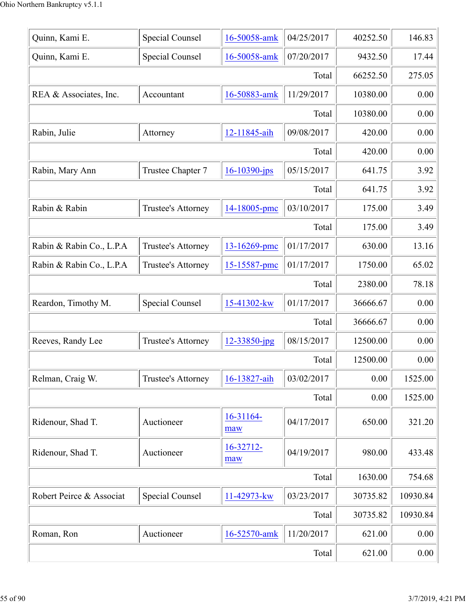| Quinn, Kami E.           | Special Counsel        | 16-50058-amk      | 04/25/2017 | 40252.50 | 146.83   |
|--------------------------|------------------------|-------------------|------------|----------|----------|
| Quinn, Kami E.           | <b>Special Counsel</b> | 16-50058-amk      | 07/20/2017 | 9432.50  | 17.44    |
|                          |                        |                   | Total      | 66252.50 | 275.05   |
| REA & Associates, Inc.   | Accountant             | 16-50883-amk      | 11/29/2017 | 10380.00 | 0.00     |
|                          |                        |                   | Total      | 10380.00 | 0.00     |
| Rabin, Julie             | Attorney               | 12-11845-aih      | 09/08/2017 | 420.00   | 0.00     |
|                          |                        |                   | Total      | 420.00   | 0.00     |
| Rabin, Mary Ann          | Trustee Chapter 7      | $16 - 10390$ -jps | 05/15/2017 | 641.75   | 3.92     |
|                          |                        |                   | Total      | 641.75   | 3.92     |
| Rabin & Rabin            | Trustee's Attorney     | 14-18005-pmc      | 03/10/2017 | 175.00   | 3.49     |
|                          |                        |                   | Total      | 175.00   | 3.49     |
| Rabin & Rabin Co., L.P.A | Trustee's Attorney     | 13-16269-pmc      | 01/17/2017 | 630.00   | 13.16    |
| Rabin & Rabin Co., L.P.A | Trustee's Attorney     | 15-15587-pmc      | 01/17/2017 | 1750.00  | 65.02    |
|                          |                        |                   | Total      | 2380.00  | 78.18    |
| Reardon, Timothy M.      | Special Counsel        | 15-41302-kw       | 01/17/2017 | 36666.67 | 0.00     |
|                          |                        |                   | Total      | 36666.67 | 0.00     |
| Reeves, Randy Lee        | Trustee's Attorney     | 12-33850-jpg      | 08/15/2017 | 12500.00 | 0.00     |
|                          |                        |                   | Total      | 12500.00 | 0.00     |
| Relman, Craig W.         | Trustee's Attorney     | 16-13827-aih      | 03/02/2017 | 0.00     | 1525.00  |
|                          |                        |                   | Total      | 0.00     | 1525.00  |
| Ridenour, Shad T.        | Auctioneer             | 16-31164-<br>maw  | 04/17/2017 | 650.00   | 321.20   |
| Ridenour, Shad T.        | Auctioneer             | 16-32712-<br>maw  | 04/19/2017 | 980.00   | 433.48   |
|                          |                        |                   | Total      | 1630.00  | 754.68   |
| Robert Peirce & Associat | <b>Special Counsel</b> | 11-42973-kw       | 03/23/2017 | 30735.82 | 10930.84 |
|                          |                        |                   | Total      | 30735.82 | 10930.84 |
| Roman, Ron               | Auctioneer             | 16-52570-amk      | 11/20/2017 | 621.00   | 0.00     |
|                          | 621.00                 | 0.00              |            |          |          |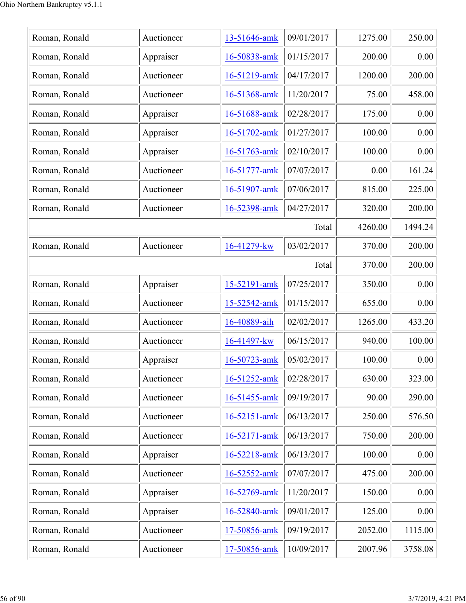| Roman, Ronald | Auctioneer | 13-51646-amk | 09/01/2017 | 1275.00 | 250.00  |
|---------------|------------|--------------|------------|---------|---------|
| Roman, Ronald | Appraiser  | 16-50838-amk | 01/15/2017 | 200.00  | 0.00    |
| Roman, Ronald | Auctioneer | 16-51219-amk | 04/17/2017 | 1200.00 | 200.00  |
| Roman, Ronald | Auctioneer | 16-51368-amk | 11/20/2017 | 75.00   | 458.00  |
| Roman, Ronald | Appraiser  | 16-51688-amk | 02/28/2017 | 175.00  | 0.00    |
| Roman, Ronald | Appraiser  | 16-51702-amk | 01/27/2017 | 100.00  | 0.00    |
| Roman, Ronald | Appraiser  | 16-51763-amk | 02/10/2017 | 100.00  | 0.00    |
| Roman, Ronald | Auctioneer | 16-51777-amk | 07/07/2017 | 0.00    | 161.24  |
| Roman, Ronald | Auctioneer | 16-51907-amk | 07/06/2017 | 815.00  | 225.00  |
| Roman, Ronald | Auctioneer | 16-52398-amk | 04/27/2017 | 320.00  | 200.00  |
|               |            |              | Total      | 4260.00 | 1494.24 |
| Roman, Ronald | Auctioneer | 16-41279-kw  | 03/02/2017 | 370.00  | 200.00  |
|               |            |              | Total      | 370.00  | 200.00  |
| Roman, Ronald | Appraiser  | 15-52191-amk | 07/25/2017 | 350.00  | 0.00    |
| Roman, Ronald | Auctioneer | 15-52542-amk | 01/15/2017 | 655.00  | 0.00    |
| Roman, Ronald | Auctioneer | 16-40889-aih | 02/02/2017 | 1265.00 | 433.20  |
| Roman, Ronald | Auctioneer | 16-41497-kw  | 06/15/2017 | 940.00  | 100.00  |
| Roman, Ronald | Appraiser  | 16-50723-amk | 05/02/2017 | 100.00  | 0.00    |
| Roman, Ronald | Auctioneer | 16-51252-amk | 02/28/2017 | 630.00  | 323.00  |
| Roman, Ronald | Auctioneer | 16-51455-amk | 09/19/2017 | 90.00   | 290.00  |
| Roman, Ronald | Auctioneer | 16-52151-amk | 06/13/2017 | 250.00  | 576.50  |
| Roman, Ronald | Auctioneer | 16-52171-amk | 06/13/2017 | 750.00  | 200.00  |
| Roman, Ronald | Appraiser  | 16-52218-amk | 06/13/2017 | 100.00  | 0.00    |
| Roman, Ronald | Auctioneer | 16-52552-amk | 07/07/2017 | 475.00  | 200.00  |
| Roman, Ronald | Appraiser  | 16-52769-amk | 11/20/2017 | 150.00  | 0.00    |
| Roman, Ronald | Appraiser  | 16-52840-amk | 09/01/2017 | 125.00  | 0.00    |
| Roman, Ronald | Auctioneer | 17-50856-amk | 09/19/2017 | 2052.00 | 1115.00 |
| Roman, Ronald | Auctioneer | 17-50856-amk | 10/09/2017 | 2007.96 | 3758.08 |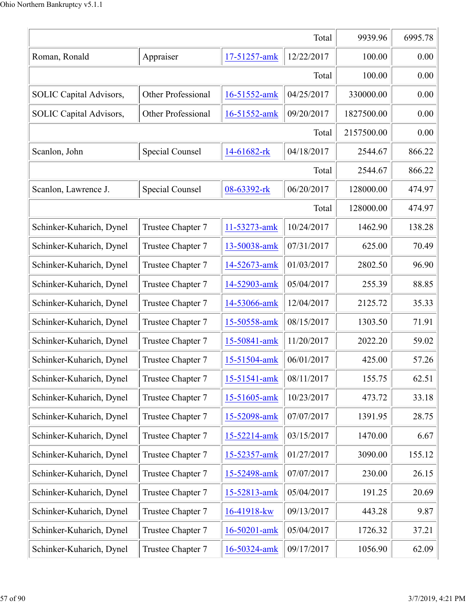|                          | Total              | 9939.96      | 6995.78    |            |        |
|--------------------------|--------------------|--------------|------------|------------|--------|
| Roman, Ronald            | Appraiser          | 17-51257-amk | 12/22/2017 | 100.00     | 0.00   |
|                          |                    |              | Total      | 100.00     | 0.00   |
| SOLIC Capital Advisors,  | Other Professional | 16-51552-amk | 04/25/2017 | 330000.00  | 0.00   |
| SOLIC Capital Advisors,  | Other Professional | 16-51552-amk | 09/20/2017 | 1827500.00 | 0.00   |
|                          |                    |              | Total      | 2157500.00 | 0.00   |
| Scanlon, John            | Special Counsel    | 14-61682-rk  | 04/18/2017 | 2544.67    | 866.22 |
|                          |                    |              | Total      | 2544.67    | 866.22 |
| Scanlon, Lawrence J.     | Special Counsel    | 08-63392-rk  | 06/20/2017 | 128000.00  | 474.97 |
|                          |                    |              | Total      | 128000.00  | 474.97 |
| Schinker-Kuharich, Dynel | Trustee Chapter 7  | 11-53273-amk | 10/24/2017 | 1462.90    | 138.28 |
| Schinker-Kuharich, Dynel | Trustee Chapter 7  | 13-50038-amk | 07/31/2017 | 625.00     | 70.49  |
| Schinker-Kuharich, Dynel | Trustee Chapter 7  | 14-52673-amk | 01/03/2017 | 2802.50    | 96.90  |
| Schinker-Kuharich, Dynel | Trustee Chapter 7  | 14-52903-amk | 05/04/2017 | 255.39     | 88.85  |
| Schinker-Kuharich, Dynel | Trustee Chapter 7  | 14-53066-amk | 12/04/2017 | 2125.72    | 35.33  |
| Schinker-Kuharich, Dynel | Trustee Chapter 7  | 15-50558-amk | 08/15/2017 | 1303.50    | 71.91  |
| Schinker-Kuharich, Dynel | Trustee Chapter 7  | 15-50841-amk | 11/20/2017 | 2022.20    | 59.02  |
| Schinker-Kuharich, Dynel | Trustee Chapter 7  | 15-51504-amk | 06/01/2017 | 425.00     | 57.26  |
| Schinker-Kuharich, Dynel | Trustee Chapter 7  | 15-51541-amk | 08/11/2017 | 155.75     | 62.51  |
| Schinker-Kuharich, Dynel | Trustee Chapter 7  | 15-51605-amk | 10/23/2017 | 473.72     | 33.18  |
| Schinker-Kuharich, Dynel | Trustee Chapter 7  | 15-52098-amk | 07/07/2017 | 1391.95    | 28.75  |
| Schinker-Kuharich, Dynel | Trustee Chapter 7  | 15-52214-amk | 03/15/2017 | 1470.00    | 6.67   |
| Schinker-Kuharich, Dynel | Trustee Chapter 7  | 15-52357-amk | 01/27/2017 | 3090.00    | 155.12 |
| Schinker-Kuharich, Dynel | Trustee Chapter 7  | 15-52498-amk | 07/07/2017 | 230.00     | 26.15  |
| Schinker-Kuharich, Dynel | Trustee Chapter 7  | 15-52813-amk | 05/04/2017 | 191.25     | 20.69  |
| Schinker-Kuharich, Dynel | Trustee Chapter 7  | 16-41918-kw  | 09/13/2017 | 443.28     | 9.87   |
| Schinker-Kuharich, Dynel | Trustee Chapter 7  | 16-50201-amk | 05/04/2017 | 1726.32    | 37.21  |
| Schinker-Kuharich, Dynel | Trustee Chapter 7  | 16-50324-amk | 09/17/2017 | 1056.90    | 62.09  |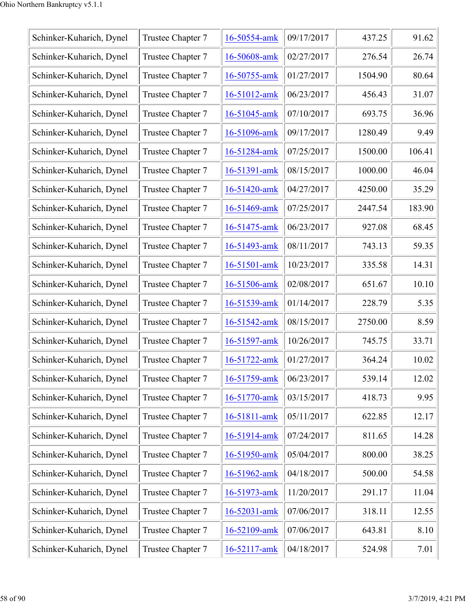| Schinker-Kuharich, Dynel | Trustee Chapter 7 | 16-50554-amk | 09/17/2017 | 437.25  | 91.62  |
|--------------------------|-------------------|--------------|------------|---------|--------|
| Schinker-Kuharich, Dynel | Trustee Chapter 7 | 16-50608-amk | 02/27/2017 | 276.54  | 26.74  |
| Schinker-Kuharich, Dynel | Trustee Chapter 7 | 16-50755-amk | 01/27/2017 | 1504.90 | 80.64  |
| Schinker-Kuharich, Dynel | Trustee Chapter 7 | 16-51012-amk | 06/23/2017 | 456.43  | 31.07  |
| Schinker-Kuharich, Dynel | Trustee Chapter 7 | 16-51045-amk | 07/10/2017 | 693.75  | 36.96  |
| Schinker-Kuharich, Dynel | Trustee Chapter 7 | 16-51096-amk | 09/17/2017 | 1280.49 | 9.49   |
| Schinker-Kuharich, Dynel | Trustee Chapter 7 | 16-51284-amk | 07/25/2017 | 1500.00 | 106.41 |
| Schinker-Kuharich, Dynel | Trustee Chapter 7 | 16-51391-amk | 08/15/2017 | 1000.00 | 46.04  |
| Schinker-Kuharich, Dynel | Trustee Chapter 7 | 16-51420-amk | 04/27/2017 | 4250.00 | 35.29  |
| Schinker-Kuharich, Dynel | Trustee Chapter 7 | 16-51469-amk | 07/25/2017 | 2447.54 | 183.90 |
| Schinker-Kuharich, Dynel | Trustee Chapter 7 | 16-51475-amk | 06/23/2017 | 927.08  | 68.45  |
| Schinker-Kuharich, Dynel | Trustee Chapter 7 | 16-51493-amk | 08/11/2017 | 743.13  | 59.35  |
| Schinker-Kuharich, Dynel | Trustee Chapter 7 | 16-51501-amk | 10/23/2017 | 335.58  | 14.31  |
| Schinker-Kuharich, Dynel | Trustee Chapter 7 | 16-51506-amk | 02/08/2017 | 651.67  | 10.10  |
| Schinker-Kuharich, Dynel | Trustee Chapter 7 | 16-51539-amk | 01/14/2017 | 228.79  | 5.35   |
| Schinker-Kuharich, Dynel | Trustee Chapter 7 | 16-51542-amk | 08/15/2017 | 2750.00 | 8.59   |
| Schinker-Kuharich, Dynel | Trustee Chapter 7 | 16-51597-amk | 10/26/2017 | 745.75  | 33.71  |
| Schinker-Kuharich, Dynel | Trustee Chapter 7 | 16-51722-amk | 01/27/2017 | 364.24  | 10.02  |
| Schinker-Kuharich, Dynel | Trustee Chapter 7 | 16-51759-amk | 06/23/2017 | 539.14  | 12.02  |
| Schinker-Kuharich, Dynel | Trustee Chapter 7 | 16-51770-amk | 03/15/2017 | 418.73  | 9.95   |
| Schinker-Kuharich, Dynel | Trustee Chapter 7 | 16-51811-amk | 05/11/2017 | 622.85  | 12.17  |
| Schinker-Kuharich, Dynel | Trustee Chapter 7 | 16-51914-amk | 07/24/2017 | 811.65  | 14.28  |
| Schinker-Kuharich, Dynel | Trustee Chapter 7 | 16-51950-amk | 05/04/2017 | 800.00  | 38.25  |
| Schinker-Kuharich, Dynel | Trustee Chapter 7 | 16-51962-amk | 04/18/2017 | 500.00  | 54.58  |
| Schinker-Kuharich, Dynel | Trustee Chapter 7 | 16-51973-amk | 11/20/2017 | 291.17  | 11.04  |
| Schinker-Kuharich, Dynel | Trustee Chapter 7 | 16-52031-amk | 07/06/2017 | 318.11  | 12.55  |
| Schinker-Kuharich, Dynel | Trustee Chapter 7 | 16-52109-amk | 07/06/2017 | 643.81  | 8.10   |
| Schinker-Kuharich, Dynel | Trustee Chapter 7 | 16-52117-amk | 04/18/2017 | 524.98  | 7.01   |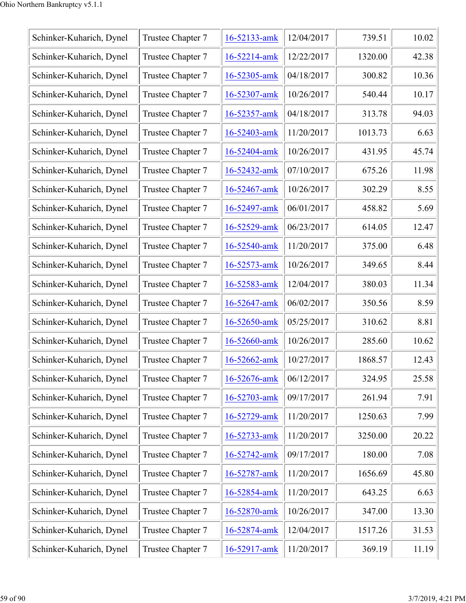| 12/04/2017<br>739.51<br>Schinker-Kuharich, Dynel<br>Trustee Chapter 7<br>16-52133-amk<br>Schinker-Kuharich, Dynel<br>Trustee Chapter 7<br>12/22/2017<br>16-52214-amk<br>1320.00<br>Schinker-Kuharich, Dynel<br>Trustee Chapter 7<br>04/18/2017<br>300.82<br>16-52305-amk<br>Schinker-Kuharich, Dynel<br>Trustee Chapter 7<br>10/26/2017<br>540.44<br>16-52307-amk<br>Schinker-Kuharich, Dynel<br>Trustee Chapter 7<br>04/18/2017<br>313.78<br>16-52357-amk<br>Schinker-Kuharich, Dynel<br>Trustee Chapter 7<br>11/20/2017<br>1013.73<br>16-52403-amk<br>Schinker-Kuharich, Dynel<br>Trustee Chapter 7<br>10/26/2017<br>16-52404-amk<br>431.95<br>Trustee Chapter 7<br>Schinker-Kuharich, Dynel<br>07/10/2017<br>675.26<br>16-52432-amk<br>Trustee Chapter 7<br>Schinker-Kuharich, Dynel<br>16-52467-amk<br>10/26/2017<br>302.29<br>06/01/2017<br>Schinker-Kuharich, Dynel<br>Trustee Chapter 7<br>458.82<br>16-52497-amk<br>Trustee Chapter 7<br>Schinker-Kuharich, Dynel<br>06/23/2017<br>614.05<br>16-52529-amk<br>11/20/2017<br>Trustee Chapter 7<br>16-52540-amk<br>375.00<br>Schinker-Kuharich, Dynel<br>10/26/2017<br>349.65<br>Schinker-Kuharich, Dynel<br>Trustee Chapter 7<br>16-52573-amk<br>12/04/2017<br>380.03<br>Schinker-Kuharich, Dynel<br>Trustee Chapter 7<br>16-52583-amk<br>06/02/2017<br>Schinker-Kuharich, Dynel<br>Trustee Chapter 7<br>16-52647-amk<br>350.56<br>8.81<br>Trustee Chapter 7<br>05/25/2017<br>Schinker-Kuharich, Dynel<br>16-52650-amk<br>310.62<br>Schinker-Kuharich, Dynel<br>Trustee Chapter 7<br>16-52660-amk<br>10/26/2017<br>285.60<br>10/27/2017<br>1868.57<br>Schinker-Kuharich, Dynel<br>Trustee Chapter 7<br>16-52662-amk<br>06/12/2017<br>324.95<br>Schinker-Kuharich, Dynel<br>Trustee Chapter 7<br>16-52676-amk<br>09/17/2017<br>261.94<br>Schinker-Kuharich, Dynel<br>Trustee Chapter 7<br>7.91<br>16-52703-amk<br>Schinker-Kuharich, Dynel<br>Trustee Chapter 7<br>11/20/2017<br>1250.63<br>16-52729-amk<br>Schinker-Kuharich, Dynel<br>Trustee Chapter 7<br>11/20/2017<br>3250.00<br>16-52733-amk<br>Schinker-Kuharich, Dynel<br>Trustee Chapter 7<br>09/17/2017<br>180.00<br>16-52742-amk<br>Schinker-Kuharich, Dynel<br>Trustee Chapter 7<br>11/20/2017<br>16-52787-amk<br>1656.69<br>Schinker-Kuharich, Dynel<br>Trustee Chapter 7<br>11/20/2017<br>643.25<br>16-52854-amk<br>Schinker-Kuharich, Dynel<br>Trustee Chapter 7<br>10/26/2017<br>16-52870-amk<br>347.00<br>Schinker-Kuharich, Dynel<br>Trustee Chapter 7<br>12/04/2017<br>1517.26<br>16-52874-amk<br>Schinker-Kuharich, Dynel<br>Trustee Chapter 7<br>11/20/2017<br>369.19 |  |              |  |       |
|-------------------------------------------------------------------------------------------------------------------------------------------------------------------------------------------------------------------------------------------------------------------------------------------------------------------------------------------------------------------------------------------------------------------------------------------------------------------------------------------------------------------------------------------------------------------------------------------------------------------------------------------------------------------------------------------------------------------------------------------------------------------------------------------------------------------------------------------------------------------------------------------------------------------------------------------------------------------------------------------------------------------------------------------------------------------------------------------------------------------------------------------------------------------------------------------------------------------------------------------------------------------------------------------------------------------------------------------------------------------------------------------------------------------------------------------------------------------------------------------------------------------------------------------------------------------------------------------------------------------------------------------------------------------------------------------------------------------------------------------------------------------------------------------------------------------------------------------------------------------------------------------------------------------------------------------------------------------------------------------------------------------------------------------------------------------------------------------------------------------------------------------------------------------------------------------------------------------------------------------------------------------------------------------------------------------------------------------------------------------------------------------------------------------------------------------------------------------------------------------------------------------------------------------------------------------------------------------------|--|--------------|--|-------|
|                                                                                                                                                                                                                                                                                                                                                                                                                                                                                                                                                                                                                                                                                                                                                                                                                                                                                                                                                                                                                                                                                                                                                                                                                                                                                                                                                                                                                                                                                                                                                                                                                                                                                                                                                                                                                                                                                                                                                                                                                                                                                                                                                                                                                                                                                                                                                                                                                                                                                                                                                                                                 |  |              |  | 10.02 |
|                                                                                                                                                                                                                                                                                                                                                                                                                                                                                                                                                                                                                                                                                                                                                                                                                                                                                                                                                                                                                                                                                                                                                                                                                                                                                                                                                                                                                                                                                                                                                                                                                                                                                                                                                                                                                                                                                                                                                                                                                                                                                                                                                                                                                                                                                                                                                                                                                                                                                                                                                                                                 |  |              |  | 42.38 |
|                                                                                                                                                                                                                                                                                                                                                                                                                                                                                                                                                                                                                                                                                                                                                                                                                                                                                                                                                                                                                                                                                                                                                                                                                                                                                                                                                                                                                                                                                                                                                                                                                                                                                                                                                                                                                                                                                                                                                                                                                                                                                                                                                                                                                                                                                                                                                                                                                                                                                                                                                                                                 |  |              |  | 10.36 |
|                                                                                                                                                                                                                                                                                                                                                                                                                                                                                                                                                                                                                                                                                                                                                                                                                                                                                                                                                                                                                                                                                                                                                                                                                                                                                                                                                                                                                                                                                                                                                                                                                                                                                                                                                                                                                                                                                                                                                                                                                                                                                                                                                                                                                                                                                                                                                                                                                                                                                                                                                                                                 |  |              |  | 10.17 |
|                                                                                                                                                                                                                                                                                                                                                                                                                                                                                                                                                                                                                                                                                                                                                                                                                                                                                                                                                                                                                                                                                                                                                                                                                                                                                                                                                                                                                                                                                                                                                                                                                                                                                                                                                                                                                                                                                                                                                                                                                                                                                                                                                                                                                                                                                                                                                                                                                                                                                                                                                                                                 |  |              |  | 94.03 |
|                                                                                                                                                                                                                                                                                                                                                                                                                                                                                                                                                                                                                                                                                                                                                                                                                                                                                                                                                                                                                                                                                                                                                                                                                                                                                                                                                                                                                                                                                                                                                                                                                                                                                                                                                                                                                                                                                                                                                                                                                                                                                                                                                                                                                                                                                                                                                                                                                                                                                                                                                                                                 |  |              |  | 6.63  |
|                                                                                                                                                                                                                                                                                                                                                                                                                                                                                                                                                                                                                                                                                                                                                                                                                                                                                                                                                                                                                                                                                                                                                                                                                                                                                                                                                                                                                                                                                                                                                                                                                                                                                                                                                                                                                                                                                                                                                                                                                                                                                                                                                                                                                                                                                                                                                                                                                                                                                                                                                                                                 |  |              |  | 45.74 |
|                                                                                                                                                                                                                                                                                                                                                                                                                                                                                                                                                                                                                                                                                                                                                                                                                                                                                                                                                                                                                                                                                                                                                                                                                                                                                                                                                                                                                                                                                                                                                                                                                                                                                                                                                                                                                                                                                                                                                                                                                                                                                                                                                                                                                                                                                                                                                                                                                                                                                                                                                                                                 |  |              |  | 11.98 |
|                                                                                                                                                                                                                                                                                                                                                                                                                                                                                                                                                                                                                                                                                                                                                                                                                                                                                                                                                                                                                                                                                                                                                                                                                                                                                                                                                                                                                                                                                                                                                                                                                                                                                                                                                                                                                                                                                                                                                                                                                                                                                                                                                                                                                                                                                                                                                                                                                                                                                                                                                                                                 |  |              |  | 8.55  |
|                                                                                                                                                                                                                                                                                                                                                                                                                                                                                                                                                                                                                                                                                                                                                                                                                                                                                                                                                                                                                                                                                                                                                                                                                                                                                                                                                                                                                                                                                                                                                                                                                                                                                                                                                                                                                                                                                                                                                                                                                                                                                                                                                                                                                                                                                                                                                                                                                                                                                                                                                                                                 |  |              |  | 5.69  |
|                                                                                                                                                                                                                                                                                                                                                                                                                                                                                                                                                                                                                                                                                                                                                                                                                                                                                                                                                                                                                                                                                                                                                                                                                                                                                                                                                                                                                                                                                                                                                                                                                                                                                                                                                                                                                                                                                                                                                                                                                                                                                                                                                                                                                                                                                                                                                                                                                                                                                                                                                                                                 |  |              |  | 12.47 |
|                                                                                                                                                                                                                                                                                                                                                                                                                                                                                                                                                                                                                                                                                                                                                                                                                                                                                                                                                                                                                                                                                                                                                                                                                                                                                                                                                                                                                                                                                                                                                                                                                                                                                                                                                                                                                                                                                                                                                                                                                                                                                                                                                                                                                                                                                                                                                                                                                                                                                                                                                                                                 |  |              |  | 6.48  |
|                                                                                                                                                                                                                                                                                                                                                                                                                                                                                                                                                                                                                                                                                                                                                                                                                                                                                                                                                                                                                                                                                                                                                                                                                                                                                                                                                                                                                                                                                                                                                                                                                                                                                                                                                                                                                                                                                                                                                                                                                                                                                                                                                                                                                                                                                                                                                                                                                                                                                                                                                                                                 |  |              |  | 8.44  |
|                                                                                                                                                                                                                                                                                                                                                                                                                                                                                                                                                                                                                                                                                                                                                                                                                                                                                                                                                                                                                                                                                                                                                                                                                                                                                                                                                                                                                                                                                                                                                                                                                                                                                                                                                                                                                                                                                                                                                                                                                                                                                                                                                                                                                                                                                                                                                                                                                                                                                                                                                                                                 |  |              |  | 11.34 |
|                                                                                                                                                                                                                                                                                                                                                                                                                                                                                                                                                                                                                                                                                                                                                                                                                                                                                                                                                                                                                                                                                                                                                                                                                                                                                                                                                                                                                                                                                                                                                                                                                                                                                                                                                                                                                                                                                                                                                                                                                                                                                                                                                                                                                                                                                                                                                                                                                                                                                                                                                                                                 |  |              |  | 8.59  |
|                                                                                                                                                                                                                                                                                                                                                                                                                                                                                                                                                                                                                                                                                                                                                                                                                                                                                                                                                                                                                                                                                                                                                                                                                                                                                                                                                                                                                                                                                                                                                                                                                                                                                                                                                                                                                                                                                                                                                                                                                                                                                                                                                                                                                                                                                                                                                                                                                                                                                                                                                                                                 |  |              |  |       |
|                                                                                                                                                                                                                                                                                                                                                                                                                                                                                                                                                                                                                                                                                                                                                                                                                                                                                                                                                                                                                                                                                                                                                                                                                                                                                                                                                                                                                                                                                                                                                                                                                                                                                                                                                                                                                                                                                                                                                                                                                                                                                                                                                                                                                                                                                                                                                                                                                                                                                                                                                                                                 |  |              |  | 10.62 |
|                                                                                                                                                                                                                                                                                                                                                                                                                                                                                                                                                                                                                                                                                                                                                                                                                                                                                                                                                                                                                                                                                                                                                                                                                                                                                                                                                                                                                                                                                                                                                                                                                                                                                                                                                                                                                                                                                                                                                                                                                                                                                                                                                                                                                                                                                                                                                                                                                                                                                                                                                                                                 |  |              |  | 12.43 |
|                                                                                                                                                                                                                                                                                                                                                                                                                                                                                                                                                                                                                                                                                                                                                                                                                                                                                                                                                                                                                                                                                                                                                                                                                                                                                                                                                                                                                                                                                                                                                                                                                                                                                                                                                                                                                                                                                                                                                                                                                                                                                                                                                                                                                                                                                                                                                                                                                                                                                                                                                                                                 |  |              |  | 25.58 |
|                                                                                                                                                                                                                                                                                                                                                                                                                                                                                                                                                                                                                                                                                                                                                                                                                                                                                                                                                                                                                                                                                                                                                                                                                                                                                                                                                                                                                                                                                                                                                                                                                                                                                                                                                                                                                                                                                                                                                                                                                                                                                                                                                                                                                                                                                                                                                                                                                                                                                                                                                                                                 |  |              |  |       |
|                                                                                                                                                                                                                                                                                                                                                                                                                                                                                                                                                                                                                                                                                                                                                                                                                                                                                                                                                                                                                                                                                                                                                                                                                                                                                                                                                                                                                                                                                                                                                                                                                                                                                                                                                                                                                                                                                                                                                                                                                                                                                                                                                                                                                                                                                                                                                                                                                                                                                                                                                                                                 |  |              |  | 7.99  |
|                                                                                                                                                                                                                                                                                                                                                                                                                                                                                                                                                                                                                                                                                                                                                                                                                                                                                                                                                                                                                                                                                                                                                                                                                                                                                                                                                                                                                                                                                                                                                                                                                                                                                                                                                                                                                                                                                                                                                                                                                                                                                                                                                                                                                                                                                                                                                                                                                                                                                                                                                                                                 |  |              |  | 20.22 |
|                                                                                                                                                                                                                                                                                                                                                                                                                                                                                                                                                                                                                                                                                                                                                                                                                                                                                                                                                                                                                                                                                                                                                                                                                                                                                                                                                                                                                                                                                                                                                                                                                                                                                                                                                                                                                                                                                                                                                                                                                                                                                                                                                                                                                                                                                                                                                                                                                                                                                                                                                                                                 |  |              |  | 7.08  |
|                                                                                                                                                                                                                                                                                                                                                                                                                                                                                                                                                                                                                                                                                                                                                                                                                                                                                                                                                                                                                                                                                                                                                                                                                                                                                                                                                                                                                                                                                                                                                                                                                                                                                                                                                                                                                                                                                                                                                                                                                                                                                                                                                                                                                                                                                                                                                                                                                                                                                                                                                                                                 |  |              |  | 45.80 |
|                                                                                                                                                                                                                                                                                                                                                                                                                                                                                                                                                                                                                                                                                                                                                                                                                                                                                                                                                                                                                                                                                                                                                                                                                                                                                                                                                                                                                                                                                                                                                                                                                                                                                                                                                                                                                                                                                                                                                                                                                                                                                                                                                                                                                                                                                                                                                                                                                                                                                                                                                                                                 |  |              |  | 6.63  |
|                                                                                                                                                                                                                                                                                                                                                                                                                                                                                                                                                                                                                                                                                                                                                                                                                                                                                                                                                                                                                                                                                                                                                                                                                                                                                                                                                                                                                                                                                                                                                                                                                                                                                                                                                                                                                                                                                                                                                                                                                                                                                                                                                                                                                                                                                                                                                                                                                                                                                                                                                                                                 |  |              |  | 13.30 |
|                                                                                                                                                                                                                                                                                                                                                                                                                                                                                                                                                                                                                                                                                                                                                                                                                                                                                                                                                                                                                                                                                                                                                                                                                                                                                                                                                                                                                                                                                                                                                                                                                                                                                                                                                                                                                                                                                                                                                                                                                                                                                                                                                                                                                                                                                                                                                                                                                                                                                                                                                                                                 |  |              |  | 31.53 |
|                                                                                                                                                                                                                                                                                                                                                                                                                                                                                                                                                                                                                                                                                                                                                                                                                                                                                                                                                                                                                                                                                                                                                                                                                                                                                                                                                                                                                                                                                                                                                                                                                                                                                                                                                                                                                                                                                                                                                                                                                                                                                                                                                                                                                                                                                                                                                                                                                                                                                                                                                                                                 |  | 16-52917-amk |  | 11.19 |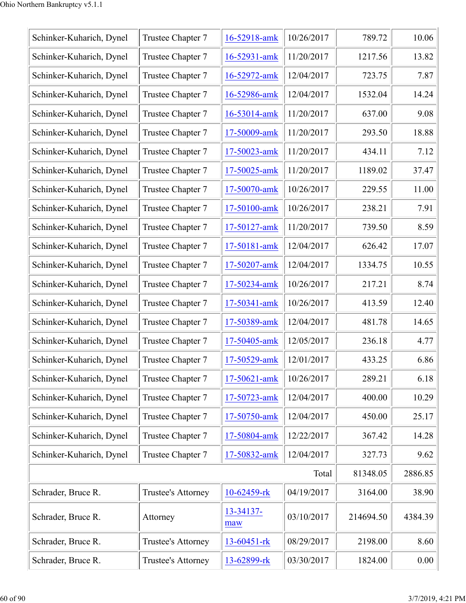| Schinker-Kuharich, Dynel | Trustee Chapter 7  | 16-52918-amk     | 10/26/2017 | 789.72    | 10.06   |
|--------------------------|--------------------|------------------|------------|-----------|---------|
| Schinker-Kuharich, Dynel | Trustee Chapter 7  | 16-52931-amk     | 11/20/2017 | 1217.56   | 13.82   |
| Schinker-Kuharich, Dynel | Trustee Chapter 7  | 16-52972-amk     | 12/04/2017 | 723.75    | 7.87    |
| Schinker-Kuharich, Dynel | Trustee Chapter 7  | 16-52986-amk     | 12/04/2017 | 1532.04   | 14.24   |
| Schinker-Kuharich, Dynel | Trustee Chapter 7  | 16-53014-amk     | 11/20/2017 | 637.00    | 9.08    |
| Schinker-Kuharich, Dynel | Trustee Chapter 7  | 17-50009-amk     | 11/20/2017 | 293.50    | 18.88   |
| Schinker-Kuharich, Dynel | Trustee Chapter 7  | 17-50023-amk     | 11/20/2017 | 434.11    | 7.12    |
| Schinker-Kuharich, Dynel | Trustee Chapter 7  | 17-50025-amk     | 11/20/2017 | 1189.02   | 37.47   |
| Schinker-Kuharich, Dynel | Trustee Chapter 7  | 17-50070-amk     | 10/26/2017 | 229.55    | 11.00   |
| Schinker-Kuharich, Dynel | Trustee Chapter 7  | 17-50100-amk     | 10/26/2017 | 238.21    | 7.91    |
| Schinker-Kuharich, Dynel | Trustee Chapter 7  | 17-50127-amk     | 11/20/2017 | 739.50    | 8.59    |
| Schinker-Kuharich, Dynel | Trustee Chapter 7  | 17-50181-amk     | 12/04/2017 | 626.42    | 17.07   |
| Schinker-Kuharich, Dynel | Trustee Chapter 7  | 17-50207-amk     | 12/04/2017 | 1334.75   | 10.55   |
| Schinker-Kuharich, Dynel | Trustee Chapter 7  | 17-50234-amk     | 10/26/2017 | 217.21    | 8.74    |
| Schinker-Kuharich, Dynel | Trustee Chapter 7  | 17-50341-amk     | 10/26/2017 | 413.59    | 12.40   |
| Schinker-Kuharich, Dynel | Trustee Chapter 7  | 17-50389-amk     | 12/04/2017 | 481.78    | 14.65   |
| Schinker-Kuharich, Dynel | Trustee Chapter 7  | 17-50405-amk     | 12/05/2017 | 236.18    | 4.77    |
| Schinker-Kuharich, Dynel | Trustee Chapter 7  | 17-50529-amk     | 12/01/2017 | 433.25    | 6.86    |
| Schinker-Kuharich, Dynel | Trustee Chapter 7  | 17-50621-amk     | 10/26/2017 | 289.21    | 6.18    |
| Schinker-Kuharich, Dynel | Trustee Chapter 7  | 17-50723-amk     | 12/04/2017 | 400.00    | 10.29   |
| Schinker-Kuharich, Dynel | Trustee Chapter 7  | 17-50750-amk     | 12/04/2017 | 450.00    | 25.17   |
| Schinker-Kuharich, Dynel | Trustee Chapter 7  | 17-50804-amk     | 12/22/2017 | 367.42    | 14.28   |
| Schinker-Kuharich, Dynel | Trustee Chapter 7  | 17-50832-amk     | 12/04/2017 | 327.73    | 9.62    |
|                          |                    |                  | Total      | 81348.05  | 2886.85 |
| Schrader, Bruce R.       | Trustee's Attorney | 10-62459-rk      | 04/19/2017 | 3164.00   | 38.90   |
| Schrader, Bruce R.       | Attorney           | 13-34137-<br>maw | 03/10/2017 | 214694.50 | 4384.39 |
| Schrader, Bruce R.       | Trustee's Attorney | 13-60451-rk      | 08/29/2017 | 2198.00   | 8.60    |
| Schrader, Bruce R.       | Trustee's Attorney | 13-62899-rk      | 03/30/2017 | 1824.00   | 0.00    |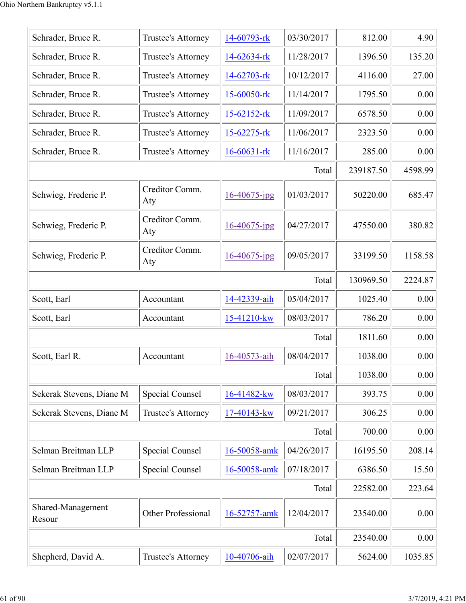| Schrader, Bruce R.<br>Schrader, Bruce R. | Trustee's Attorney<br>Trustee's Attorney | 14-60793-rk       | 03/30/2017 | 812.00    | 4.90    |
|------------------------------------------|------------------------------------------|-------------------|------------|-----------|---------|
|                                          |                                          |                   |            |           |         |
|                                          |                                          | 14-62634-rk       | 11/28/2017 | 1396.50   | 135.20  |
| Schrader, Bruce R.                       | Trustee's Attorney                       | 14-62703-rk       | 10/12/2017 | 4116.00   | 27.00   |
| Schrader, Bruce R.                       | Trustee's Attorney                       | 15-60050-rk       | 11/14/2017 | 1795.50   | 0.00    |
| Schrader, Bruce R.                       | Trustee's Attorney                       | $15 - 62152$ -rk  | 11/09/2017 | 6578.50   | 0.00    |
| Schrader, Bruce R.                       | Trustee's Attorney                       | $15 - 62275 - rk$ | 11/06/2017 | 2323.50   | 0.00    |
| Schrader, Bruce R.                       | Trustee's Attorney                       | $16 - 60631 - rk$ | 11/16/2017 | 285.00    | 0.00    |
|                                          |                                          |                   | Total      | 239187.50 | 4598.99 |
| Schwieg, Frederic P.                     | Creditor Comm.<br>Aty                    | 16-40675-jpg      | 01/03/2017 | 50220.00  | 685.47  |
| Schwieg, Frederic P.                     | Creditor Comm.<br>Aty                    | $16 - 40675$ -jpg | 04/27/2017 | 47550.00  | 380.82  |
| Schwieg, Frederic P.                     | Creditor Comm.<br>Aty                    | $16 - 40675$ -jpg | 09/05/2017 | 33199.50  | 1158.58 |
|                                          |                                          |                   | Total      | 130969.50 | 2224.87 |
| Scott, Earl                              | Accountant                               | 14-42339-aih      | 05/04/2017 | 1025.40   | 0.00    |
| Scott, Earl                              | Accountant                               | 15-41210-kw       | 08/03/2017 | 786.20    | 0.00    |
|                                          |                                          |                   | Total      | 1811.60   | 0.00    |
| Scott, Earl R.                           | Accountant                               | 16-40573-aih      | 08/04/2017 | 1038.00   | 0.00    |
|                                          |                                          |                   | Total      | 1038.00   | 0.00    |
| Sekerak Stevens, Diane M                 | Special Counsel                          | 16-41482-kw       | 08/03/2017 | 393.75    | 0.00    |
| Sekerak Stevens, Diane M                 | Trustee's Attorney                       | 17-40143-kw       | 09/21/2017 | 306.25    | 0.00    |
|                                          |                                          |                   | Total      | 700.00    | 0.00    |
| Selman Breitman LLP                      | Special Counsel                          | 16-50058-amk      | 04/26/2017 | 16195.50  | 208.14  |
| Selman Breitman LLP                      | Special Counsel                          | 16-50058-amk      | 07/18/2017 | 6386.50   | 15.50   |
|                                          |                                          |                   | Total      | 22582.00  | 223.64  |
| Shared-Management<br>Resour              | Other Professional                       | 16-52757-amk      | 12/04/2017 | 23540.00  | 0.00    |
|                                          |                                          |                   | Total      | 23540.00  | 0.00    |
| Shepherd, David A.                       | Trustee's Attorney                       | 10-40706-aih      | 02/07/2017 | 5624.00   | 1035.85 |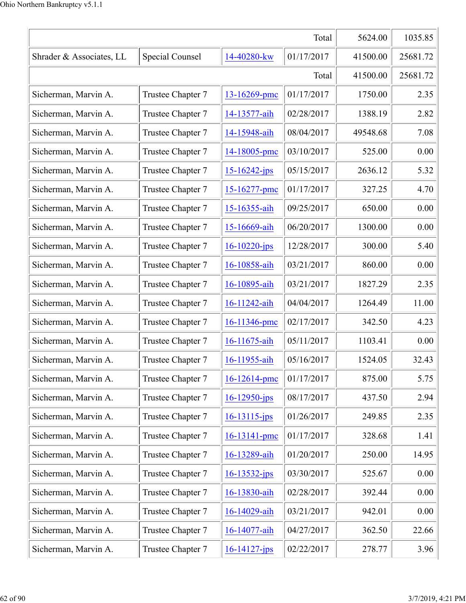|                          | 5624.00           | 1035.85            |            |          |          |
|--------------------------|-------------------|--------------------|------------|----------|----------|
| Shrader & Associates, LL | 41500.00          | 25681.72           |            |          |          |
|                          |                   |                    | Total      | 41500.00 | 25681.72 |
| Sicherman, Marvin A.     | Trustee Chapter 7 | 13-16269-pmc       | 01/17/2017 | 1750.00  | 2.35     |
| Sicherman, Marvin A.     | Trustee Chapter 7 | 14-13577-aih       | 02/28/2017 | 1388.19  | 2.82     |
| Sicherman, Marvin A.     | Trustee Chapter 7 | 14-15948-aih       | 08/04/2017 | 49548.68 | 7.08     |
| Sicherman, Marvin A.     | Trustee Chapter 7 | 14-18005-pmc       | 03/10/2017 | 525.00   | 0.00     |
| Sicherman, Marvin A.     | Trustee Chapter 7 | 15-16242-jps       | 05/15/2017 | 2636.12  | 5.32     |
| Sicherman, Marvin A.     | Trustee Chapter 7 | 15-16277-pmc       | 01/17/2017 | 327.25   | 4.70     |
| Sicherman, Marvin A.     | Trustee Chapter 7 | 15-16355-aih       | 09/25/2017 | 650.00   | 0.00     |
| Sicherman, Marvin A.     | Trustee Chapter 7 | 15-16669-aih       | 06/20/2017 | 1300.00  | 0.00     |
| Sicherman, Marvin A.     | Trustee Chapter 7 | $16 - 10220 - ips$ | 12/28/2017 | 300.00   | 5.40     |
| Sicherman, Marvin A.     | Trustee Chapter 7 | 16-10858-aih       | 03/21/2017 | 860.00   | 0.00     |
| Sicherman, Marvin A.     | Trustee Chapter 7 | 16-10895-aih       | 03/21/2017 | 1827.29  | 2.35     |
| Sicherman, Marvin A.     | Trustee Chapter 7 | 16-11242-aih       | 04/04/2017 | 1264.49  | 11.00    |
| Sicherman, Marvin A.     | Trustee Chapter 7 | 16-11346-pmc       | 02/17/2017 | 342.50   | 4.23     |
| Sicherman, Marvin A.     | Trustee Chapter 7 | 16-11675-aih       | 05/11/2017 | 1103.41  | 0.00     |
| Sicherman, Marvin A.     | Trustee Chapter 7 | 16-11955-aih       | 05/16/2017 | 1524.05  | 32.43    |
| Sicherman, Marvin A.     | Trustee Chapter 7 | 16-12614-pmc       | 01/17/2017 | 875.00   | 5.75     |
| Sicherman, Marvin A.     | Trustee Chapter 7 | $16 - 12950$ -jps  | 08/17/2017 | 437.50   | 2.94     |
| Sicherman, Marvin A.     | Trustee Chapter 7 | $16 - 13115 - ips$ | 01/26/2017 | 249.85   | 2.35     |
| Sicherman, Marvin A.     | Trustee Chapter 7 | 16-13141-pmc       | 01/17/2017 | 328.68   | 1.41     |
| Sicherman, Marvin A.     | Trustee Chapter 7 | 16-13289-aih       | 01/20/2017 | 250.00   | 14.95    |
| Sicherman, Marvin A.     | Trustee Chapter 7 | $16 - 13532 - ips$ | 03/30/2017 | 525.67   | 0.00     |
| Sicherman, Marvin A.     | Trustee Chapter 7 | 16-13830-aih       | 02/28/2017 | 392.44   | 0.00     |
| Sicherman, Marvin A.     | Trustee Chapter 7 | 16-14029-aih       | 03/21/2017 | 942.01   | 0.00     |
| Sicherman, Marvin A.     | Trustee Chapter 7 | 16-14077-aih       | 04/27/2017 | 362.50   | 22.66    |
| Sicherman, Marvin A.     | Trustee Chapter 7 | $16 - 14127 - ips$ | 02/22/2017 | 278.77   | 3.96     |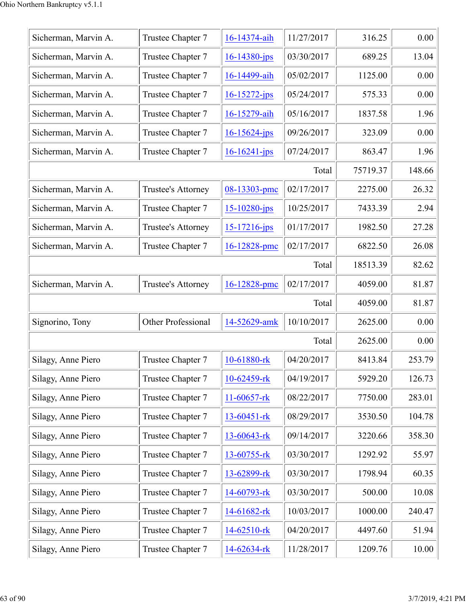| Sicherman, Marvin A. | Trustee Chapter 7         | 16-14374-aih       | 11/27/2017 | 316.25   | 0.00   |
|----------------------|---------------------------|--------------------|------------|----------|--------|
| Sicherman, Marvin A. | Trustee Chapter 7         | $16 - 14380 - jps$ | 03/30/2017 | 689.25   | 13.04  |
| Sicherman, Marvin A. | Trustee Chapter 7         | 16-14499-aih       | 05/02/2017 | 1125.00  | 0.00   |
| Sicherman, Marvin A. | Trustee Chapter 7         | $16 - 15272 - ips$ | 05/24/2017 | 575.33   | 0.00   |
| Sicherman, Marvin A. | Trustee Chapter 7         | 16-15279-aih       | 05/16/2017 | 1837.58  | 1.96   |
| Sicherman, Marvin A. | Trustee Chapter 7         | $16 - 15624 - ips$ | 09/26/2017 | 323.09   | 0.00   |
| Sicherman, Marvin A. | Trustee Chapter 7         | $16 - 16241 - ips$ | 07/24/2017 | 863.47   | 1.96   |
|                      |                           |                    | Total      | 75719.37 | 148.66 |
| Sicherman, Marvin A. | Trustee's Attorney        | 08-13303-pmc       | 02/17/2017 | 2275.00  | 26.32  |
| Sicherman, Marvin A. | Trustee Chapter 7         | $15 - 10280 - ips$ | 10/25/2017 | 7433.39  | 2.94   |
| Sicherman, Marvin A. | <b>Trustee's Attorney</b> | $15 - 17216$ -jps  | 01/17/2017 | 1982.50  | 27.28  |
| Sicherman, Marvin A. | Trustee Chapter 7         | 16-12828-pmc       | 02/17/2017 | 6822.50  | 26.08  |
|                      |                           |                    | Total      | 18513.39 | 82.62  |
| Sicherman, Marvin A. | Trustee's Attorney        | 16-12828-pmc       | 02/17/2017 | 4059.00  | 81.87  |
|                      |                           |                    | Total      | 4059.00  | 81.87  |
| Signorino, Tony      | Other Professional        | 14-52629-amk       | 10/10/2017 | 2625.00  | 0.00   |
|                      |                           |                    | Total      | 2625.00  | 0.00   |
| Silagy, Anne Piero   | Trustee Chapter 7         | 10-61880-rk        | 04/20/2017 | 8413.84  | 253.79 |
| Silagy, Anne Piero   | Trustee Chapter 7         | 10-62459-rk        | 04/19/2017 | 5929.20  | 126.73 |
| Silagy, Anne Piero   | Trustee Chapter 7         | 11-60657-rk        | 08/22/2017 | 7750.00  | 283.01 |
| Silagy, Anne Piero   | Trustee Chapter 7         | 13-60451-rk        | 08/29/2017 | 3530.50  | 104.78 |
| Silagy, Anne Piero   | Trustee Chapter 7         | 13-60643-rk        | 09/14/2017 | 3220.66  | 358.30 |
| Silagy, Anne Piero   | Trustee Chapter 7         | 13-60755-rk        | 03/30/2017 | 1292.92  | 55.97  |
| Silagy, Anne Piero   | Trustee Chapter 7         | 13-62899-rk        | 03/30/2017 | 1798.94  | 60.35  |
| Silagy, Anne Piero   | Trustee Chapter 7         | 14-60793-rk        | 03/30/2017 | 500.00   | 10.08  |
| Silagy, Anne Piero   | Trustee Chapter 7         | 14-61682-rk        | 10/03/2017 | 1000.00  | 240.47 |
| Silagy, Anne Piero   | Trustee Chapter 7         | 14-62510-rk        | 04/20/2017 | 4497.60  | 51.94  |
| Silagy, Anne Piero   | Trustee Chapter 7         | 14-62634-rk        | 11/28/2017 | 1209.76  | 10.00  |
|                      |                           |                    |            |          |        |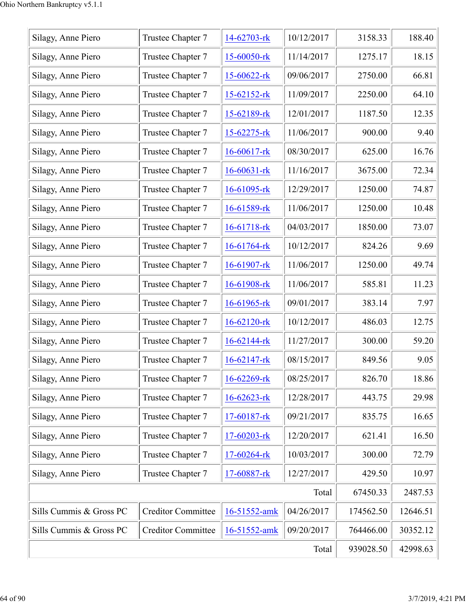| Silagy, Anne Piero      | Trustee Chapter 7         | 14-62703-rk       | 10/12/2017 | 3158.33   | 188.40   |
|-------------------------|---------------------------|-------------------|------------|-----------|----------|
| Silagy, Anne Piero      | Trustee Chapter 7         | 15-60050-rk       | 11/14/2017 | 1275.17   | 18.15    |
| Silagy, Anne Piero      | Trustee Chapter 7         | 15-60622-rk       | 09/06/2017 | 2750.00   | 66.81    |
| Silagy, Anne Piero      | Trustee Chapter 7         | $15 - 62152$ -rk  | 11/09/2017 | 2250.00   | 64.10    |
| Silagy, Anne Piero      | Trustee Chapter 7         | 15-62189-rk       | 12/01/2017 | 1187.50   | 12.35    |
| Silagy, Anne Piero      | Trustee Chapter 7         | 15-62275-rk       | 11/06/2017 | 900.00    | 9.40     |
| Silagy, Anne Piero      | Trustee Chapter 7         | $16 - 60617$ -rk  | 08/30/2017 | 625.00    | 16.76    |
| Silagy, Anne Piero      | Trustee Chapter 7         | $16 - 60631 -$ rk | 11/16/2017 | 3675.00   | 72.34    |
| Silagy, Anne Piero      | Trustee Chapter 7         | $16 - 61095$ -rk  | 12/29/2017 | 1250.00   | 74.87    |
| Silagy, Anne Piero      | Trustee Chapter 7         | 16-61589-rk       | 11/06/2017 | 1250.00   | 10.48    |
| Silagy, Anne Piero      | Trustee Chapter 7         | 16-61718-rk       | 04/03/2017 | 1850.00   | 73.07    |
| Silagy, Anne Piero      | Trustee Chapter 7         | $16 - 61764$ -rk  | 10/12/2017 | 824.26    | 9.69     |
| Silagy, Anne Piero      | Trustee Chapter 7         | 16-61907-rk       | 11/06/2017 | 1250.00   | 49.74    |
| Silagy, Anne Piero      | Trustee Chapter 7         | 16-61908-rk       | 11/06/2017 | 585.81    | 11.23    |
| Silagy, Anne Piero      | Trustee Chapter 7         | 16-61965-rk       | 09/01/2017 | 383.14    | 7.97     |
| Silagy, Anne Piero      | Trustee Chapter 7         | $16 - 62120$ -rk  | 10/12/2017 | 486.03    | 12.75    |
| Silagy, Anne Piero      | Trustee Chapter 7         | 16-62144-rk       | 11/27/2017 | 300.00    | 59.20    |
| Silagy, Anne Piero      | Trustee Chapter 7         | 16-62147-rk       | 08/15/2017 | 849.56    | 9.05     |
| Silagy, Anne Piero      | Trustee Chapter 7         | 16-62269-rk       | 08/25/2017 | 826.70    | 18.86    |
| Silagy, Anne Piero      | Trustee Chapter 7         | 16-62623-rk       | 12/28/2017 | 443.75    | 29.98    |
| Silagy, Anne Piero      | Trustee Chapter 7         | 17-60187-rk       | 09/21/2017 | 835.75    | 16.65    |
| Silagy, Anne Piero      | Trustee Chapter 7         | 17-60203-rk       | 12/20/2017 | 621.41    | 16.50    |
| Silagy, Anne Piero      | Trustee Chapter 7         | 17-60264-rk       | 10/03/2017 | 300.00    | 72.79    |
| Silagy, Anne Piero      | Trustee Chapter 7         | 17-60887-rk       | 12/27/2017 | 429.50    | 10.97    |
|                         |                           |                   | Total      | 67450.33  | 2487.53  |
| Sills Cummis & Gross PC | <b>Creditor Committee</b> | 16-51552-amk      | 04/26/2017 | 174562.50 | 12646.51 |
| Sills Cummis & Gross PC | <b>Creditor Committee</b> | 16-51552-amk      | 09/20/2017 | 764466.00 | 30352.12 |
|                         | 939028.50                 | 42998.63          |            |           |          |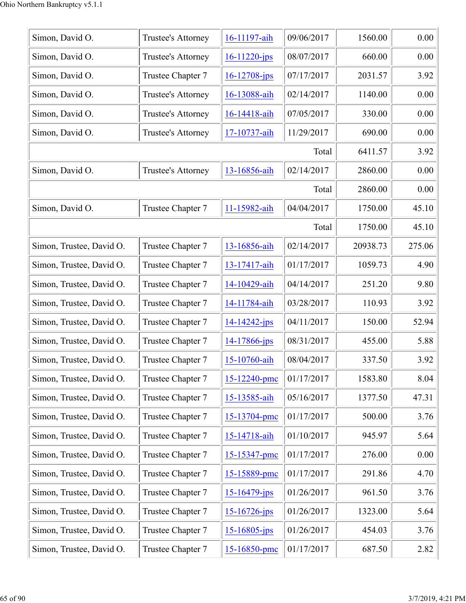| Simon, David O.          | Trustee's Attorney | 16-11197-aih       | 09/06/2017 | 1560.00  | 0.00   |
|--------------------------|--------------------|--------------------|------------|----------|--------|
| Simon, David O.          | Trustee's Attorney | $16 - 11220$ -jps  | 08/07/2017 | 660.00   | 0.00   |
| Simon, David O.          | Trustee Chapter 7  | $16 - 12708 - ips$ | 07/17/2017 | 2031.57  | 3.92   |
| Simon, David O.          | Trustee's Attorney | 16-13088-aih       | 02/14/2017 | 1140.00  | 0.00   |
| Simon, David O.          | Trustee's Attorney | 16-14418-aih       | 07/05/2017 | 330.00   | 0.00   |
| Simon, David O.          | Trustee's Attorney | 17-10737-aih       | 11/29/2017 | 690.00   | 0.00   |
|                          |                    |                    | Total      | 6411.57  | 3.92   |
| Simon, David O.          | Trustee's Attorney | 13-16856-aih       | 02/14/2017 | 2860.00  | 0.00   |
|                          |                    |                    | Total      | 2860.00  | 0.00   |
| Simon, David O.          | Trustee Chapter 7  | 11-15982-aih       | 04/04/2017 | 1750.00  | 45.10  |
|                          |                    |                    | Total      | 1750.00  | 45.10  |
| Simon, Trustee, David O. | Trustee Chapter 7  | 13-16856-aih       | 02/14/2017 | 20938.73 | 275.06 |
| Simon, Trustee, David O. | Trustee Chapter 7  | 13-17417-aih       | 01/17/2017 | 1059.73  | 4.90   |
| Simon, Trustee, David O. | Trustee Chapter 7  | 14-10429-aih       | 04/14/2017 | 251.20   | 9.80   |
| Simon, Trustee, David O. | Trustee Chapter 7  | 14-11784-aih       | 03/28/2017 | 110.93   | 3.92   |
| Simon, Trustee, David O. | Trustee Chapter 7  | $14 - 14242 - ips$ | 04/11/2017 | 150.00   | 52.94  |
| Simon, Trustee, David O. | Trustee Chapter 7  | 14-17866-jps       | 08/31/2017 | 455.00   | 5.88   |
| Simon, Trustee, David O. | Trustee Chapter 7  | 15-10760-aih       | 08/04/2017 | 337.50   | 3.92   |
| Simon, Trustee, David O. | Trustee Chapter 7  | 15-12240-pmc       | 01/17/2017 | 1583.80  | 8.04   |
| Simon, Trustee, David O. | Trustee Chapter 7  | 15-13585-aih       | 05/16/2017 | 1377.50  | 47.31  |
| Simon, Trustee, David O. | Trustee Chapter 7  | 15-13704-pmc       | 01/17/2017 | 500.00   | 3.76   |
| Simon, Trustee, David O. | Trustee Chapter 7  | 15-14718-aih       | 01/10/2017 | 945.97   | 5.64   |
| Simon, Trustee, David O. | Trustee Chapter 7  | 15-15347-pmc       | 01/17/2017 | 276.00   | 0.00   |
| Simon, Trustee, David O. | Trustee Chapter 7  | 15-15889-pmc       | 01/17/2017 | 291.86   | 4.70   |
| Simon, Trustee, David O. | Trustee Chapter 7  | $15 - 16479$ -jps  | 01/26/2017 | 961.50   | 3.76   |
| Simon, Trustee, David O. | Trustee Chapter 7  | $15 - 16726$ -jps  | 01/26/2017 | 1323.00  | 5.64   |
| Simon, Trustee, David O. | Trustee Chapter 7  | $15 - 16805$ -jps  | 01/26/2017 | 454.03   | 3.76   |
| Simon, Trustee, David O. | Trustee Chapter 7  | 15-16850-pmc       | 01/17/2017 | 687.50   | 2.82   |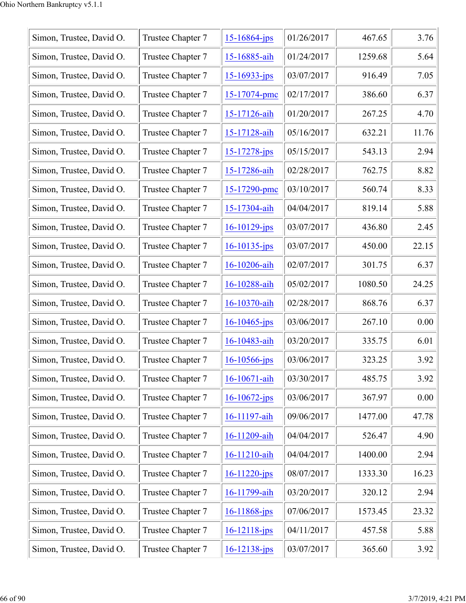| Simon, Trustee, David O. | Trustee Chapter 7 | $15 - 16864$ -jps  | 01/26/2017 | 467.65  | 3.76  |
|--------------------------|-------------------|--------------------|------------|---------|-------|
| Simon, Trustee, David O. | Trustee Chapter 7 | 15-16885-aih       | 01/24/2017 | 1259.68 | 5.64  |
| Simon, Trustee, David O. | Trustee Chapter 7 | $15 - 16933 - ips$ | 03/07/2017 | 916.49  | 7.05  |
| Simon, Trustee, David O. | Trustee Chapter 7 | 15-17074-pmc       | 02/17/2017 | 386.60  | 6.37  |
| Simon, Trustee, David O. | Trustee Chapter 7 | 15-17126-aih       | 01/20/2017 | 267.25  | 4.70  |
| Simon, Trustee, David O. | Trustee Chapter 7 | 15-17128-aih       | 05/16/2017 | 632.21  | 11.76 |
| Simon, Trustee, David O. | Trustee Chapter 7 | $15 - 17278 - ips$ | 05/15/2017 | 543.13  | 2.94  |
| Simon, Trustee, David O. | Trustee Chapter 7 | 15-17286-aih       | 02/28/2017 | 762.75  | 8.82  |
| Simon, Trustee, David O. | Trustee Chapter 7 | 15-17290-pmc       | 03/10/2017 | 560.74  | 8.33  |
| Simon, Trustee, David O. | Trustee Chapter 7 | 15-17304-aih       | 04/04/2017 | 819.14  | 5.88  |
| Simon, Trustee, David O. | Trustee Chapter 7 | $16 - 10129$ -jps  | 03/07/2017 | 436.80  | 2.45  |
| Simon, Trustee, David O. | Trustee Chapter 7 | $16 - 10135 - ips$ | 03/07/2017 | 450.00  | 22.15 |
| Simon, Trustee, David O. | Trustee Chapter 7 | 16-10206-aih       | 02/07/2017 | 301.75  | 6.37  |
| Simon, Trustee, David O. | Trustee Chapter 7 | 16-10288-aih       | 05/02/2017 | 1080.50 | 24.25 |
| Simon, Trustee, David O. | Trustee Chapter 7 | 16-10370-aih       | 02/28/2017 | 868.76  | 6.37  |
| Simon, Trustee, David O. | Trustee Chapter 7 | $16 - 10465$ -jps  | 03/06/2017 | 267.10  | 0.00  |
| Simon, Trustee, David O. | Trustee Chapter 7 | 16-10483-aih       | 03/20/2017 | 335.75  | 6.01  |
| Simon, Trustee, David O. | Trustee Chapter 7 | $16 - 10566$ -jps  | 03/06/2017 | 323.25  | 3.92  |
| Simon, Trustee, David O. | Trustee Chapter 7 | 16-10671-aih       | 03/30/2017 | 485.75  | 3.92  |
| Simon, Trustee, David O. | Trustee Chapter 7 | $16 - 10672$ -jps  | 03/06/2017 | 367.97  | 0.00  |
| Simon, Trustee, David O. | Trustee Chapter 7 | 16-11197-aih       | 09/06/2017 | 1477.00 | 47.78 |
| Simon, Trustee, David O. | Trustee Chapter 7 | 16-11209-aih       | 04/04/2017 | 526.47  | 4.90  |
| Simon, Trustee, David O. | Trustee Chapter 7 | 16-11210-aih       | 04/04/2017 | 1400.00 | 2.94  |
| Simon, Trustee, David O. | Trustee Chapter 7 | $16 - 11220 - ips$ | 08/07/2017 | 1333.30 | 16.23 |
| Simon, Trustee, David O. | Trustee Chapter 7 | 16-11799-aih       | 03/20/2017 | 320.12  | 2.94  |
| Simon, Trustee, David O. | Trustee Chapter 7 | $16 - 11868$ -jps  | 07/06/2017 | 1573.45 | 23.32 |
| Simon, Trustee, David O. | Trustee Chapter 7 | $16 - 12118 - ips$ | 04/11/2017 | 457.58  | 5.88  |
| Simon, Trustee, David O. | Trustee Chapter 7 | 16-12138-jps       | 03/07/2017 | 365.60  | 3.92  |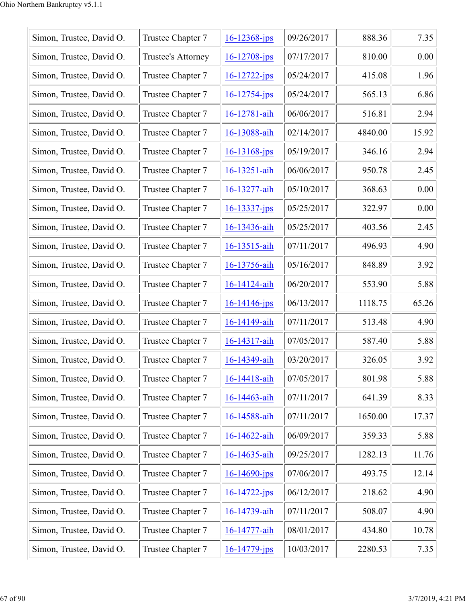| Simon, Trustee, David O. | Trustee Chapter 7  | $16 - 12368 - ips$ | 09/26/2017 | 888.36  | 7.35  |
|--------------------------|--------------------|--------------------|------------|---------|-------|
| Simon, Trustee, David O. | Trustee's Attorney | $16 - 12708$ -jps  | 07/17/2017 | 810.00  | 0.00  |
| Simon, Trustee, David O. | Trustee Chapter 7  | $16 - 12722 - ips$ | 05/24/2017 | 415.08  | 1.96  |
| Simon, Trustee, David O. | Trustee Chapter 7  | $16 - 12754 - ips$ | 05/24/2017 | 565.13  | 6.86  |
| Simon, Trustee, David O. | Trustee Chapter 7  | 16-12781-aih       | 06/06/2017 | 516.81  | 2.94  |
| Simon, Trustee, David O. | Trustee Chapter 7  | 16-13088-aih       | 02/14/2017 | 4840.00 | 15.92 |
| Simon, Trustee, David O. | Trustee Chapter 7  | $16 - 13168$ -jps  | 05/19/2017 | 346.16  | 2.94  |
| Simon, Trustee, David O. | Trustee Chapter 7  | 16-13251-aih       | 06/06/2017 | 950.78  | 2.45  |
| Simon, Trustee, David O. | Trustee Chapter 7  | 16-13277-aih       | 05/10/2017 | 368.63  | 0.00  |
| Simon, Trustee, David O. | Trustee Chapter 7  | $16 - 13337 - jps$ | 05/25/2017 | 322.97  | 0.00  |
| Simon, Trustee, David O. | Trustee Chapter 7  | 16-13436-aih       | 05/25/2017 | 403.56  | 2.45  |
| Simon, Trustee, David O. | Trustee Chapter 7  | 16-13515-aih       | 07/11/2017 | 496.93  | 4.90  |
| Simon, Trustee, David O. | Trustee Chapter 7  | 16-13756-aih       | 05/16/2017 | 848.89  | 3.92  |
| Simon, Trustee, David O. | Trustee Chapter 7  | 16-14124-aih       | 06/20/2017 | 553.90  | 5.88  |
| Simon, Trustee, David O. | Trustee Chapter 7  | $16 - 14146 - ips$ | 06/13/2017 | 1118.75 | 65.26 |
| Simon, Trustee, David O. | Trustee Chapter 7  | 16-14149-aih       | 07/11/2017 | 513.48  | 4.90  |
| Simon, Trustee, David O. | Trustee Chapter 7  | 16-14317-aih       | 07/05/2017 | 587.40  | 5.88  |
| Simon, Trustee, David O. | Trustee Chapter 7  | 16-14349-aih       | 03/20/2017 | 326.05  | 3.92  |
| Simon, Trustee, David O. | Trustee Chapter 7  | 16-14418-aih       | 07/05/2017 | 801.98  | 5.88  |
| Simon, Trustee, David O. | Trustee Chapter 7  | 16-14463-aih       | 07/11/2017 | 641.39  | 8.33  |
| Simon, Trustee, David O. | Trustee Chapter 7  | 16-14588-aih       | 07/11/2017 | 1650.00 | 17.37 |
| Simon, Trustee, David O. | Trustee Chapter 7  | 16-14622-aih       | 06/09/2017 | 359.33  | 5.88  |
| Simon, Trustee, David O. | Trustee Chapter 7  | 16-14635-aih       | 09/25/2017 | 1282.13 | 11.76 |
| Simon, Trustee, David O. | Trustee Chapter 7  | $16 - 14690 - ips$ | 07/06/2017 | 493.75  | 12.14 |
| Simon, Trustee, David O. | Trustee Chapter 7  | $16 - 14722 - ips$ | 06/12/2017 | 218.62  | 4.90  |
| Simon, Trustee, David O. | Trustee Chapter 7  | 16-14739-aih       | 07/11/2017 | 508.07  | 4.90  |
| Simon, Trustee, David O. | Trustee Chapter 7  | 16-14777-aih       | 08/01/2017 | 434.80  | 10.78 |
| Simon, Trustee, David O. | Trustee Chapter 7  | 16-14779-jps       | 10/03/2017 | 2280.53 | 7.35  |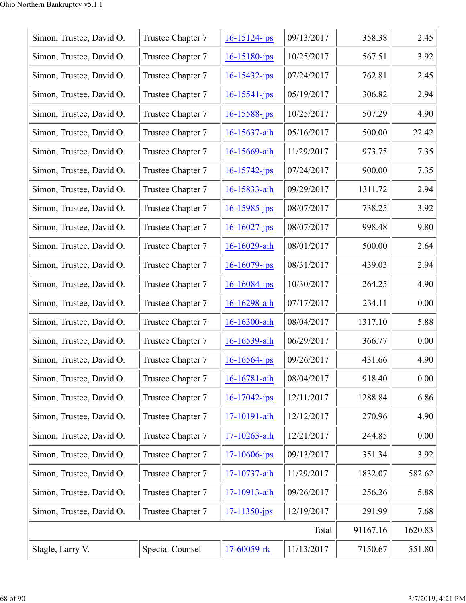| Simon, Trustee, David O. | Trustee Chapter 7 | $16 - 15124 - ips$ | 09/13/2017 | 358.38  | 2.45   |
|--------------------------|-------------------|--------------------|------------|---------|--------|
| Simon, Trustee, David O. | Trustee Chapter 7 | $16 - 15180 - jps$ | 10/25/2017 | 567.51  | 3.92   |
| Simon, Trustee, David O. | Trustee Chapter 7 | $16 - 15432 - ips$ | 07/24/2017 | 762.81  | 2.45   |
| Simon, Trustee, David O. | Trustee Chapter 7 | $16 - 15541 - ips$ | 05/19/2017 | 306.82  | 2.94   |
| Simon, Trustee, David O. | Trustee Chapter 7 | 16-15588-jps       | 10/25/2017 | 507.29  | 4.90   |
| Simon, Trustee, David O. | Trustee Chapter 7 | 16-15637-aih       | 05/16/2017 | 500.00  | 22.42  |
| Simon, Trustee, David O. | Trustee Chapter 7 | 16-15669-aih       | 11/29/2017 | 973.75  | 7.35   |
| Simon, Trustee, David O. | Trustee Chapter 7 | $16 - 15742$ -jps  | 07/24/2017 | 900.00  | 7.35   |
| Simon, Trustee, David O. | Trustee Chapter 7 | 16-15833-aih       | 09/29/2017 | 1311.72 | 2.94   |
| Simon, Trustee, David O. | Trustee Chapter 7 | $16 - 15985$ -jps  | 08/07/2017 | 738.25  | 3.92   |
| Simon, Trustee, David O. | Trustee Chapter 7 | $16 - 16027$ -jps  | 08/07/2017 | 998.48  | 9.80   |
| Simon, Trustee, David O. | Trustee Chapter 7 | 16-16029-aih       | 08/01/2017 | 500.00  | 2.64   |
| Simon, Trustee, David O. | Trustee Chapter 7 | $16 - 16079$ -jps  | 08/31/2017 | 439.03  | 2.94   |
| Simon, Trustee, David O. | Trustee Chapter 7 | 16-16084-jps       | 10/30/2017 | 264.25  | 4.90   |
| Simon, Trustee, David O. | Trustee Chapter 7 | 16-16298-aih       | 07/17/2017 | 234.11  | 0.00   |
| Simon, Trustee, David O. | Trustee Chapter 7 | 16-16300-aih       | 08/04/2017 | 1317.10 | 5.88   |
| Simon, Trustee, David O. | Trustee Chapter 7 | 16-16539-aih       | 06/29/2017 | 366.77  | 0.00   |
| Simon, Trustee, David O. | Trustee Chapter 7 | $16 - 16564 - ips$ | 09/26/2017 | 431.66  | 4.90   |
| Simon, Trustee, David O. | Trustee Chapter 7 | 16-16781-aih       | 08/04/2017 | 918.40  | 0.00   |
| Simon, Trustee, David O. | Trustee Chapter 7 | $16 - 17042$ -jps  | 12/11/2017 | 1288.84 | 6.86   |
| Simon, Trustee, David O. | Trustee Chapter 7 | 17-10191-aih       | 12/12/2017 | 270.96  | 4.90   |
| Simon, Trustee, David O. | Trustee Chapter 7 | 17-10263-aih       | 12/21/2017 | 244.85  | 0.00   |
| Simon, Trustee, David O. | Trustee Chapter 7 | $17 - 10606$ -jps  | 09/13/2017 | 351.34  | 3.92   |
| Simon, Trustee, David O. | Trustee Chapter 7 | 17-10737-aih       | 11/29/2017 | 1832.07 | 582.62 |
| Simon, Trustee, David O. | Trustee Chapter 7 | 17-10913-aih       | 09/26/2017 | 256.26  | 5.88   |
| Simon, Trustee, David O. | Trustee Chapter 7 | $17 - 11350 - ips$ | 12/19/2017 | 291.99  | 7.68   |
|                          | Total             | 91167.16           | 1620.83    |         |        |
| Slagle, Larry V.         | Special Counsel   | 17-60059-rk        | 11/13/2017 | 7150.67 | 551.80 |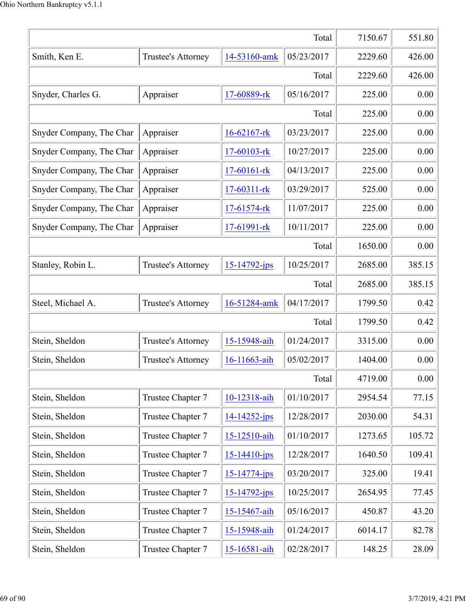| Total                    |                    |                    |            |         | 551.80 |
|--------------------------|--------------------|--------------------|------------|---------|--------|
| Smith, Ken E.            | Trustee's Attorney | 14-53160-amk       | 05/23/2017 | 2229.60 | 426.00 |
|                          |                    |                    | Total      | 2229.60 | 426.00 |
| Snyder, Charles G.       | Appraiser          | 17-60889-rk        | 05/16/2017 | 225.00  | 0.00   |
|                          |                    |                    | Total      | 225.00  | 0.00   |
| Snyder Company, The Char | Appraiser          | 16-62167-rk        | 03/23/2017 | 225.00  | 0.00   |
| Snyder Company, The Char | Appraiser          | 17-60103-rk        | 10/27/2017 | 225.00  | 0.00   |
| Snyder Company, The Char | Appraiser          | 17-60161-rk        | 04/13/2017 | 225.00  | 0.00   |
| Snyder Company, The Char | Appraiser          | 17-60311-rk        | 03/29/2017 | 525.00  | 0.00   |
| Snyder Company, The Char | Appraiser          | 17-61574-rk        | 11/07/2017 | 225.00  | 0.00   |
| Snyder Company, The Char | Appraiser          | 17-61991-rk        | 10/11/2017 | 225.00  | 0.00   |
|                          |                    |                    | Total      | 1650.00 | 0.00   |
| Stanley, Robin L.        | Trustee's Attorney | $15 - 14792 - ips$ | 10/25/2017 | 2685.00 | 385.15 |
|                          |                    |                    | Total      | 2685.00 | 385.15 |
| Steel, Michael A.        | Trustee's Attorney | 16-51284-amk       | 04/17/2017 | 1799.50 | 0.42   |
|                          |                    |                    | Total      | 1799.50 | 0.42   |
| Stein, Sheldon           | Trustee's Attorney | 15-15948-aih       | 01/24/2017 | 3315.00 | 0.00   |
| Stein, Sheldon           | Trustee's Attorney | 16-11663-aih       | 05/02/2017 | 1404.00 | 0.00   |
|                          |                    |                    | Total      | 4719.00 | 0.00   |
| Stein, Sheldon           | Trustee Chapter 7  | 10-12318-aih       | 01/10/2017 | 2954.54 | 77.15  |
| Stein, Sheldon           | Trustee Chapter 7  | 14-14252-jps       | 12/28/2017 | 2030.00 | 54.31  |
| Stein, Sheldon           | Trustee Chapter 7  | 15-12510-aih       | 01/10/2017 | 1273.65 | 105.72 |
| Stein, Sheldon           | Trustee Chapter 7  | $15 - 14410 - jps$ | 12/28/2017 | 1640.50 | 109.41 |
| Stein, Sheldon           | Trustee Chapter 7  | $15 - 14774 - ips$ | 03/20/2017 | 325.00  | 19.41  |
| Stein, Sheldon           | Trustee Chapter 7  | 15-14792-jps       | 10/25/2017 | 2654.95 | 77.45  |
| Stein, Sheldon           | Trustee Chapter 7  | 15-15467-aih       | 05/16/2017 | 450.87  | 43.20  |
| Stein, Sheldon           | Trustee Chapter 7  | 15-15948-aih       | 01/24/2017 | 6014.17 | 82.78  |
| Stein, Sheldon           | Trustee Chapter 7  | 15-16581-aih       | 02/28/2017 | 148.25  | 28.09  |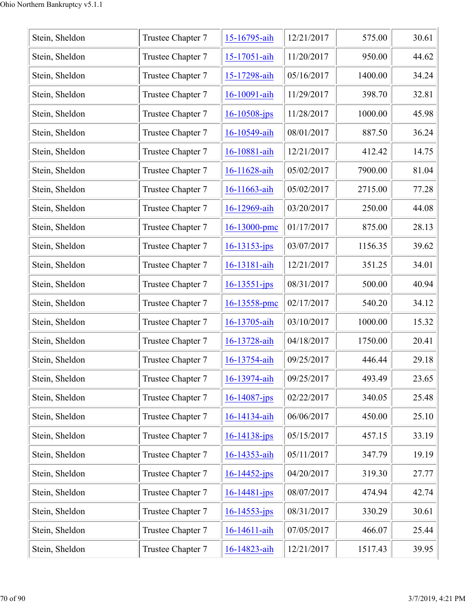| Stein, Sheldon | Trustee Chapter 7 | 15-16795-aih       | 12/21/2017 | 575.00  | 30.61 |
|----------------|-------------------|--------------------|------------|---------|-------|
| Stein, Sheldon | Trustee Chapter 7 | 15-17051-aih       | 11/20/2017 | 950.00  | 44.62 |
| Stein, Sheldon | Trustee Chapter 7 | 15-17298-aih       | 05/16/2017 | 1400.00 | 34.24 |
| Stein, Sheldon | Trustee Chapter 7 | 16-10091-aih       | 11/29/2017 | 398.70  | 32.81 |
| Stein, Sheldon | Trustee Chapter 7 | $16 - 10508$ -jps  | 11/28/2017 | 1000.00 | 45.98 |
| Stein, Sheldon | Trustee Chapter 7 | 16-10549-aih       | 08/01/2017 | 887.50  | 36.24 |
| Stein, Sheldon | Trustee Chapter 7 | 16-10881-aih       | 12/21/2017 | 412.42  | 14.75 |
| Stein, Sheldon | Trustee Chapter 7 | 16-11628-aih       | 05/02/2017 | 7900.00 | 81.04 |
| Stein, Sheldon | Trustee Chapter 7 | 16-11663-aih       | 05/02/2017 | 2715.00 | 77.28 |
| Stein, Sheldon | Trustee Chapter 7 | 16-12969-aih       | 03/20/2017 | 250.00  | 44.08 |
| Stein, Sheldon | Trustee Chapter 7 | 16-13000-pmc       | 01/17/2017 | 875.00  | 28.13 |
| Stein, Sheldon | Trustee Chapter 7 | $16 - 13153 - ips$ | 03/07/2017 | 1156.35 | 39.62 |
| Stein, Sheldon | Trustee Chapter 7 | 16-13181-aih       | 12/21/2017 | 351.25  | 34.01 |
| Stein, Sheldon | Trustee Chapter 7 | $16 - 13551 - ips$ | 08/31/2017 | 500.00  | 40.94 |
| Stein, Sheldon | Trustee Chapter 7 | 16-13558-pmc       | 02/17/2017 | 540.20  | 34.12 |
| Stein, Sheldon | Trustee Chapter 7 | 16-13705-aih       | 03/10/2017 | 1000.00 | 15.32 |
| Stein, Sheldon | Trustee Chapter 7 | 16-13728-aih       | 04/18/2017 | 1750.00 | 20.41 |
| Stein, Sheldon | Trustee Chapter 7 | 16-13754-aih       | 09/25/2017 | 446.44  | 29.18 |
| Stein, Sheldon | Trustee Chapter 7 | 16-13974-aih       | 09/25/2017 | 493.49  | 23.65 |
| Stein, Sheldon | Trustee Chapter 7 | $16 - 14087$ -jps  | 02/22/2017 | 340.05  | 25.48 |
| Stein, Sheldon | Trustee Chapter 7 | 16-14134-aih       | 06/06/2017 | 450.00  | 25.10 |
| Stein, Sheldon | Trustee Chapter 7 | $16 - 14138 - ips$ | 05/15/2017 | 457.15  | 33.19 |
| Stein, Sheldon | Trustee Chapter 7 | 16-14353-aih       | 05/11/2017 | 347.79  | 19.19 |
| Stein, Sheldon | Trustee Chapter 7 | $16 - 14452 - ips$ | 04/20/2017 | 319.30  | 27.77 |
| Stein, Sheldon | Trustee Chapter 7 | $16 - 14481 - ips$ | 08/07/2017 | 474.94  | 42.74 |
| Stein, Sheldon | Trustee Chapter 7 | $16 - 14553 - jps$ | 08/31/2017 | 330.29  | 30.61 |
| Stein, Sheldon | Trustee Chapter 7 | 16-14611-aih       | 07/05/2017 | 466.07  | 25.44 |
| Stein, Sheldon | Trustee Chapter 7 | 16-14823-aih       | 12/21/2017 | 1517.43 | 39.95 |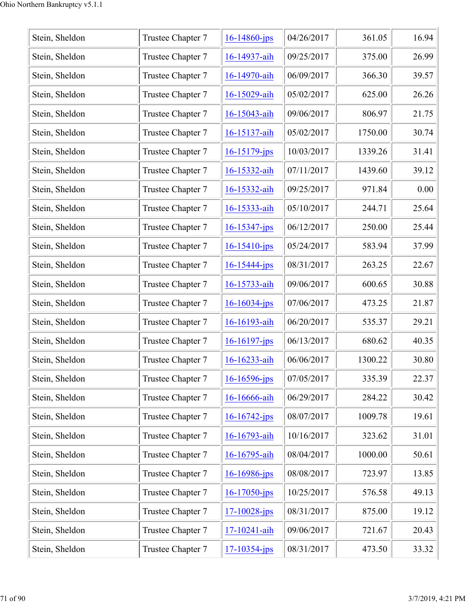| Stein, Sheldon | Trustee Chapter 7 | $16 - 14860$ -jps  | 04/26/2017 | 361.05  | 16.94 |
|----------------|-------------------|--------------------|------------|---------|-------|
| Stein, Sheldon | Trustee Chapter 7 | 16-14937-aih       | 09/25/2017 | 375.00  | 26.99 |
| Stein, Sheldon | Trustee Chapter 7 | 16-14970-aih       | 06/09/2017 | 366.30  | 39.57 |
| Stein, Sheldon | Trustee Chapter 7 | 16-15029-aih       | 05/02/2017 | 625.00  | 26.26 |
| Stein, Sheldon | Trustee Chapter 7 | 16-15043-aih       | 09/06/2017 | 806.97  | 21.75 |
| Stein, Sheldon | Trustee Chapter 7 | 16-15137-aih       | 05/02/2017 | 1750.00 | 30.74 |
| Stein, Sheldon | Trustee Chapter 7 | $16 - 15179$ -jps  | 10/03/2017 | 1339.26 | 31.41 |
| Stein, Sheldon | Trustee Chapter 7 | 16-15332-aih       | 07/11/2017 | 1439.60 | 39.12 |
| Stein, Sheldon | Trustee Chapter 7 | 16-15332-aih       | 09/25/2017 | 971.84  | 0.00  |
| Stein, Sheldon | Trustee Chapter 7 | 16-15333-aih       | 05/10/2017 | 244.71  | 25.64 |
| Stein, Sheldon | Trustee Chapter 7 | $16 - 15347 - jps$ | 06/12/2017 | 250.00  | 25.44 |
| Stein, Sheldon | Trustee Chapter 7 | $16 - 15410 - ips$ | 05/24/2017 | 583.94  | 37.99 |
| Stein, Sheldon | Trustee Chapter 7 | $16 - 15444 - jps$ | 08/31/2017 | 263.25  | 22.67 |
| Stein, Sheldon | Trustee Chapter 7 | 16-15733-aih       | 09/06/2017 | 600.65  | 30.88 |
| Stein, Sheldon | Trustee Chapter 7 | 16-16034-jps       | 07/06/2017 | 473.25  | 21.87 |
| Stein, Sheldon | Trustee Chapter 7 | 16-16193-aih       | 06/20/2017 | 535.37  | 29.21 |
| Stein, Sheldon | Trustee Chapter 7 | $16 - 16197$ -jps  | 06/13/2017 | 680.62  | 40.35 |
| Stein, Sheldon | Trustee Chapter 7 | 16-16233-aih       | 06/06/2017 | 1300.22 | 30.80 |
| Stein, Sheldon | Trustee Chapter 7 | $16 - 16596$ -jps  | 07/05/2017 | 335.39  | 22.37 |
| Stein, Sheldon | Trustee Chapter 7 | 16-16666-aih       | 06/29/2017 | 284.22  | 30.42 |
| Stein, Sheldon | Trustee Chapter 7 | $16 - 16742$ -jps  | 08/07/2017 | 1009.78 | 19.61 |
| Stein, Sheldon | Trustee Chapter 7 | 16-16793-aih       | 10/16/2017 | 323.62  | 31.01 |
| Stein, Sheldon | Trustee Chapter 7 | 16-16795-aih       | 08/04/2017 | 1000.00 | 50.61 |
| Stein, Sheldon | Trustee Chapter 7 | $16 - 16986$ -jps  | 08/08/2017 | 723.97  | 13.85 |
| Stein, Sheldon | Trustee Chapter 7 | $16 - 17050 - ips$ | 10/25/2017 | 576.58  | 49.13 |
| Stein, Sheldon | Trustee Chapter 7 | $17 - 10028 - jps$ | 08/31/2017 | 875.00  | 19.12 |
| Stein, Sheldon | Trustee Chapter 7 | 17-10241-aih       | 09/06/2017 | 721.67  | 20.43 |
| Stein, Sheldon | Trustee Chapter 7 | $17 - 10354 - ips$ | 08/31/2017 | 473.50  | 33.32 |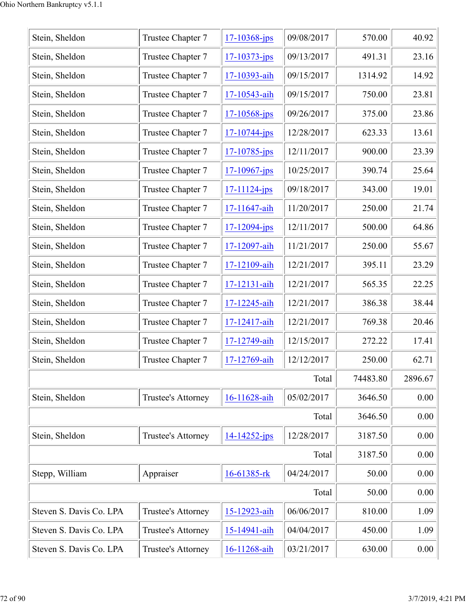| Stein, Sheldon          | Trustee Chapter 7  | $17 - 10368$ -jps  | 09/08/2017 | 570.00   | 40.92   |
|-------------------------|--------------------|--------------------|------------|----------|---------|
| Stein, Sheldon          | Trustee Chapter 7  | $17 - 10373 - jps$ | 09/13/2017 | 491.31   | 23.16   |
| Stein, Sheldon          | Trustee Chapter 7  | 17-10393-aih       | 09/15/2017 | 1314.92  | 14.92   |
| Stein, Sheldon          | Trustee Chapter 7  | 17-10543-aih       | 09/15/2017 | 750.00   | 23.81   |
| Stein, Sheldon          | Trustee Chapter 7  | $17 - 10568$ -jps  | 09/26/2017 | 375.00   | 23.86   |
| Stein, Sheldon          | Trustee Chapter 7  | $17 - 10744 - ips$ | 12/28/2017 | 623.33   | 13.61   |
| Stein, Sheldon          | Trustee Chapter 7  | $17 - 10785$ -jps  | 12/11/2017 | 900.00   | 23.39   |
| Stein, Sheldon          | Trustee Chapter 7  | $17 - 10967$ -jps  | 10/25/2017 | 390.74   | 25.64   |
| Stein, Sheldon          | Trustee Chapter 7  | 17-11124-jps       | 09/18/2017 | 343.00   | 19.01   |
| Stein, Sheldon          | Trustee Chapter 7  | 17-11647-aih       | 11/20/2017 | 250.00   | 21.74   |
| Stein, Sheldon          | Trustee Chapter 7  | 17-12094-jps       | 12/11/2017 | 500.00   | 64.86   |
| Stein, Sheldon          | Trustee Chapter 7  | 17-12097-aih       | 11/21/2017 | 250.00   | 55.67   |
| Stein, Sheldon          | Trustee Chapter 7  | 17-12109-aih       | 12/21/2017 | 395.11   | 23.29   |
| Stein, Sheldon          | Trustee Chapter 7  | 17-12131-aih       | 12/21/2017 | 565.35   | 22.25   |
| Stein, Sheldon          | Trustee Chapter 7  | 17-12245-aih       | 12/21/2017 | 386.38   | 38.44   |
| Stein, Sheldon          | Trustee Chapter 7  | 17-12417-aih       | 12/21/2017 | 769.38   | 20.46   |
| Stein, Sheldon          | Trustee Chapter 7  | 17-12749-aih       | 12/15/2017 | 272.22   | 17.41   |
| Stein, Sheldon          | Trustee Chapter 7  | 17-12769-aih       | 12/12/2017 | 250.00   | 62.71   |
|                         |                    |                    | Total      | 74483.80 | 2896.67 |
| Stein, Sheldon          | Trustee's Attorney | 16-11628-aih       | 05/02/2017 | 3646.50  | 0.00    |
|                         |                    |                    | Total      | 3646.50  | 0.00    |
| Stein, Sheldon          | Trustee's Attorney | $14 - 14252 - ips$ | 12/28/2017 | 3187.50  | 0.00    |
|                         |                    |                    | Total      | 3187.50  | 0.00    |
| Stepp, William          | Appraiser          | 16-61385-rk        | 04/24/2017 | 50.00    | 0.00    |
|                         |                    |                    | Total      | 50.00    | 0.00    |
| Steven S. Davis Co. LPA | Trustee's Attorney | 15-12923-aih       | 06/06/2017 | 810.00   | 1.09    |
| Steven S. Davis Co. LPA | Trustee's Attorney | 15-14941-aih       | 04/04/2017 | 450.00   | 1.09    |
| Steven S. Davis Co. LPA | Trustee's Attorney | 16-11268-aih       | 03/21/2017 | 630.00   | 0.00    |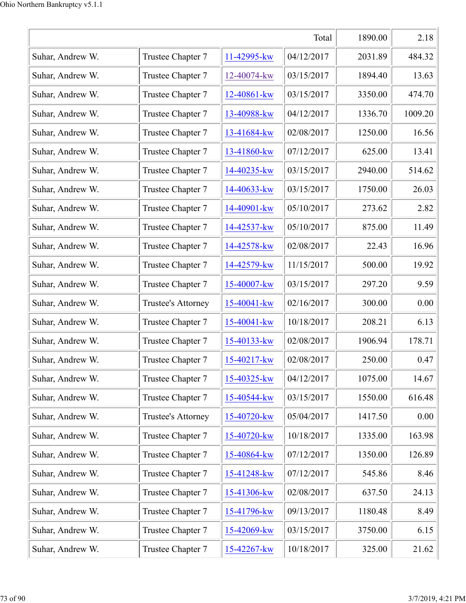|                  | 1890.00            | 2.18           |            |         |         |
|------------------|--------------------|----------------|------------|---------|---------|
| Suhar, Andrew W. | Trustee Chapter 7  | 11-42995-kw    | 04/12/2017 | 2031.89 | 484.32  |
| Suhar, Andrew W. | Trustee Chapter 7  | 12-40074-kw    | 03/15/2017 | 1894.40 | 13.63   |
| Suhar, Andrew W. | Trustee Chapter 7  | 12-40861-kw    | 03/15/2017 | 3350.00 | 474.70  |
| Suhar, Andrew W. | Trustee Chapter 7  | 13-40988-kw    | 04/12/2017 | 1336.70 | 1009.20 |
| Suhar, Andrew W. | Trustee Chapter 7  | 13-41684-kw    | 02/08/2017 | 1250.00 | 16.56   |
| Suhar, Andrew W. | Trustee Chapter 7  | 13-41860-kw    | 07/12/2017 | 625.00  | 13.41   |
| Suhar, Andrew W. | Trustee Chapter 7  | 14-40235-kw    | 03/15/2017 | 2940.00 | 514.62  |
| Suhar, Andrew W. | Trustee Chapter 7  | 14-40633-kw    | 03/15/2017 | 1750.00 | 26.03   |
| Suhar, Andrew W. | Trustee Chapter 7  | 14-40901-kw    | 05/10/2017 | 273.62  | 2.82    |
| Suhar, Andrew W. | Trustee Chapter 7  | 14-42537-kw    | 05/10/2017 | 875.00  | 11.49   |
| Suhar, Andrew W. | Trustee Chapter 7  | 14-42578-kw    | 02/08/2017 | 22.43   | 16.96   |
| Suhar, Andrew W. | Trustee Chapter 7  | 14-42579-kw    | 11/15/2017 | 500.00  | 19.92   |
| Suhar, Andrew W. | Trustee Chapter 7  | 15-40007-kw    | 03/15/2017 | 297.20  | 9.59    |
| Suhar, Andrew W. | Trustee's Attorney | 15-40041-kw    | 02/16/2017 | 300.00  | 0.00    |
| Suhar, Andrew W. | Trustee Chapter 7  | 15-40041-kw    | 10/18/2017 | 208.21  | 6.13    |
| Suhar, Andrew W. | Trustee Chapter 7  | 15-40133-kw    | 02/08/2017 | 1906.94 | 178.71  |
| Suhar, Andrew W. | Trustee Chapter 7  | $15-40217$ -kw | 02/08/2017 | 250.00  | 0.47    |
| Suhar, Andrew W. | Trustee Chapter 7  | 15-40325-kw    | 04/12/2017 | 1075.00 | 14.67   |
| Suhar, Andrew W. | Trustee Chapter 7  | 15-40544-kw    | 03/15/2017 | 1550.00 | 616.48  |
| Suhar, Andrew W. | Trustee's Attorney | 15-40720-kw    | 05/04/2017 | 1417.50 | 0.00    |
| Suhar, Andrew W. | Trustee Chapter 7  | 15-40720-kw    | 10/18/2017 | 1335.00 | 163.98  |
| Suhar, Andrew W. | Trustee Chapter 7  | 15-40864-kw    | 07/12/2017 | 1350.00 | 126.89  |
| Suhar, Andrew W. | Trustee Chapter 7  | 15-41248-kw    | 07/12/2017 | 545.86  | 8.46    |
| Suhar, Andrew W. | Trustee Chapter 7  | 15-41306-kw    | 02/08/2017 | 637.50  | 24.13   |
| Suhar, Andrew W. | Trustee Chapter 7  | 15-41796-kw    | 09/13/2017 | 1180.48 | 8.49    |
| Suhar, Andrew W. | Trustee Chapter 7  | 15-42069-kw    | 03/15/2017 | 3750.00 | 6.15    |
| Suhar, Andrew W. | Trustee Chapter 7  | 15-42267-kw    | 10/18/2017 | 325.00  | 21.62   |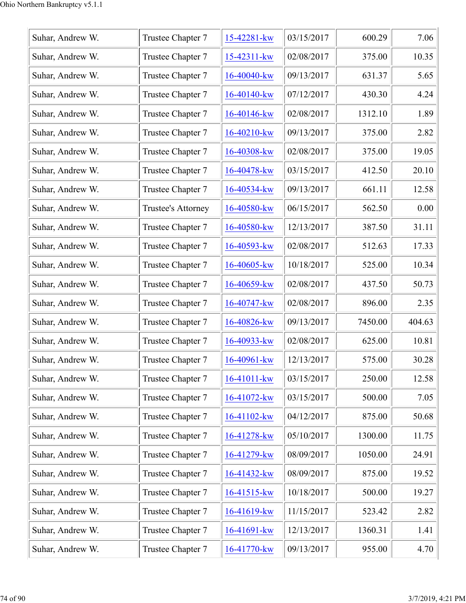|                  |                    |                  | 03/15/2017 | 600.29  | 7.06   |
|------------------|--------------------|------------------|------------|---------|--------|
| Suhar, Andrew W. | Trustee Chapter 7  | 15-42281-kw      |            |         |        |
| Suhar, Andrew W. | Trustee Chapter 7  | 15-42311-kw      | 02/08/2017 | 375.00  | 10.35  |
| Suhar, Andrew W. | Trustee Chapter 7  | 16-40040-kw      | 09/13/2017 | 631.37  | 5.65   |
| Suhar, Andrew W. | Trustee Chapter 7  | 16-40140-kw      | 07/12/2017 | 430.30  | 4.24   |
| Suhar, Andrew W. | Trustee Chapter 7  | $16-40146$ -kw   | 02/08/2017 | 1312.10 | 1.89   |
| Suhar, Andrew W. | Trustee Chapter 7  | $16 - 40210$ -kw | 09/13/2017 | 375.00  | 2.82   |
| Suhar, Andrew W. | Trustee Chapter 7  | 16-40308-kw      | 02/08/2017 | 375.00  | 19.05  |
| Suhar, Andrew W. | Trustee Chapter 7  | 16-40478-kw      | 03/15/2017 | 412.50  | 20.10  |
| Suhar, Andrew W. | Trustee Chapter 7  | 16-40534-kw      | 09/13/2017 | 661.11  | 12.58  |
| Suhar, Andrew W. | Trustee's Attorney | 16-40580-kw      | 06/15/2017 | 562.50  | 0.00   |
| Suhar, Andrew W. | Trustee Chapter 7  | 16-40580-kw      | 12/13/2017 | 387.50  | 31.11  |
| Suhar, Andrew W. | Trustee Chapter 7  | 16-40593-kw      | 02/08/2017 | 512.63  | 17.33  |
| Suhar, Andrew W. | Trustee Chapter 7  | 16-40605-kw      | 10/18/2017 | 525.00  | 10.34  |
| Suhar, Andrew W. | Trustee Chapter 7  | 16-40659-kw      | 02/08/2017 | 437.50  | 50.73  |
| Suhar, Andrew W. | Trustee Chapter 7  | $16-40747$ -kw   | 02/08/2017 | 896.00  | 2.35   |
| Suhar, Andrew W. | Trustee Chapter 7  | 16-40826-kw      | 09/13/2017 | 7450.00 | 404.63 |
| Suhar, Andrew W. | Trustee Chapter 7  | 16-40933-kw      | 02/08/2017 | 625.00  | 10.81  |
| Suhar, Andrew W. | Trustee Chapter 7  | 16-40961-kw      | 12/13/2017 | 575.00  | 30.28  |
| Suhar, Andrew W. | Trustee Chapter 7  | 16-41011-kw      | 03/15/2017 | 250.00  | 12.58  |
| Suhar, Andrew W. | Trustee Chapter 7  | 16-41072-kw      | 03/15/2017 | 500.00  | 7.05   |
| Suhar, Andrew W. | Trustee Chapter 7  | 16-41102-kw      | 04/12/2017 | 875.00  | 50.68  |
| Suhar, Andrew W. | Trustee Chapter 7  | 16-41278-kw      | 05/10/2017 | 1300.00 | 11.75  |
| Suhar, Andrew W. | Trustee Chapter 7  | 16-41279-kw      | 08/09/2017 | 1050.00 | 24.91  |
| Suhar, Andrew W. | Trustee Chapter 7  | 16-41432-kw      | 08/09/2017 | 875.00  | 19.52  |
| Suhar, Andrew W. | Trustee Chapter 7  | 16-41515-kw      | 10/18/2017 | 500.00  | 19.27  |
| Suhar, Andrew W. | Trustee Chapter 7  | 16-41619-kw      | 11/15/2017 | 523.42  | 2.82   |
| Suhar, Andrew W. | Trustee Chapter 7  | 16-41691-kw      | 12/13/2017 | 1360.31 | 1.41   |
| Suhar, Andrew W. | Trustee Chapter 7  | 16-41770-kw      | 09/13/2017 | 955.00  | 4.70   |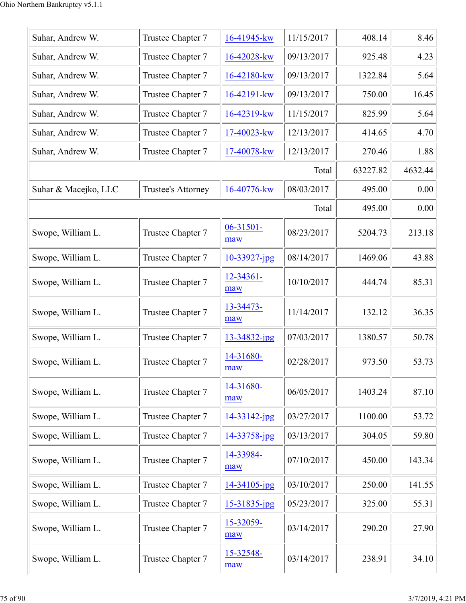| Suhar, Andrew W.     | Trustee Chapter 7  | 16-41945-kw           | 11/15/2017 | 408.14   | 8.46    |
|----------------------|--------------------|-----------------------|------------|----------|---------|
| Suhar, Andrew W.     | Trustee Chapter 7  | 16-42028-kw           | 09/13/2017 | 925.48   | 4.23    |
| Suhar, Andrew W.     | Trustee Chapter 7  | 16-42180-kw           | 09/13/2017 | 1322.84  | 5.64    |
| Suhar, Andrew W.     | Trustee Chapter 7  | 16-42191-kw           | 09/13/2017 | 750.00   | 16.45   |
| Suhar, Andrew W.     | Trustee Chapter 7  | 16-42319-kw           | 11/15/2017 | 825.99   | 5.64    |
| Suhar, Andrew W.     | Trustee Chapter 7  | 17-40023-kw           | 12/13/2017 | 414.65   | 4.70    |
| Suhar, Andrew W.     | Trustee Chapter 7  | 17-40078-kw           | 12/13/2017 | 270.46   | 1.88    |
|                      |                    |                       | Total      | 63227.82 | 4632.44 |
| Suhar & Macejko, LLC | Trustee's Attorney | 16-40776-kw           | 08/03/2017 | 495.00   | 0.00    |
|                      |                    |                       | Total      | 495.00   | 0.00    |
| Swope, William L.    | Trustee Chapter 7  | $06 - 31501 -$<br>maw | 08/23/2017 | 5204.73  | 213.18  |
| Swope, William L.    | Trustee Chapter 7  | $10 - 33927$ -jpg     | 08/14/2017 | 1469.06  | 43.88   |
| Swope, William L.    | Trustee Chapter 7  | 12-34361-<br>maw      | 10/10/2017 | 444.74   | 85.31   |
| Swope, William L.    | Trustee Chapter 7  | 13-34473-<br>maw      | 11/14/2017 | 132.12   | 36.35   |
| Swope, William L.    | Trustee Chapter 7  | 13-34832-jpg          | 07/03/2017 | 1380.57  | 50.78   |
| Swope, William L.    | Trustee Chapter 7  | 14-31680-<br>maw      | 02/28/2017 | 973.50   | 53.73   |
| Swope, William L.    | Trustee Chapter 7  | 14-31680-<br>maw      | 06/05/2017 | 1403.24  | 87.10   |
| Swope, William L.    | Trustee Chapter 7  | $14 - 33142$ -jpg     | 03/27/2017 | 1100.00  | 53.72   |
| Swope, William L.    | Trustee Chapter 7  | 14-33758-jpg          | 03/13/2017 | 304.05   | 59.80   |
| Swope, William L.    | Trustee Chapter 7  | 14-33984-<br>maw      | 07/10/2017 | 450.00   | 143.34  |
| Swope, William L.    | Trustee Chapter 7  | 14-34105-jpg          | 03/10/2017 | 250.00   | 141.55  |
| Swope, William L.    | Trustee Chapter 7  | $15 - 31835$ -jpg     | 05/23/2017 | 325.00   | 55.31   |
| Swope, William L.    | Trustee Chapter 7  | 15-32059-<br>maw      | 03/14/2017 | 290.20   | 27.90   |
| Swope, William L.    | Trustee Chapter 7  | 15-32548-<br>maw      | 03/14/2017 | 238.91   | 34.10   |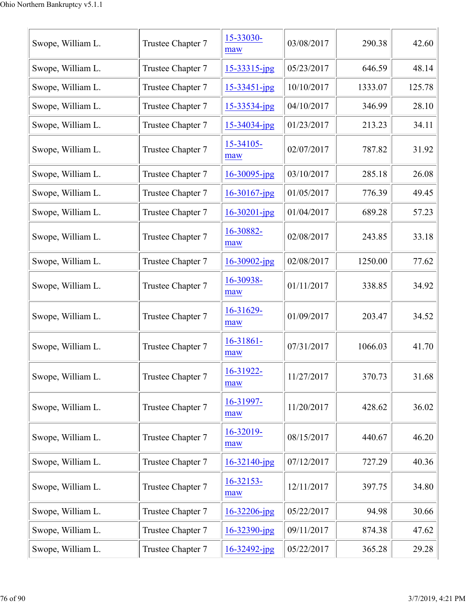| Swope, William L. | Trustee Chapter 7 | 15-33030-<br>maw   | 03/08/2017 | 290.38  | 42.60  |
|-------------------|-------------------|--------------------|------------|---------|--------|
| Swope, William L. | Trustee Chapter 7 | $15 - 33315$ -jpg  | 05/23/2017 | 646.59  | 48.14  |
| Swope, William L. | Trustee Chapter 7 | $15 - 33451 - ipg$ | 10/10/2017 | 1333.07 | 125.78 |
| Swope, William L. | Trustee Chapter 7 | $15 - 33534$ -jpg  | 04/10/2017 | 346.99  | 28.10  |
| Swope, William L. | Trustee Chapter 7 | 15-34034-jpg       | 01/23/2017 | 213.23  | 34.11  |
| Swope, William L. | Trustee Chapter 7 | 15-34105-<br>maw   | 02/07/2017 | 787.82  | 31.92  |
| Swope, William L. | Trustee Chapter 7 | $16 - 30095$ -jpg  | 03/10/2017 | 285.18  | 26.08  |
| Swope, William L. | Trustee Chapter 7 | $16 - 30167$ -jpg  | 01/05/2017 | 776.39  | 49.45  |
| Swope, William L. | Trustee Chapter 7 | $16 - 30201 - ipg$ | 01/04/2017 | 689.28  | 57.23  |
| Swope, William L. | Trustee Chapter 7 | 16-30882-<br>maw   | 02/08/2017 | 243.85  | 33.18  |
| Swope, William L. | Trustee Chapter 7 | $16 - 30902$ -jpg  | 02/08/2017 | 1250.00 | 77.62  |
| Swope, William L. | Trustee Chapter 7 | 16-30938-<br>maw   | 01/11/2017 | 338.85  | 34.92  |
| Swope, William L. | Trustee Chapter 7 | 16-31629-<br>maw   | 01/09/2017 | 203.47  | 34.52  |
| Swope, William L. | Trustee Chapter 7 | 16-31861-<br>maw   | 07/31/2017 | 1066.03 | 41.70  |
| Swope, William L. | Trustee Chapter 7 | 16-31922-<br>maw   | 11/27/2017 | 370.73  | 31.68  |
| Swope, William L. | Trustee Chapter 7 | 16-31997-<br>maw   | 11/20/2017 | 428.62  | 36.02  |
| Swope, William L. | Trustee Chapter 7 | 16-32019-<br>maw   | 08/15/2017 | 440.67  | 46.20  |
| Swope, William L. | Trustee Chapter 7 | $16 - 32140$ -jpg  | 07/12/2017 | 727.29  | 40.36  |
| Swope, William L. | Trustee Chapter 7 | 16-32153-<br>maw   | 12/11/2017 | 397.75  | 34.80  |
| Swope, William L. | Trustee Chapter 7 | $16 - 32206$ -jpg  | 05/22/2017 | 94.98   | 30.66  |
| Swope, William L. | Trustee Chapter 7 | $16 - 32390$ -jpg  | 09/11/2017 | 874.38  | 47.62  |
| Swope, William L. | Trustee Chapter 7 | $16 - 32492$ -jpg  | 05/22/2017 | 365.28  | 29.28  |
|                   |                   |                    |            |         |        |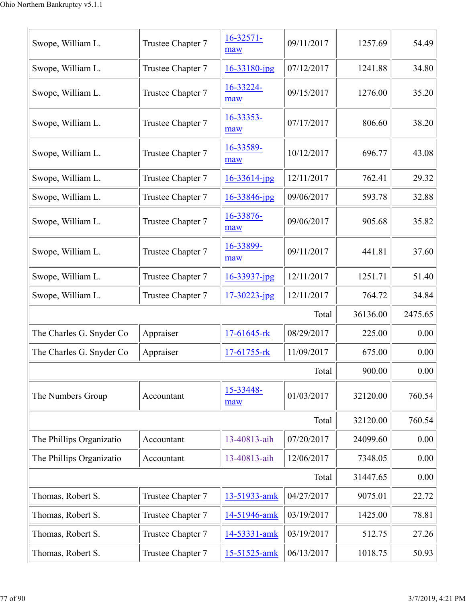| Swope, William L.        | Trustee Chapter 7 | $16 - 32571 -$<br>maw | 09/11/2017 | 1257.69  | 54.49   |
|--------------------------|-------------------|-----------------------|------------|----------|---------|
| Swope, William L.        | Trustee Chapter 7 | $16 - 33180$ -jpg     | 07/12/2017 | 1241.88  | 34.80   |
| Swope, William L.        | Trustee Chapter 7 | 16-33224-<br>maw      | 09/15/2017 | 1276.00  | 35.20   |
| Swope, William L.        | Trustee Chapter 7 | 16-33353-<br>maw      | 07/17/2017 | 806.60   | 38.20   |
| Swope, William L.        | Trustee Chapter 7 | 16-33589-<br>maw      | 10/12/2017 | 696.77   | 43.08   |
| Swope, William L.        | Trustee Chapter 7 | $16 - 33614$ -jpg     | 12/11/2017 | 762.41   | 29.32   |
| Swope, William L.        | Trustee Chapter 7 | 16-33846-jpg          | 09/06/2017 | 593.78   | 32.88   |
| Swope, William L.        | Trustee Chapter 7 | 16-33876-<br>maw      | 09/06/2017 | 905.68   | 35.82   |
| Swope, William L.        | Trustee Chapter 7 | 16-33899-<br>maw      | 09/11/2017 | 441.81   | 37.60   |
| Swope, William L.        | Trustee Chapter 7 | $16 - 33937$ -jpg     | 12/11/2017 | 1251.71  | 51.40   |
| Swope, William L.        | Trustee Chapter 7 | $17 - 30223$ -jpg     | 12/11/2017 | 764.72   | 34.84   |
|                          |                   |                       | Total      | 36136.00 | 2475.65 |
| The Charles G. Snyder Co | Appraiser         | 17-61645-rk           | 08/29/2017 | 225.00   | 0.00    |
| The Charles G. Snyder Co | Appraiser         | 17-61755-rk           | 11/09/2017 | 675.00   | 0.00    |
|                          |                   |                       | Total      | 900.00   | 0.00    |
| The Numbers Group        | Accountant        | 15-33448-<br>maw      | 01/03/2017 | 32120.00 | 760.54  |
|                          |                   |                       | Total      | 32120.00 | 760.54  |
| The Phillips Organizatio | Accountant        | 13-40813-aih          | 07/20/2017 | 24099.60 | 0.00    |
| The Phillips Organizatio | Accountant        | 13-40813-aih          | 12/06/2017 | 7348.05  | 0.00    |
|                          |                   |                       | Total      | 31447.65 | 0.00    |
| Thomas, Robert S.        | Trustee Chapter 7 | 13-51933-amk          | 04/27/2017 | 9075.01  | 22.72   |
| Thomas, Robert S.        | Trustee Chapter 7 | 14-51946-amk          | 03/19/2017 | 1425.00  | 78.81   |
| Thomas, Robert S.        | Trustee Chapter 7 | 14-53331-amk          | 03/19/2017 | 512.75   | 27.26   |
| Thomas, Robert S.        | Trustee Chapter 7 | 15-51525-amk          | 06/13/2017 | 1018.75  | 50.93   |
|                          |                   |                       |            |          |         |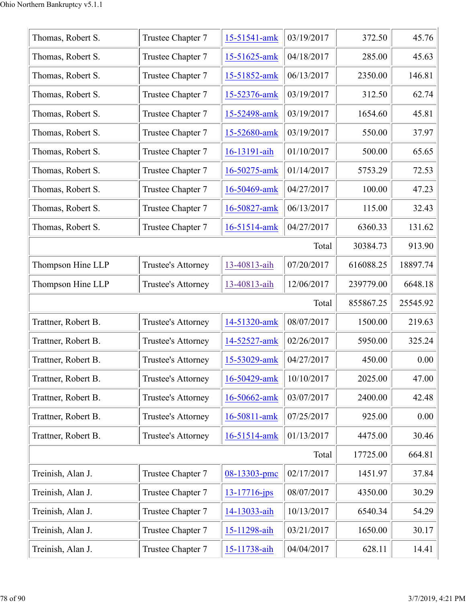| Thomas, Robert S.   | Trustee Chapter 7         | 15-51541-amk      | 03/19/2017 | 372.50    | 45.76    |
|---------------------|---------------------------|-------------------|------------|-----------|----------|
| Thomas, Robert S.   | Trustee Chapter 7         | 15-51625-amk      | 04/18/2017 | 285.00    | 45.63    |
| Thomas, Robert S.   | Trustee Chapter 7         | 15-51852-amk      | 06/13/2017 | 2350.00   | 146.81   |
| Thomas, Robert S.   | Trustee Chapter 7         | 15-52376-amk      | 03/19/2017 | 312.50    | 62.74    |
| Thomas, Robert S.   | Trustee Chapter 7         | 15-52498-amk      | 03/19/2017 | 1654.60   | 45.81    |
| Thomas, Robert S.   | Trustee Chapter 7         | 15-52680-amk      | 03/19/2017 | 550.00    | 37.97    |
| Thomas, Robert S.   | Trustee Chapter 7         | 16-13191-aih      | 01/10/2017 | 500.00    | 65.65    |
| Thomas, Robert S.   | Trustee Chapter 7         | 16-50275-amk      | 01/14/2017 | 5753.29   | 72.53    |
| Thomas, Robert S.   | Trustee Chapter 7         | 16-50469-amk      | 04/27/2017 | 100.00    | 47.23    |
| Thomas, Robert S.   | Trustee Chapter 7         | 16-50827-amk      | 06/13/2017 | 115.00    | 32.43    |
| Thomas, Robert S.   | Trustee Chapter 7         | 16-51514-amk      | 04/27/2017 | 6360.33   | 131.62   |
|                     |                           |                   | Total      | 30384.73  | 913.90   |
| Thompson Hine LLP   | Trustee's Attorney        | 13-40813-aih      | 07/20/2017 | 616088.25 | 18897.74 |
|                     | Trustee's Attorney        | 13-40813-aih      | 12/06/2017 | 239779.00 | 6648.18  |
| Thompson Hine LLP   |                           |                   |            |           |          |
|                     |                           |                   | Total      | 855867.25 | 25545.92 |
| Trattner, Robert B. | Trustee's Attorney        | 14-51320-amk      | 08/07/2017 | 1500.00   | 219.63   |
| Trattner, Robert B. | Trustee's Attorney        | 14-52527-amk      | 02/26/2017 | 5950.00   | 325.24   |
| Trattner, Robert B. | Trustee's Attorney        | 15-53029-amk      | 04/27/2017 | 450.00    | 0.00     |
| Trattner, Robert B. | <b>Trustee's Attorney</b> | 16-50429-amk      | 10/10/2017 | 2025.00   | 47.00    |
| Trattner, Robert B. | Trustee's Attorney        | 16-50662-amk      | 03/07/2017 | 2400.00   | 42.48    |
| Trattner, Robert B. | Trustee's Attorney        | 16-50811-amk      | 07/25/2017 | 925.00    | 0.00     |
| Trattner, Robert B. | Trustee's Attorney        | 16-51514-amk      | 01/13/2017 | 4475.00   | 30.46    |
|                     |                           |                   | Total      | 17725.00  | 664.81   |
| Treinish, Alan J.   | Trustee Chapter 7         | 08-13303-pmc      | 02/17/2017 | 1451.97   | 37.84    |
| Treinish, Alan J.   | Trustee Chapter 7         | $13 - 17716$ -jps | 08/07/2017 | 4350.00   | 30.29    |
| Treinish, Alan J.   | Trustee Chapter 7         | 14-13033-aih      | 10/13/2017 | 6540.34   | 54.29    |
| Treinish, Alan J.   | Trustee Chapter 7         | 15-11298-aih      | 03/21/2017 | 1650.00   | 30.17    |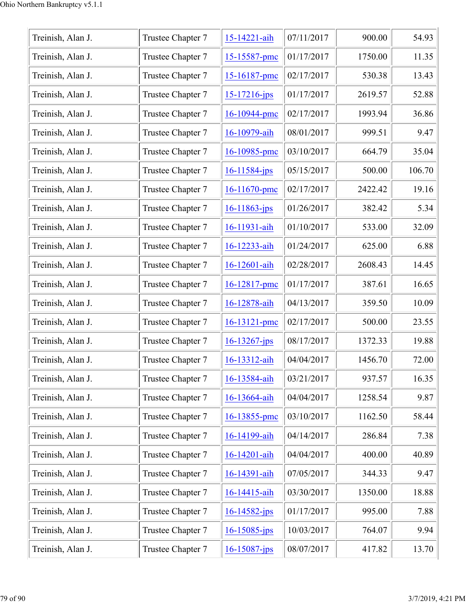| Treinish, Alan J. | Trustee Chapter 7 | 15-14221-aih       | 07/11/2017 | 900.00  | 54.93  |
|-------------------|-------------------|--------------------|------------|---------|--------|
| Treinish, Alan J. | Trustee Chapter 7 | 15-15587-pmc       | 01/17/2017 | 1750.00 | 11.35  |
| Treinish, Alan J. | Trustee Chapter 7 | 15-16187-pmc       | 02/17/2017 | 530.38  | 13.43  |
| Treinish, Alan J. | Trustee Chapter 7 | 15-17216-jps       | 01/17/2017 | 2619.57 | 52.88  |
| Treinish, Alan J. | Trustee Chapter 7 | 16-10944-pmc       | 02/17/2017 | 1993.94 | 36.86  |
| Treinish, Alan J. | Trustee Chapter 7 | 16-10979-aih       | 08/01/2017 | 999.51  | 9.47   |
| Treinish, Alan J. | Trustee Chapter 7 | 16-10985-pmc       | 03/10/2017 | 664.79  | 35.04  |
| Treinish, Alan J. | Trustee Chapter 7 | 16-11584-jps       | 05/15/2017 | 500.00  | 106.70 |
| Treinish, Alan J. | Trustee Chapter 7 | 16-11670-pmc       | 02/17/2017 | 2422.42 | 19.16  |
| Treinish, Alan J. | Trustee Chapter 7 | $16 - 11863$ -jps  | 01/26/2017 | 382.42  | 5.34   |
| Treinish, Alan J. | Trustee Chapter 7 | 16-11931-aih       | 01/10/2017 | 533.00  | 32.09  |
| Treinish, Alan J. | Trustee Chapter 7 | 16-12233-aih       | 01/24/2017 | 625.00  | 6.88   |
| Treinish, Alan J. | Trustee Chapter 7 | 16-12601-aih       | 02/28/2017 | 2608.43 | 14.45  |
| Treinish, Alan J. | Trustee Chapter 7 | 16-12817-pmc       | 01/17/2017 | 387.61  | 16.65  |
| Treinish, Alan J. | Trustee Chapter 7 | 16-12878-aih       | 04/13/2017 | 359.50  | 10.09  |
| Treinish, Alan J. | Trustee Chapter 7 | $16 - 13121$ -pmc  | 02/17/2017 | 500.00  | 23.55  |
| Treinish, Alan J. | Trustee Chapter 7 | $16 - 13267$ -jps  | 08/17/2017 | 1372.33 | 19.88  |
| Treinish, Alan J. | Trustee Chapter 7 | 16-13312-aih       | 04/04/2017 | 1456.70 | 72.00  |
| Treinish, Alan J. | Trustee Chapter 7 | 16-13584-aih       | 03/21/2017 | 937.57  | 16.35  |
| Treinish, Alan J. | Trustee Chapter 7 | 16-13664-aih       | 04/04/2017 | 1258.54 | 9.87   |
| Treinish, Alan J. | Trustee Chapter 7 | 16-13855-pmc       | 03/10/2017 | 1162.50 | 58.44  |
| Treinish, Alan J. | Trustee Chapter 7 | 16-14199-aih       | 04/14/2017 | 286.84  | 7.38   |
| Treinish, Alan J. | Trustee Chapter 7 | 16-14201-aih       | 04/04/2017 | 400.00  | 40.89  |
| Treinish, Alan J. | Trustee Chapter 7 | 16-14391-aih       | 07/05/2017 | 344.33  | 9.47   |
| Treinish, Alan J. | Trustee Chapter 7 | 16-14415-aih       | 03/30/2017 | 1350.00 | 18.88  |
| Treinish, Alan J. | Trustee Chapter 7 | $16 - 14582$ -jps  | 01/17/2017 | 995.00  | 7.88   |
| Treinish, Alan J. | Trustee Chapter 7 | $16 - 15085$ -jps  | 10/03/2017 | 764.07  | 9.94   |
| Treinish, Alan J. | Trustee Chapter 7 | $16 - 15087 - ips$ | 08/07/2017 | 417.82  | 13.70  |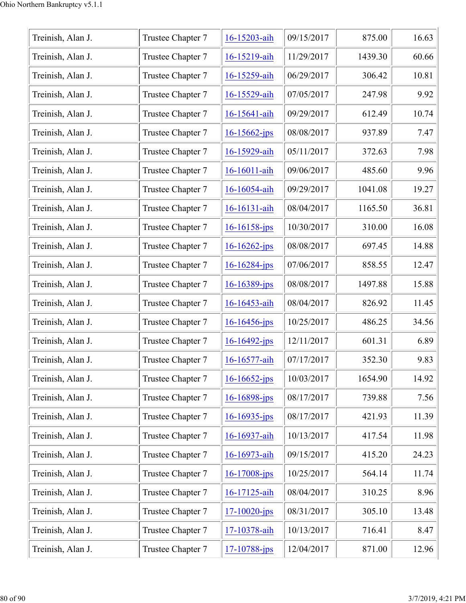| Treinish, Alan J. | Trustee Chapter 7 | 16-15203-aih       | 09/15/2017 | 875.00  | 16.63 |
|-------------------|-------------------|--------------------|------------|---------|-------|
| Treinish, Alan J. | Trustee Chapter 7 | 16-15219-aih       | 11/29/2017 | 1439.30 | 60.66 |
| Treinish, Alan J. | Trustee Chapter 7 | 16-15259-aih       | 06/29/2017 | 306.42  | 10.81 |
| Treinish, Alan J. | Trustee Chapter 7 | 16-15529-aih       | 07/05/2017 | 247.98  | 9.92  |
| Treinish, Alan J. | Trustee Chapter 7 | 16-15641-aih       | 09/29/2017 | 612.49  | 10.74 |
| Treinish, Alan J. | Trustee Chapter 7 | $16 - 15662 - ips$ | 08/08/2017 | 937.89  | 7.47  |
| Treinish, Alan J. | Trustee Chapter 7 | 16-15929-aih       | 05/11/2017 | 372.63  | 7.98  |
| Treinish, Alan J. | Trustee Chapter 7 | 16-16011-aih       | 09/06/2017 | 485.60  | 9.96  |
| Treinish, Alan J. | Trustee Chapter 7 | 16-16054-aih       | 09/29/2017 | 1041.08 | 19.27 |
| Treinish, Alan J. | Trustee Chapter 7 | 16-16131-aih       | 08/04/2017 | 1165.50 | 36.81 |
| Treinish, Alan J. | Trustee Chapter 7 | $16 - 16158 - ips$ | 10/30/2017 | 310.00  | 16.08 |
| Treinish, Alan J. | Trustee Chapter 7 | $16 - 16262 - ips$ | 08/08/2017 | 697.45  | 14.88 |
| Treinish, Alan J. | Trustee Chapter 7 | $16 - 16284 - ips$ | 07/06/2017 | 858.55  | 12.47 |
| Treinish, Alan J. | Trustee Chapter 7 | $16 - 16389$ -jps  | 08/08/2017 | 1497.88 | 15.88 |
| Treinish, Alan J. | Trustee Chapter 7 | 16-16453-aih       | 08/04/2017 | 826.92  | 11.45 |
| Treinish, Alan J. | Trustee Chapter 7 | $16 - 16456$ -jps  | 10/25/2017 | 486.25  | 34.56 |
| Treinish, Alan J. | Trustee Chapter 7 | $16 - 16492 - ips$ | 12/11/2017 | 601.31  | 6.89  |
| Treinish, Alan J. | Trustee Chapter 7 | 16-16577-aih       | 07/17/2017 | 352.30  | 9.83  |
| Treinish, Alan J. | Trustee Chapter 7 | $16 - 16652$ -jps  | 10/03/2017 | 1654.90 | 14.92 |
| Treinish, Alan J. | Trustee Chapter 7 | $16 - 16898$ -jps  | 08/17/2017 | 739.88  | 7.56  |
| Treinish, Alan J. | Trustee Chapter 7 | $16 - 16935 - ips$ | 08/17/2017 | 421.93  | 11.39 |
| Treinish, Alan J. | Trustee Chapter 7 | 16-16937-aih       | 10/13/2017 | 417.54  | 11.98 |
| Treinish, Alan J. | Trustee Chapter 7 | 16-16973-aih       | 09/15/2017 | 415.20  | 24.23 |
| Treinish, Alan J. | Trustee Chapter 7 | $16 - 17008 - ips$ | 10/25/2017 | 564.14  | 11.74 |
| Treinish, Alan J. | Trustee Chapter 7 | 16-17125-aih       | 08/04/2017 | 310.25  | 8.96  |
| Treinish, Alan J. | Trustee Chapter 7 | $17 - 10020 - ips$ | 08/31/2017 | 305.10  | 13.48 |
| Treinish, Alan J. | Trustee Chapter 7 | 17-10378-aih       | 10/13/2017 | 716.41  | 8.47  |
| Treinish, Alan J. | Trustee Chapter 7 | $17 - 10788 - ips$ | 12/04/2017 | 871.00  | 12.96 |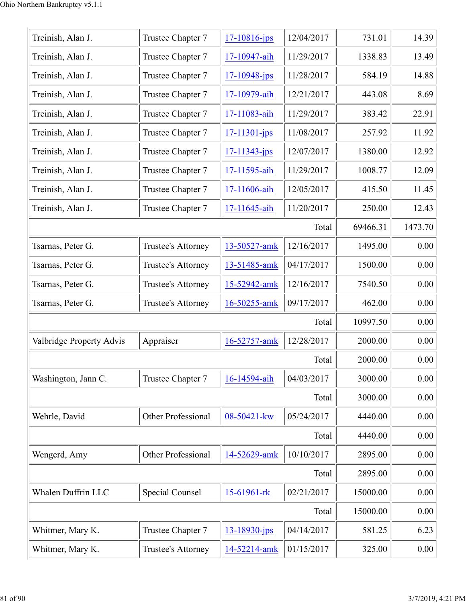| Treinish, Alan J.        | Trustee Chapter 7      | $17 - 10816$ -jps  | 12/04/2017 | 731.01   | 14.39    |
|--------------------------|------------------------|--------------------|------------|----------|----------|
| Treinish, Alan J.        | Trustee Chapter 7      | 17-10947-aih       | 11/29/2017 | 1338.83  | 13.49    |
| Treinish, Alan J.        | Trustee Chapter 7      | $17 - 10948$ -jps  | 11/28/2017 | 584.19   | 14.88    |
| Treinish, Alan J.        | Trustee Chapter 7      | 17-10979-aih       | 12/21/2017 | 443.08   | 8.69     |
| Treinish, Alan J.        | Trustee Chapter 7      | 17-11083-aih       | 11/29/2017 | 383.42   | 22.91    |
| Treinish, Alan J.        | Trustee Chapter 7      | $17 - 11301 - ips$ | 11/08/2017 | 257.92   | 11.92    |
| Treinish, Alan J.        | Trustee Chapter 7      | $17 - 11343 - jps$ | 12/07/2017 | 1380.00  | 12.92    |
| Treinish, Alan J.        | Trustee Chapter 7      | 17-11595-aih       | 11/29/2017 | 1008.77  | 12.09    |
| Treinish, Alan J.        | Trustee Chapter 7      | 17-11606-aih       | 12/05/2017 | 415.50   | 11.45    |
| Treinish, Alan J.        | Trustee Chapter 7      | 17-11645-aih       | 11/20/2017 | 250.00   | 12.43    |
|                          |                        |                    | Total      | 69466.31 | 1473.70  |
| Tsarnas, Peter G.        | Trustee's Attorney     | 13-50527-amk       | 12/16/2017 | 1495.00  | 0.00     |
| Tsarnas, Peter G.        | Trustee's Attorney     | 13-51485-amk       | 04/17/2017 | 1500.00  | 0.00     |
| Tsarnas, Peter G.        | Trustee's Attorney     | 15-52942-amk       | 12/16/2017 | 7540.50  | 0.00     |
| Tsarnas, Peter G.        | Trustee's Attorney     | 16-50255-amk       | 09/17/2017 | 462.00   | 0.00     |
|                          |                        |                    | Total      | 10997.50 | 0.00     |
| Valbridge Property Advis | Appraiser              | 16-52757-amk       | 12/28/2017 | 2000.00  | 0.00     |
|                          |                        |                    | Total      | 2000.00  | 0.00     |
| Washington, Jann C.      | Trustee Chapter 7      | 16-14594-aih       | 04/03/2017 | 3000.00  | 0.00     |
|                          |                        |                    | Total      | 3000.00  | 0.00     |
| Wehrle, David            | Other Professional     | 08-50421-kw        | 05/24/2017 | 4440.00  | 0.00     |
|                          |                        |                    | Total      | 4440.00  | 0.00     |
| Wengerd, Amy             | Other Professional     | 14-52629-amk       | 10/10/2017 | 2895.00  | 0.00     |
|                          |                        |                    | Total      | 2895.00  | 0.00     |
| Whalen Duffrin LLC       | <b>Special Counsel</b> | 15-61961-rk        | 02/21/2017 | 15000.00 | 0.00     |
|                          |                        |                    | Total      | 15000.00 | 0.00     |
| Whitmer, Mary K.         | Trustee Chapter 7      | 13-18930-jps       | 04/14/2017 | 581.25   | 6.23     |
| Whitmer, Mary K.         | Trustee's Attorney     | 14-52214-amk       | 01/15/2017 | 325.00   | $0.00\,$ |
|                          |                        |                    |            |          |          |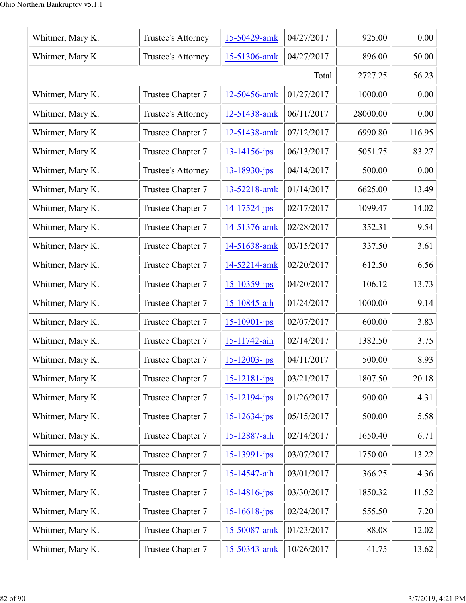| Whitmer, Mary K. | Trustee's Attorney        | 15-50429-amk       | 04/27/2017 | 925.00   | 0.00   |
|------------------|---------------------------|--------------------|------------|----------|--------|
| Whitmer, Mary K. | Trustee's Attorney        | 15-51306-amk       | 04/27/2017 | 896.00   | 50.00  |
|                  | 2727.25                   | 56.23              |            |          |        |
| Whitmer, Mary K. | Trustee Chapter 7         | 12-50456-amk       | 01/27/2017 | 1000.00  | 0.00   |
| Whitmer, Mary K. | <b>Trustee's Attorney</b> | 12-51438-amk       | 06/11/2017 | 28000.00 | 0.00   |
| Whitmer, Mary K. | Trustee Chapter 7         | 12-51438-amk       | 07/12/2017 | 6990.80  | 116.95 |
| Whitmer, Mary K. | Trustee Chapter 7         | $13 - 14156$ -jps  | 06/13/2017 | 5051.75  | 83.27  |
| Whitmer, Mary K. | Trustee's Attorney        | $13 - 18930 - jps$ | 04/14/2017 | 500.00   | 0.00   |
| Whitmer, Mary K. | Trustee Chapter 7         | 13-52218-amk       | 01/14/2017 | 6625.00  | 13.49  |
| Whitmer, Mary K. | Trustee Chapter 7         | $14 - 17524 - ips$ | 02/17/2017 | 1099.47  | 14.02  |
| Whitmer, Mary K. | Trustee Chapter 7         | 14-51376-amk       | 02/28/2017 | 352.31   | 9.54   |
| Whitmer, Mary K. | Trustee Chapter 7         | 14-51638-amk       | 03/15/2017 | 337.50   | 3.61   |
| Whitmer, Mary K. | Trustee Chapter 7         | 14-52214-amk       | 02/20/2017 | 612.50   | 6.56   |
| Whitmer, Mary K. | Trustee Chapter 7         | $15 - 10359$ -jps  | 04/20/2017 | 106.12   | 13.73  |
| Whitmer, Mary K. | Trustee Chapter 7         | 15-10845-aih       | 01/24/2017 | 1000.00  | 9.14   |
| Whitmer, Mary K. | Trustee Chapter 7         | $15 - 10901 - ips$ | 02/07/2017 | 600.00   | 3.83   |
| Whitmer, Mary K. | Trustee Chapter 7         | 15-11742-aih       | 02/14/2017 | 1382.50  | 3.75   |
| Whitmer, Mary K. | Trustee Chapter 7         | $15 - 12003 - ips$ | 04/11/2017 | 500.00   | 8.93   |
| Whitmer, Mary K. | Trustee Chapter 7         | $15 - 12181 - ips$ | 03/21/2017 | 1807.50  | 20.18  |
| Whitmer, Mary K. | Trustee Chapter 7         | $15 - 12194 - ips$ | 01/26/2017 | 900.00   | 4.31   |
| Whitmer, Mary K. | Trustee Chapter 7         | $15 - 12634 - ips$ | 05/15/2017 | 500.00   | 5.58   |
| Whitmer, Mary K. | Trustee Chapter 7         | 15-12887-aih       | 02/14/2017 | 1650.40  | 6.71   |
| Whitmer, Mary K. | Trustee Chapter 7         | 15-13991-jps       | 03/07/2017 | 1750.00  | 13.22  |
| Whitmer, Mary K. | Trustee Chapter 7         | 15-14547-aih       | 03/01/2017 | 366.25   | 4.36   |
| Whitmer, Mary K. | Trustee Chapter 7         | $15 - 14816$ -jps  | 03/30/2017 | 1850.32  | 11.52  |
| Whitmer, Mary K. | Trustee Chapter 7         | $15 - 16618$ -jps  | 02/24/2017 | 555.50   | 7.20   |
| Whitmer, Mary K. | Trustee Chapter 7         | 15-50087-amk       | 01/23/2017 | 88.08    | 12.02  |
| Whitmer, Mary K. | Trustee Chapter 7         | 15-50343-amk       | 10/26/2017 | 41.75    | 13.62  |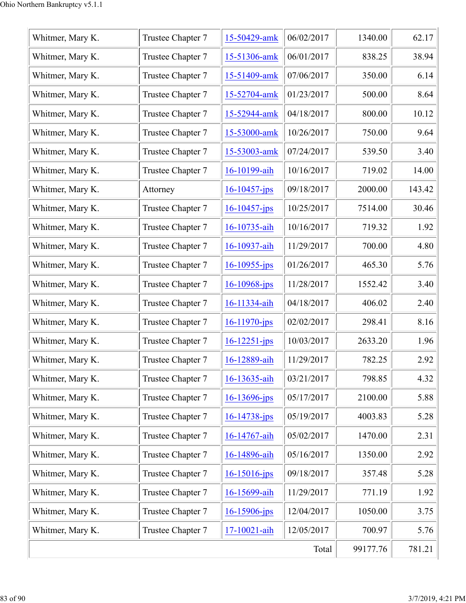| Whitmer, Mary K. | Trustee Chapter 7 | 15-50429-amk       | 06/02/2017 | 1340.00  | 62.17  |
|------------------|-------------------|--------------------|------------|----------|--------|
| Whitmer, Mary K. | Trustee Chapter 7 | 15-51306-amk       | 06/01/2017 | 838.25   | 38.94  |
| Whitmer, Mary K. | Trustee Chapter 7 | 15-51409-amk       | 07/06/2017 | 350.00   | 6.14   |
| Whitmer, Mary K. | Trustee Chapter 7 | 15-52704-amk       | 01/23/2017 | 500.00   | 8.64   |
| Whitmer, Mary K. | Trustee Chapter 7 | 15-52944-amk       | 04/18/2017 | 800.00   | 10.12  |
| Whitmer, Mary K. | Trustee Chapter 7 | 15-53000-amk       | 10/26/2017 | 750.00   | 9.64   |
| Whitmer, Mary K. | Trustee Chapter 7 | 15-53003-amk       | 07/24/2017 | 539.50   | 3.40   |
| Whitmer, Mary K. | Trustee Chapter 7 | 16-10199-aih       | 10/16/2017 | 719.02   | 14.00  |
| Whitmer, Mary K. | Attorney          | $16 - 10457 - ips$ | 09/18/2017 | 2000.00  | 143.42 |
| Whitmer, Mary K. | Trustee Chapter 7 | $16 - 10457$ -jps  | 10/25/2017 | 7514.00  | 30.46  |
| Whitmer, Mary K. | Trustee Chapter 7 | 16-10735-aih       | 10/16/2017 | 719.32   | 1.92   |
| Whitmer, Mary K. | Trustee Chapter 7 | 16-10937-aih       | 11/29/2017 | 700.00   | 4.80   |
| Whitmer, Mary K. | Trustee Chapter 7 | $16 - 10955$ -jps  | 01/26/2017 | 465.30   | 5.76   |
| Whitmer, Mary K. | Trustee Chapter 7 | 16-10968-jps       | 11/28/2017 | 1552.42  | 3.40   |
| Whitmer, Mary K. | Trustee Chapter 7 | 16-11334-aih       | 04/18/2017 | 406.02   | 2.40   |
| Whitmer, Mary K. | Trustee Chapter 7 | $16 - 11970$ -jps  | 02/02/2017 | 298.41   | 8.16   |
| Whitmer, Mary K. | Trustee Chapter 7 | $16 - 12251 - ips$ | 10/03/2017 | 2633.20  | 1.96   |
| Whitmer, Mary K. | Trustee Chapter 7 | 16-12889-aih       | 11/29/2017 | 782.25   | 2.92   |
| Whitmer, Mary K. | Trustee Chapter 7 | 16-13635-aih       | 03/21/2017 | 798.85   | 4.32   |
| Whitmer, Mary K. | Trustee Chapter 7 | $16 - 13696$ -jps  | 05/17/2017 | 2100.00  | 5.88   |
| Whitmer, Mary K. | Trustee Chapter 7 | $16 - 14738 - ips$ | 05/19/2017 | 4003.83  | 5.28   |
| Whitmer, Mary K. | Trustee Chapter 7 | 16-14767-aih       | 05/02/2017 | 1470.00  | 2.31   |
| Whitmer, Mary K. | Trustee Chapter 7 | 16-14896-aih       | 05/16/2017 | 1350.00  | 2.92   |
| Whitmer, Mary K. | Trustee Chapter 7 | $16 - 15016$ -jps  | 09/18/2017 | 357.48   | 5.28   |
| Whitmer, Mary K. | Trustee Chapter 7 | 16-15699-aih       | 11/29/2017 | 771.19   | 1.92   |
| Whitmer, Mary K. | Trustee Chapter 7 | $16 - 15906$ -jps  | 12/04/2017 | 1050.00  | 3.75   |
| Whitmer, Mary K. | Trustee Chapter 7 | 17-10021-aih       | 12/05/2017 | 700.97   | 5.76   |
|                  |                   |                    | Total      | 99177.76 | 781.21 |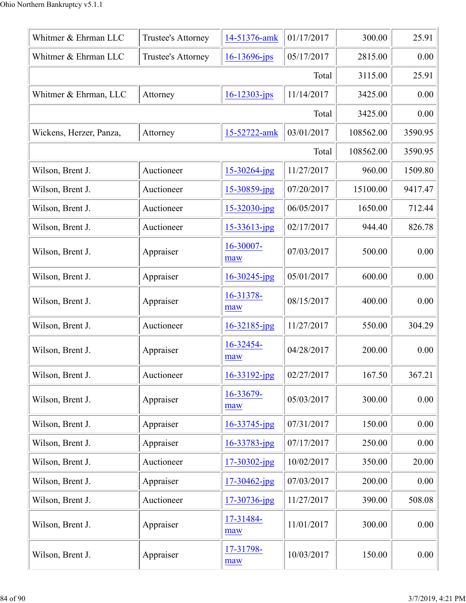| Whitmer & Ehrman LLC    | Trustee's Attorney | 14-51376-amk       | 01/17/2017 | 300.00    | 25.91   |
|-------------------------|--------------------|--------------------|------------|-----------|---------|
| Whitmer & Ehrman LLC    | Trustee's Attorney | 16-13696-jps       | 05/17/2017 | 2815.00   | 0.00    |
|                         |                    |                    | Total      | 3115.00   | 25.91   |
| Whitmer & Ehrman, LLC   | Attorney           | $16 - 12303 - ips$ | 11/14/2017 | 3425.00   | 0.00    |
|                         |                    |                    | Total      | 3425.00   | 0.00    |
| Wickens, Herzer, Panza, | Attorney           | 15-52722-amk       | 03/01/2017 | 108562.00 | 3590.95 |
|                         |                    |                    | Total      | 108562.00 | 3590.95 |
| Wilson, Brent J.        | Auctioneer         | 15-30264-jpg       | 11/27/2017 | 960.00    | 1509.80 |
| Wilson, Brent J.        | Auctioneer         | $15 - 30859$ -jpg  | 07/20/2017 | 15100.00  | 9417.47 |
| Wilson, Brent J.        | Auctioneer         | $15 - 32030$ -jpg  | 06/05/2017 | 1650.00   | 712.44  |
| Wilson, Brent J.        | Auctioneer         | 15-33613-jpg       | 02/17/2017 | 944.40    | 826.78  |
| Wilson, Brent J.        | Appraiser          | 16-30007-<br>maw   | 07/03/2017 | 500.00    | 0.00    |
| Wilson, Brent J.        | Appraiser          | $16 - 30245$ -jpg  | 05/01/2017 | 600.00    | 0.00    |
| Wilson, Brent J.        | Appraiser          | 16-31378-<br>maw   | 08/15/2017 | 400.00    | 0.00    |
| Wilson, Brent J.        | Auctioneer         | $16 - 32185$ -jpg  | 11/27/2017 | 550.00    | 304.29  |
| Wilson, Brent J.        | Appraiser          | 16-32454-<br>maw   | 04/28/2017 | 200.00    | 0.00    |
| Wilson, Brent J.        | Auctioneer         | 16-33192-jpg       | 02/27/2017 | 167.50    | 367.21  |
| Wilson, Brent J.        | Appraiser          | 16-33679-<br>maw   | 05/03/2017 | 300.00    | 0.00    |
| Wilson, Brent J.        | Appraiser          | $16 - 33745$ -jpg  | 07/31/2017 | 150.00    | 0.00    |
| Wilson, Brent J.        | Appraiser          | 16-33783-jpg       | 07/17/2017 | 250.00    | 0.00    |
| Wilson, Brent J.        | Auctioneer         | $17 - 30302$ -jpg  | 10/02/2017 | 350.00    | 20.00   |
| Wilson, Brent J.        | Appraiser          | $17 - 30462$ -jpg  | 07/03/2017 | 200.00    | 0.00    |
| Wilson, Brent J.        | Auctioneer         | 17-30736-jpg       | 11/27/2017 | 390.00    | 508.08  |
| Wilson, Brent J.        | Appraiser          | 17-31484-<br>maw   | 11/01/2017 | 300.00    | 0.00    |
| Wilson, Brent J.        | Appraiser          | 17-31798-<br>maw   | 10/03/2017 | 150.00    | 0.00    |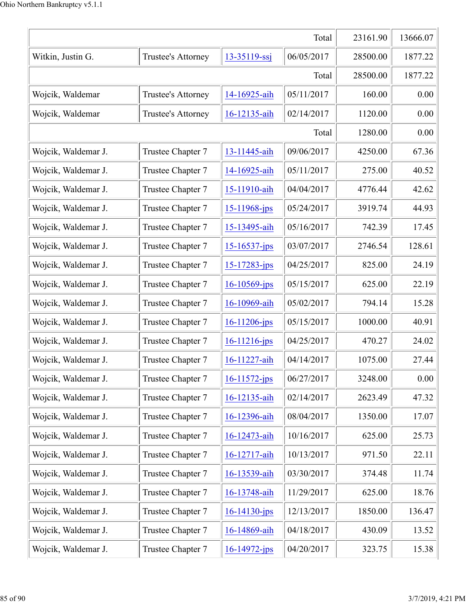| Total               |                    |                    | 23161.90   | 13666.07 |         |
|---------------------|--------------------|--------------------|------------|----------|---------|
| Witkin, Justin G.   | Trustee's Attorney | $13 - 35119 - ssj$ | 06/05/2017 | 28500.00 | 1877.22 |
| Total               |                    |                    | 28500.00   | 1877.22  |         |
| Wojcik, Waldemar    | Trustee's Attorney | 14-16925-aih       | 05/11/2017 | 160.00   | 0.00    |
| Wojcik, Waldemar    | Trustee's Attorney | 16-12135-aih       | 02/14/2017 | 1120.00  | 0.00    |
|                     |                    |                    | Total      | 1280.00  | 0.00    |
| Wojcik, Waldemar J. | Trustee Chapter 7  | 13-11445-aih       | 09/06/2017 | 4250.00  | 67.36   |
| Wojcik, Waldemar J. | Trustee Chapter 7  | 14-16925-aih       | 05/11/2017 | 275.00   | 40.52   |
| Wojcik, Waldemar J. | Trustee Chapter 7  | 15-11910-aih       | 04/04/2017 | 4776.44  | 42.62   |
| Wojcik, Waldemar J. | Trustee Chapter 7  | $15 - 11968$ -jps  | 05/24/2017 | 3919.74  | 44.93   |
| Wojcik, Waldemar J. | Trustee Chapter 7  | 15-13495-aih       | 05/16/2017 | 742.39   | 17.45   |
| Wojcik, Waldemar J. | Trustee Chapter 7  | 15-16537-jps       | 03/07/2017 | 2746.54  | 128.61  |
| Wojcik, Waldemar J. | Trustee Chapter 7  | $15 - 17283 - ips$ | 04/25/2017 | 825.00   | 24.19   |
| Wojcik, Waldemar J. | Trustee Chapter 7  | $16 - 10569$ -jps  | 05/15/2017 | 625.00   | 22.19   |
| Wojcik, Waldemar J. | Trustee Chapter 7  | 16-10969-aih       | 05/02/2017 | 794.14   | 15.28   |
| Wojcik, Waldemar J. | Trustee Chapter 7  | $16 - 11206$ -jps  | 05/15/2017 | 1000.00  | 40.91   |
| Wojcik, Waldemar J. | Trustee Chapter 7  | $16 - 11216$ -jps  | 04/25/2017 | 470.27   | 24.02   |
| Wojcik, Waldemar J. | Trustee Chapter 7  | 16-11227-aih       | 04/14/2017 | 1075.00  | 27.44   |
| Wojcik, Waldemar J. | Trustee Chapter 7  | $16 - 11572 - ips$ | 06/27/2017 | 3248.00  | 0.00    |
| Wojcik, Waldemar J. | Trustee Chapter 7  | 16-12135-aih       | 02/14/2017 | 2623.49  | 47.32   |
| Wojcik, Waldemar J. | Trustee Chapter 7  | 16-12396-aih       | 08/04/2017 | 1350.00  | 17.07   |
| Wojcik, Waldemar J. | Trustee Chapter 7  | 16-12473-aih       | 10/16/2017 | 625.00   | 25.73   |
| Wojcik, Waldemar J. | Trustee Chapter 7  | 16-12717-aih       | 10/13/2017 | 971.50   | 22.11   |
| Wojcik, Waldemar J. | Trustee Chapter 7  | 16-13539-aih       | 03/30/2017 | 374.48   | 11.74   |
| Wojcik, Waldemar J. | Trustee Chapter 7  | 16-13748-aih       | 11/29/2017 | 625.00   | 18.76   |
| Wojcik, Waldemar J. | Trustee Chapter 7  | 16-14130-jps       | 12/13/2017 | 1850.00  | 136.47  |
| Wojcik, Waldemar J. | Trustee Chapter 7  | 16-14869-aih       | 04/18/2017 | 430.09   | 13.52   |
| Wojcik, Waldemar J. | Trustee Chapter 7  | 16-14972-jps       | 04/20/2017 | 323.75   | 15.38   |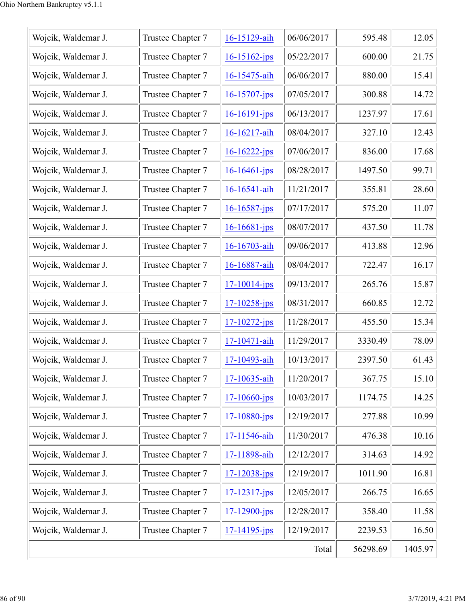| Wojcik, Waldemar J. | Trustee Chapter 7 | 16-15129-aih       | 06/06/2017 | 595.48   | 12.05   |
|---------------------|-------------------|--------------------|------------|----------|---------|
| Wojcik, Waldemar J. | Trustee Chapter 7 | $16 - 15162$ -jps  | 05/22/2017 | 600.00   | 21.75   |
| Wojcik, Waldemar J. | Trustee Chapter 7 | 16-15475-aih       | 06/06/2017 | 880.00   | 15.41   |
| Wojcik, Waldemar J. | Trustee Chapter 7 | $16 - 15707 - ips$ | 07/05/2017 | 300.88   | 14.72   |
| Wojcik, Waldemar J. | Trustee Chapter 7 | $16 - 16191 - ips$ | 06/13/2017 | 1237.97  | 17.61   |
| Wojcik, Waldemar J. | Trustee Chapter 7 | 16-16217-aih       | 08/04/2017 | 327.10   | 12.43   |
| Wojcik, Waldemar J. | Trustee Chapter 7 | $16 - 16222 - ips$ | 07/06/2017 | 836.00   | 17.68   |
| Wojcik, Waldemar J. | Trustee Chapter 7 | $16 - 16461 - ips$ | 08/28/2017 | 1497.50  | 99.71   |
| Wojcik, Waldemar J. | Trustee Chapter 7 | 16-16541-aih       | 11/21/2017 | 355.81   | 28.60   |
| Wojcik, Waldemar J. | Trustee Chapter 7 | $16 - 16587 - jps$ | 07/17/2017 | 575.20   | 11.07   |
| Wojcik, Waldemar J. | Trustee Chapter 7 | $16 - 16681 - ips$ | 08/07/2017 | 437.50   | 11.78   |
| Wojcik, Waldemar J. | Trustee Chapter 7 | 16-16703-aih       | 09/06/2017 | 413.88   | 12.96   |
| Wojcik, Waldemar J. | Trustee Chapter 7 | 16-16887-aih       | 08/04/2017 | 722.47   | 16.17   |
| Wojcik, Waldemar J. | Trustee Chapter 7 | $17 - 10014 - jps$ | 09/13/2017 | 265.76   | 15.87   |
| Wojcik, Waldemar J. | Trustee Chapter 7 | $17 - 10258 - ips$ | 08/31/2017 | 660.85   | 12.72   |
| Wojcik, Waldemar J. | Trustee Chapter 7 | $17 - 10272 - ips$ | 11/28/2017 | 455.50   | 15.34   |
| Wojcik, Waldemar J. | Trustee Chapter 7 | 17-10471-aih       | 11/29/2017 | 3330.49  | 78.09   |
| Wojcik, Waldemar J. | Trustee Chapter 7 | 17-10493-aih       | 10/13/2017 | 2397.50  | 61.43   |
| Wojcik, Waldemar J. | Trustee Chapter 7 | 17-10635-aih       | 11/20/2017 | 367.75   | 15.10   |
| Wojcik, Waldemar J. | Trustee Chapter 7 | $17 - 10660 - ips$ | 10/03/2017 | 1174.75  | 14.25   |
| Wojcik, Waldemar J. | Trustee Chapter 7 | $17 - 10880 - ips$ | 12/19/2017 | 277.88   | 10.99   |
| Wojcik, Waldemar J. | Trustee Chapter 7 | 17-11546-aih       | 11/30/2017 | 476.38   | 10.16   |
| Wojcik, Waldemar J. | Trustee Chapter 7 | 17-11898-aih       | 12/12/2017 | 314.63   | 14.92   |
| Wojcik, Waldemar J. | Trustee Chapter 7 | $17 - 12038 - ips$ | 12/19/2017 | 1011.90  | 16.81   |
| Wojcik, Waldemar J. | Trustee Chapter 7 | $17 - 12317 - ips$ | 12/05/2017 | 266.75   | 16.65   |
| Wojcik, Waldemar J. | Trustee Chapter 7 | $17 - 12900 - ips$ | 12/28/2017 | 358.40   | 11.58   |
| Wojcik, Waldemar J. | Trustee Chapter 7 | $17 - 14195 - ips$ | 12/19/2017 | 2239.53  | 16.50   |
|                     |                   |                    | Total      | 56298.69 | 1405.97 |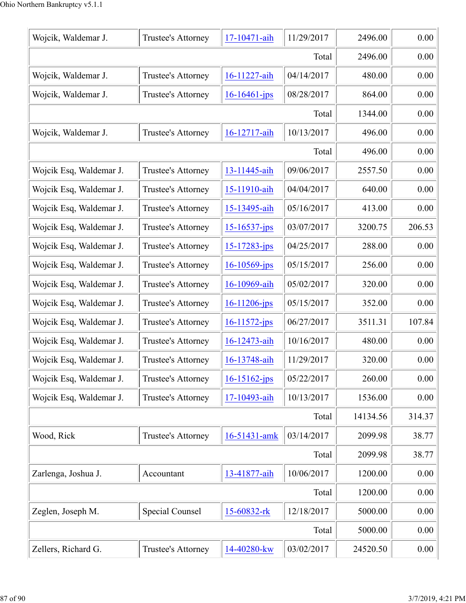| Wojcik, Waldemar J.     | Trustee's Attorney     | 17-10471-aih       | 11/29/2017 | 2496.00  | 0.00   |
|-------------------------|------------------------|--------------------|------------|----------|--------|
| Total                   |                        |                    | 2496.00    | 0.00     |        |
| Wojcik, Waldemar J.     | Trustee's Attorney     | 16-11227-aih       | 04/14/2017 | 480.00   | 0.00   |
| Wojcik, Waldemar J.     | Trustee's Attorney     | $16 - 16461 - ips$ | 08/28/2017 | 864.00   | 0.00   |
|                         |                        |                    | Total      | 1344.00  | 0.00   |
| Wojcik, Waldemar J.     | Trustee's Attorney     | 16-12717-aih       | 10/13/2017 | 496.00   | 0.00   |
|                         |                        |                    | Total      | 496.00   | 0.00   |
| Wojcik Esq, Waldemar J. | Trustee's Attorney     | 13-11445-aih       | 09/06/2017 | 2557.50  | 0.00   |
| Wojcik Esq, Waldemar J. | Trustee's Attorney     | 15-11910-aih       | 04/04/2017 | 640.00   | 0.00   |
| Wojcik Esq, Waldemar J. | Trustee's Attorney     | 15-13495-aih       | 05/16/2017 | 413.00   | 0.00   |
| Wojcik Esq, Waldemar J. | Trustee's Attorney     | $15 - 16537 - ips$ | 03/07/2017 | 3200.75  | 206.53 |
| Wojcik Esq, Waldemar J. | Trustee's Attorney     | 15-17283-jps       | 04/25/2017 | 288.00   | 0.00   |
| Wojcik Esq, Waldemar J. | Trustee's Attorney     | $16 - 10569$ -jps  | 05/15/2017 | 256.00   | 0.00   |
| Wojcik Esq, Waldemar J. | Trustee's Attorney     | 16-10969-aih       | 05/02/2017 | 320.00   | 0.00   |
| Wojcik Esq, Waldemar J. | Trustee's Attorney     | $16 - 11206 - ips$ | 05/15/2017 | 352.00   | 0.00   |
| Wojcik Esq, Waldemar J. | Trustee's Attorney     | $16 - 11572 - ips$ | 06/27/2017 | 3511.31  | 107.84 |
| Wojcik Esq, Waldemar J. | Trustee's Attorney     | 16-12473-aih       | 10/16/2017 | 480.00   | 0.00   |
| Wojcik Esq, Waldemar J. | Trustee's Attorney     | 16-13748-aih       | 11/29/2017 | 320.00   | 0.00   |
| Wojcik Esq, Waldemar J. | Trustee's Attorney     | 16-15162-jps       | 05/22/2017 | 260.00   | 0.00   |
| Wojcik Esq, Waldemar J. | Trustee's Attorney     | 17-10493-aih       | 10/13/2017 | 1536.00  | 0.00   |
| Total                   |                        |                    | 14134.56   | 314.37   |        |
| Wood, Rick              | Trustee's Attorney     | 16-51431-amk       | 03/14/2017 | 2099.98  | 38.77  |
|                         |                        |                    | Total      | 2099.98  | 38.77  |
| Zarlenga, Joshua J.     | Accountant             | 13-41877-aih       | 10/06/2017 | 1200.00  | 0.00   |
| Total                   |                        |                    | 1200.00    | 0.00     |        |
| Zeglen, Joseph M.       | <b>Special Counsel</b> | 15-60832-rk        | 12/18/2017 | 5000.00  | 0.00   |
| Total                   |                        |                    |            | 5000.00  | 0.00   |
| Zellers, Richard G.     | Trustee's Attorney     | 14-40280-kw        | 03/02/2017 | 24520.50 | 0.00   |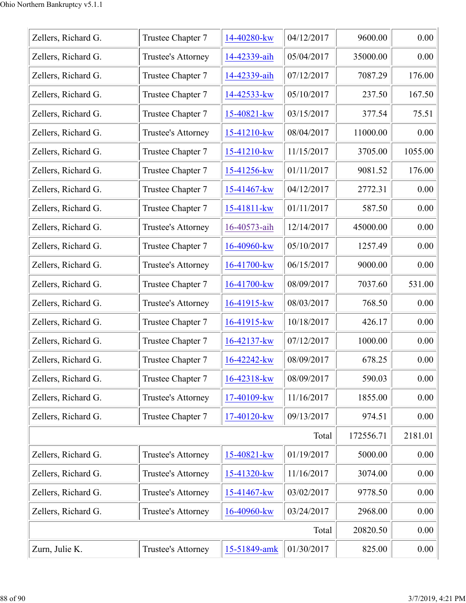| Zellers, Richard G. | Trustee Chapter 7  | 14-40280-kw    | 04/12/2017 | 9600.00   | 0.00    |
|---------------------|--------------------|----------------|------------|-----------|---------|
| Zellers, Richard G. | Trustee's Attorney | 14-42339-aih   | 05/04/2017 | 35000.00  | 0.00    |
| Zellers, Richard G. | Trustee Chapter 7  | 14-42339-aih   | 07/12/2017 | 7087.29   | 176.00  |
| Zellers, Richard G. | Trustee Chapter 7  | 14-42533-kw    | 05/10/2017 | 237.50    | 167.50  |
| Zellers, Richard G. | Trustee Chapter 7  | 15-40821-kw    | 03/15/2017 | 377.54    | 75.51   |
| Zellers, Richard G. | Trustee's Attorney | 15-41210-kw    | 08/04/2017 | 11000.00  | 0.00    |
| Zellers, Richard G. | Trustee Chapter 7  | 15-41210-kw    | 11/15/2017 | 3705.00   | 1055.00 |
| Zellers, Richard G. | Trustee Chapter 7  | 15-41256-kw    | 01/11/2017 | 9081.52   | 176.00  |
| Zellers, Richard G. | Trustee Chapter 7  | 15-41467-kw    | 04/12/2017 | 2772.31   | 0.00    |
| Zellers, Richard G. | Trustee Chapter 7  | 15-41811-kw    | 01/11/2017 | 587.50    | 0.00    |
| Zellers, Richard G. | Trustee's Attorney | 16-40573-aih   | 12/14/2017 | 45000.00  | 0.00    |
| Zellers, Richard G. | Trustee Chapter 7  | 16-40960-kw    | 05/10/2017 | 1257.49   | 0.00    |
| Zellers, Richard G. | Trustee's Attorney | 16-41700-kw    | 06/15/2017 | 9000.00   | 0.00    |
| Zellers, Richard G. | Trustee Chapter 7  | 16-41700-kw    | 08/09/2017 | 7037.60   | 531.00  |
| Zellers, Richard G. | Trustee's Attorney | $16-41915$ -kw | 08/03/2017 | 768.50    | 0.00    |
| Zellers, Richard G. | Trustee Chapter 7  | $16-41915$ -kw | 10/18/2017 | 426.17    | 0.00    |
| Zellers, Richard G. | Trustee Chapter 7  | 16-42137-kw    | 07/12/2017 | 1000.00   | 0.00    |
| Zellers, Richard G. | Trustee Chapter 7  | 16-42242-kw    | 08/09/2017 | 678.25    | 0.00    |
| Zellers, Richard G. | Trustee Chapter 7  | 16-42318-kw    | 08/09/2017 | 590.03    | 0.00    |
| Zellers, Richard G. | Trustee's Attorney | 17-40109-kw    | 11/16/2017 | 1855.00   | 0.00    |
| Zellers, Richard G. | Trustee Chapter 7  | 17-40120-kw    | 09/13/2017 | 974.51    | 0.00    |
|                     |                    |                | Total      | 172556.71 | 2181.01 |
| Zellers, Richard G. | Trustee's Attorney | 15-40821-kw    | 01/19/2017 | 5000.00   | 0.00    |
| Zellers, Richard G. | Trustee's Attorney | 15-41320-kw    | 11/16/2017 | 3074.00   | 0.00    |
| Zellers, Richard G. | Trustee's Attorney | 15-41467-kw    | 03/02/2017 | 9778.50   | 0.00    |
| Zellers, Richard G. | Trustee's Attorney | 16-40960-kw    | 03/24/2017 | 2968.00   | 0.00    |
|                     |                    |                | Total      | 20820.50  | 0.00    |
| Zurn, Julie K.      | Trustee's Attorney | 15-51849-amk   | 01/30/2017 | 825.00    | 0.00    |